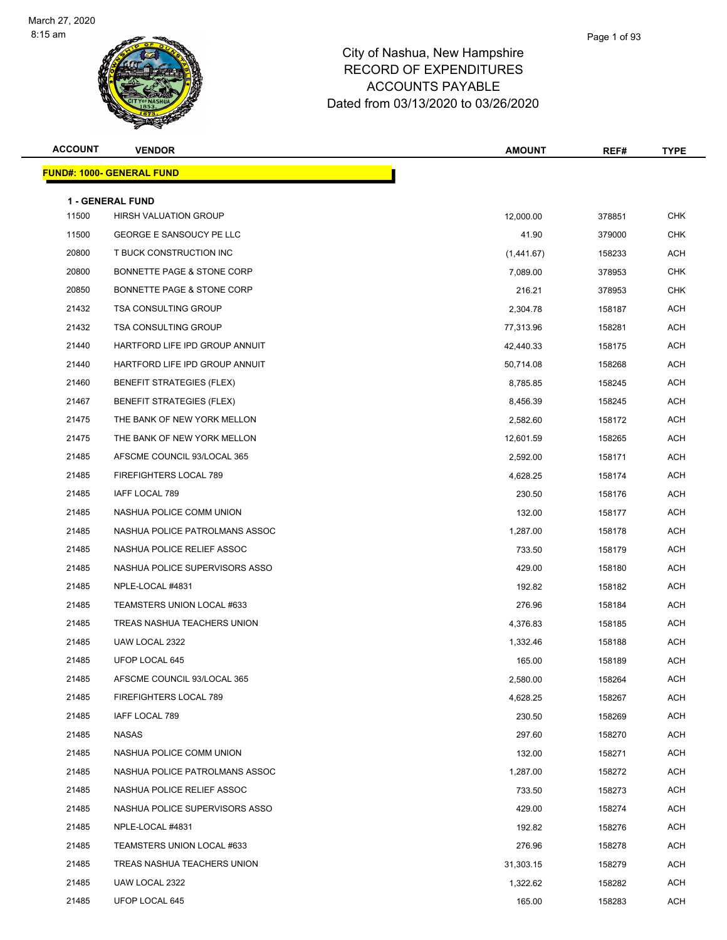

| <b>ACCOUNT</b> | <b>VENDOR</b>                                           | <b>AMOUNT</b> | REF#   | <b>TYPE</b> |
|----------------|---------------------------------------------------------|---------------|--------|-------------|
|                | <u> FUND#: 1000- GENERAL FUND</u>                       |               |        |             |
|                |                                                         |               |        |             |
| 11500          | <b>1 - GENERAL FUND</b><br><b>HIRSH VALUATION GROUP</b> | 12,000.00     | 378851 | <b>CHK</b>  |
| 11500          | GEORGE E SANSOUCY PE LLC                                | 41.90         | 379000 | <b>CHK</b>  |
| 20800          | T BUCK CONSTRUCTION INC                                 | (1,441.67)    | 158233 | <b>ACH</b>  |
| 20800          | BONNETTE PAGE & STONE CORP                              | 7,089.00      | 378953 | <b>CHK</b>  |
| 20850          | BONNETTE PAGE & STONE CORP                              | 216.21        | 378953 | <b>CHK</b>  |
| 21432          | <b>TSA CONSULTING GROUP</b>                             | 2,304.78      | 158187 | <b>ACH</b>  |
| 21432          | <b>TSA CONSULTING GROUP</b>                             | 77,313.96     | 158281 | ACH         |
| 21440          | HARTFORD LIFE IPD GROUP ANNUIT                          | 42,440.33     | 158175 | <b>ACH</b>  |
| 21440          | HARTFORD LIFE IPD GROUP ANNUIT                          | 50,714.08     | 158268 | ACH         |
| 21460          | <b>BENEFIT STRATEGIES (FLEX)</b>                        | 8,785.85      | 158245 | ACH         |
| 21467          | <b>BENEFIT STRATEGIES (FLEX)</b>                        | 8,456.39      | 158245 | <b>ACH</b>  |
| 21475          | THE BANK OF NEW YORK MELLON                             | 2,582.60      | 158172 | ACH         |
| 21475          | THE BANK OF NEW YORK MELLON                             | 12,601.59     | 158265 | <b>ACH</b>  |
| 21485          | AFSCME COUNCIL 93/LOCAL 365                             | 2,592.00      | 158171 | ACH         |
| 21485          | FIREFIGHTERS LOCAL 789                                  | 4,628.25      | 158174 | ACH         |
| 21485          | IAFF LOCAL 789                                          | 230.50        | 158176 | <b>ACH</b>  |
| 21485          | NASHUA POLICE COMM UNION                                | 132.00        | 158177 | ACH         |
| 21485          | NASHUA POLICE PATROLMANS ASSOC                          | 1,287.00      | 158178 | <b>ACH</b>  |
| 21485          | NASHUA POLICE RELIEF ASSOC                              | 733.50        | 158179 | ACH         |
| 21485          | NASHUA POLICE SUPERVISORS ASSO                          | 429.00        | 158180 | ACH         |
| 21485          | NPLE-LOCAL #4831                                        | 192.82        | 158182 | <b>ACH</b>  |
| 21485          | TEAMSTERS UNION LOCAL #633                              | 276.96        | 158184 | ACH         |
| 21485          | TREAS NASHUA TEACHERS UNION                             | 4,376.83      | 158185 | <b>ACH</b>  |
| 21485          | UAW LOCAL 2322                                          | 1,332.46      | 158188 | ACH         |
| 21485          | UFOP LOCAL 645                                          | 165.00        | 158189 | ACH         |
| 21485          | AFSCME COUNCIL 93/LOCAL 365                             | 2,580.00      | 158264 | ACH         |
| 21485          | FIREFIGHTERS LOCAL 789                                  | 4,628.25      | 158267 | ACH         |
| 21485          | IAFF LOCAL 789                                          | 230.50        | 158269 | <b>ACH</b>  |
| 21485          | NASAS                                                   | 297.60        | 158270 | ACH         |
| 21485          | NASHUA POLICE COMM UNION                                | 132.00        | 158271 | ACH         |
| 21485          | NASHUA POLICE PATROLMANS ASSOC                          | 1,287.00      | 158272 | <b>ACH</b>  |
| 21485          | NASHUA POLICE RELIEF ASSOC                              | 733.50        | 158273 | ACH         |
| 21485          | NASHUA POLICE SUPERVISORS ASSO                          | 429.00        | 158274 | ACH         |
| 21485          | NPLE-LOCAL #4831                                        | 192.82        | 158276 | ACH         |
| 21485          | TEAMSTERS UNION LOCAL #633                              | 276.96        | 158278 | ACH         |
| 21485          | TREAS NASHUA TEACHERS UNION                             | 31,303.15     | 158279 | ACH         |
| 21485          | UAW LOCAL 2322                                          | 1,322.62      | 158282 | ACH         |
| 21485          | UFOP LOCAL 645                                          | 165.00        | 158283 | <b>ACH</b>  |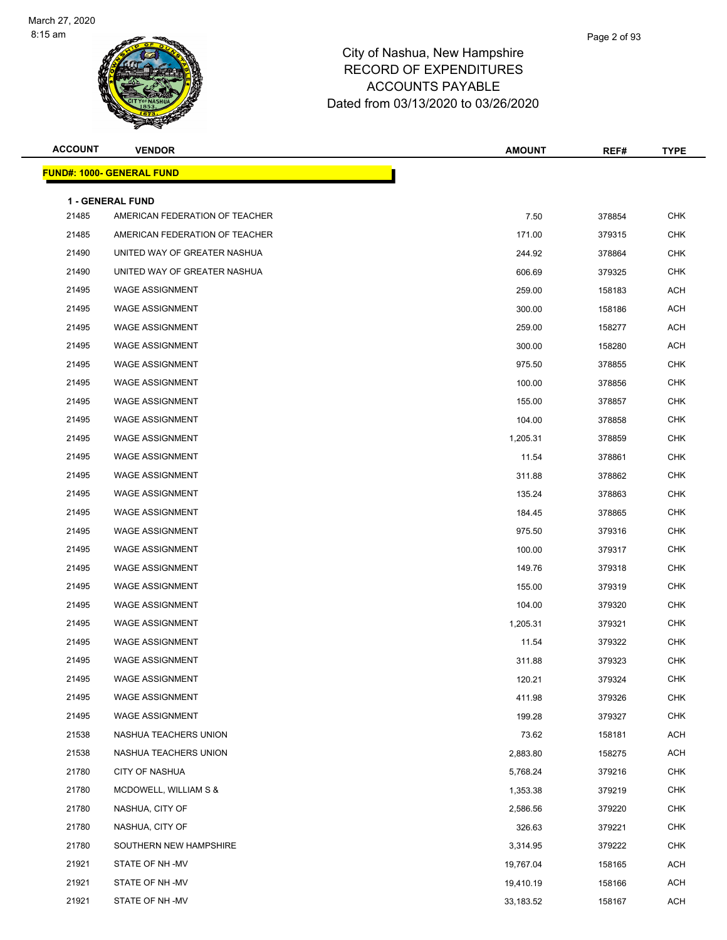

| <b>ACCOUNT</b> | <b>VENDOR</b>                                             | <b>AMOUNT</b> | REF#   | <b>TYPE</b> |
|----------------|-----------------------------------------------------------|---------------|--------|-------------|
|                | <b>FUND#: 1000- GENERAL FUND</b>                          |               |        |             |
|                |                                                           |               |        |             |
| 21485          | <b>1 - GENERAL FUND</b><br>AMERICAN FEDERATION OF TEACHER | 7.50          | 378854 | <b>CHK</b>  |
| 21485          | AMERICAN FEDERATION OF TEACHER                            | 171.00        | 379315 | <b>CHK</b>  |
| 21490          | UNITED WAY OF GREATER NASHUA                              | 244.92        | 378864 | <b>CHK</b>  |
| 21490          | UNITED WAY OF GREATER NASHUA                              | 606.69        | 379325 | <b>CHK</b>  |
| 21495          | <b>WAGE ASSIGNMENT</b>                                    | 259.00        | 158183 | <b>ACH</b>  |
| 21495          | <b>WAGE ASSIGNMENT</b>                                    | 300.00        | 158186 | <b>ACH</b>  |
| 21495          | <b>WAGE ASSIGNMENT</b>                                    | 259.00        | 158277 | <b>ACH</b>  |
| 21495          | <b>WAGE ASSIGNMENT</b>                                    | 300.00        | 158280 | <b>ACH</b>  |
| 21495          | <b>WAGE ASSIGNMENT</b>                                    | 975.50        | 378855 | <b>CHK</b>  |
| 21495          | <b>WAGE ASSIGNMENT</b>                                    | 100.00        | 378856 | CHK         |
| 21495          | <b>WAGE ASSIGNMENT</b>                                    | 155.00        | 378857 | <b>CHK</b>  |
| 21495          | <b>WAGE ASSIGNMENT</b>                                    | 104.00        | 378858 | <b>CHK</b>  |
| 21495          | <b>WAGE ASSIGNMENT</b>                                    | 1,205.31      | 378859 | <b>CHK</b>  |
| 21495          | <b>WAGE ASSIGNMENT</b>                                    | 11.54         | 378861 | <b>CHK</b>  |
| 21495          | <b>WAGE ASSIGNMENT</b>                                    | 311.88        | 378862 | <b>CHK</b>  |
| 21495          | <b>WAGE ASSIGNMENT</b>                                    | 135.24        | 378863 | <b>CHK</b>  |
| 21495          | <b>WAGE ASSIGNMENT</b>                                    | 184.45        | 378865 | <b>CHK</b>  |
| 21495          | <b>WAGE ASSIGNMENT</b>                                    | 975.50        | 379316 | <b>CHK</b>  |
| 21495          | <b>WAGE ASSIGNMENT</b>                                    | 100.00        | 379317 | <b>CHK</b>  |
| 21495          | <b>WAGE ASSIGNMENT</b>                                    | 149.76        | 379318 | CHK         |
| 21495          | <b>WAGE ASSIGNMENT</b>                                    | 155.00        | 379319 | <b>CHK</b>  |
| 21495          | <b>WAGE ASSIGNMENT</b>                                    | 104.00        | 379320 | <b>CHK</b>  |
| 21495          | <b>WAGE ASSIGNMENT</b>                                    | 1,205.31      | 379321 | CHK         |
| 21495          | <b>WAGE ASSIGNMENT</b>                                    | 11.54         | 379322 | <b>CHK</b>  |
| 21495          | <b>WAGE ASSIGNMENT</b>                                    | 311.88        | 379323 | CHK         |
| 21495          | WAGE ASSIGNMENT                                           | 120.21        | 379324 | CHK         |
| 21495          | <b>WAGE ASSIGNMENT</b>                                    | 411.98        | 379326 | <b>CHK</b>  |
| 21495          | <b>WAGE ASSIGNMENT</b>                                    | 199.28        | 379327 | <b>CHK</b>  |
| 21538          | NASHUA TEACHERS UNION                                     | 73.62         | 158181 | ACH         |
| 21538          | NASHUA TEACHERS UNION                                     | 2,883.80      | 158275 | ACH         |
| 21780          | CITY OF NASHUA                                            | 5,768.24      | 379216 | <b>CHK</b>  |
| 21780          | MCDOWELL, WILLIAM S &                                     | 1,353.38      | 379219 | <b>CHK</b>  |
| 21780          | NASHUA, CITY OF                                           | 2,586.56      | 379220 | <b>CHK</b>  |
| 21780          | NASHUA, CITY OF                                           | 326.63        | 379221 | <b>CHK</b>  |
| 21780          | SOUTHERN NEW HAMPSHIRE                                    | 3,314.95      | 379222 | <b>CHK</b>  |
| 21921          | STATE OF NH -MV                                           | 19,767.04     | 158165 | ACH         |
| 21921          | STATE OF NH -MV                                           | 19,410.19     | 158166 | ACH         |
| 21921          | STATE OF NH-MV                                            | 33,183.52     | 158167 | <b>ACH</b>  |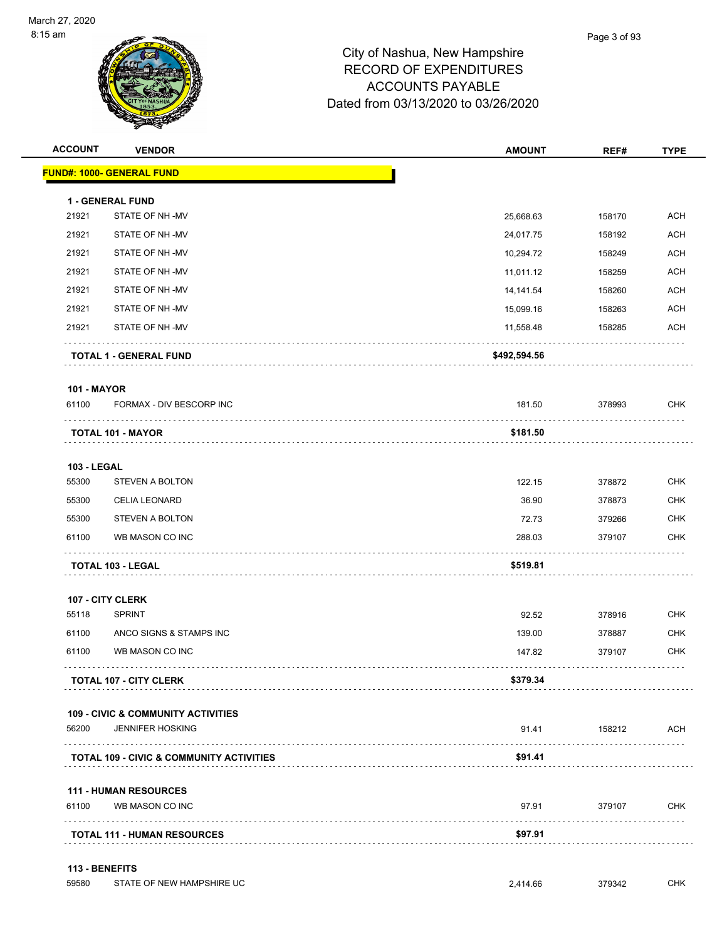

| <b>ACCOUNT</b>     | <b>VENDOR</b>                                       | <b>AMOUNT</b> | REF#   | <b>TYPE</b> |
|--------------------|-----------------------------------------------------|---------------|--------|-------------|
|                    | <b>FUND#: 1000- GENERAL FUND</b>                    |               |        |             |
|                    | <b>1 - GENERAL FUND</b>                             |               |        |             |
| 21921              | STATE OF NH-MV                                      | 25,668.63     | 158170 | <b>ACH</b>  |
| 21921              | STATE OF NH-MV                                      | 24,017.75     | 158192 | <b>ACH</b>  |
| 21921              | STATE OF NH-MV                                      | 10,294.72     | 158249 | <b>ACH</b>  |
| 21921              | STATE OF NH-MV                                      | 11,011.12     | 158259 | <b>ACH</b>  |
| 21921              | STATE OF NH-MV                                      | 14,141.54     | 158260 | <b>ACH</b>  |
| 21921              | STATE OF NH-MV                                      | 15,099.16     | 158263 | <b>ACH</b>  |
| 21921              | STATE OF NH-MV                                      | 11,558.48     | 158285 | <b>ACH</b>  |
|                    | <b>TOTAL 1 - GENERAL FUND</b>                       | \$492,594.56  |        |             |
| <b>101 - MAYOR</b> |                                                     |               |        |             |
| 61100              | FORMAX - DIV BESCORP INC                            | 181.50        | 378993 | <b>CHK</b>  |
|                    | <b>TOTAL 101 - MAYOR</b>                            | \$181.50      |        |             |
| <b>103 - LEGAL</b> |                                                     |               |        |             |
| 55300              | <b>STEVEN A BOLTON</b>                              | 122.15        | 378872 | <b>CHK</b>  |
| 55300              | <b>CELIA LEONARD</b>                                | 36.90         | 378873 | <b>CHK</b>  |
| 55300              | <b>STEVEN A BOLTON</b>                              | 72.73         | 379266 | <b>CHK</b>  |
| 61100              | WB MASON CO INC                                     | 288.03        | 379107 | <b>CHK</b>  |
|                    | TOTAL 103 - LEGAL                                   | \$519.81      |        |             |
|                    | 107 - CITY CLERK                                    |               |        |             |
| 55118              | <b>SPRINT</b>                                       | 92.52         | 378916 | <b>CHK</b>  |
| 61100              | ANCO SIGNS & STAMPS INC                             | 139.00        | 378887 | <b>CHK</b>  |
| 61100              | WB MASON CO INC                                     | 147.82        | 379107 | <b>CHK</b>  |
|                    | <b>TOTAL 107 - CITY CLERK</b>                       | \$379.34      |        |             |
|                    | <b>109 - CIVIC &amp; COMMUNITY ACTIVITIES</b>       |               |        |             |
| 56200              | <b>JENNIFER HOSKING</b>                             | 91.41         | 158212 | <b>ACH</b>  |
|                    | <b>TOTAL 109 - CIVIC &amp; COMMUNITY ACTIVITIES</b> | \$91.41       |        |             |
|                    | <b>111 - HUMAN RESOURCES</b>                        |               |        |             |
| 61100              | WB MASON CO INC                                     | 97.91         | 379107 | <b>CHK</b>  |
|                    | <b>TOTAL 111 - HUMAN RESOURCES</b>                  | \$97.91       |        |             |
|                    |                                                     |               |        |             |
| 113 - BENEFITS     |                                                     |               |        |             |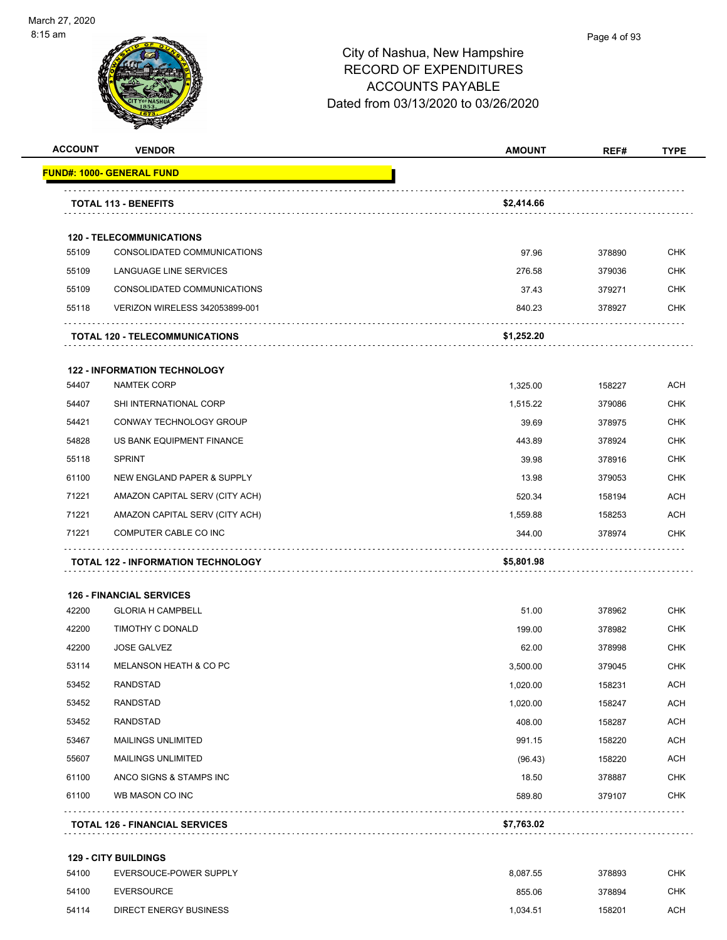

| <b>ACCOUNT</b> | <b>VENDOR</b>                                                  | <b>AMOUNT</b> | REF#   | <b>TYPE</b> |
|----------------|----------------------------------------------------------------|---------------|--------|-------------|
|                | <u> FUND#: 1000- GENERAL FUND</u>                              |               |        |             |
|                | <b>TOTAL 113 - BENEFITS</b>                                    | \$2,414.66    |        |             |
|                |                                                                |               |        |             |
| 55109          | <b>120 - TELECOMMUNICATIONS</b><br>CONSOLIDATED COMMUNICATIONS | 97.96         | 378890 | <b>CHK</b>  |
| 55109          | LANGUAGE LINE SERVICES                                         | 276.58        | 379036 | <b>CHK</b>  |
| 55109          | CONSOLIDATED COMMUNICATIONS                                    | 37.43         | 379271 | CHK         |
| 55118          | VERIZON WIRELESS 342053899-001                                 | 840.23        | 378927 | <b>CHK</b>  |
|                | <b>TOTAL 120 - TELECOMMUNICATIONS</b>                          | \$1,252.20    |        |             |
|                | <b>122 - INFORMATION TECHNOLOGY</b>                            |               |        |             |
| 54407          | <b>NAMTEK CORP</b>                                             | 1,325.00      | 158227 | <b>ACH</b>  |
| 54407          | SHI INTERNATIONAL CORP                                         | 1,515.22      | 379086 | CHK         |
| 54421          | CONWAY TECHNOLOGY GROUP                                        | 39.69         | 378975 | <b>CHK</b>  |
| 54828          | US BANK EQUIPMENT FINANCE                                      | 443.89        | 378924 | <b>CHK</b>  |
| 55118          | <b>SPRINT</b>                                                  | 39.98         | 378916 | <b>CHK</b>  |
| 61100          | NEW ENGLAND PAPER & SUPPLY                                     | 13.98         | 379053 | <b>CHK</b>  |
| 71221          | AMAZON CAPITAL SERV (CITY ACH)                                 | 520.34        | 158194 | <b>ACH</b>  |
| 71221          | AMAZON CAPITAL SERV (CITY ACH)                                 | 1,559.88      | 158253 | <b>ACH</b>  |
| 71221          | COMPUTER CABLE CO INC                                          | 344.00        | 378974 | <b>CHK</b>  |
|                | <b>TOTAL 122 - INFORMATION TECHNOLOGY</b>                      | \$5,801.98    |        |             |
|                | <b>126 - FINANCIAL SERVICES</b>                                |               |        |             |
| 42200          | <b>GLORIA H CAMPBELL</b>                                       | 51.00         | 378962 | <b>CHK</b>  |
| 42200          | TIMOTHY C DONALD                                               | 199.00        | 378982 | <b>CHK</b>  |
| 42200          | <b>JOSE GALVEZ</b>                                             | 62.00         | 378998 | CHK         |
| 53114          | MELANSON HEATH & CO PC                                         | 3,500.00      | 379045 | <b>CHK</b>  |
| 53452          | <b>RANDSTAD</b>                                                | 1,020.00      | 158231 | <b>ACH</b>  |
| 53452          | <b>RANDSTAD</b>                                                | 1,020.00      | 158247 | <b>ACH</b>  |
| 53452          | <b>RANDSTAD</b>                                                | 408.00        | 158287 | <b>ACH</b>  |
| 53467          | <b>MAILINGS UNLIMITED</b>                                      | 991.15        | 158220 | <b>ACH</b>  |
| 55607          | <b>MAILINGS UNLIMITED</b>                                      | (96.43)       | 158220 | <b>ACH</b>  |
| 61100          | ANCO SIGNS & STAMPS INC                                        | 18.50         | 378887 | CHK         |
| 61100          | WB MASON CO INC                                                | 589.80        | 379107 | <b>CHK</b>  |
|                | <b>TOTAL 126 - FINANCIAL SERVICES</b>                          | \$7,763.02    |        |             |
|                | <b>129 - CITY BUILDINGS</b>                                    |               |        |             |
| 54100          | EVERSOUCE-POWER SUPPLY                                         | 8,087.55      | 378893 | <b>CHK</b>  |
| 54100          | <b>EVERSOURCE</b>                                              | 855.06        | 378894 | CHK         |
| 54114          | <b>DIRECT ENERGY BUSINESS</b>                                  | 1,034.51      | 158201 | ACH         |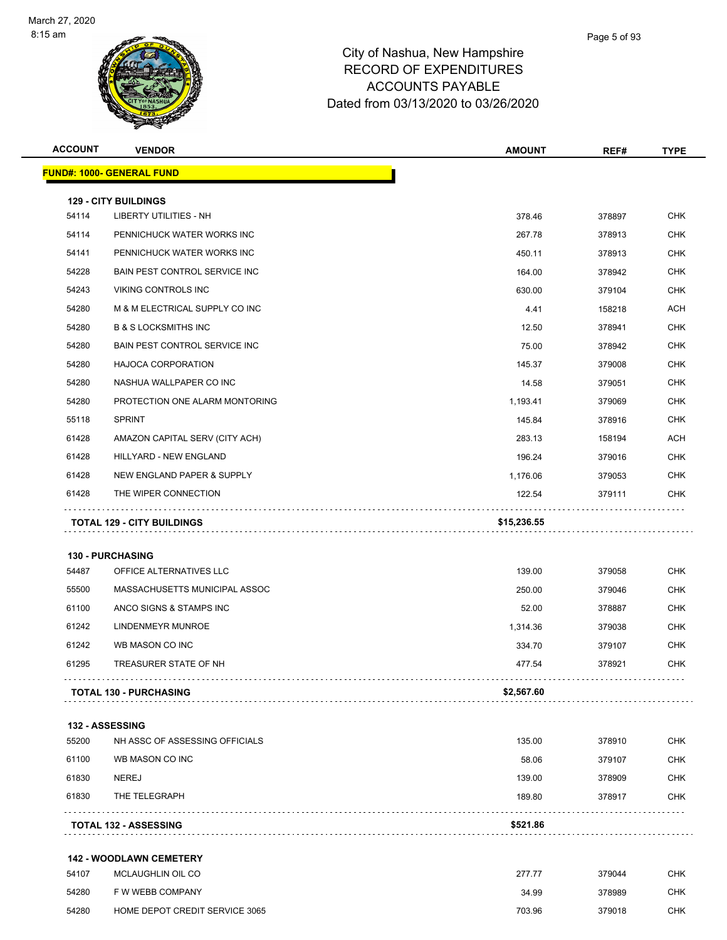

| <b>ACCOUNT</b> | <b>VENDOR</b>                                      | <b>AMOUNT</b> | REF#   | TYPE       |
|----------------|----------------------------------------------------|---------------|--------|------------|
|                | <b>FUND#: 1000- GENERAL FUND</b>                   |               |        |            |
|                | <b>129 - CITY BUILDINGS</b>                        |               |        |            |
| 54114          | <b>LIBERTY UTILITIES - NH</b>                      | 378.46        | 378897 | <b>CHK</b> |
| 54114          | PENNICHUCK WATER WORKS INC                         | 267.78        | 378913 | <b>CHK</b> |
| 54141          | PENNICHUCK WATER WORKS INC                         | 450.11        | 378913 | <b>CHK</b> |
| 54228          | <b>BAIN PEST CONTROL SERVICE INC.</b>              | 164.00        | 378942 | <b>CHK</b> |
| 54243          | <b>VIKING CONTROLS INC</b>                         | 630.00        | 379104 | <b>CHK</b> |
| 54280          | M & M ELECTRICAL SUPPLY CO INC                     | 4.41          | 158218 | <b>ACH</b> |
| 54280          | <b>B &amp; S LOCKSMITHS INC</b>                    | 12.50         | 378941 | <b>CHK</b> |
| 54280          | BAIN PEST CONTROL SERVICE INC                      | 75.00         | 378942 | <b>CHK</b> |
| 54280          | <b>HAJOCA CORPORATION</b>                          | 145.37        | 379008 | <b>CHK</b> |
| 54280          | NASHUA WALLPAPER CO INC                            | 14.58         | 379051 | <b>CHK</b> |
| 54280          | PROTECTION ONE ALARM MONTORING                     | 1,193.41      | 379069 | <b>CHK</b> |
| 55118          | <b>SPRINT</b>                                      | 145.84        | 378916 | CHK        |
| 61428          | AMAZON CAPITAL SERV (CITY ACH)                     | 283.13        | 158194 | <b>ACH</b> |
| 61428          | HILLYARD - NEW ENGLAND                             | 196.24        | 379016 | <b>CHK</b> |
| 61428          | NEW ENGLAND PAPER & SUPPLY                         | 1,176.06      | 379053 | <b>CHK</b> |
| 61428          | THE WIPER CONNECTION                               | 122.54        | 379111 | <b>CHK</b> |
| 54487          | <b>130 - PURCHASING</b><br>OFFICE ALTERNATIVES LLC | 139.00        | 379058 | <b>CHK</b> |
|                |                                                    |               |        |            |
| 55500          | MASSACHUSETTS MUNICIPAL ASSOC                      | 250.00        | 379046 | <b>CHK</b> |
| 61100          | ANCO SIGNS & STAMPS INC                            | 52.00         | 378887 | CHK        |
| 61242          | LINDENMEYR MUNROE                                  | 1,314.36      | 379038 | CHK        |
| 61242          | WB MASON CO INC                                    | 334.70        | 379107 | <b>CHK</b> |
| 61295          | TREASURER STATE OF NH                              | 477.54        | 378921 | <b>CHK</b> |
|                | <b>TOTAL 130 - PURCHASING</b>                      | \$2,567.60    |        |            |
|                | <b>132 - ASSESSING</b>                             |               |        |            |
| 55200          | NH ASSC OF ASSESSING OFFICIALS                     | 135.00        | 378910 | <b>CHK</b> |
| 61100          | WB MASON CO INC                                    | 58.06         | 379107 | <b>CHK</b> |
| 61830          | <b>NEREJ</b>                                       | 139.00        | 378909 | <b>CHK</b> |
| 61830          | THE TELEGRAPH                                      | 189.80        | 378917 | <b>CHK</b> |
|                | <b>TOTAL 132 - ASSESSING</b>                       | \$521.86      |        |            |
|                | <b>142 - WOODLAWN CEMETERY</b>                     |               |        |            |
| 54107          | MCLAUGHLIN OIL CO                                  | 277.77        | 379044 | <b>CHK</b> |
| 54280          | F W WEBB COMPANY                                   | 34.99         | 378989 | CHK        |
| 54280          | HOME DEPOT CREDIT SERVICE 3065                     | 703.96        | 379018 | <b>CHK</b> |
|                |                                                    |               |        |            |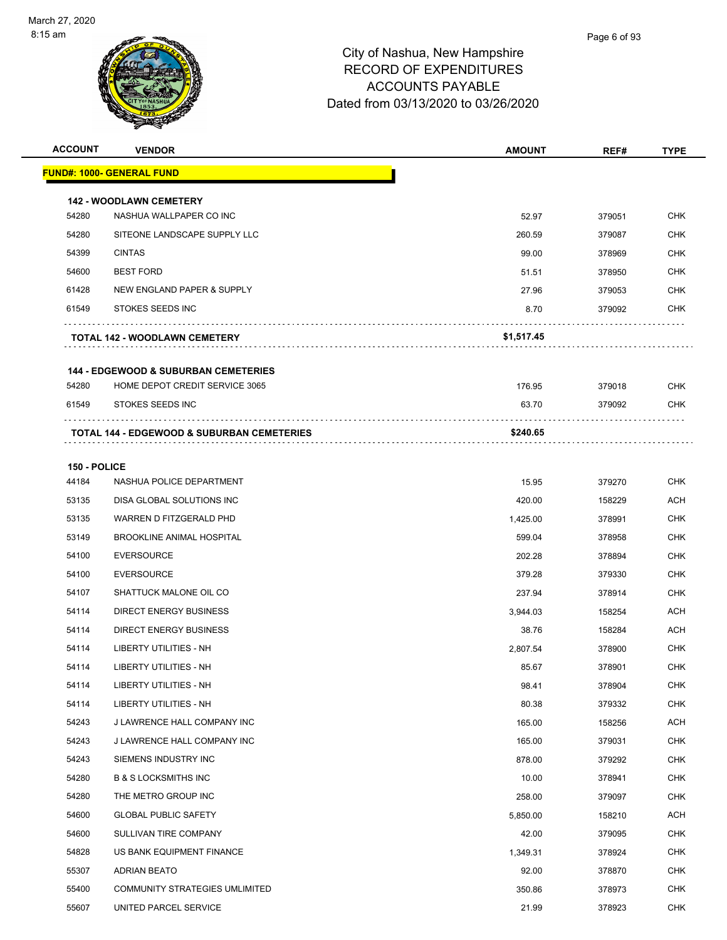

| <b>ACCOUNT</b>        | <b>VENDOR</b>                                             | <b>AMOUNT</b> | REF#   | <b>TYPE</b> |
|-----------------------|-----------------------------------------------------------|---------------|--------|-------------|
|                       | <b>FUND#: 1000- GENERAL FUND</b>                          |               |        |             |
|                       |                                                           |               |        |             |
| 54280                 | <b>142 - WOODLAWN CEMETERY</b><br>NASHUA WALLPAPER CO INC | 52.97         | 379051 | <b>CHK</b>  |
| 54280                 | SITEONE LANDSCAPE SUPPLY LLC                              | 260.59        | 379087 | <b>CHK</b>  |
| 54399                 | <b>CINTAS</b>                                             | 99.00         | 378969 | <b>CHK</b>  |
| 54600                 | <b>BEST FORD</b>                                          | 51.51         | 378950 | <b>CHK</b>  |
| 61428                 | NEW ENGLAND PAPER & SUPPLY                                | 27.96         | 379053 | <b>CHK</b>  |
| 61549                 | STOKES SEEDS INC                                          | 8.70          | 379092 | <b>CHK</b>  |
|                       | <b>TOTAL 142 - WOODLAWN CEMETERY</b>                      | \$1,517.45    |        |             |
|                       | <b>144 - EDGEWOOD &amp; SUBURBAN CEMETERIES</b>           |               |        |             |
| 54280                 | HOME DEPOT CREDIT SERVICE 3065                            | 176.95        | 379018 | <b>CHK</b>  |
| 61549                 | <b>STOKES SEEDS INC</b>                                   | 63.70         | 379092 | <b>CHK</b>  |
|                       | <b>TOTAL 144 - EDGEWOOD &amp; SUBURBAN CEMETERIES</b>     | \$240.65      |        |             |
|                       |                                                           |               |        |             |
| 150 - POLICE<br>44184 | NASHUA POLICE DEPARTMENT                                  | 15.95         | 379270 | <b>CHK</b>  |
| 53135                 | DISA GLOBAL SOLUTIONS INC                                 | 420.00        | 158229 | <b>ACH</b>  |
| 53135                 | WARREN D FITZGERALD PHD                                   | 1,425.00      | 378991 | <b>CHK</b>  |
| 53149                 | <b>BROOKLINE ANIMAL HOSPITAL</b>                          | 599.04        | 378958 | <b>CHK</b>  |
| 54100                 | <b>EVERSOURCE</b>                                         | 202.28        | 378894 | <b>CHK</b>  |
| 54100                 | <b>EVERSOURCE</b>                                         | 379.28        | 379330 | <b>CHK</b>  |
| 54107                 | SHATTUCK MALONE OIL CO                                    | 237.94        | 378914 | <b>CHK</b>  |
| 54114                 | <b>DIRECT ENERGY BUSINESS</b>                             | 3,944.03      | 158254 | ACH         |
| 54114                 | <b>DIRECT ENERGY BUSINESS</b>                             | 38.76         | 158284 | <b>ACH</b>  |
| 54114                 | LIBERTY UTILITIES - NH                                    | 2,807.54      | 378900 | <b>CHK</b>  |
| 54114                 | LIBERTY UTILITIES - NH                                    | 85.67         | 378901 | <b>CHK</b>  |
| 54114                 | <b>LIBERTY UTILITIES - NH</b>                             | 98.41         | 378904 | <b>CHK</b>  |
| 54114                 | <b>LIBERTY UTILITIES - NH</b>                             | 80.38         | 379332 | <b>CHK</b>  |
| 54243                 | J LAWRENCE HALL COMPANY INC                               | 165.00        | 158256 | ACH         |
| 54243                 | J LAWRENCE HALL COMPANY INC                               | 165.00        | 379031 | <b>CHK</b>  |
| 54243                 | SIEMENS INDUSTRY INC                                      | 878.00        | 379292 | <b>CHK</b>  |
| 54280                 | <b>B &amp; S LOCKSMITHS INC</b>                           | 10.00         | 378941 | <b>CHK</b>  |
| 54280                 | THE METRO GROUP INC                                       | 258.00        | 379097 | <b>CHK</b>  |
| 54600                 | <b>GLOBAL PUBLIC SAFETY</b>                               | 5,850.00      | 158210 | ACH         |
| 54600                 | SULLIVAN TIRE COMPANY                                     | 42.00         | 379095 | <b>CHK</b>  |
| 54828                 | US BANK EQUIPMENT FINANCE                                 | 1,349.31      | 378924 | <b>CHK</b>  |
| 55307                 | ADRIAN BEATO                                              | 92.00         | 378870 | <b>CHK</b>  |
| 55400                 | COMMUNITY STRATEGIES UMLIMITED                            | 350.86        | 378973 | <b>CHK</b>  |
| 55607                 | UNITED PARCEL SERVICE                                     | 21.99         | 378923 | <b>CHK</b>  |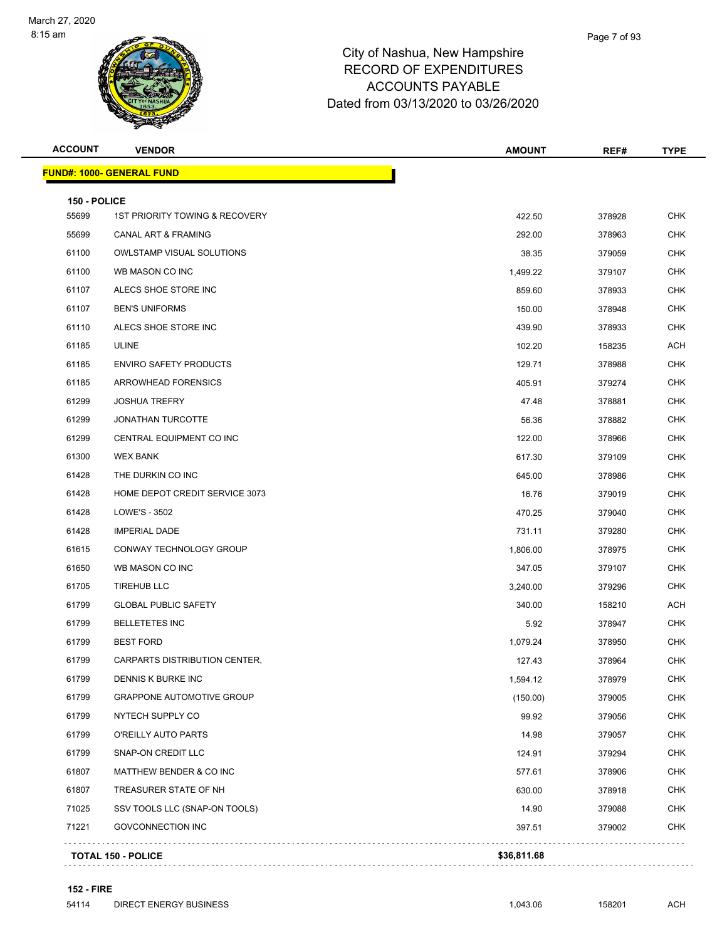

| <b>ACCOUNT</b>        | <b>VENDOR</b>                             | <b>AMOUNT</b> | REF#   | <b>TYPE</b> |
|-----------------------|-------------------------------------------|---------------|--------|-------------|
|                       | <b>FUND#: 1000- GENERAL FUND</b>          |               |        |             |
|                       |                                           |               |        |             |
| 150 - POLICE<br>55699 | <b>1ST PRIORITY TOWING &amp; RECOVERY</b> | 422.50        | 378928 | <b>CHK</b>  |
| 55699                 | <b>CANAL ART &amp; FRAMING</b>            | 292.00        | 378963 | <b>CHK</b>  |
| 61100                 | <b>OWLSTAMP VISUAL SOLUTIONS</b>          | 38.35         | 379059 | <b>CHK</b>  |
| 61100                 | WB MASON CO INC                           | 1,499.22      | 379107 | <b>CHK</b>  |
| 61107                 | ALECS SHOE STORE INC                      | 859.60        | 378933 | <b>CHK</b>  |
| 61107                 | <b>BEN'S UNIFORMS</b>                     | 150.00        | 378948 | <b>CHK</b>  |
| 61110                 | ALECS SHOE STORE INC                      | 439.90        | 378933 | <b>CHK</b>  |
| 61185                 | ULINE                                     | 102.20        | 158235 | <b>ACH</b>  |
| 61185                 | <b>ENVIRO SAFETY PRODUCTS</b>             | 129.71        | 378988 | <b>CHK</b>  |
| 61185                 | <b>ARROWHEAD FORENSICS</b>                | 405.91        | 379274 | <b>CHK</b>  |
| 61299                 | <b>JOSHUA TREFRY</b>                      | 47.48         | 378881 | <b>CHK</b>  |
| 61299                 | <b>JONATHAN TURCOTTE</b>                  | 56.36         | 378882 | <b>CHK</b>  |
| 61299                 | CENTRAL EQUIPMENT CO INC                  | 122.00        | 378966 | <b>CHK</b>  |
| 61300                 | <b>WEX BANK</b>                           | 617.30        | 379109 | <b>CHK</b>  |
| 61428                 | THE DURKIN CO INC                         | 645.00        | 378986 | <b>CHK</b>  |
| 61428                 | HOME DEPOT CREDIT SERVICE 3073            | 16.76         | 379019 | <b>CHK</b>  |
| 61428                 | LOWE'S - 3502                             | 470.25        | 379040 | <b>CHK</b>  |
| 61428                 | <b>IMPERIAL DADE</b>                      | 731.11        | 379280 | <b>CHK</b>  |
| 61615                 | CONWAY TECHNOLOGY GROUP                   | 1,806.00      | 378975 | <b>CHK</b>  |
| 61650                 | WB MASON CO INC                           | 347.05        | 379107 | <b>CHK</b>  |
| 61705                 | <b>TIREHUB LLC</b>                        | 3,240.00      | 379296 | <b>CHK</b>  |
| 61799                 | <b>GLOBAL PUBLIC SAFETY</b>               | 340.00        | 158210 | <b>ACH</b>  |
| 61799                 | <b>BELLETETES INC</b>                     | 5.92          | 378947 | <b>CHK</b>  |
| 61799                 | <b>BEST FORD</b>                          | 1,079.24      | 378950 | <b>CHK</b>  |
| 61799                 | CARPARTS DISTRIBUTION CENTER,             | 127.43        | 378964 | <b>CHK</b>  |
| 61799                 | DENNIS K BURKE INC                        | 1,594.12      | 378979 | CHK         |
| 61799                 | <b>GRAPPONE AUTOMOTIVE GROUP</b>          | (150.00)      | 379005 | <b>CHK</b>  |
| 61799                 | NYTECH SUPPLY CO                          | 99.92         | 379056 | <b>CHK</b>  |
| 61799                 | O'REILLY AUTO PARTS                       | 14.98         | 379057 | <b>CHK</b>  |
| 61799                 | SNAP-ON CREDIT LLC                        | 124.91        | 379294 | <b>CHK</b>  |
| 61807                 | MATTHEW BENDER & CO INC                   | 577.61        | 378906 | <b>CHK</b>  |
| 61807                 | TREASURER STATE OF NH                     | 630.00        | 378918 | <b>CHK</b>  |
| 71025                 | SSV TOOLS LLC (SNAP-ON TOOLS)             | 14.90         | 379088 | CHK         |

GOVCONNECTION INC 397.51 379002 CHK

**TOTAL 150 - POLICE \$36,811.68**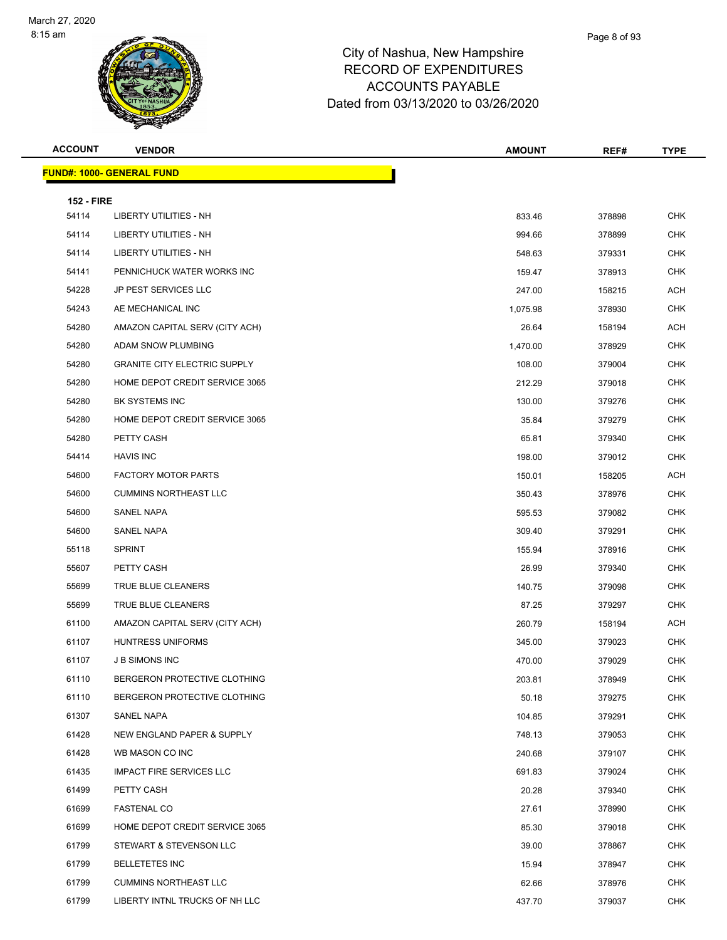

| <b>ACCOUNT</b>    | <b>VENDOR</b>                       | <b>AMOUNT</b> | REF#   | <b>TYPE</b> |
|-------------------|-------------------------------------|---------------|--------|-------------|
|                   | <b>FUND#: 1000- GENERAL FUND</b>    |               |        |             |
| <b>152 - FIRE</b> |                                     |               |        |             |
| 54114             | <b>LIBERTY UTILITIES - NH</b>       | 833.46        | 378898 | <b>CHK</b>  |
| 54114             | LIBERTY UTILITIES - NH              | 994.66        | 378899 | CHK         |
| 54114             | <b>LIBERTY UTILITIES - NH</b>       | 548.63        | 379331 | <b>CHK</b>  |
| 54141             | PENNICHUCK WATER WORKS INC          | 159.47        | 378913 | CHK         |
| 54228             | <b>JP PEST SERVICES LLC</b>         | 247.00        | 158215 | ACH         |
| 54243             | AE MECHANICAL INC                   | 1,075.98      | 378930 | <b>CHK</b>  |
| 54280             | AMAZON CAPITAL SERV (CITY ACH)      | 26.64         | 158194 | ACH         |
| 54280             | ADAM SNOW PLUMBING                  | 1,470.00      | 378929 | <b>CHK</b>  |
| 54280             | <b>GRANITE CITY ELECTRIC SUPPLY</b> | 108.00        | 379004 | <b>CHK</b>  |
| 54280             | HOME DEPOT CREDIT SERVICE 3065      | 212.29        | 379018 | <b>CHK</b>  |
| 54280             | BK SYSTEMS INC                      | 130.00        | 379276 | <b>CHK</b>  |
| 54280             | HOME DEPOT CREDIT SERVICE 3065      | 35.84         | 379279 | CHK         |
| 54280             | PETTY CASH                          | 65.81         | 379340 | <b>CHK</b>  |
| 54414             | <b>HAVIS INC</b>                    | 198.00        | 379012 | CHK         |
| 54600             | <b>FACTORY MOTOR PARTS</b>          | 150.01        | 158205 | ACH         |
| 54600             | <b>CUMMINS NORTHEAST LLC</b>        | 350.43        | 378976 | <b>CHK</b>  |
| 54600             | SANEL NAPA                          | 595.53        | 379082 | CHK         |
| 54600             | <b>SANEL NAPA</b>                   | 309.40        | 379291 | <b>CHK</b>  |
| 55118             | <b>SPRINT</b>                       | 155.94        | 378916 | <b>CHK</b>  |
| 55607             | PETTY CASH                          | 26.99         | 379340 | <b>CHK</b>  |
| 55699             | TRUE BLUE CLEANERS                  | 140.75        | 379098 | <b>CHK</b>  |
| 55699             | TRUE BLUE CLEANERS                  | 87.25         | 379297 | CHK         |
| 61100             | AMAZON CAPITAL SERV (CITY ACH)      | 260.79        | 158194 | ACH         |
| 61107             | <b>HUNTRESS UNIFORMS</b>            | 345.00        | 379023 | CHK         |
| 61107             | <b>J B SIMONS INC</b>               | 470.00        | 379029 | <b>CHK</b>  |
| 61110             | BERGERON PROTECTIVE CLOTHING        | 203.81        | 378949 | <b>CHK</b>  |
| 61110             | BERGERON PROTECTIVE CLOTHING        | 50.18         | 379275 | CHK         |
| 61307             | SANEL NAPA                          | 104.85        | 379291 | <b>CHK</b>  |
| 61428             | NEW ENGLAND PAPER & SUPPLY          | 748.13        | 379053 | <b>CHK</b>  |
| 61428             | WB MASON CO INC                     | 240.68        | 379107 | <b>CHK</b>  |
| 61435             | <b>IMPACT FIRE SERVICES LLC</b>     | 691.83        | 379024 | <b>CHK</b>  |
| 61499             | PETTY CASH                          | 20.28         | 379340 | CHK         |
| 61699             | <b>FASTENAL CO</b>                  | 27.61         | 378990 | <b>CHK</b>  |
| 61699             | HOME DEPOT CREDIT SERVICE 3065      | 85.30         | 379018 | <b>CHK</b>  |
| 61799             | STEWART & STEVENSON LLC             | 39.00         | 378867 | <b>CHK</b>  |
| 61799             | <b>BELLETETES INC</b>               | 15.94         | 378947 | <b>CHK</b>  |
| 61799             | <b>CUMMINS NORTHEAST LLC</b>        | 62.66         | 378976 | CHK         |
| 61799             | LIBERTY INTNL TRUCKS OF NH LLC      | 437.70        | 379037 | <b>CHK</b>  |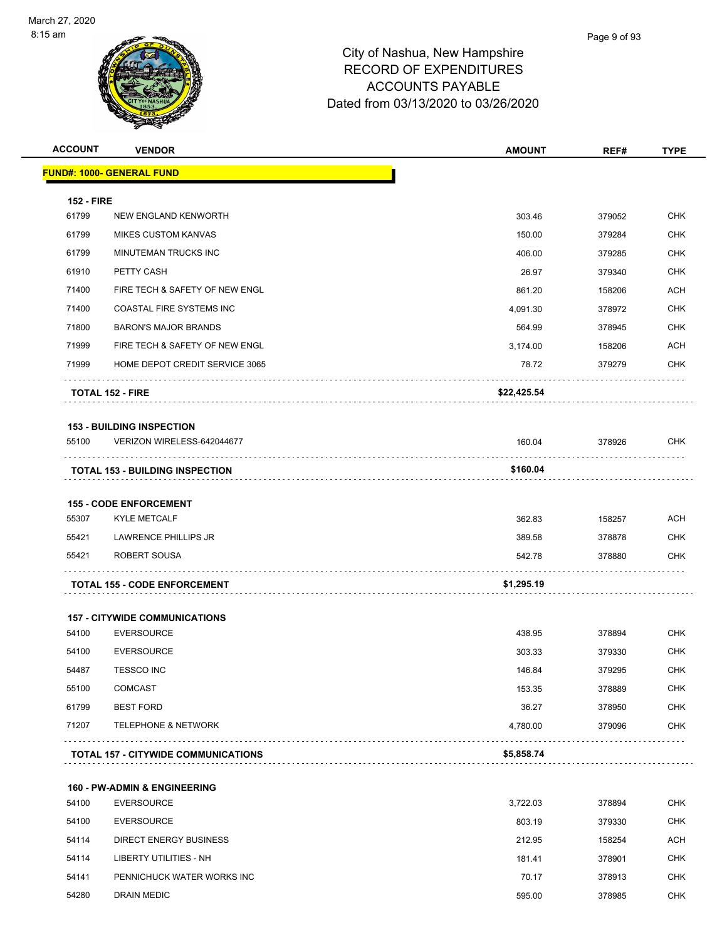

|                                           | <b>VENDOR</b>                          | <b>AMOUNT</b> | REF#   | <b>TYPE</b>       |
|-------------------------------------------|----------------------------------------|---------------|--------|-------------------|
|                                           | <b>FUND#: 1000- GENERAL FUND</b>       |               |        |                   |
| <b>152 - FIRE</b>                         |                                        |               |        |                   |
| 61799                                     | NEW ENGLAND KENWORTH                   | 303.46        | 379052 | <b>CHK</b>        |
| 61799                                     | <b>MIKES CUSTOM KANVAS</b>             | 150.00        | 379284 | <b>CHK</b>        |
| 61799                                     | MINUTEMAN TRUCKS INC                   | 406.00        | 379285 | <b>CHK</b>        |
| 61910                                     | PETTY CASH                             | 26.97         | 379340 | <b>CHK</b>        |
| 71400                                     | FIRE TECH & SAFETY OF NEW ENGL         | 861.20        | 158206 | <b>ACH</b>        |
| 71400                                     | COASTAL FIRE SYSTEMS INC               | 4,091.30      | 378972 | <b>CHK</b>        |
| 71800                                     | <b>BARON'S MAJOR BRANDS</b>            | 564.99        | 378945 | CHK               |
| 71999                                     | FIRE TECH & SAFETY OF NEW ENGL         | 3,174.00      | 158206 | ACH               |
| 71999                                     | HOME DEPOT CREDIT SERVICE 3065         | 78.72         | 379279 | <b>CHK</b>        |
|                                           | <b>TOTAL 152 - FIRE</b>                | \$22,425.54   |        |                   |
|                                           | <b>153 - BUILDING INSPECTION</b>       |               |        |                   |
| 55100                                     | VERIZON WIRELESS-642044677             | 160.04        | 378926 | <b>CHK</b>        |
|                                           |                                        |               |        |                   |
|                                           |                                        |               |        |                   |
|                                           | <b>TOTAL 153 - BUILDING INSPECTION</b> | \$160.04      |        |                   |
|                                           | <b>155 - CODE ENFORCEMENT</b>          |               |        |                   |
|                                           | <b>KYLE METCALF</b>                    | 362.83        | 158257 | <b>ACH</b>        |
|                                           | LAWRENCE PHILLIPS JR                   | 389.58        | 378878 | <b>CHK</b>        |
|                                           | ROBERT SOUSA                           | 542.78        | 378880 | <b>CHK</b>        |
|                                           | <b>TOTAL 155 - CODE ENFORCEMENT</b>    | \$1,295.19    |        |                   |
| 55307<br>55421<br>55421                   | <b>157 - CITYWIDE COMMUNICATIONS</b>   |               |        |                   |
|                                           | <b>EVERSOURCE</b>                      | 438.95        | 378894 | <b>CHK</b>        |
|                                           | <b>EVERSOURCE</b>                      | 303.33        | 379330 | <b>CHK</b>        |
|                                           | <b>TESSCO INC</b>                      | 146.84        | 379295 |                   |
|                                           | <b>COMCAST</b>                         | 153.35        | 378889 | CHK<br><b>CHK</b> |
| 54100<br>54100<br>54487<br>55100<br>61799 | <b>BEST FORD</b>                       | 36.27         | 378950 | <b>CHK</b>        |
| 71207                                     | <b>TELEPHONE &amp; NETWORK</b>         | 4,780.00      | 379096 | CHK               |

| 54100 | <b>EVERSOURCE</b>          | 3,722.03 | 378894 | <b>CHK</b> |
|-------|----------------------------|----------|--------|------------|
| 54100 | EVERSOURCE                 | 803.19   | 379330 | <b>CHK</b> |
| 54114 | DIRECT ENERGY BUSINESS     | 212.95   | 158254 | <b>ACH</b> |
| 54114 | LIBERTY UTILITIES - NH     | 181.41   | 378901 | <b>CHK</b> |
| 54141 | PENNICHUCK WATER WORKS INC | 70.17    | 378913 | <b>CHK</b> |
| 54280 | <b>DRAIN MEDIC</b>         | 595.00   | 378985 | <b>CHK</b> |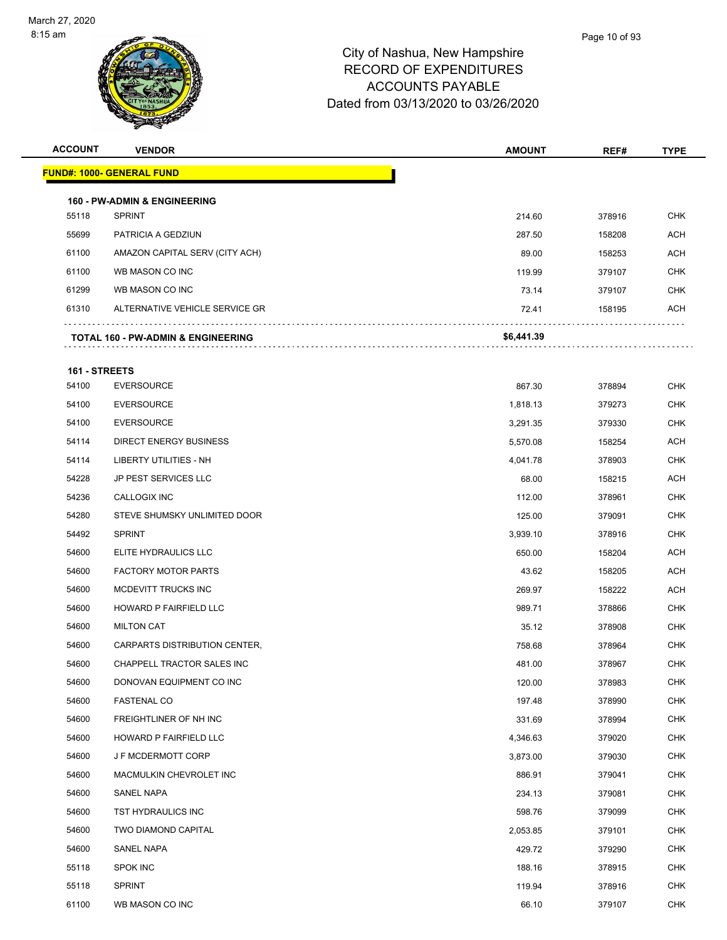

| <b>ACCOUNT</b> | <b>VENDOR</b>                                            | <b>AMOUNT</b> | REF#   | <b>TYPE</b> |
|----------------|----------------------------------------------------------|---------------|--------|-------------|
|                | <b>FUND#: 1000- GENERAL FUND</b>                         |               |        |             |
|                |                                                          |               |        |             |
| 55118          | <b>160 - PW-ADMIN &amp; ENGINEERING</b><br><b>SPRINT</b> | 214.60        | 378916 | <b>CHK</b>  |
| 55699          | PATRICIA A GEDZIUN                                       | 287.50        | 158208 | <b>ACH</b>  |
| 61100          | AMAZON CAPITAL SERV (CITY ACH)                           | 89.00         | 158253 | <b>ACH</b>  |
| 61100          | WB MASON CO INC                                          | 119.99        | 379107 | <b>CHK</b>  |
| 61299          | WB MASON CO INC                                          | 73.14         | 379107 | CHK         |
| 61310          | ALTERNATIVE VEHICLE SERVICE GR                           | 72.41         | 158195 | <b>ACH</b>  |
|                | TOTAL 160 - PW-ADMIN & ENGINEERING                       | \$6,441.39    |        |             |
| 161 - STREETS  |                                                          |               |        |             |
| 54100          | <b>EVERSOURCE</b>                                        | 867.30        | 378894 | <b>CHK</b>  |
| 54100          | <b>EVERSOURCE</b>                                        | 1,818.13      | 379273 | <b>CHK</b>  |
| 54100          | <b>EVERSOURCE</b>                                        | 3,291.35      | 379330 | <b>CHK</b>  |
| 54114          | DIRECT ENERGY BUSINESS                                   | 5,570.08      | 158254 | ACH         |
| 54114          | LIBERTY UTILITIES - NH                                   | 4,041.78      | 378903 | <b>CHK</b>  |
| 54228          | <b>JP PEST SERVICES LLC</b>                              | 68.00         | 158215 | <b>ACH</b>  |
| 54236          | CALLOGIX INC                                             | 112.00        | 378961 | <b>CHK</b>  |
| 54280          | STEVE SHUMSKY UNLIMITED DOOR                             | 125.00        | 379091 | <b>CHK</b>  |
| 54492          | <b>SPRINT</b>                                            | 3,939.10      | 378916 | <b>CHK</b>  |
| 54600          | ELITE HYDRAULICS LLC                                     | 650.00        | 158204 | <b>ACH</b>  |
| 54600          | <b>FACTORY MOTOR PARTS</b>                               | 43.62         | 158205 | <b>ACH</b>  |
| 54600          | MCDEVITT TRUCKS INC                                      | 269.97        | 158222 | <b>ACH</b>  |
| 54600          | <b>HOWARD P FAIRFIELD LLC</b>                            | 989.71        | 378866 | <b>CHK</b>  |
| 54600          | <b>MILTON CAT</b>                                        | 35.12         | 378908 | <b>CHK</b>  |
| 54600          | CARPARTS DISTRIBUTION CENTER,                            | 758.68        | 378964 | <b>CHK</b>  |
| 54600          | CHAPPELL TRACTOR SALES INC                               | 481.00        | 378967 | <b>CHK</b>  |
| 54600          | DONOVAN EQUIPMENT CO INC                                 | 120.00        | 378983 | <b>CHK</b>  |
| 54600          | <b>FASTENAL CO</b>                                       | 197.48        | 378990 | <b>CHK</b>  |
| 54600          | FREIGHTLINER OF NH INC                                   | 331.69        | 378994 | <b>CHK</b>  |
| 54600          | HOWARD P FAIRFIELD LLC                                   | 4,346.63      | 379020 | <b>CHK</b>  |
| 54600          | J F MCDERMOTT CORP                                       | 3,873.00      | 379030 | <b>CHK</b>  |
| 54600          | MACMULKIN CHEVROLET INC                                  | 886.91        | 379041 | <b>CHK</b>  |

 SANEL NAPA 234.13 379081 CHK TST HYDRAULICS INC 598.76 379099 CHK TWO DIAMOND CAPITAL 2,053.85 379101 CHK SANEL NAPA 429.72 379290 CHK 55118 SPOK INC 2008 CHK 2009 188.16 378915 CHK SPRINT 119.94 378916 CHK WB MASON CO INC 66.10 379107 CHK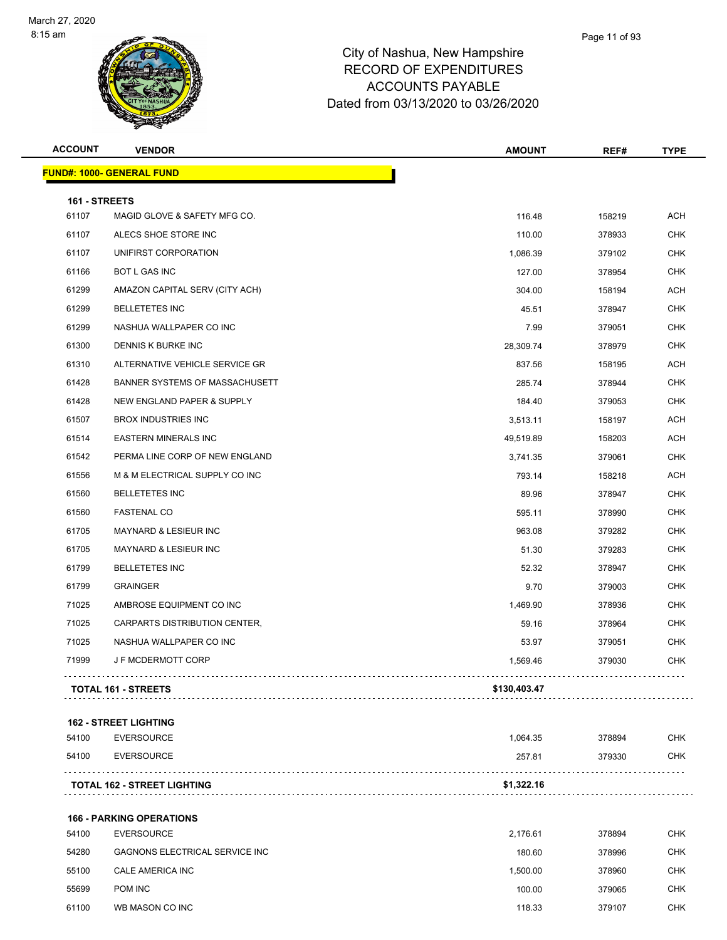

|               | <b>VENDOR</b>                    | <b>AMOUNT</b> | REF#   | <b>TYPE</b> |
|---------------|----------------------------------|---------------|--------|-------------|
|               | <b>FUND#: 1000- GENERAL FUND</b> |               |        |             |
| 161 - STREETS |                                  |               |        |             |
| 61107         | MAGID GLOVE & SAFETY MFG CO.     | 116.48        | 158219 | ACH         |
| 61107         | ALECS SHOE STORE INC             | 110.00        | 378933 | <b>CHK</b>  |
| 61107         | UNIFIRST CORPORATION             | 1,086.39      | 379102 | <b>CHK</b>  |
| 61166         | BOT L GAS INC                    | 127.00        | 378954 | <b>CHK</b>  |
| 61299         | AMAZON CAPITAL SERV (CITY ACH)   | 304.00        | 158194 | ACH         |
| 61299         | <b>BELLETETES INC</b>            | 45.51         | 378947 | <b>CHK</b>  |
| 61299         | NASHUA WALLPAPER CO INC          | 7.99          | 379051 | <b>CHK</b>  |
| 61300         | DENNIS K BURKE INC               | 28,309.74     | 378979 | <b>CHK</b>  |
| 61310         | ALTERNATIVE VEHICLE SERVICE GR   | 837.56        | 158195 | ACH         |
| 61428         | BANNER SYSTEMS OF MASSACHUSETT   | 285.74        | 378944 | <b>CHK</b>  |
| 61428         | NEW ENGLAND PAPER & SUPPLY       | 184.40        | 379053 | <b>CHK</b>  |
| 61507         | <b>BROX INDUSTRIES INC</b>       | 3,513.11      | 158197 | ACH         |
| 61514         | <b>EASTERN MINERALS INC</b>      | 49,519.89     | 158203 | ACH         |
| 61542         | PERMA LINE CORP OF NEW ENGLAND   | 3,741.35      | 379061 | <b>CHK</b>  |
| 61556         | M & M ELECTRICAL SUPPLY CO INC   | 793.14        | 158218 | ACH         |
| 61560         | <b>BELLETETES INC</b>            | 89.96         | 378947 | <b>CHK</b>  |
| 61560         | <b>FASTENAL CO</b>               | 595.11        | 378990 | <b>CHK</b>  |
| 61705         | MAYNARD & LESIEUR INC            | 963.08        | 379282 | <b>CHK</b>  |
| 61705         | MAYNARD & LESIEUR INC            | 51.30         | 379283 | <b>CHK</b>  |
| 61799         | <b>BELLETETES INC</b>            | 52.32         | 378947 | <b>CHK</b>  |
| 61799         | <b>GRAINGER</b>                  | 9.70          | 379003 | <b>CHK</b>  |
| 71025         | AMBROSE EQUIPMENT CO INC         | 1,469.90      | 378936 | <b>CHK</b>  |
| 71025         | CARPARTS DISTRIBUTION CENTER,    | 59.16         | 378964 | <b>CHK</b>  |
| 71025         | NASHUA WALLPAPER CO INC          | 53.97         | 379051 | <b>CHK</b>  |
| 71999         | J F MCDERMOTT CORP               | 1,569.46      | 379030 | <b>CHK</b>  |
|               | <b>TOTAL 161 - STREETS</b>       | \$130,403.47  |        |             |
|               | <b>162 - STREET LIGHTING</b>     |               |        |             |
| 54100         | <b>EVERSOURCE</b>                | 1,064.35      | 378894 | <b>CHK</b>  |
| 54100         | <b>EVERSOURCE</b>                | 257.81        | 379330 | CHK         |
|               |                                  |               |        |             |

**166 - PARKING OPERATIONS** EVERSOURCE 2,176.61 378894 CHK GAGNONS ELECTRICAL SERVICE INC 180.60 378996 CHK CALE AMERICA INC 1,500.00 378960 CHK POM INC 100.00 379065 CHK 61100 WB MASON CO INC **CHK SUBSET ON A SUBSET OF A SUBSET OF A SUBSET OF A SUBSET OF A STATE OF A STATE OF A ST**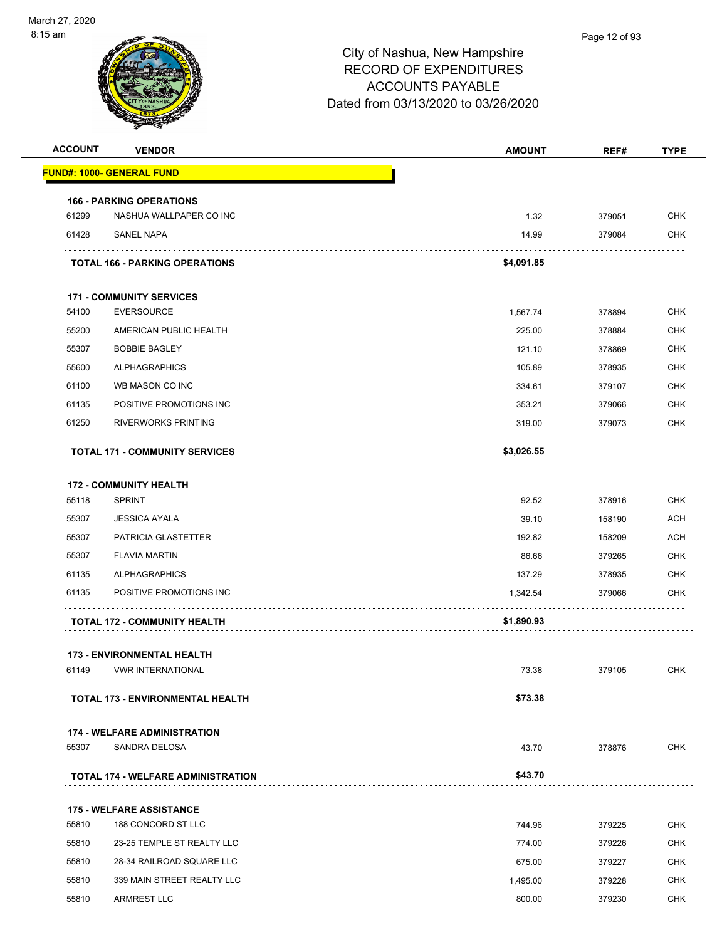

| <b>ACCOUNT</b> | <b>VENDOR</b>                             | <b>AMOUNT</b> | REF#   | <b>TYPE</b> |
|----------------|-------------------------------------------|---------------|--------|-------------|
|                | <u> FUND#: 1000- GENERAL FUND</u>         |               |        |             |
|                | <b>166 - PARKING OPERATIONS</b>           |               |        |             |
| 61299          | NASHUA WALLPAPER CO INC                   | 1.32          | 379051 | <b>CHK</b>  |
| 61428          | SANEL NAPA                                | 14.99         | 379084 | <b>CHK</b>  |
|                | <b>TOTAL 166 - PARKING OPERATIONS</b>     | \$4,091.85    |        |             |
|                | <b>171 - COMMUNITY SERVICES</b>           |               |        |             |
| 54100          | <b>EVERSOURCE</b>                         | 1,567.74      | 378894 | <b>CHK</b>  |
| 55200          | AMERICAN PUBLIC HEALTH                    | 225.00        | 378884 | <b>CHK</b>  |
| 55307          | <b>BOBBIE BAGLEY</b>                      | 121.10        | 378869 | <b>CHK</b>  |
| 55600          | <b>ALPHAGRAPHICS</b>                      | 105.89        | 378935 | <b>CHK</b>  |
| 61100          | WB MASON CO INC                           | 334.61        | 379107 | <b>CHK</b>  |
| 61135          | POSITIVE PROMOTIONS INC                   | 353.21        | 379066 | <b>CHK</b>  |
| 61250          | <b>RIVERWORKS PRINTING</b>                | 319.00        | 379073 | <b>CHK</b>  |
|                | <b>TOTAL 171 - COMMUNITY SERVICES</b>     | \$3,026.55    |        |             |
|                | <b>172 - COMMUNITY HEALTH</b>             |               |        |             |
| 55118          | <b>SPRINT</b>                             | 92.52         | 378916 | <b>CHK</b>  |
| 55307          | <b>JESSICA AYALA</b>                      | 39.10         | 158190 | <b>ACH</b>  |
| 55307          | PATRICIA GLASTETTER                       | 192.82        | 158209 | <b>ACH</b>  |
| 55307          | <b>FLAVIA MARTIN</b>                      | 86.66         | 379265 | <b>CHK</b>  |
| 61135          | <b>ALPHAGRAPHICS</b>                      | 137.29        | 378935 | <b>CHK</b>  |
| 61135          | POSITIVE PROMOTIONS INC                   | 1,342.54      | 379066 | <b>CHK</b>  |
|                | <b>TOTAL 172 - COMMUNITY HEALTH</b>       | \$1,890.93    |        |             |
|                | <b>173 - ENVIRONMENTAL HEALTH</b>         |               |        |             |
| 61149          | <b>VWR INTERNATIONAL</b>                  | 73.38         | 379105 | <b>CHK</b>  |
|                | <b>TOTAL 173 - ENVIRONMENTAL HEALTH</b>   | \$73.38       |        |             |
|                | <b>174 - WELFARE ADMINISTRATION</b>       |               |        |             |
| 55307          | SANDRA DELOSA                             | 43.70         | 378876 | <b>CHK</b>  |
|                | <b>TOTAL 174 - WELFARE ADMINISTRATION</b> | \$43.70       |        |             |
|                | <b>175 - WELFARE ASSISTANCE</b>           |               |        |             |
| 55810          | 188 CONCORD ST LLC                        | 744.96        | 379225 | <b>CHK</b>  |
| 55810          | 23-25 TEMPLE ST REALTY LLC                | 774.00        | 379226 | <b>CHK</b>  |
| 55810          | 28-34 RAILROAD SQUARE LLC                 | 675.00        | 379227 | <b>CHK</b>  |
| 55810          | 339 MAIN STREET REALTY LLC                | 1,495.00      | 379228 | <b>CHK</b>  |
| 55810          | <b>ARMREST LLC</b>                        | 800.00        | 379230 | <b>CHK</b>  |
|                |                                           |               |        |             |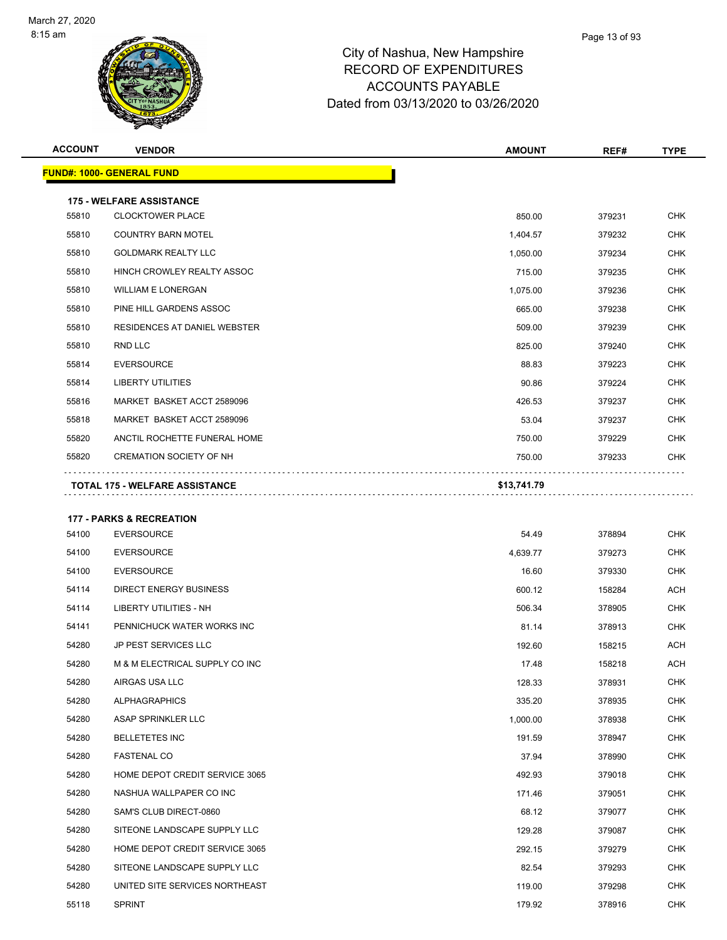

| <b>ACCOUNT</b> | <b>VENDOR</b>                                              | <b>AMOUNT</b> | REF#   | <b>TYPE</b> |
|----------------|------------------------------------------------------------|---------------|--------|-------------|
|                | <b>FUND#: 1000- GENERAL FUND</b>                           |               |        |             |
|                |                                                            |               |        |             |
| 55810          | <b>175 - WELFARE ASSISTANCE</b><br><b>CLOCKTOWER PLACE</b> | 850.00        | 379231 | <b>CHK</b>  |
| 55810          | <b>COUNTRY BARN MOTEL</b>                                  | 1,404.57      | 379232 | <b>CHK</b>  |
| 55810          | <b>GOLDMARK REALTY LLC</b>                                 | 1,050.00      | 379234 | <b>CHK</b>  |
| 55810          | HINCH CROWLEY REALTY ASSOC                                 | 715.00        | 379235 | <b>CHK</b>  |
| 55810          | <b>WILLIAM E LONERGAN</b>                                  | 1,075.00      | 379236 | <b>CHK</b>  |
| 55810          | PINE HILL GARDENS ASSOC                                    | 665.00        | 379238 | <b>CHK</b>  |
| 55810          | RESIDENCES AT DANIEL WEBSTER                               | 509.00        | 379239 | <b>CHK</b>  |
| 55810          | RND LLC                                                    | 825.00        | 379240 | <b>CHK</b>  |
| 55814          | <b>EVERSOURCE</b>                                          | 88.83         | 379223 | <b>CHK</b>  |
| 55814          | <b>LIBERTY UTILITIES</b>                                   | 90.86         | 379224 | <b>CHK</b>  |
| 55816          | MARKET BASKET ACCT 2589096                                 | 426.53        | 379237 | <b>CHK</b>  |
| 55818          | MARKET BASKET ACCT 2589096                                 | 53.04         | 379237 | <b>CHK</b>  |
| 55820          | ANCTIL ROCHETTE FUNERAL HOME                               | 750.00        | 379229 | <b>CHK</b>  |
| 55820          | <b>CREMATION SOCIETY OF NH</b>                             | 750.00        | 379233 | <b>CHK</b>  |
|                | TOTAL 175 - WELFARE ASSISTANCE                             | \$13,741.79   |        |             |
|                |                                                            |               |        |             |
|                | <b>177 - PARKS &amp; RECREATION</b>                        |               |        |             |
| 54100          | <b>EVERSOURCE</b>                                          | 54.49         | 378894 | <b>CHK</b>  |
| 54100          | <b>EVERSOURCE</b>                                          | 4,639.77      | 379273 | <b>CHK</b>  |
| 54100          | <b>EVERSOURCE</b>                                          | 16.60         | 379330 | <b>CHK</b>  |
| 54114          | <b>DIRECT ENERGY BUSINESS</b>                              | 600.12        | 158284 | <b>ACH</b>  |
| 54114          | <b>LIBERTY UTILITIES - NH</b>                              | 506.34        | 378905 | <b>CHK</b>  |
| 54141          | PENNICHUCK WATER WORKS INC                                 | 81.14         | 378913 | <b>CHK</b>  |
| 54280          | JP PEST SERVICES LLC                                       | 192.60        | 158215 | <b>ACH</b>  |
| 54280          | M & M ELECTRICAL SUPPLY CO INC                             | 17.48         | 158218 | <b>ACH</b>  |
| 54280          | AIRGAS USA LLC                                             | 128.33        | 378931 | <b>CHK</b>  |
| 54280          | <b>ALPHAGRAPHICS</b>                                       | 335.20        | 378935 | <b>CHK</b>  |
| 54280          | <b>ASAP SPRINKLER LLC</b>                                  | 1,000.00      | 378938 | <b>CHK</b>  |

| 54280 | AIRGAS USA LLC                 | 128.33   | 378931 | <b>CHK</b> |
|-------|--------------------------------|----------|--------|------------|
| 54280 | <b>ALPHAGRAPHICS</b>           | 335.20   | 378935 | <b>CHK</b> |
| 54280 | ASAP SPRINKLER LLC             | 1,000.00 | 378938 | <b>CHK</b> |
| 54280 | <b>BELLETETES INC</b>          | 191.59   | 378947 | <b>CHK</b> |
| 54280 | <b>FASTENAL CO</b>             | 37.94    | 378990 | <b>CHK</b> |
| 54280 | HOME DEPOT CREDIT SERVICE 3065 | 492.93   | 379018 | <b>CHK</b> |
| 54280 | NASHUA WALLPAPER CO INC        | 171.46   | 379051 | <b>CHK</b> |
| 54280 | SAM'S CLUB DIRECT-0860         | 68.12    | 379077 | <b>CHK</b> |
| 54280 | SITEONE LANDSCAPE SUPPLY LLC   | 129.28   | 379087 | <b>CHK</b> |
| 54280 | HOME DEPOT CREDIT SERVICE 3065 | 292.15   | 379279 | <b>CHK</b> |
| 54280 | SITEONE LANDSCAPE SUPPLY LLC   | 82.54    | 379293 | <b>CHK</b> |
| 54280 | UNITED SITE SERVICES NORTHEAST | 119.00   | 379298 | <b>CHK</b> |
| 55118 | <b>SPRINT</b>                  | 179.92   | 378916 | CHK        |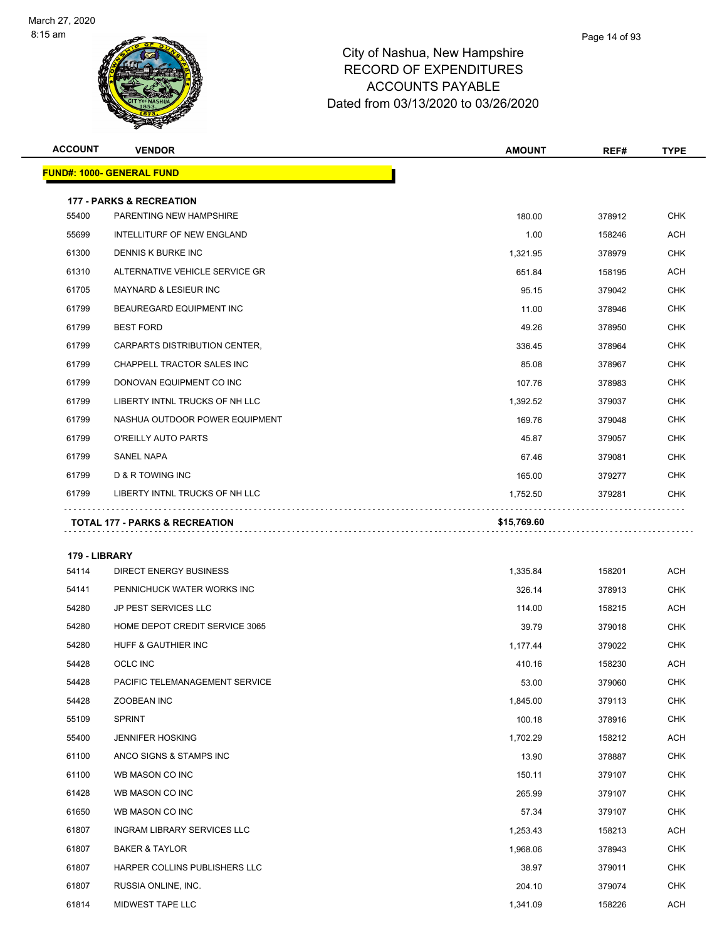

| <b>ACCOUNT</b> | <b>VENDOR</b>                                                  | <b>AMOUNT</b> | REF#   | <b>TYPE</b> |
|----------------|----------------------------------------------------------------|---------------|--------|-------------|
|                | <u> FUND#: 1000- GENERAL FUND</u>                              |               |        |             |
|                |                                                                |               |        |             |
| 55400          | <b>177 - PARKS &amp; RECREATION</b><br>PARENTING NEW HAMPSHIRE | 180.00        | 378912 | <b>CHK</b>  |
| 55699          | INTELLITURF OF NEW ENGLAND                                     | 1.00          | 158246 | ACH         |
| 61300          | DENNIS K BURKE INC                                             | 1,321.95      | 378979 | <b>CHK</b>  |
| 61310          | ALTERNATIVE VEHICLE SERVICE GR                                 | 651.84        | 158195 | ACH         |
| 61705          | <b>MAYNARD &amp; LESIEUR INC</b>                               | 95.15         | 379042 | <b>CHK</b>  |
| 61799          | BEAUREGARD EQUIPMENT INC                                       | 11.00         | 378946 | <b>CHK</b>  |
| 61799          | <b>BEST FORD</b>                                               | 49.26         | 378950 | CHK         |
| 61799          | CARPARTS DISTRIBUTION CENTER,                                  | 336.45        | 378964 | <b>CHK</b>  |
| 61799          | CHAPPELL TRACTOR SALES INC                                     | 85.08         | 378967 | CHK         |
| 61799          | DONOVAN EQUIPMENT CO INC                                       | 107.76        | 378983 | <b>CHK</b>  |
| 61799          | LIBERTY INTNL TRUCKS OF NH LLC                                 | 1,392.52      | 379037 | <b>CHK</b>  |
| 61799          | NASHUA OUTDOOR POWER EQUIPMENT                                 | 169.76        | 379048 | CHK         |
| 61799          | O'REILLY AUTO PARTS                                            | 45.87         | 379057 | <b>CHK</b>  |
| 61799          | SANEL NAPA                                                     | 67.46         | 379081 | <b>CHK</b>  |
| 61799          | D & R TOWING INC                                               | 165.00        | 379277 | <b>CHK</b>  |
| 61799          | LIBERTY INTNL TRUCKS OF NH LLC                                 | 1,752.50      | 379281 | CHK         |
|                | <b>TOTAL 177 - PARKS &amp; RECREATION</b>                      | \$15,769.60   |        |             |
|                |                                                                |               |        |             |
| 179 - LIBRARY  |                                                                |               |        |             |
| 54114          | <b>DIRECT ENERGY BUSINESS</b>                                  | 1,335.84      | 158201 | ACH         |
| 54141          | PENNICHUCK WATER WORKS INC                                     | 326.14        | 378913 | <b>CHK</b>  |
| 54280          | <b>JP PEST SERVICES LLC</b>                                    | 114.00        | 158215 | ACH         |
| 54280          | HOME DEPOT CREDIT SERVICE 3065                                 | 39.79         | 379018 | CHK         |
| 54280          | HUFF & GAUTHIER INC                                            | 1,177.44      | 379022 | <b>CHK</b>  |
| 54428          | <b>OCLC INC</b>                                                | 410.16        | 158230 | ACH         |
| 54428          | PACIFIC TELEMANAGEMENT SERVICE                                 | 53.00         | 379060 | <b>CHK</b>  |
| 54428          | ZOOBEAN INC                                                    | 1,845.00      | 379113 | <b>CHK</b>  |
| 55109          | <b>SPRINT</b>                                                  | 100.18        | 378916 | <b>CHK</b>  |
| 55400          | <b>JENNIFER HOSKING</b>                                        | 1,702.29      | 158212 | ACH         |
| 61100          | ANCO SIGNS & STAMPS INC                                        | 13.90         | 378887 | CHK         |
| 61100          | WB MASON CO INC                                                | 150.11        | 379107 | <b>CHK</b>  |
| 61428          | WB MASON CO INC                                                | 265.99        | 379107 | CHK         |
| 61650          | WB MASON CO INC                                                | 57.34         | 379107 | <b>CHK</b>  |
| 61807          | INGRAM LIBRARY SERVICES LLC                                    | 1,253.43      | 158213 | ACH         |
| 61807          | <b>BAKER &amp; TAYLOR</b>                                      | 1,968.06      | 378943 | CHK         |
| 61807          | HARPER COLLINS PUBLISHERS LLC                                  | 38.97         | 379011 | <b>CHK</b>  |
| 61807          | RUSSIA ONLINE, INC.                                            | 204.10        | 379074 | CHK         |
| 61814          | MIDWEST TAPE LLC                                               | 1,341.09      | 158226 | <b>ACH</b>  |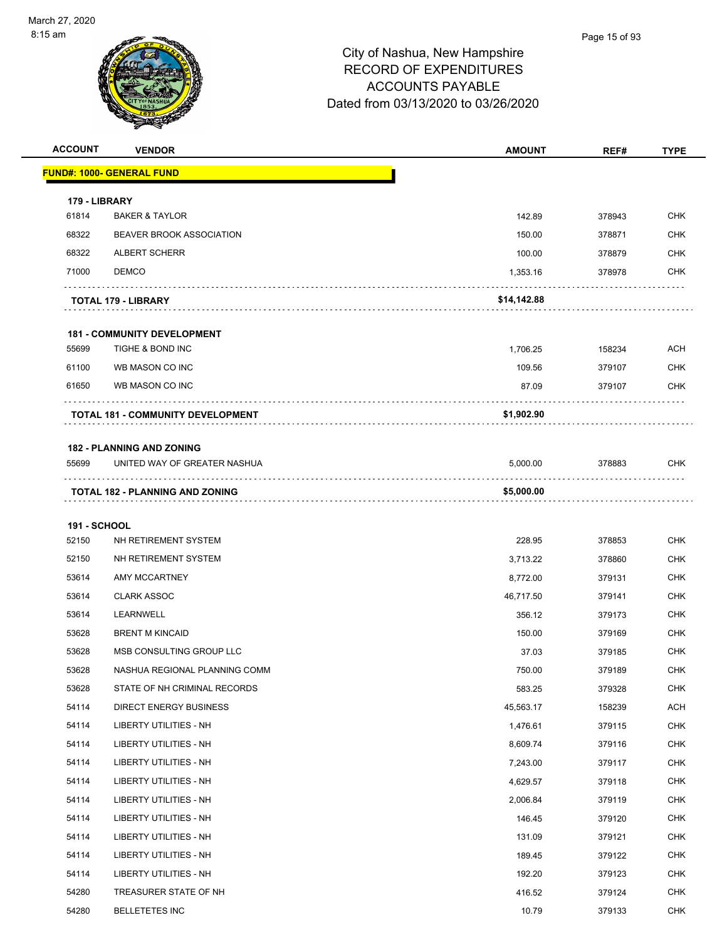

| <b>ACCOUNT</b>      | <b>VENDOR</b>                          | <b>AMOUNT</b> | REF#   | <b>TYPE</b> |
|---------------------|----------------------------------------|---------------|--------|-------------|
|                     | <u> FUND#: 1000- GENERAL FUND</u>      |               |        |             |
| 179 - LIBRARY       |                                        |               |        |             |
| 61814               | <b>BAKER &amp; TAYLOR</b>              | 142.89        | 378943 | <b>CHK</b>  |
| 68322               | <b>BEAVER BROOK ASSOCIATION</b>        | 150.00        | 378871 | <b>CHK</b>  |
| 68322               | <b>ALBERT SCHERR</b>                   | 100.00        | 378879 | <b>CHK</b>  |
| 71000               | <b>DEMCO</b>                           | 1,353.16      | 378978 | <b>CHK</b>  |
|                     | TOTAL 179 - LIBRARY                    | \$14,142.88   |        |             |
|                     | <b>181 - COMMUNITY DEVELOPMENT</b>     |               |        |             |
| 55699               | TIGHE & BOND INC                       | 1,706.25      | 158234 | <b>ACH</b>  |
| 61100               | WB MASON CO INC                        | 109.56        | 379107 | <b>CHK</b>  |
| 61650               | WB MASON CO INC                        | 87.09         | 379107 | <b>CHK</b>  |
|                     | TOTAL 181 - COMMUNITY DEVELOPMENT      | \$1,902.90    |        |             |
|                     | <b>182 - PLANNING AND ZONING</b>       |               |        |             |
| 55699               | UNITED WAY OF GREATER NASHUA           | 5,000.00      | 378883 | <b>CHK</b>  |
|                     | <b>TOTAL 182 - PLANNING AND ZONING</b> | \$5,000.00    |        |             |
| <b>191 - SCHOOL</b> |                                        |               |        |             |
| 52150               | NH RETIREMENT SYSTEM                   | 228.95        | 378853 | <b>CHK</b>  |
| 52150               | NH RETIREMENT SYSTEM                   | 3,713.22      | 378860 | <b>CHK</b>  |
| 53614               | <b>AMY MCCARTNEY</b>                   | 8,772.00      | 379131 | <b>CHK</b>  |
| 53614               | <b>CLARK ASSOC</b>                     | 46,717.50     | 379141 | <b>CHK</b>  |
| 53614               | LEARNWELL                              | 356.12        | 379173 | <b>CHK</b>  |
| 53628               | <b>BRENT M KINCAID</b>                 | 150.00        | 379169 | <b>CHK</b>  |
| 53628               | MSB CONSULTING GROUP LLC               | 37.03         | 379185 | <b>CHK</b>  |
| 53628               | NASHUA REGIONAL PLANNING COMM          | 750.00        | 379189 | <b>CHK</b>  |
| 53628               | STATE OF NH CRIMINAL RECORDS           | 583.25        | 379328 | <b>CHK</b>  |
| 54114               | <b>DIRECT ENERGY BUSINESS</b>          | 45,563.17     | 158239 | <b>ACH</b>  |
| 54114               | <b>LIBERTY UTILITIES - NH</b>          | 1,476.61      | 379115 | <b>CHK</b>  |
| 54114               | LIBERTY UTILITIES - NH                 | 8,609.74      | 379116 | <b>CHK</b>  |
| 54114               | LIBERTY UTILITIES - NH                 | 7,243.00      | 379117 | <b>CHK</b>  |
| 54114               | <b>LIBERTY UTILITIES - NH</b>          | 4,629.57      | 379118 | <b>CHK</b>  |
| 54114               | LIBERTY UTILITIES - NH                 | 2,006.84      | 379119 | <b>CHK</b>  |
| 54114               | LIBERTY UTILITIES - NH                 | 146.45        | 379120 | <b>CHK</b>  |
| 54114               | LIBERTY UTILITIES - NH                 | 131.09        | 379121 | <b>CHK</b>  |
| 54114               | LIBERTY UTILITIES - NH                 | 189.45        | 379122 | <b>CHK</b>  |
| 54114               | LIBERTY UTILITIES - NH                 | 192.20        | 379123 | <b>CHK</b>  |
| 54280               | TREASURER STATE OF NH                  | 416.52        | 379124 | <b>CHK</b>  |
| 54280               | <b>BELLETETES INC</b>                  | 10.79         | 379133 | <b>CHK</b>  |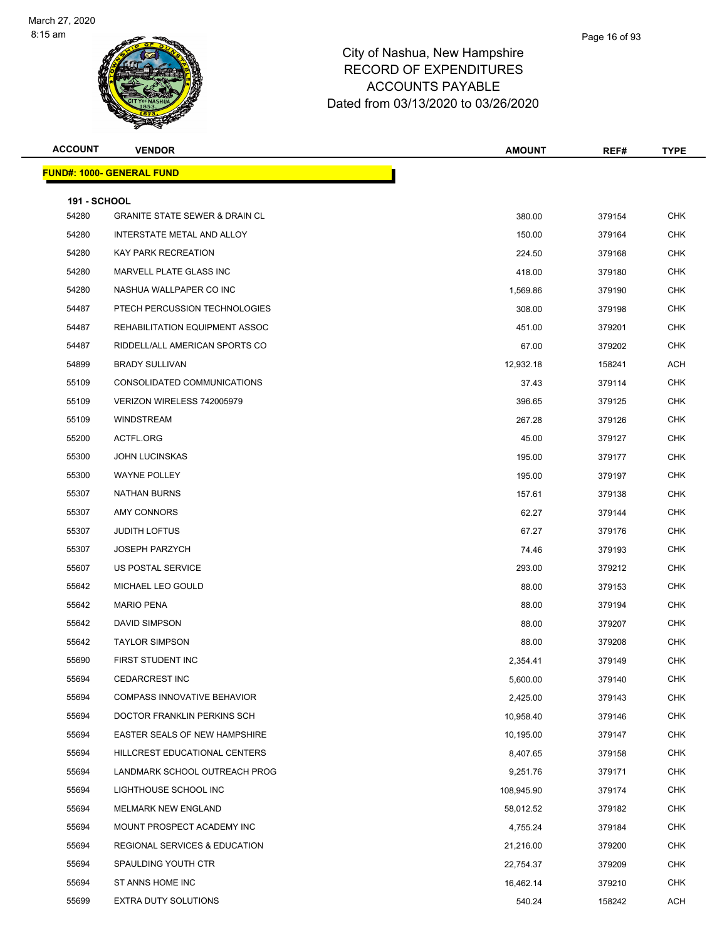

| <b>ACCOUNT</b>               | <b>VENDOR</b>                             | <b>AMOUNT</b> | REF#   | <b>TYPE</b> |
|------------------------------|-------------------------------------------|---------------|--------|-------------|
|                              | <b>FUND#: 1000- GENERAL FUND</b>          |               |        |             |
|                              |                                           |               |        |             |
| <b>191 - SCHOOL</b><br>54280 | <b>GRANITE STATE SEWER &amp; DRAIN CL</b> | 380.00        | 379154 | <b>CHK</b>  |
| 54280                        | INTERSTATE METAL AND ALLOY                | 150.00        | 379164 | <b>CHK</b>  |
| 54280                        | KAY PARK RECREATION                       | 224.50        | 379168 | <b>CHK</b>  |
| 54280                        | MARVELL PLATE GLASS INC                   | 418.00        | 379180 | <b>CHK</b>  |
| 54280                        | NASHUA WALLPAPER CO INC                   | 1,569.86      | 379190 | <b>CHK</b>  |
| 54487                        | PTECH PERCUSSION TECHNOLOGIES             | 308.00        | 379198 | <b>CHK</b>  |
| 54487                        | REHABILITATION EQUIPMENT ASSOC            | 451.00        | 379201 | <b>CHK</b>  |
| 54487                        | RIDDELL/ALL AMERICAN SPORTS CO            | 67.00         | 379202 | CHK         |
| 54899                        | <b>BRADY SULLIVAN</b>                     | 12,932.18     | 158241 | ACH         |
| 55109                        | CONSOLIDATED COMMUNICATIONS               | 37.43         | 379114 | <b>CHK</b>  |
| 55109                        | VERIZON WIRELESS 742005979                | 396.65        | 379125 | <b>CHK</b>  |
| 55109                        | WINDSTREAM                                | 267.28        | 379126 | <b>CHK</b>  |
| 55200                        | ACTFL.ORG                                 | 45.00         | 379127 | <b>CHK</b>  |
| 55300                        | <b>JOHN LUCINSKAS</b>                     | 195.00        | 379177 | <b>CHK</b>  |
| 55300                        | <b>WAYNE POLLEY</b>                       | 195.00        | 379197 | <b>CHK</b>  |
| 55307                        | <b>NATHAN BURNS</b>                       | 157.61        | 379138 | <b>CHK</b>  |
| 55307                        | AMY CONNORS                               | 62.27         | 379144 | <b>CHK</b>  |
| 55307                        | <b>JUDITH LOFTUS</b>                      | 67.27         | 379176 | <b>CHK</b>  |
| 55307                        | <b>JOSEPH PARZYCH</b>                     | 74.46         | 379193 | <b>CHK</b>  |
| 55607                        | US POSTAL SERVICE                         | 293.00        | 379212 | <b>CHK</b>  |
| 55642                        | MICHAEL LEO GOULD                         | 88.00         | 379153 | <b>CHK</b>  |
| 55642                        | <b>MARIO PENA</b>                         | 88.00         | 379194 | <b>CHK</b>  |
| 55642                        | DAVID SIMPSON                             | 88.00         | 379207 | <b>CHK</b>  |
| 55642                        | <b>TAYLOR SIMPSON</b>                     | 88.00         | 379208 | <b>CHK</b>  |
| 55690                        | FIRST STUDENT INC                         | 2,354.41      | 379149 | <b>CHK</b>  |
| 55694                        | <b>CEDARCREST INC</b>                     | 5,600.00      | 379140 | CHK         |
| 55694                        | <b>COMPASS INNOVATIVE BEHAVIOR</b>        | 2,425.00      | 379143 | <b>CHK</b>  |
| 55694                        | DOCTOR FRANKLIN PERKINS SCH               | 10,958.40     | 379146 | <b>CHK</b>  |
| 55694                        | EASTER SEALS OF NEW HAMPSHIRE             | 10,195.00     | 379147 | <b>CHK</b>  |
| 55694                        | HILLCREST EDUCATIONAL CENTERS             | 8,407.65      | 379158 | <b>CHK</b>  |
| 55694                        | LANDMARK SCHOOL OUTREACH PROG             | 9,251.76      | 379171 | <b>CHK</b>  |
| 55694                        | LIGHTHOUSE SCHOOL INC                     | 108,945.90    | 379174 | <b>CHK</b>  |
| 55694                        | MELMARK NEW ENGLAND                       | 58,012.52     | 379182 | <b>CHK</b>  |
| 55694                        | MOUNT PROSPECT ACADEMY INC                | 4,755.24      | 379184 | <b>CHK</b>  |
| 55694                        | REGIONAL SERVICES & EDUCATION             | 21,216.00     | 379200 | <b>CHK</b>  |
| 55694                        | SPAULDING YOUTH CTR                       | 22,754.37     | 379209 | <b>CHK</b>  |
| 55694                        | ST ANNS HOME INC                          | 16,462.14     | 379210 | <b>CHK</b>  |
| 55699                        | EXTRA DUTY SOLUTIONS                      | 540.24        | 158242 | ACH         |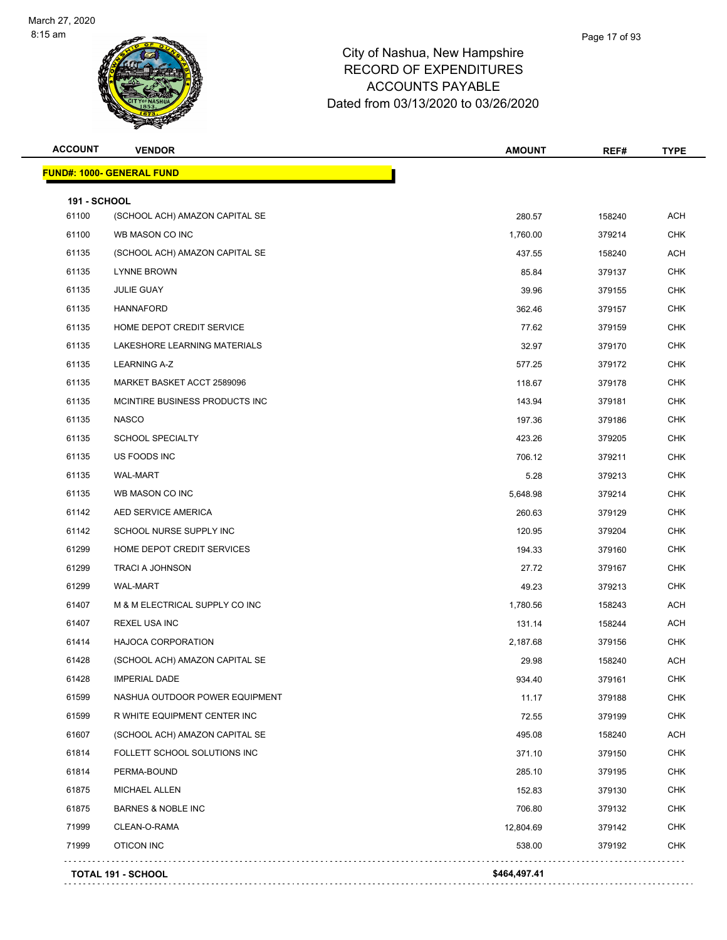

| <b>ACCOUNT</b>      | <b>VENDOR</b>                    | <b>AMOUNT</b> | REF#   | <b>TYPE</b> |
|---------------------|----------------------------------|---------------|--------|-------------|
|                     | <b>FUND#: 1000- GENERAL FUND</b> |               |        |             |
| <b>191 - SCHOOL</b> |                                  |               |        |             |
| 61100               | (SCHOOL ACH) AMAZON CAPITAL SE   | 280.57        | 158240 | <b>ACH</b>  |
| 61100               | WB MASON CO INC                  | 1,760.00      | 379214 | <b>CHK</b>  |
| 61135               | (SCHOOL ACH) AMAZON CAPITAL SE   | 437.55        | 158240 | <b>ACH</b>  |
| 61135               | <b>LYNNE BROWN</b>               | 85.84         | 379137 | <b>CHK</b>  |
| 61135               | <b>JULIE GUAY</b>                | 39.96         | 379155 | <b>CHK</b>  |
| 61135               | <b>HANNAFORD</b>                 | 362.46        | 379157 | <b>CHK</b>  |
| 61135               | HOME DEPOT CREDIT SERVICE        | 77.62         | 379159 | <b>CHK</b>  |
| 61135               | LAKESHORE LEARNING MATERIALS     | 32.97         | 379170 | <b>CHK</b>  |
| 61135               | <b>LEARNING A-Z</b>              | 577.25        | 379172 | <b>CHK</b>  |
| 61135               | MARKET BASKET ACCT 2589096       | 118.67        | 379178 | <b>CHK</b>  |
| 61135               | MCINTIRE BUSINESS PRODUCTS INC   | 143.94        | 379181 | <b>CHK</b>  |
| 61135               | <b>NASCO</b>                     | 197.36        | 379186 | <b>CHK</b>  |
| 61135               | <b>SCHOOL SPECIALTY</b>          | 423.26        | 379205 | <b>CHK</b>  |
| 61135               | US FOODS INC                     | 706.12        | 379211 | <b>CHK</b>  |
| 61135               | <b>WAL-MART</b>                  | 5.28          | 379213 | <b>CHK</b>  |
| 61135               | WB MASON CO INC                  | 5,648.98      | 379214 | <b>CHK</b>  |
| 61142               | AED SERVICE AMERICA              | 260.63        | 379129 | <b>CHK</b>  |
| 61142               | SCHOOL NURSE SUPPLY INC          | 120.95        | 379204 | <b>CHK</b>  |
| 61299               | HOME DEPOT CREDIT SERVICES       | 194.33        | 379160 | <b>CHK</b>  |
| 61299               | <b>TRACI A JOHNSON</b>           | 27.72         | 379167 | <b>CHK</b>  |
| 61299               | WAL-MART                         | 49.23         | 379213 | <b>CHK</b>  |
| 61407               | M & M ELECTRICAL SUPPLY CO INC   | 1,780.56      | 158243 | <b>ACH</b>  |
| 61407               | <b>REXEL USA INC</b>             | 131.14        | 158244 | <b>ACH</b>  |
| 61414               | <b>HAJOCA CORPORATION</b>        | 2,187.68      | 379156 | <b>CHK</b>  |
| 61428               | (SCHOOL ACH) AMAZON CAPITAL SE   | 29.98         | 158240 | <b>ACH</b>  |
| 61428               | <b>IMPERIAL DADE</b>             | 934.40        | 379161 | <b>CHK</b>  |
| 61599               | NASHUA OUTDOOR POWER EQUIPMENT   | 11.17         | 379188 | <b>CHK</b>  |
| 61599               | R WHITE EQUIPMENT CENTER INC     | 72.55         | 379199 | <b>CHK</b>  |
| 61607               | (SCHOOL ACH) AMAZON CAPITAL SE   | 495.08        | 158240 | <b>ACH</b>  |
| 61814               | FOLLETT SCHOOL SOLUTIONS INC     | 371.10        | 379150 | <b>CHK</b>  |
| 61814               | PERMA-BOUND                      | 285.10        | 379195 | <b>CHK</b>  |
| 61875               | <b>MICHAEL ALLEN</b>             | 152.83        | 379130 | <b>CHK</b>  |
| 61875               | <b>BARNES &amp; NOBLE INC</b>    | 706.80        | 379132 | <b>CHK</b>  |
| 71999               | CLEAN-O-RAMA                     | 12,804.69     | 379142 | <b>CHK</b>  |
| 71999               | OTICON INC                       | 538.00        | 379192 | <b>CHK</b>  |
|                     | <b>TOTAL 191 - SCHOOL</b>        | \$464,497.41  |        |             |
|                     |                                  |               |        |             |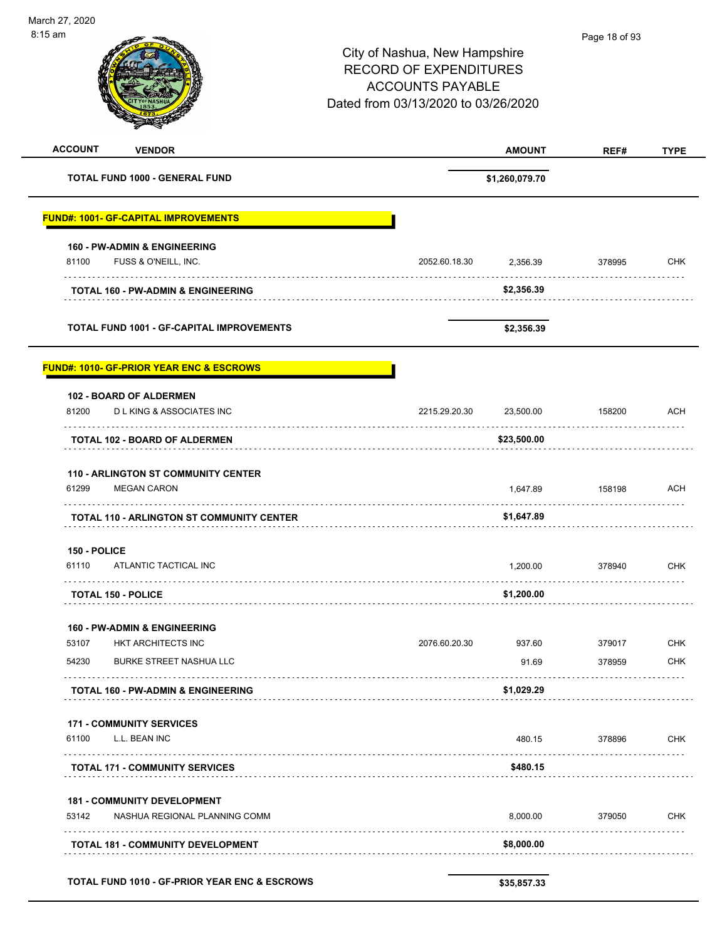March 27, 2020 8:15 am Page 18 of 93City of Nashua, New Hampshire RECORD OF EXPENDITURES ACCOUNTS PAYABLE Dated from 03/13/2020 to 03/26/2020 **ACCOUNT VENDOR AMOUNT REF# TYPE TOTAL FUND 1000 - GENERAL FUND \$1,260,079.70 FUND#: 1001- GF-CAPITAL IMPROVEMENTS 160 - PW-ADMIN & ENGINEERING** 81100 FUSS & O'NEILL, INC. 2052.60.18.30 2,356.39 378995 CHK **TOTAL 160 - PW-ADMIN & ENGINEERING \$2,356.39 TOTAL FUND 1001 - GF-CAPITAL IMPROVEMENTS \$2,356.39 FUND#: 1010- GF-PRIOR YEAR ENC & ESCROWS 102 - BOARD OF ALDERMEN** 81200 D L KING & ASSOCIATES INC 2215.29.20.30 23,500.00 158200 ACH . . . . . . . . . . . . . . **TOTAL 102 - BOARD OF ALDERMEN \$23,500.00 110 - ARLINGTON ST COMMUNITY CENTER** 61299 MEGAN CARON 1,647.89 158198 ACH **TOTAL 110 - ARLINGTON ST COMMUNITY CENTER \$1,647.89 150 - POLICE** 61110 ATLANTIC TACTICAL INC 1,200.00 378940 CHK **TOTAL 150 - POLICE \$1,200.00 160 - PW-ADMIN & ENGINEERING** 53107 HKT ARCHITECTS INC 2076.60.20.30 937.60 379017 CHK 54230 BURKE STREET NASHUA LLC 91.69 378959 CHK **TOTAL 160 - PW-ADMIN & ENGINEERING \$1,029.29 171 - COMMUNITY SERVICES** 61100 L.L. BEAN INC 480.15 378896 CHK **TOTAL 171 - COMMUNITY SERVICES \$480.15 181 - COMMUNITY DEVELOPMENT**

 53142 NASHUA REGIONAL PLANNING COMM 8,000.00 379050 CHK . . . . . . . . . . . . . . . **TOTAL 181 - COMMUNITY DEVELOPMENT \$8,000.00**

**TOTAL FUND 1010 - GF-PRIOR YEAR ENC & ESCROWS \$35,857.33**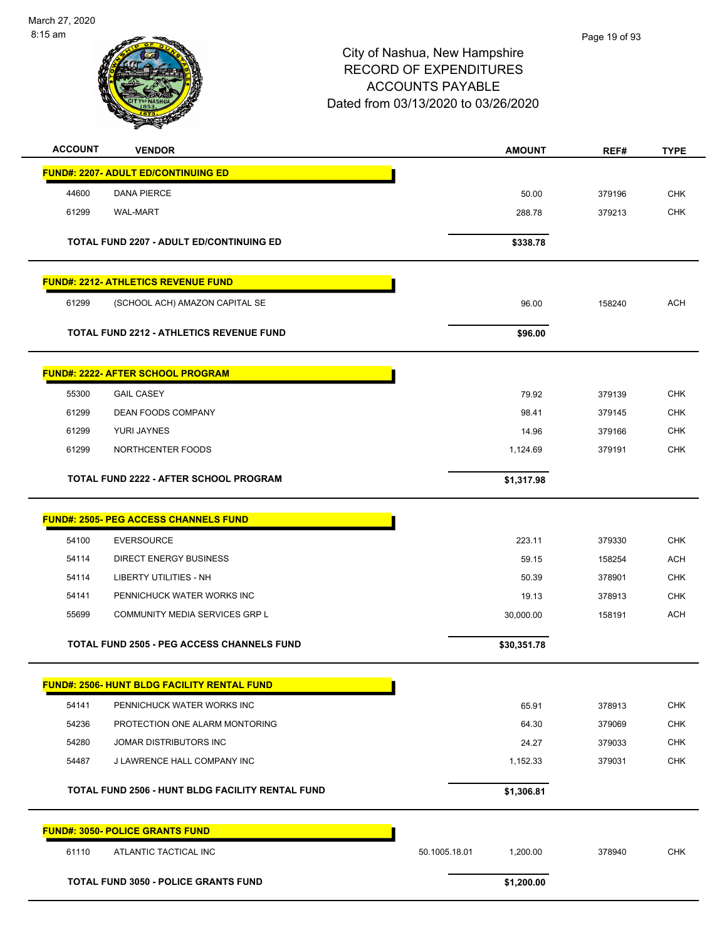

| <b>ACCOUNT</b><br><b>VENDOR</b>                    | <b>AMOUNT</b>             | REF#   | <b>TYPE</b> |
|----------------------------------------------------|---------------------------|--------|-------------|
| <b>FUND#: 2207- ADULT ED/CONTINUING ED</b>         |                           |        |             |
| <b>DANA PIERCE</b><br>44600                        | 50.00                     | 379196 | <b>CHK</b>  |
| 61299<br><b>WAL-MART</b>                           | 288.78                    | 379213 | <b>CHK</b>  |
| <b>TOTAL FUND 2207 - ADULT ED/CONTINUING ED</b>    | \$338.78                  |        |             |
| <b>FUND#: 2212- ATHLETICS REVENUE FUND</b>         |                           |        |             |
| 61299<br>(SCHOOL ACH) AMAZON CAPITAL SE            | 96.00                     | 158240 | <b>ACH</b>  |
| <b>TOTAL FUND 2212 - ATHLETICS REVENUE FUND</b>    | \$96.00                   |        |             |
| <b>FUND#: 2222- AFTER SCHOOL PROGRAM</b>           |                           |        |             |
| 55300<br><b>GAIL CASEY</b>                         | 79.92                     | 379139 | <b>CHK</b>  |
| 61299<br><b>DEAN FOODS COMPANY</b>                 | 98.41                     | 379145 | <b>CHK</b>  |
| 61299<br><b>YURI JAYNES</b>                        | 14.96                     | 379166 | <b>CHK</b>  |
| 61299<br>NORTHCENTER FOODS                         | 1,124.69                  | 379191 | <b>CHK</b>  |
| <b>TOTAL FUND 2222 - AFTER SCHOOL PROGRAM</b>      | \$1,317.98                |        |             |
| <b>FUND#: 2505- PEG ACCESS CHANNELS FUND</b>       |                           |        |             |
| 54100<br><b>EVERSOURCE</b>                         | 223.11                    | 379330 | <b>CHK</b>  |
| <b>DIRECT ENERGY BUSINESS</b><br>54114             | 59.15                     | 158254 | <b>ACH</b>  |
| 54114<br><b>LIBERTY UTILITIES - NH</b>             | 50.39                     | 378901 | <b>CHK</b>  |
| 54141<br>PENNICHUCK WATER WORKS INC                | 19.13                     | 378913 | <b>CHK</b>  |
| 55699<br><b>COMMUNITY MEDIA SERVICES GRP L</b>     | 30,000.00                 | 158191 | <b>ACH</b>  |
| <b>TOTAL FUND 2505 - PEG ACCESS CHANNELS FUND</b>  | \$30,351.78               |        |             |
| <b>FUND#: 2506- HUNT BLDG FACILITY RENTAL FUND</b> |                           |        |             |
| 54141<br>PENNICHUCK WATER WORKS INC                | 65.91                     | 378913 | <b>CHK</b>  |
| 54236<br>PROTECTION ONE ALARM MONTORING            | 64.30                     | 379069 | <b>CHK</b>  |
| 54280<br>JOMAR DISTRIBUTORS INC                    | 24.27                     | 379033 | <b>CHK</b>  |
| 54487<br>J LAWRENCE HALL COMPANY INC               | 1,152.33                  | 379031 | <b>CHK</b>  |
| TOTAL FUND 2506 - HUNT BLDG FACILITY RENTAL FUND   | \$1,306.81                |        |             |
| <b>FUND#: 3050- POLICE GRANTS FUND</b>             |                           |        |             |
| 61110<br>ATLANTIC TACTICAL INC                     | 50.1005.18.01<br>1,200.00 | 378940 | <b>CHK</b>  |
| <b>TOTAL FUND 3050 - POLICE GRANTS FUND</b>        | \$1,200.00                |        |             |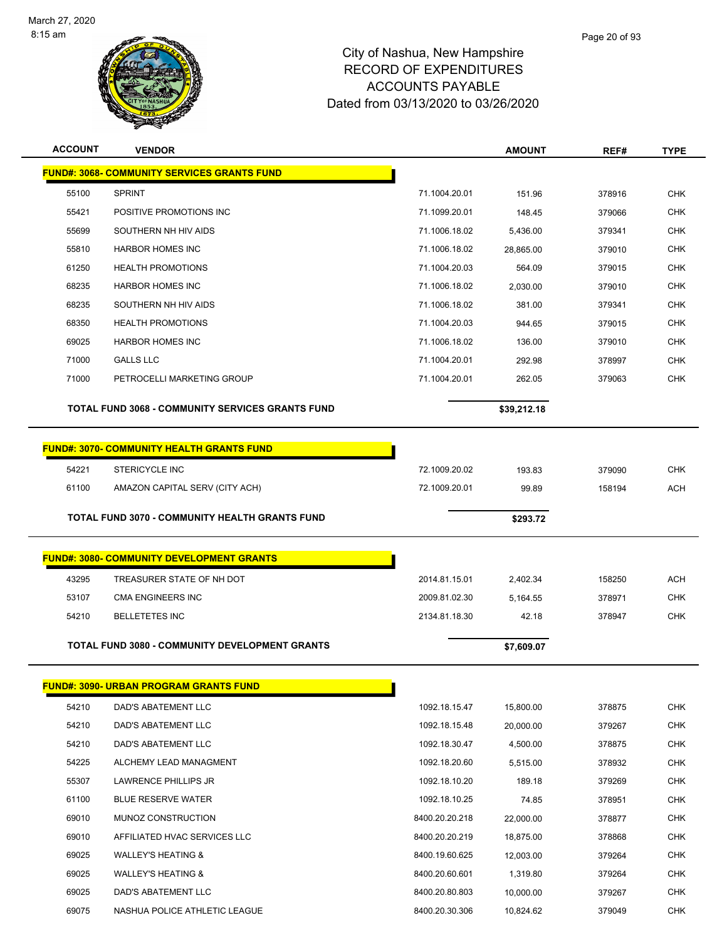

| <b>ACCOUNT</b> | <b>VENDOR</b>                                           |                | <b>AMOUNT</b> | REF#   | <b>TYPE</b> |
|----------------|---------------------------------------------------------|----------------|---------------|--------|-------------|
|                | <b>FUND#: 3068- COMMUNITY SERVICES GRANTS FUND</b>      |                |               |        |             |
| 55100          | <b>SPRINT</b>                                           | 71.1004.20.01  | 151.96        | 378916 | <b>CHK</b>  |
| 55421          | POSITIVE PROMOTIONS INC                                 | 71.1099.20.01  | 148.45        | 379066 | <b>CHK</b>  |
| 55699          | SOUTHERN NH HIV AIDS                                    | 71.1006.18.02  | 5,436.00      | 379341 | <b>CHK</b>  |
| 55810          | <b>HARBOR HOMES INC</b>                                 | 71.1006.18.02  | 28,865.00     | 379010 | CHK         |
| 61250          | <b>HEALTH PROMOTIONS</b>                                | 71.1004.20.03  | 564.09        | 379015 | <b>CHK</b>  |
| 68235          | <b>HARBOR HOMES INC</b>                                 | 71.1006.18.02  | 2,030.00      | 379010 | <b>CHK</b>  |
| 68235          | SOUTHERN NH HIV AIDS                                    | 71.1006.18.02  | 381.00        | 379341 | <b>CHK</b>  |
| 68350          | <b>HEALTH PROMOTIONS</b>                                | 71.1004.20.03  | 944.65        | 379015 | <b>CHK</b>  |
| 69025          | <b>HARBOR HOMES INC</b>                                 | 71.1006.18.02  | 136.00        | 379010 | <b>CHK</b>  |
| 71000          | <b>GALLS LLC</b>                                        | 71.1004.20.01  | 292.98        | 378997 | <b>CHK</b>  |
| 71000          | PETROCELLI MARKETING GROUP                              | 71.1004.20.01  | 262.05        | 379063 | <b>CHK</b>  |
|                | <b>TOTAL FUND 3068 - COMMUNITY SERVICES GRANTS FUND</b> |                | \$39,212.18   |        |             |
|                | <b>FUND#: 3070- COMMUNITY HEALTH GRANTS FUND</b>        |                |               |        |             |
| 54221          | STERICYCLE INC                                          | 72.1009.20.02  | 193.83        | 379090 | <b>CHK</b>  |
| 61100          | AMAZON CAPITAL SERV (CITY ACH)                          | 72.1009.20.01  | 99.89         | 158194 | <b>ACH</b>  |
|                | TOTAL FUND 3070 - COMMUNITY HEALTH GRANTS FUND          |                | \$293.72      |        |             |
|                |                                                         |                |               |        |             |
|                | <b>FUND#: 3080- COMMUNITY DEVELOPMENT GRANTS</b>        |                |               |        |             |
| 43295          | TREASURER STATE OF NH DOT                               | 2014.81.15.01  | 2,402.34      | 158250 | <b>ACH</b>  |
| 53107          | <b>CMA ENGINEERS INC</b>                                | 2009.81.02.30  | 5,164.55      | 378971 | <b>CHK</b>  |
| 54210          | <b>BELLETETES INC</b>                                   | 2134.81.18.30  | 42.18         | 378947 | <b>CHK</b>  |
|                | <b>TOTAL FUND 3080 - COMMUNITY DEVELOPMENT GRANTS</b>   |                | \$7,609.07    |        |             |
|                | <b>FUND#: 3090- URBAN PROGRAM GRANTS FUND</b>           |                |               |        |             |
| 54210          | DAD'S ABATEMENT LLC                                     | 1092.18.15.47  | 15,800.00     | 378875 | <b>CHK</b>  |
| 54210          | DAD'S ABATEMENT LLC                                     | 1092.18.15.48  | 20,000.00     | 379267 | <b>CHK</b>  |
| 54210          | DAD'S ABATEMENT LLC                                     | 1092.18.30.47  | 4,500.00      | 378875 | <b>CHK</b>  |
| 54225          | ALCHEMY LEAD MANAGMENT                                  | 1092.18.20.60  | 5,515.00      | 378932 | <b>CHK</b>  |
|                |                                                         |                |               |        |             |
| 55307          | LAWRENCE PHILLIPS JR                                    | 1092.18.10.20  | 189.18        | 379269 | <b>CHK</b>  |
| 61100          | <b>BLUE RESERVE WATER</b>                               | 1092.18.10.25  | 74.85         | 378951 | <b>CHK</b>  |
| 69010          | MUNOZ CONSTRUCTION                                      | 8400.20.20.218 | 22,000.00     | 378877 | <b>CHK</b>  |
| 69010          | AFFILIATED HVAC SERVICES LLC                            | 8400.20.20.219 | 18,875.00     | 378868 | <b>CHK</b>  |
| 69025          | <b>WALLEY'S HEATING &amp;</b>                           | 8400.19.60.625 | 12,003.00     | 379264 | <b>CHK</b>  |

 DAD'S ABATEMENT LLC 8400.20.80.803 10,000.00 379267 CHK 69075 NASHUA POLICE ATHLETIC LEAGUE 8400.20.30.306 10,824.62 379049 CHK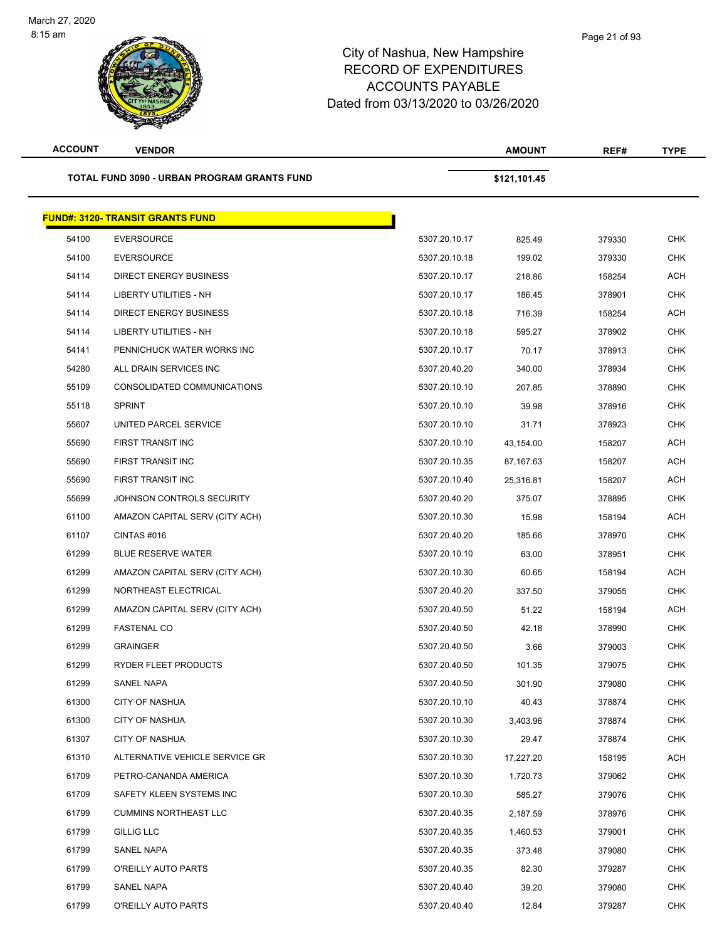| <b>ACCOUNT</b> | <b>VENDOR</b>                                      |               | <b>AMOUNT</b> | REF#   | <b>TYPE</b> |
|----------------|----------------------------------------------------|---------------|---------------|--------|-------------|
|                | <b>TOTAL FUND 3090 - URBAN PROGRAM GRANTS FUND</b> |               | \$121,101.45  |        |             |
|                | <b>FUND#: 3120- TRANSIT GRANTS FUND</b>            |               |               |        |             |
| 54100          | <b>EVERSOURCE</b>                                  | 5307.20.10.17 | 825.49        | 379330 | <b>CHK</b>  |
| 54100          | <b>EVERSOURCE</b>                                  | 5307.20.10.18 | 199.02        | 379330 | <b>CHK</b>  |
| 54114          | <b>DIRECT ENERGY BUSINESS</b>                      | 5307.20.10.17 | 218.86        | 158254 | ACH         |
| 54114          | LIBERTY UTILITIES - NH                             | 5307.20.10.17 | 186.45        | 378901 | <b>CHK</b>  |
| 54114          | <b>DIRECT ENERGY BUSINESS</b>                      | 5307.20.10.18 | 716.39        | 158254 | ACH         |
| 54114          | LIBERTY UTILITIES - NH                             | 5307.20.10.18 | 595.27        | 378902 | <b>CHK</b>  |
| 54141          | PENNICHUCK WATER WORKS INC                         | 5307.20.10.17 | 70.17         | 378913 | <b>CHK</b>  |
| 54280          | ALL DRAIN SERVICES INC                             | 5307.20.40.20 | 340.00        | 378934 | CHK         |
| 55109          | CONSOLIDATED COMMUNICATIONS                        | 5307.20.10.10 | 207.85        | 378890 | CHK         |
| 55118          | <b>SPRINT</b>                                      | 5307.20.10.10 | 39.98         | 378916 | <b>CHK</b>  |
| 55607          | UNITED PARCEL SERVICE                              | 5307.20.10.10 | 31.71         | 378923 | <b>CHK</b>  |
| 55690          | FIRST TRANSIT INC                                  | 5307.20.10.10 | 43,154.00     | 158207 | ACH         |
| 55690          | FIRST TRANSIT INC                                  | 5307.20.10.35 | 87,167.63     | 158207 | ACH         |
| 55690          | FIRST TRANSIT INC                                  | 5307.20.10.40 | 25,316.81     | 158207 | <b>ACH</b>  |
| 55699          | JOHNSON CONTROLS SECURITY                          | 5307.20.40.20 | 375.07        | 378895 | <b>CHK</b>  |
| 61100          | AMAZON CAPITAL SERV (CITY ACH)                     | 5307.20.10.30 | 15.98         | 158194 | <b>ACH</b>  |
| 61107          | CINTAS#016                                         | 5307.20.40.20 | 185.66        | 378970 | <b>CHK</b>  |
| 61299          | <b>BLUE RESERVE WATER</b>                          | 5307.20.10.10 | 63.00         | 378951 | <b>CHK</b>  |
| 61299          | AMAZON CAPITAL SERV (CITY ACH)                     | 5307.20.10.30 | 60.65         | 158194 | <b>ACH</b>  |
| 61299          | NORTHEAST ELECTRICAL                               | 5307.20.40.20 | 337.50        | 379055 | <b>CHK</b>  |
| 61299          | AMAZON CAPITAL SERV (CITY ACH)                     | 5307.20.40.50 | 51.22         | 158194 | <b>ACH</b>  |
| 61299          | <b>FASTENAL CO</b>                                 | 5307.20.40.50 | 42.18         | 378990 | <b>CHK</b>  |
| 61299          | <b>GRAINGER</b>                                    | 5307.20.40.50 | 3.66          | 379003 | <b>CHK</b>  |
| 61299          | RYDER FLEET PRODUCTS                               | 5307.20.40.50 | 101.35        | 379075 | <b>CHK</b>  |
| 61299          | SANEL NAPA                                         | 5307.20.40.50 | 301.90        | 379080 | CHK         |
| 61300          | <b>CITY OF NASHUA</b>                              | 5307.20.10.10 | 40.43         | 378874 | <b>CHK</b>  |
| 61300          | <b>CITY OF NASHUA</b>                              | 5307.20.10.30 | 3,403.96      | 378874 | <b>CHK</b>  |
| 61307          | <b>CITY OF NASHUA</b>                              | 5307.20.10.30 | 29.47         | 378874 | CHK         |
| 61310          | ALTERNATIVE VEHICLE SERVICE GR                     | 5307.20.10.30 | 17,227.20     | 158195 | ACH         |
| 61709          | PETRO-CANANDA AMERICA                              | 5307.20.10.30 | 1,720.73      | 379062 | CHK         |
| 61709          | SAFETY KLEEN SYSTEMS INC                           | 5307.20.10.30 | 585.27        | 379076 | <b>CHK</b>  |
| 61799          | <b>CUMMINS NORTHEAST LLC</b>                       | 5307.20.40.35 | 2,187.59      | 378976 | <b>CHK</b>  |
| 61799          | <b>GILLIG LLC</b>                                  | 5307.20.40.35 | 1,460.53      | 379001 | CHK         |
| 61799          | SANEL NAPA                                         | 5307.20.40.35 | 373.48        | 379080 | CHK         |
| 61799          | O'REILLY AUTO PARTS                                | 5307.20.40.35 | 82.30         | 379287 | CHK         |
| 61799          | SANEL NAPA                                         | 5307.20.40.40 | 39.20         | 379080 | <b>CHK</b>  |
| 61799          | O'REILLY AUTO PARTS                                | 5307.20.40.40 | 12.84         | 379287 | <b>CHK</b>  |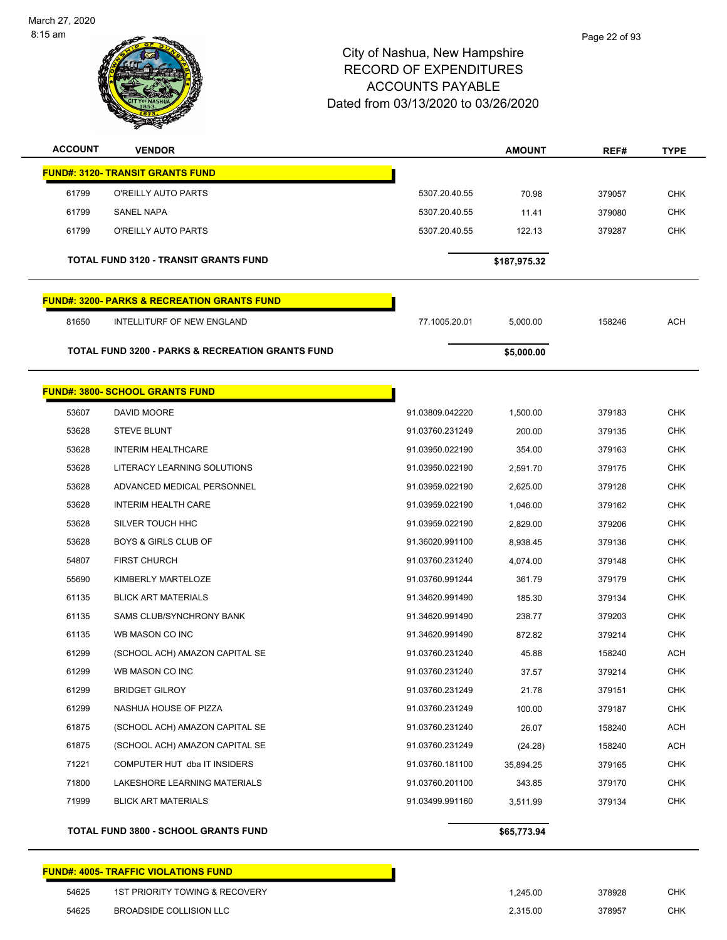

| <b>ACCOUNT</b> | <b>VENDOR</b>                                               |                 | <b>AMOUNT</b> | REF#   | <b>TYPE</b> |
|----------------|-------------------------------------------------------------|-----------------|---------------|--------|-------------|
|                | <b>FUND#: 3120- TRANSIT GRANTS FUND</b>                     |                 |               |        |             |
| 61799          | O'REILLY AUTO PARTS                                         | 5307.20.40.55   | 70.98         | 379057 | <b>CHK</b>  |
| 61799          | SANEL NAPA                                                  | 5307.20.40.55   | 11.41         | 379080 | <b>CHK</b>  |
| 61799          | O'REILLY AUTO PARTS                                         | 5307.20.40.55   | 122.13        | 379287 | CHK         |
|                | <b>TOTAL FUND 3120 - TRANSIT GRANTS FUND</b>                |                 | \$187,975.32  |        |             |
|                | <u> FUND#: 3200- PARKS &amp; RECREATION GRANTS FUND</u>     |                 |               |        |             |
| 81650          | INTELLITURF OF NEW ENGLAND                                  | 77.1005.20.01   | 5,000.00      | 158246 | <b>ACH</b>  |
|                | <b>TOTAL FUND 3200 - PARKS &amp; RECREATION GRANTS FUND</b> |                 | \$5,000.00    |        |             |
|                | <b>FUND#: 3800- SCHOOL GRANTS FUND</b>                      |                 |               |        |             |
| 53607          | DAVID MOORE                                                 | 91.03809.042220 | 1,500.00      | 379183 | <b>CHK</b>  |
| 53628          | <b>STEVE BLUNT</b>                                          | 91.03760.231249 | 200.00        | 379135 | <b>CHK</b>  |
| 53628          | <b>INTERIM HEALTHCARE</b>                                   | 91.03950.022190 | 354.00        | 379163 | CHK         |
| 53628          | LITERACY LEARNING SOLUTIONS                                 | 91.03950.022190 | 2,591.70      | 379175 | <b>CHK</b>  |
| 53628          | ADVANCED MEDICAL PERSONNEL                                  | 91.03959.022190 | 2,625.00      | 379128 | <b>CHK</b>  |
| 53628          | <b>INTERIM HEALTH CARE</b>                                  | 91.03959.022190 | 1,046.00      | 379162 | <b>CHK</b>  |
| 53628          | SILVER TOUCH HHC                                            | 91.03959.022190 | 2,829.00      | 379206 | CHK         |
| 53628          | <b>BOYS &amp; GIRLS CLUB OF</b>                             | 91.36020.991100 | 8,938.45      | 379136 | <b>CHK</b>  |
| 54807          | <b>FIRST CHURCH</b>                                         | 91.03760.231240 | 4,074.00      | 379148 | <b>CHK</b>  |
| 55690          | KIMBERLY MARTELOZE                                          | 91.03760.991244 | 361.79        | 379179 | <b>CHK</b>  |
| 61135          | <b>BLICK ART MATERIALS</b>                                  | 91.34620.991490 | 185.30        | 379134 | <b>CHK</b>  |
| 61135          | SAMS CLUB/SYNCHRONY BANK                                    | 91.34620.991490 | 238.77        | 379203 | <b>CHK</b>  |
| 61135          | WB MASON CO INC                                             | 91.34620.991490 | 872.82        | 379214 | CHK         |
| 61299          | (SCHOOL ACH) AMAZON CAPITAL SE                              | 91.03760.231240 | 45.88         | 158240 | ACH         |
| 61299          | WB MASON CO INC                                             | 91.03760.231240 | 37.57         | 379214 | CHK         |
| 61299          | <b>BRIDGET GILROY</b>                                       | 91.03760.231249 | 21.78         | 379151 | <b>CHK</b>  |
| 61299          | NASHUA HOUSE OF PIZZA                                       | 91.03760.231249 | 100.00        | 379187 | <b>CHK</b>  |
| 61875          | (SCHOOL ACH) AMAZON CAPITAL SE                              | 91.03760.231240 | 26.07         | 158240 | ACH         |
| 61875          | (SCHOOL ACH) AMAZON CAPITAL SE                              | 91.03760.231249 | (24.28)       | 158240 | <b>ACH</b>  |
| 71221          | COMPUTER HUT dba IT INSIDERS                                | 91.03760.181100 | 35,894.25     | 379165 | <b>CHK</b>  |
|                |                                                             |                 |               |        | <b>CHK</b>  |
| 71800          | LAKESHORE LEARNING MATERIALS                                | 91.03760.201100 | 343.85        | 379170 |             |

# **FUND#: 4005- TRAFFIC VIOLATIONS FUND** 1ST PRIORITY TOWING & RECOVERY 1,245.00 378928 CHK BROADSIDE COLLISION LLC 2,315.00 378957 CHK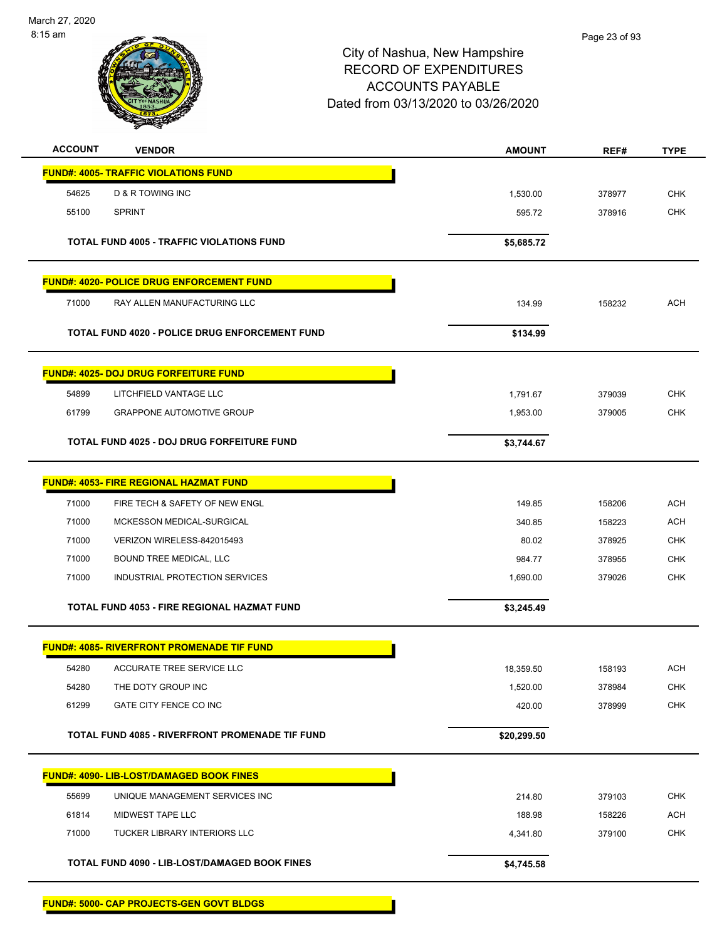

| <b>ACCOUNT</b> | <b>VENDOR</b>                                         | <b>AMOUNT</b>      | REF#             | <b>TYPE</b>              |
|----------------|-------------------------------------------------------|--------------------|------------------|--------------------------|
|                | <b>FUND#: 4005- TRAFFIC VIOLATIONS FUND</b>           |                    |                  |                          |
| 54625          | <b>D &amp; R TOWING INC</b>                           | 1,530.00           | 378977           | <b>CHK</b>               |
| 55100          | <b>SPRINT</b>                                         | 595.72             | 378916           | <b>CHK</b>               |
|                | <b>TOTAL FUND 4005 - TRAFFIC VIOLATIONS FUND</b>      | \$5,685.72         |                  |                          |
|                |                                                       |                    |                  |                          |
|                | <b>FUND#: 4020- POLICE DRUG ENFORCEMENT FUND</b>      |                    |                  |                          |
| 71000          | RAY ALLEN MANUFACTURING LLC                           | 134.99             | 158232           | <b>ACH</b>               |
|                | <b>TOTAL FUND 4020 - POLICE DRUG ENFORCEMENT FUND</b> | \$134.99           |                  |                          |
|                | <b>FUND#: 4025- DOJ DRUG FORFEITURE FUND</b>          |                    |                  |                          |
| 54899          | LITCHFIELD VANTAGE LLC                                | 1,791.67           | 379039           | <b>CHK</b>               |
| 61799          | <b>GRAPPONE AUTOMOTIVE GROUP</b>                      | 1,953.00           | 379005           | <b>CHK</b>               |
|                |                                                       |                    |                  |                          |
|                | TOTAL FUND 4025 - DOJ DRUG FORFEITURE FUND            | \$3,744.67         |                  |                          |
|                | <b>FUND#: 4053- FIRE REGIONAL HAZMAT FUND</b>         |                    |                  |                          |
| 71000          | FIRE TECH & SAFETY OF NEW ENGL                        | 149.85             | 158206           | <b>ACH</b>               |
| 71000          | MCKESSON MEDICAL-SURGICAL                             | 340.85             | 158223           | <b>ACH</b>               |
| 71000          | VERIZON WIRELESS-842015493                            | 80.02              | 378925           | <b>CHK</b>               |
| 71000          | BOUND TREE MEDICAL, LLC                               | 984.77             | 378955           | <b>CHK</b>               |
| 71000          | INDUSTRIAL PROTECTION SERVICES                        | 1,690.00           | 379026           | <b>CHK</b>               |
|                | TOTAL FUND 4053 - FIRE REGIONAL HAZMAT FUND           | \$3,245.49         |                  |                          |
|                |                                                       |                    |                  |                          |
|                | <b>FUND#: 4085- RIVERFRONT PROMENADE TIF FUND</b>     |                    |                  |                          |
| 54280<br>54280 | ACCURATE TREE SERVICE LLC<br>THE DOTY GROUP INC       | 18,359.50          | 158193           | <b>ACH</b><br><b>CHK</b> |
| 61299          | GATE CITY FENCE CO INC                                | 1,520.00<br>420.00 | 378984<br>378999 | <b>CHK</b>               |
|                |                                                       |                    |                  |                          |
|                | TOTAL FUND 4085 - RIVERFRONT PROMENADE TIF FUND       | \$20,299.50        |                  |                          |
|                | <b>FUND#: 4090- LIB-LOST/DAMAGED BOOK FINES</b>       |                    |                  |                          |
| 55699          | UNIQUE MANAGEMENT SERVICES INC                        | 214.80             | 379103           | <b>CHK</b>               |
| 61814          | MIDWEST TAPE LLC                                      | 188.98             | 158226           | ACH                      |
| 71000          | TUCKER LIBRARY INTERIORS LLC                          | 4,341.80           | 379100           | <b>CHK</b>               |
|                |                                                       |                    |                  |                          |
|                | TOTAL FUND 4090 - LIB-LOST/DAMAGED BOOK FINES         | \$4,745.58         |                  |                          |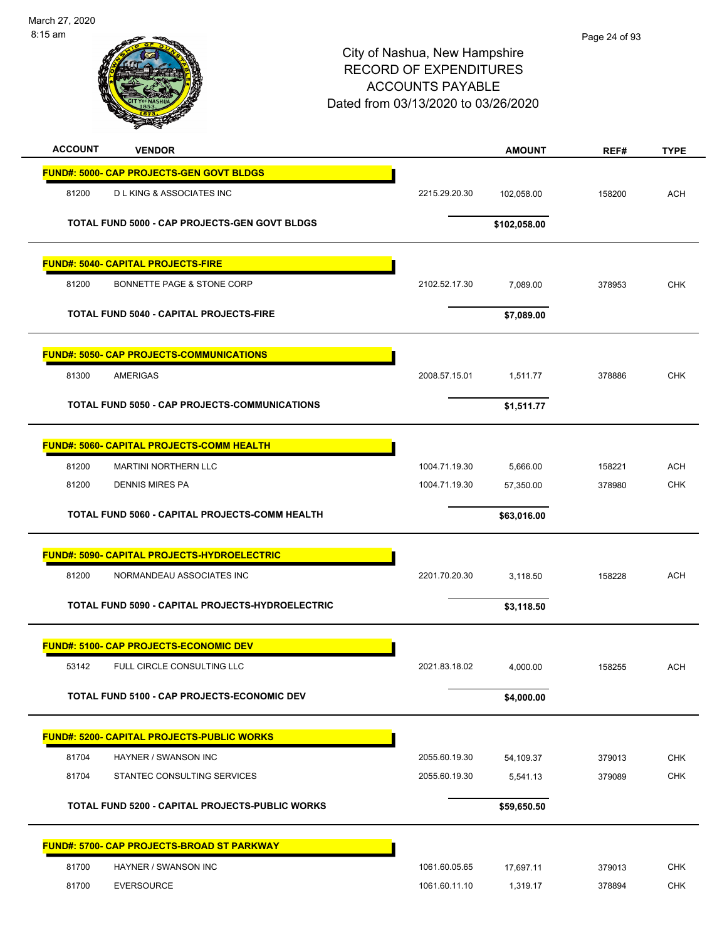| <b>ACCOUNT</b><br><b>VENDOR</b>                                         |                                | <b>AMOUNT</b>         | REF#             | <b>TYPE</b>              |
|-------------------------------------------------------------------------|--------------------------------|-----------------------|------------------|--------------------------|
| <b>FUND#: 5000- CAP PROJECTS-GEN GOVT BLDGS</b>                         |                                |                       |                  |                          |
| 81200<br><b>DLKING &amp; ASSOCIATES INC</b>                             | 2215.29.20.30                  | 102,058.00            | 158200           | <b>ACH</b>               |
| <b>TOTAL FUND 5000 - CAP PROJECTS-GEN GOVT BLDGS</b>                    |                                | \$102,058.00          |                  |                          |
|                                                                         |                                |                       |                  |                          |
| <b>FUND#: 5040- CAPITAL PROJECTS-FIRE</b>                               |                                |                       |                  |                          |
| 81200<br>BONNETTE PAGE & STONE CORP                                     | 2102.52.17.30                  | 7,089.00              | 378953           | <b>CHK</b>               |
| <b>TOTAL FUND 5040 - CAPITAL PROJECTS-FIRE</b>                          |                                | \$7,089.00            |                  |                          |
| <b>FUND#: 5050- CAP PROJECTS-COMMUNICATIONS</b>                         |                                |                       |                  |                          |
| 81300<br>AMERIGAS                                                       | 2008.57.15.01                  | 1,511.77              | 378886           | <b>CHK</b>               |
| <b>TOTAL FUND 5050 - CAP PROJECTS-COMMUNICATIONS</b>                    |                                | \$1,511.77            |                  |                          |
|                                                                         |                                |                       |                  |                          |
| FUND#: 5060- CAPITAL PROJECTS-COMM HEALTH                               |                                |                       |                  |                          |
| 81200<br><b>MARTINI NORTHERN LLC</b><br>81200<br><b>DENNIS MIRES PA</b> | 1004.71.19.30<br>1004.71.19.30 | 5,666.00<br>57,350.00 | 158221<br>378980 | <b>ACH</b><br><b>CHK</b> |
|                                                                         |                                |                       |                  |                          |
| TOTAL FUND 5060 - CAPITAL PROJECTS-COMM HEALTH                          |                                | \$63,016.00           |                  |                          |
| <b>FUND#: 5090- CAPITAL PROJECTS-HYDROELECTRIC</b>                      |                                |                       |                  |                          |
| 81200<br>NORMANDEAU ASSOCIATES INC                                      | 2201.70.20.30                  | 3,118.50              | 158228           | <b>ACH</b>               |
| TOTAL FUND 5090 - CAPITAL PROJECTS-HYDROELECTRIC                        |                                | \$3,118.50            |                  |                          |
| <b>FUND#: 5100- CAP PROJECTS-ECONOMIC DEV</b>                           |                                |                       |                  |                          |
| 53142<br>FULL CIRCLE CONSULTING LLC                                     | 2021.83.18.02                  | 4,000.00              | 158255           | <b>ACH</b>               |
| TOTAL FUND 5100 - CAP PROJECTS-ECONOMIC DEV                             |                                | \$4,000.00            |                  |                          |
| <b>FUND#: 5200- CAPITAL PROJECTS-PUBLIC WORKS</b>                       |                                |                       |                  |                          |
| 81704<br>HAYNER / SWANSON INC                                           | 2055.60.19.30                  | 54,109.37             | 379013           | <b>CHK</b>               |
| 81704<br>STANTEC CONSULTING SERVICES                                    | 2055.60.19.30                  | 5,541.13              | 379089           | <b>CHK</b>               |
| TOTAL FUND 5200 - CAPITAL PROJECTS-PUBLIC WORKS                         |                                | \$59,650.50           |                  |                          |
| <b>FUND#: 5700- CAP PROJECTS-BROAD ST PARKWAY</b>                       |                                |                       |                  |                          |
| 81700<br>HAYNER / SWANSON INC                                           | 1061.60.05.65                  | 17,697.11             | 379013           | <b>CHK</b>               |
| 81700<br><b>EVERSOURCE</b>                                              | 1061.60.11.10                  | 1,319.17              | 378894           | <b>CHK</b>               |
|                                                                         |                                |                       |                  |                          |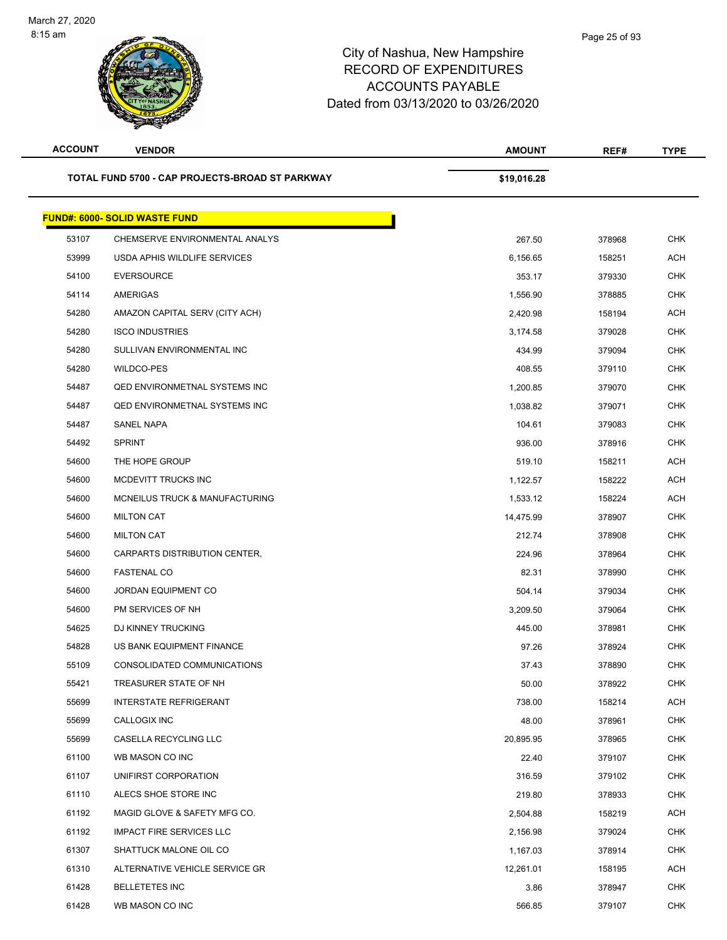| <b>ACCOUNT</b> | <b>VENDOR</b>                                   | <b>AMOUNT</b> | REF#   | <b>TYPE</b> |
|----------------|-------------------------------------------------|---------------|--------|-------------|
|                | TOTAL FUND 5700 - CAP PROJECTS-BROAD ST PARKWAY | \$19,016.28   |        |             |
|                | <b>FUND#: 6000- SOLID WASTE FUND</b>            |               |        |             |
| 53107          | CHEMSERVE ENVIRONMENTAL ANALYS                  | 267.50        | 378968 | <b>CHK</b>  |
| 53999          | USDA APHIS WILDLIFE SERVICES                    | 6,156.65      | 158251 | <b>ACH</b>  |
| 54100          | <b>EVERSOURCE</b>                               | 353.17        | 379330 | <b>CHK</b>  |
| 54114          | <b>AMERIGAS</b>                                 | 1,556.90      | 378885 | <b>CHK</b>  |
| 54280          | AMAZON CAPITAL SERV (CITY ACH)                  | 2,420.98      | 158194 | <b>ACH</b>  |
| 54280          | <b>ISCO INDUSTRIES</b>                          | 3,174.58      | 379028 | <b>CHK</b>  |
| 54280          | SULLIVAN ENVIRONMENTAL INC                      | 434.99        | 379094 | <b>CHK</b>  |
| 54280          | WILDCO-PES                                      | 408.55        | 379110 | CHK         |
| 54487          | <b>QED ENVIRONMETNAL SYSTEMS INC</b>            | 1,200.85      | 379070 | <b>CHK</b>  |
| 54487          | <b>QED ENVIRONMETNAL SYSTEMS INC</b>            | 1,038.82      | 379071 | <b>CHK</b>  |
| 54487          | SANEL NAPA                                      | 104.61        | 379083 | <b>CHK</b>  |
| 54492          | <b>SPRINT</b>                                   | 936.00        | 378916 | <b>CHK</b>  |
| 54600          | THE HOPE GROUP                                  | 519.10        | 158211 | <b>ACH</b>  |
| 54600          | MCDEVITT TRUCKS INC                             | 1,122.57      | 158222 | <b>ACH</b>  |
| 54600          | MCNEILUS TRUCK & MANUFACTURING                  | 1,533.12      | 158224 | <b>ACH</b>  |
| 54600          | <b>MILTON CAT</b>                               | 14,475.99     | 378907 | <b>CHK</b>  |
| 54600          | <b>MILTON CAT</b>                               | 212.74        | 378908 | <b>CHK</b>  |
| 54600          | CARPARTS DISTRIBUTION CENTER,                   | 224.96        | 378964 | <b>CHK</b>  |
| 54600          | <b>FASTENAL CO</b>                              | 82.31         | 378990 | <b>CHK</b>  |
| 54600          | <b>JORDAN EQUIPMENT CO</b>                      | 504.14        | 379034 | <b>CHK</b>  |
| 54600          | PM SERVICES OF NH                               | 3,209.50      | 379064 | <b>CHK</b>  |
| 54625          | DJ KINNEY TRUCKING                              | 445.00        | 378981 | <b>CHK</b>  |
| 54828          | US BANK EQUIPMENT FINANCE                       | 97.26         | 378924 | <b>CHK</b>  |
| 55109          | CONSOLIDATED COMMUNICATIONS                     | 37.43         | 378890 | <b>CHK</b>  |
| 55421          | TREASURER STATE OF NH                           | 50.00         | 378922 | <b>CHK</b>  |
| 55699          | <b>INTERSTATE REFRIGERANT</b>                   | 738.00        | 158214 | <b>ACH</b>  |
| 55699          | CALLOGIX INC                                    | 48.00         | 378961 | <b>CHK</b>  |
| 55699          | CASELLA RECYCLING LLC                           | 20,895.95     | 378965 | <b>CHK</b>  |
| 61100          | WB MASON CO INC                                 | 22.40         | 379107 | <b>CHK</b>  |
| 61107          | UNIFIRST CORPORATION                            | 316.59        | 379102 | <b>CHK</b>  |
| 61110          | ALECS SHOE STORE INC                            | 219.80        | 378933 | <b>CHK</b>  |
| 61192          | MAGID GLOVE & SAFETY MFG CO.                    | 2,504.88      | 158219 | ACH         |
| 61192          | <b>IMPACT FIRE SERVICES LLC</b>                 | 2,156.98      | 379024 | <b>CHK</b>  |
| 61307          | SHATTUCK MALONE OIL CO                          | 1,167.03      | 378914 | <b>CHK</b>  |
| 61310          | ALTERNATIVE VEHICLE SERVICE GR                  | 12,261.01     | 158195 | ACH         |
| 61428          | <b>BELLETETES INC</b>                           | 3.86          | 378947 | <b>CHK</b>  |
| 61428          | WB MASON CO INC                                 | 566.85        | 379107 | <b>CHK</b>  |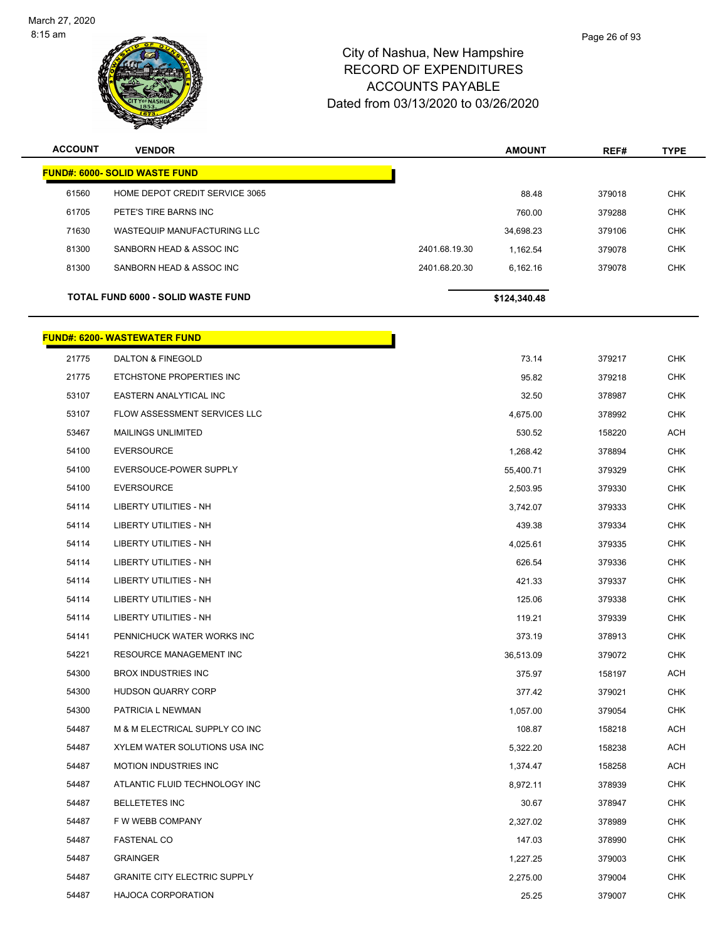

| <b>ACCOUNT</b> | <b>VENDOR</b>                        |               | <b>AMOUNT</b> | REF#   | <b>TYPE</b> |
|----------------|--------------------------------------|---------------|---------------|--------|-------------|
|                | <b>FUND#: 6000- SOLID WASTE FUND</b> |               |               |        |             |
| 61560          | HOME DEPOT CREDIT SERVICE 3065       |               | 88.48         | 379018 | <b>CHK</b>  |
| 61705          | PETE'S TIRE BARNS INC                |               | 760.00        | 379288 | <b>CHK</b>  |
| 71630          | WASTEQUIP MANUFACTURING LLC          |               | 34,698.23     | 379106 | <b>CHK</b>  |
| 81300          | SANBORN HEAD & ASSOC INC             | 2401.68.19.30 | 1,162.54      | 379078 | <b>CHK</b>  |
| 81300          | SANBORN HEAD & ASSOC INC             | 2401.68.20.30 | 6,162.16      | 379078 | <b>CHK</b>  |
|                | TOTAL FUND 6000 - SOLID WASTE FUND   |               | \$124,340.48  |        |             |
|                | <b>FUND#: 6200- WASTEWATER FUND</b>  |               |               |        |             |
| 21775          | DALTON & FINEGOLD                    |               | 73.14         | 379217 | <b>CHK</b>  |
| 21775          | ETCHSTONE PROPERTIES INC             |               | 95.82         | 379218 | <b>CHK</b>  |
| 53107          | EASTERN ANALYTICAL INC               |               | 32.50         | 378987 | <b>CHK</b>  |
| 53107          | FLOW ASSESSMENT SERVICES LLC         |               | 4,675.00      | 378992 | <b>CHK</b>  |
| 53467          | <b>MAILINGS UNLIMITED</b>            |               | 530.52        | 158220 | <b>ACH</b>  |
| 54100          | <b>EVERSOURCE</b>                    |               | 1,268.42      | 378894 | <b>CHK</b>  |
| 54100          | EVERSOUCE-POWER SUPPLY               |               | 55,400.71     | 379329 | <b>CHK</b>  |
| 54100          | <b>EVERSOURCE</b>                    |               | 2,503.95      | 379330 | <b>CHK</b>  |
| 54114          | LIBERTY UTILITIES - NH               |               | 3,742.07      | 379333 | <b>CHK</b>  |
| 54114          | <b>LIBERTY UTILITIES - NH</b>        |               | 439.38        | 379334 | <b>CHK</b>  |
| 54114          | LIBERTY UTILITIES - NH               |               | 4,025.61      | 379335 | <b>CHK</b>  |
| 54114          | LIBERTY UTILITIES - NH               |               | 626.54        | 379336 | <b>CHK</b>  |
| 54114          | LIBERTY UTILITIES - NH               |               | 421.33        | 379337 | <b>CHK</b>  |
| 54114          | LIBERTY UTILITIES - NH               |               | 125.06        | 379338 | <b>CHK</b>  |
| 54114          | <b>LIBERTY UTILITIES - NH</b>        |               | 119.21        | 379339 | <b>CHK</b>  |
| 54141          | PENNICHUCK WATER WORKS INC           |               | 373.19        | 378913 | CHK         |
| 54221          | RESOURCE MANAGEMENT INC              |               | 36,513.09     | 379072 | <b>CHK</b>  |
| 54300          | BROX INDUSTRIES INC                  |               | 375.97        | 158197 | ACH         |
| 54300          | HUDSON QUARRY CORP                   |               | 377.42        | 379021 | <b>CHK</b>  |
| 54300          | PATRICIA L NEWMAN                    |               | 1,057.00      | 379054 | <b>CHK</b>  |
| 54487          | M & M ELECTRICAL SUPPLY CO INC       |               | 108.87        | 158218 | ACH         |
| 54487          | XYLEM WATER SOLUTIONS USA INC        |               | 5,322.20      | 158238 | ACH         |
| 54487          | <b>MOTION INDUSTRIES INC</b>         |               | 1,374.47      | 158258 | ACH         |
| 54487          | ATLANTIC FLUID TECHNOLOGY INC        |               | 8,972.11      | 378939 | <b>CHK</b>  |
| 54487          | <b>BELLETETES INC</b>                |               | 30.67         | 378947 | <b>CHK</b>  |
| 54487          | F W WEBB COMPANY                     |               | 2,327.02      | 378989 | CHK         |
| 54487          | <b>FASTENAL CO</b>                   |               | 147.03        | 378990 | <b>CHK</b>  |
| 54487          | <b>GRAINGER</b>                      |               | 1,227.25      | 379003 | CHK         |
| 54487          | <b>GRANITE CITY ELECTRIC SUPPLY</b>  |               | 2,275.00      | 379004 | <b>CHK</b>  |
| 54487          | <b>HAJOCA CORPORATION</b>            |               | 25.25         | 379007 | <b>CHK</b>  |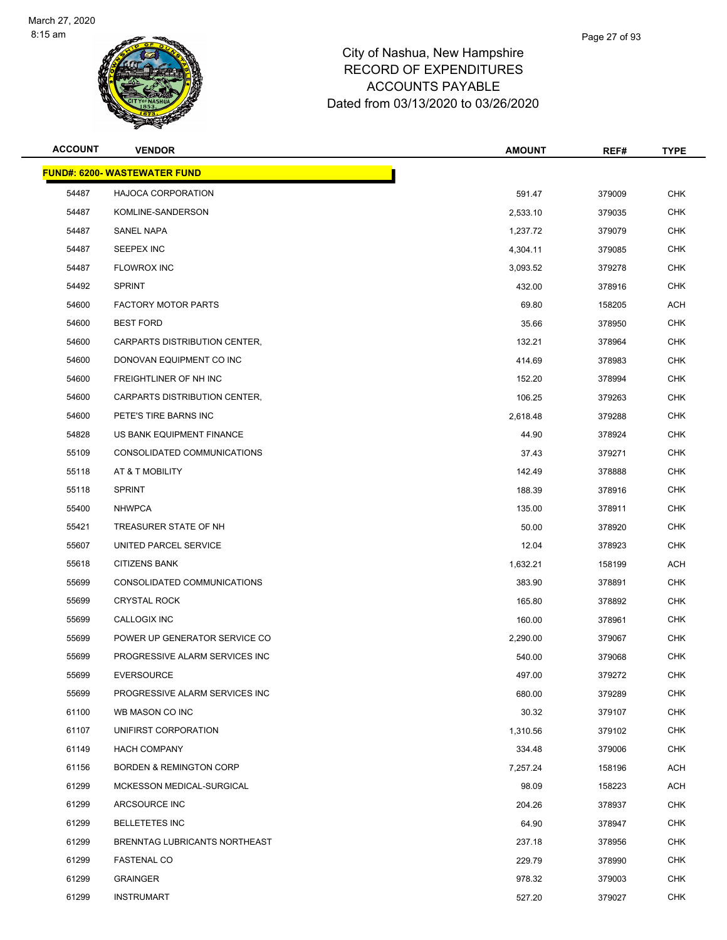

| <b>ACCOUNT</b> | <b>VENDOR</b>                       | <b>AMOUNT</b> | REF#   | <b>TYPE</b> |
|----------------|-------------------------------------|---------------|--------|-------------|
|                | <b>FUND#: 6200- WASTEWATER FUND</b> |               |        |             |
| 54487          | <b>HAJOCA CORPORATION</b>           | 591.47        | 379009 | <b>CHK</b>  |
| 54487          | KOMLINE-SANDERSON                   | 2,533.10      | 379035 | <b>CHK</b>  |
| 54487          | <b>SANEL NAPA</b>                   | 1,237.72      | 379079 | <b>CHK</b>  |
| 54487          | SEEPEX INC                          | 4,304.11      | 379085 | <b>CHK</b>  |
| 54487          | <b>FLOWROX INC</b>                  | 3,093.52      | 379278 | <b>CHK</b>  |
| 54492          | <b>SPRINT</b>                       | 432.00        | 378916 | <b>CHK</b>  |
| 54600          | <b>FACTORY MOTOR PARTS</b>          | 69.80         | 158205 | <b>ACH</b>  |
| 54600          | <b>BEST FORD</b>                    | 35.66         | 378950 | <b>CHK</b>  |
| 54600          | CARPARTS DISTRIBUTION CENTER,       | 132.21        | 378964 | <b>CHK</b>  |
| 54600          | DONOVAN EQUIPMENT CO INC            | 414.69        | 378983 | <b>CHK</b>  |
| 54600          | <b>FREIGHTLINER OF NH INC</b>       | 152.20        | 378994 | CHK         |
| 54600          | CARPARTS DISTRIBUTION CENTER.       | 106.25        | 379263 | <b>CHK</b>  |
| 54600          | PETE'S TIRE BARNS INC               | 2,618.48      | 379288 | <b>CHK</b>  |
| 54828          | US BANK EQUIPMENT FINANCE           | 44.90         | 378924 | <b>CHK</b>  |
| 55109          | CONSOLIDATED COMMUNICATIONS         | 37.43         | 379271 | <b>CHK</b>  |
| 55118          | AT & T MOBILITY                     | 142.49        | 378888 | <b>CHK</b>  |
| 55118          | <b>SPRINT</b>                       | 188.39        | 378916 | <b>CHK</b>  |
| 55400          | <b>NHWPCA</b>                       | 135.00        | 378911 | <b>CHK</b>  |
| 55421          | TREASURER STATE OF NH               | 50.00         | 378920 | <b>CHK</b>  |
| 55607          | UNITED PARCEL SERVICE               | 12.04         | 378923 | <b>CHK</b>  |
| 55618          | <b>CITIZENS BANK</b>                | 1,632.21      | 158199 | <b>ACH</b>  |
| 55699          | CONSOLIDATED COMMUNICATIONS         | 383.90        | 378891 | <b>CHK</b>  |
| 55699          | <b>CRYSTAL ROCK</b>                 | 165.80        | 378892 | <b>CHK</b>  |
| 55699          | CALLOGIX INC                        | 160.00        | 378961 | <b>CHK</b>  |
| 55699          | POWER UP GENERATOR SERVICE CO       | 2,290.00      | 379067 | <b>CHK</b>  |
| 55699          | PROGRESSIVE ALARM SERVICES INC      | 540.00        | 379068 | <b>CHK</b>  |
| 55699          | <b>EVERSOURCE</b>                   | 497.00        | 379272 | <b>CHK</b>  |
| 55699          | PROGRESSIVE ALARM SERVICES INC      | 680.00        | 379289 | CHK         |
| 61100          | WB MASON CO INC                     | 30.32         | 379107 | <b>CHK</b>  |
| 61107          | UNIFIRST CORPORATION                | 1,310.56      | 379102 | <b>CHK</b>  |
| 61149          | <b>HACH COMPANY</b>                 | 334.48        | 379006 | CHK         |
| 61156          | <b>BORDEN &amp; REMINGTON CORP</b>  | 7,257.24      | 158196 | <b>ACH</b>  |
| 61299          | MCKESSON MEDICAL-SURGICAL           | 98.09         | 158223 | <b>ACH</b>  |
| 61299          | ARCSOURCE INC                       | 204.26        | 378937 | <b>CHK</b>  |
| 61299          | <b>BELLETETES INC</b>               | 64.90         | 378947 | <b>CHK</b>  |
| 61299          | BRENNTAG LUBRICANTS NORTHEAST       | 237.18        | 378956 | <b>CHK</b>  |
| 61299          | <b>FASTENAL CO</b>                  | 229.79        | 378990 | <b>CHK</b>  |
| 61299          | <b>GRAINGER</b>                     | 978.32        | 379003 | <b>CHK</b>  |
| 61299          | <b>INSTRUMART</b>                   | 527.20        | 379027 | <b>CHK</b>  |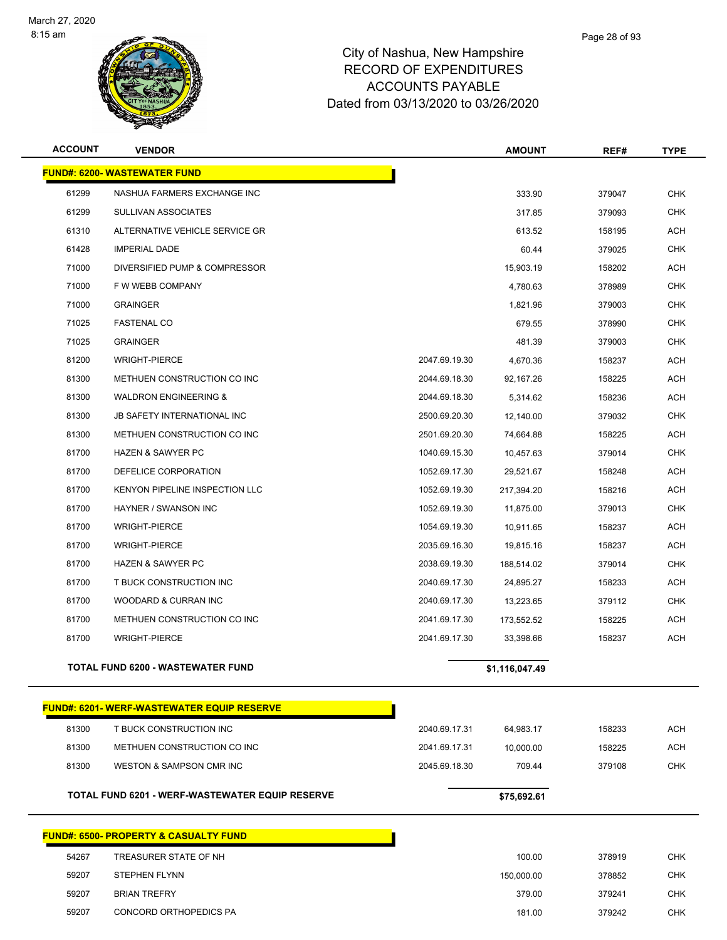

| <b>ACCOUNT</b> | <b>VENDOR</b>                                     |               | <b>AMOUNT</b>  | REF#   | <b>TYPE</b> |
|----------------|---------------------------------------------------|---------------|----------------|--------|-------------|
|                | <b>FUND#: 6200- WASTEWATER FUND</b>               |               |                |        |             |
| 61299          | NASHUA FARMERS EXCHANGE INC                       |               | 333.90         | 379047 | <b>CHK</b>  |
| 61299          | SULLIVAN ASSOCIATES                               |               | 317.85         | 379093 | <b>CHK</b>  |
| 61310          | ALTERNATIVE VEHICLE SERVICE GR                    |               | 613.52         | 158195 | <b>ACH</b>  |
| 61428          | <b>IMPERIAL DADE</b>                              |               | 60.44          | 379025 | <b>CHK</b>  |
| 71000          | DIVERSIFIED PUMP & COMPRESSOR                     |               | 15,903.19      | 158202 | <b>ACH</b>  |
| 71000          | F W WEBB COMPANY                                  |               | 4,780.63       | 378989 | <b>CHK</b>  |
| 71000          | <b>GRAINGER</b>                                   |               | 1,821.96       | 379003 | <b>CHK</b>  |
| 71025          | <b>FASTENAL CO</b>                                |               | 679.55         | 378990 | <b>CHK</b>  |
| 71025          | <b>GRAINGER</b>                                   |               | 481.39         | 379003 | <b>CHK</b>  |
| 81200          | <b>WRIGHT-PIERCE</b>                              | 2047.69.19.30 | 4,670.36       | 158237 | <b>ACH</b>  |
| 81300          | METHUEN CONSTRUCTION CO INC                       | 2044.69.18.30 | 92,167.26      | 158225 | <b>ACH</b>  |
| 81300          | <b>WALDRON ENGINEERING &amp;</b>                  | 2044.69.18.30 | 5,314.62       | 158236 | <b>ACH</b>  |
| 81300          | <b>JB SAFETY INTERNATIONAL INC</b>                | 2500.69.20.30 | 12,140.00      | 379032 | <b>CHK</b>  |
| 81300          | METHUEN CONSTRUCTION CO INC                       | 2501.69.20.30 | 74,664.88      | 158225 | <b>ACH</b>  |
| 81700          | <b>HAZEN &amp; SAWYER PC</b>                      | 1040.69.15.30 | 10,457.63      | 379014 | <b>CHK</b>  |
| 81700          | DEFELICE CORPORATION                              | 1052.69.17.30 | 29,521.67      | 158248 | <b>ACH</b>  |
| 81700          | <b>KENYON PIPELINE INSPECTION LLC</b>             | 1052.69.19.30 | 217,394.20     | 158216 | <b>ACH</b>  |
| 81700          | HAYNER / SWANSON INC                              | 1052.69.19.30 | 11,875.00      | 379013 | <b>CHK</b>  |
| 81700          | <b>WRIGHT-PIERCE</b>                              | 1054.69.19.30 | 10,911.65      | 158237 | <b>ACH</b>  |
| 81700          | <b>WRIGHT-PIERCE</b>                              | 2035.69.16.30 | 19,815.16      | 158237 | <b>ACH</b>  |
| 81700          | <b>HAZEN &amp; SAWYER PC</b>                      | 2038.69.19.30 | 188,514.02     | 379014 | <b>CHK</b>  |
| 81700          | T BUCK CONSTRUCTION INC                           | 2040.69.17.30 | 24,895.27      | 158233 | <b>ACH</b>  |
| 81700          | WOODARD & CURRAN INC                              | 2040.69.17.30 | 13,223.65      | 379112 | <b>CHK</b>  |
| 81700          | METHUEN CONSTRUCTION CO INC                       | 2041.69.17.30 | 173,552.52     | 158225 | <b>ACH</b>  |
| 81700          | <b>WRIGHT-PIERCE</b>                              | 2041.69.17.30 | 33,398.66      | 158237 | <b>ACH</b>  |
|                | TOTAL FUND 6200 - WASTEWATER FUND                 |               | \$1,116,047.49 |        |             |
|                | <u>FUND#: 6201- WERF-WASTEWATER EQUIP RESERVE</u> |               |                |        |             |
| 81300          | T BUCK CONSTRUCTION INC                           | 2040.69.17.31 | 64,983.17      | 158233 | <b>ACH</b>  |
| 81300          | METHUEN CONSTRUCTION CO INC                       | 2041.69.17.31 | 10,000.00      | 158225 | <b>ACH</b>  |
| 81300          | WESTON & SAMPSON CMR INC                          | 2045.69.18.30 | 709.44         | 379108 | <b>CHK</b>  |
|                | TOTAL FUND 6201 - WERF-WASTEWATER EQUIP RESERVE   |               | \$75,692.61    |        |             |
|                | <u> FUND#: 6500- PROPERTY &amp; CASUALTY FUND</u> |               |                |        |             |
| 54267          | TREASURER STATE OF NH                             |               | 100.00         | 378919 | <b>CHK</b>  |
| 59207          | <b>STEPHEN FLYNN</b>                              |               | 150,000.00     | 378852 | <b>CHK</b>  |
| 59207          | <b>BRIAN TREFRY</b>                               |               | 379.00         | 379241 | <b>CHK</b>  |
| 59207          | CONCORD ORTHOPEDICS PA                            |               | 181.00         | 379242 | CHK         |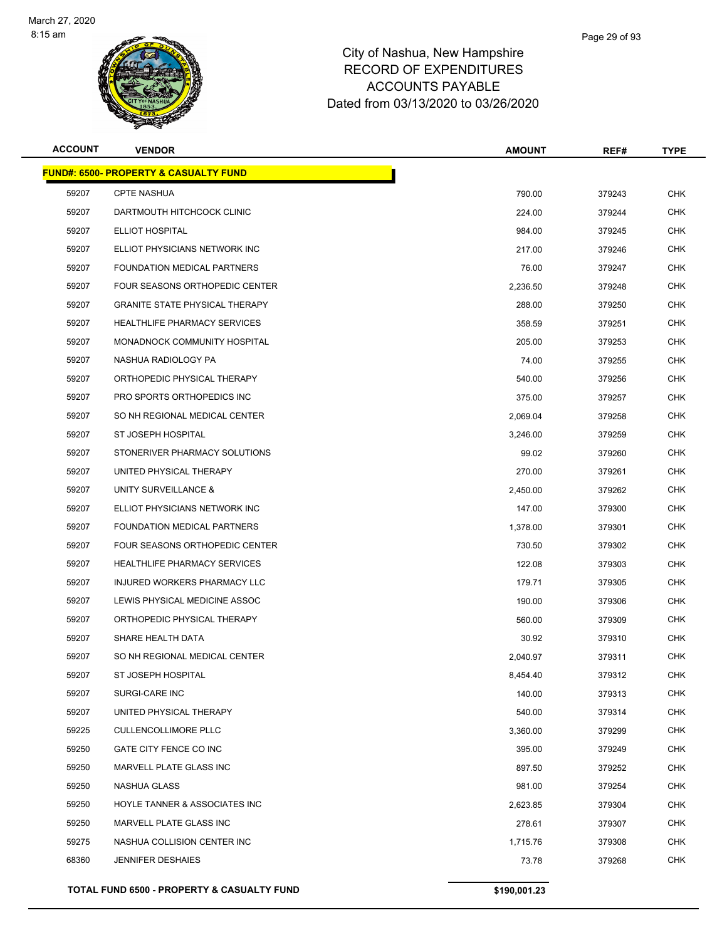

| <b>ACCOUNT</b> | <b>VENDOR</b>                                    | <b>AMOUNT</b> | REF#   | <b>TYPE</b> |
|----------------|--------------------------------------------------|---------------|--------|-------------|
|                | <b>FUND#: 6500- PROPERTY &amp; CASUALTY FUND</b> |               |        |             |
| 59207          | <b>CPTE NASHUA</b>                               | 790.00        | 379243 | <b>CHK</b>  |
| 59207          | DARTMOUTH HITCHCOCK CLINIC                       | 224.00        | 379244 | <b>CHK</b>  |
| 59207          | ELLIOT HOSPITAL                                  | 984.00        | 379245 | <b>CHK</b>  |
| 59207          | ELLIOT PHYSICIANS NETWORK INC                    | 217.00        | 379246 | CHK         |
| 59207          | <b>FOUNDATION MEDICAL PARTNERS</b>               | 76.00         | 379247 | <b>CHK</b>  |
| 59207          | FOUR SEASONS ORTHOPEDIC CENTER                   | 2,236.50      | 379248 | CHK         |
| 59207          | <b>GRANITE STATE PHYSICAL THERAPY</b>            | 288.00        | 379250 | <b>CHK</b>  |
| 59207          | <b>HEALTHLIFE PHARMACY SERVICES</b>              | 358.59        | 379251 | <b>CHK</b>  |
| 59207          | MONADNOCK COMMUNITY HOSPITAL                     | 205.00        | 379253 | CHK         |
| 59207          | NASHUA RADIOLOGY PA                              | 74.00         | 379255 | <b>CHK</b>  |
| 59207          | ORTHOPEDIC PHYSICAL THERAPY                      | 540.00        | 379256 | CHK         |
| 59207          | PRO SPORTS ORTHOPEDICS INC                       | 375.00        | 379257 | <b>CHK</b>  |
| 59207          | SO NH REGIONAL MEDICAL CENTER                    | 2,069.04      | 379258 | <b>CHK</b>  |
| 59207          | ST JOSEPH HOSPITAL                               | 3,246.00      | 379259 | <b>CHK</b>  |
| 59207          | STONERIVER PHARMACY SOLUTIONS                    | 99.02         | 379260 | <b>CHK</b>  |
| 59207          | UNITED PHYSICAL THERAPY                          | 270.00        | 379261 | <b>CHK</b>  |
| 59207          | UNITY SURVEILLANCE &                             | 2,450.00      | 379262 | <b>CHK</b>  |
| 59207          | ELLIOT PHYSICIANS NETWORK INC                    | 147.00        | 379300 | <b>CHK</b>  |
| 59207          | FOUNDATION MEDICAL PARTNERS                      | 1,378.00      | 379301 | CHK         |
| 59207          | FOUR SEASONS ORTHOPEDIC CENTER                   | 730.50        | 379302 | <b>CHK</b>  |
| 59207          | <b>HEALTHLIFE PHARMACY SERVICES</b>              | 122.08        | 379303 | <b>CHK</b>  |
| 59207          | INJURED WORKERS PHARMACY LLC                     | 179.71        | 379305 | <b>CHK</b>  |
| 59207          | LEWIS PHYSICAL MEDICINE ASSOC                    | 190.00        | 379306 | <b>CHK</b>  |
| 59207          | ORTHOPEDIC PHYSICAL THERAPY                      | 560.00        | 379309 | CHK         |
| 59207          | SHARE HEALTH DATA                                | 30.92         | 379310 | <b>CHK</b>  |
| 59207          | SO NH REGIONAL MEDICAL CENTER                    | 2.040.97      | 379311 | <b>CHK</b>  |
| 59207          | ST JOSEPH HOSPITAL                               | 8,454.40      | 379312 | CHK         |
| 59207          | SURGI-CARE INC                                   | 140.00        | 379313 | <b>CHK</b>  |
| 59207          | UNITED PHYSICAL THERAPY                          | 540.00        | 379314 | <b>CHK</b>  |
| 59225          | <b>CULLENCOLLIMORE PLLC</b>                      | 3,360.00      | 379299 | <b>CHK</b>  |
| 59250          | GATE CITY FENCE CO INC                           | 395.00        | 379249 | CHK         |
| 59250          | MARVELL PLATE GLASS INC                          | 897.50        | 379252 | <b>CHK</b>  |
| 59250          | NASHUA GLASS                                     | 981.00        | 379254 | <b>CHK</b>  |
| 59250          | HOYLE TANNER & ASSOCIATES INC                    | 2,623.85      | 379304 | CHK         |
| 59250          | MARVELL PLATE GLASS INC                          | 278.61        | 379307 | <b>CHK</b>  |
| 59275          | NASHUA COLLISION CENTER INC                      | 1,715.76      | 379308 | <b>CHK</b>  |
| 68360          | <b>JENNIFER DESHAIES</b>                         | 73.78         | 379268 | <b>CHK</b>  |
|                | TOTAL FUND 6500 - PROPERTY & CASUALTY FUND       | \$190,001.23  |        |             |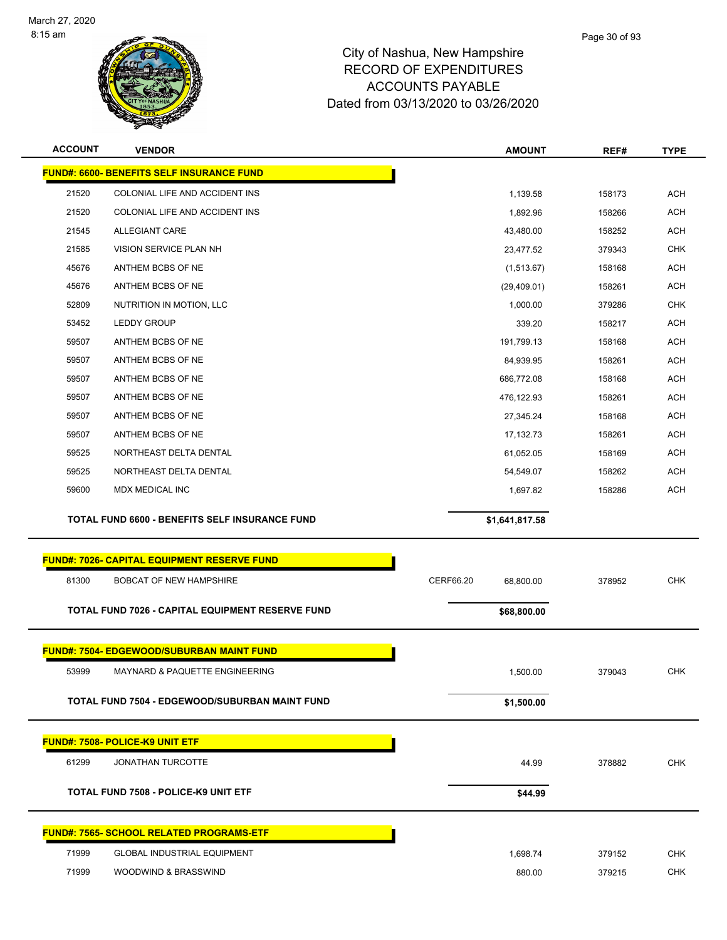

| <b>ACCOUNT</b> | <b>VENDOR</b>                                              | <b>AMOUNT</b>          | REF#             | <b>TYPE</b>              |
|----------------|------------------------------------------------------------|------------------------|------------------|--------------------------|
|                | <b>FUND#: 6600- BENEFITS SELF INSURANCE FUND</b>           |                        |                  |                          |
| 21520          | COLONIAL LIFE AND ACCIDENT INS                             | 1,139.58               | 158173           | <b>ACH</b>               |
| 21520          | COLONIAL LIFE AND ACCIDENT INS                             | 1,892.96               | 158266           | <b>ACH</b>               |
| 21545          | <b>ALLEGIANT CARE</b>                                      | 43,480.00              | 158252           | <b>ACH</b>               |
| 21585          | VISION SERVICE PLAN NH                                     | 23,477.52              | 379343           | <b>CHK</b>               |
| 45676          | ANTHEM BCBS OF NE                                          | (1,513.67)             | 158168           | <b>ACH</b>               |
| 45676          | ANTHEM BCBS OF NE                                          | (29,409.01)            | 158261           | <b>ACH</b>               |
| 52809          | NUTRITION IN MOTION, LLC                                   | 1,000.00               | 379286           | <b>CHK</b>               |
| 53452          | LEDDY GROUP                                                | 339.20                 | 158217           | <b>ACH</b>               |
| 59507          | ANTHEM BCBS OF NE                                          | 191,799.13             | 158168           | <b>ACH</b>               |
| 59507          | ANTHEM BCBS OF NE                                          | 84,939.95              | 158261           | <b>ACH</b>               |
| 59507          | ANTHEM BCBS OF NE                                          | 686,772.08             | 158168           | <b>ACH</b>               |
| 59507          | ANTHEM BCBS OF NE                                          | 476,122.93             | 158261           | <b>ACH</b>               |
| 59507          | ANTHEM BCBS OF NE                                          | 27,345.24              | 158168           | <b>ACH</b>               |
| 59507          | ANTHEM BCBS OF NE                                          | 17,132.73              | 158261           | <b>ACH</b>               |
| 59525          | NORTHEAST DELTA DENTAL                                     | 61,052.05              | 158169           | <b>ACH</b>               |
| 59525          | NORTHEAST DELTA DENTAL                                     | 54,549.07              | 158262           | <b>ACH</b>               |
| 59600          | MDX MEDICAL INC                                            | 1,697.82               | 158286           | <b>ACH</b>               |
|                |                                                            |                        |                  |                          |
|                |                                                            |                        |                  |                          |
|                | TOTAL FUND 6600 - BENEFITS SELF INSURANCE FUND             | \$1,641,817.58         |                  |                          |
|                |                                                            |                        |                  |                          |
|                | <b>FUND#: 7026- CAPITAL EQUIPMENT RESERVE FUND</b>         |                        |                  |                          |
| 81300          | <b>BOBCAT OF NEW HAMPSHIRE</b>                             | CERF66.20<br>68,800.00 | 378952           | <b>CHK</b>               |
|                | TOTAL FUND 7026 - CAPITAL EQUIPMENT RESERVE FUND           | \$68,800.00            |                  |                          |
|                |                                                            |                        |                  |                          |
|                | <u>FUND#: 7504- EDGEWOOD/SUBURBAN MAINT FUND</u>           |                        |                  |                          |
| 53999          | <b>MAYNARD &amp; PAQUETTE ENGINEERING</b>                  | 1.500.00               | 379043           | <b>CHK</b>               |
|                |                                                            |                        |                  |                          |
|                | <b>TOTAL FUND 7504 - EDGEWOOD/SUBURBAN MAINT FUND</b>      | \$1,500.00             |                  |                          |
|                |                                                            |                        |                  |                          |
|                | FUND#: 7508- POLICE-K9 UNIT ETF                            |                        |                  |                          |
| 61299          | <b>JONATHAN TURCOTTE</b>                                   | 44.99                  | 378882           | <b>CHK</b>               |
|                | TOTAL FUND 7508 - POLICE-K9 UNIT ETF                       | \$44.99                |                  |                          |
|                |                                                            |                        |                  |                          |
|                | FUND#: 7565- SCHOOL RELATED PROGRAMS-ETF                   |                        |                  |                          |
| 71999<br>71999 | <b>GLOBAL INDUSTRIAL EQUIPMENT</b><br>WOODWIND & BRASSWIND | 1,698.74<br>880.00     | 379152<br>379215 | <b>CHK</b><br><b>CHK</b> |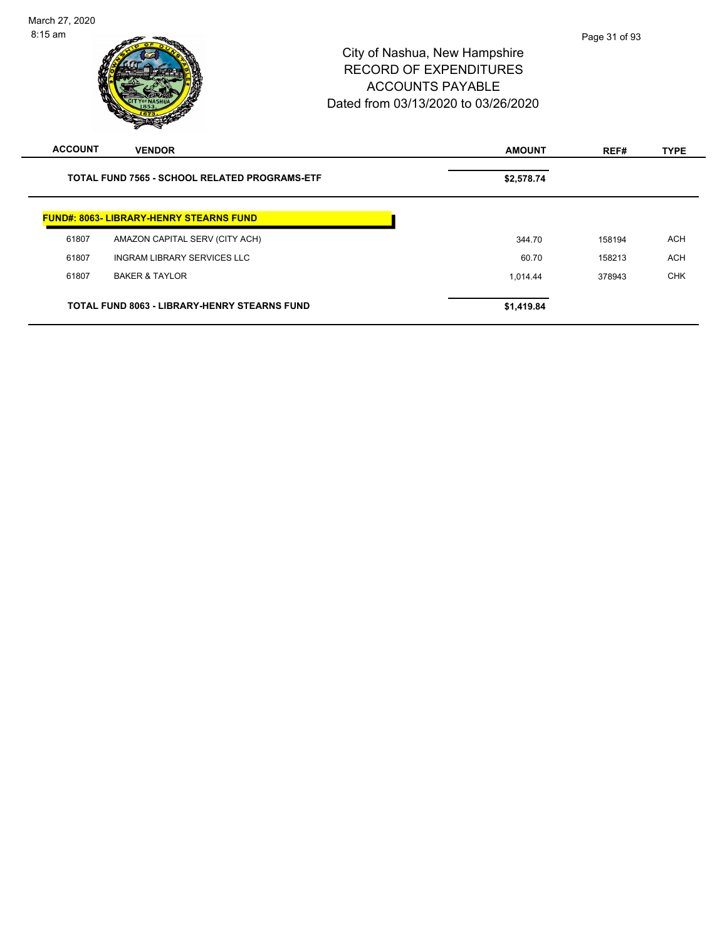| <b>ACCOUNT</b> | <b>VENDOR</b>                                        | <b>AMOUNT</b> | REF#   | <b>TYPE</b> |
|----------------|------------------------------------------------------|---------------|--------|-------------|
|                | <b>TOTAL FUND 7565 - SCHOOL RELATED PROGRAMS-ETF</b> | \$2,578.74    |        |             |
|                | <b>FUND#: 8063- LIBRARY-HENRY STEARNS FUND</b>       |               |        |             |
| 61807          | AMAZON CAPITAL SERV (CITY ACH)                       | 344.70        | 158194 | <b>ACH</b>  |
| 61807          | INGRAM LIBRARY SERVICES LLC                          | 60.70         | 158213 | <b>ACH</b>  |
| 61807          | <b>BAKER &amp; TAYLOR</b>                            | 1,014.44      | 378943 | <b>CHK</b>  |
|                | <b>TOTAL FUND 8063 - LIBRARY-HENRY STEARNS FUND</b>  | \$1,419.84    |        |             |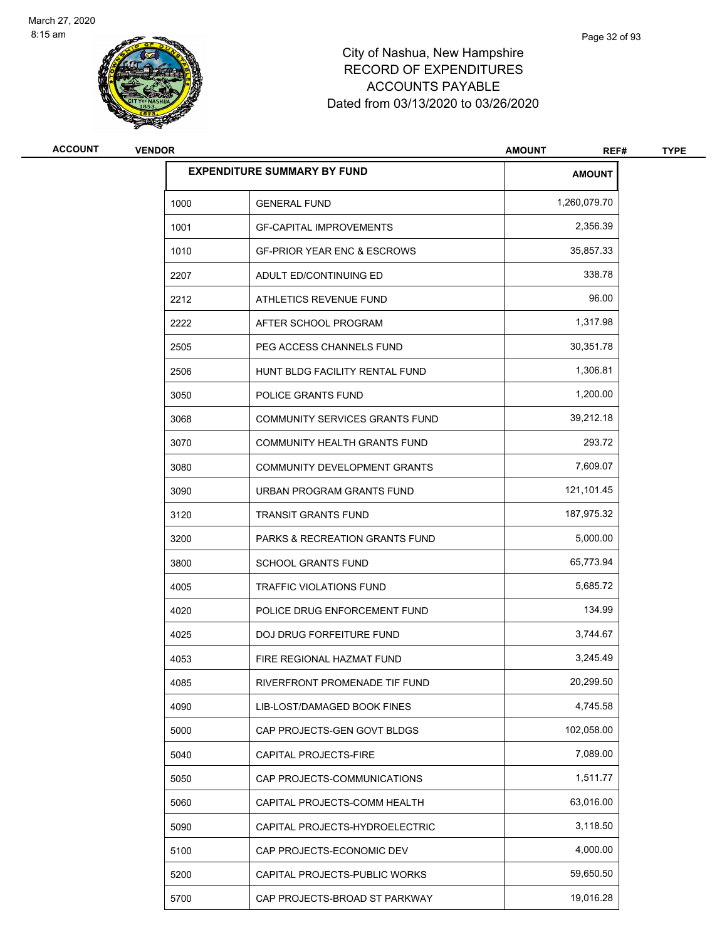

| <b>ACCOUNT</b> | <b>VENDOR</b> |                                           | <b>AMOUNT</b><br>REF# | <b>TYPE</b> |
|----------------|---------------|-------------------------------------------|-----------------------|-------------|
|                |               | <b>EXPENDITURE SUMMARY BY FUND</b>        | <b>AMOUNT</b>         |             |
|                | 1000          | <b>GENERAL FUND</b>                       | 1,260,079.70          |             |
|                | 1001          | <b>GF-CAPITAL IMPROVEMENTS</b>            | 2,356.39              |             |
|                | 1010          | <b>GF-PRIOR YEAR ENC &amp; ESCROWS</b>    | 35,857.33             |             |
|                | 2207          | ADULT ED/CONTINUING ED                    | 338.78                |             |
|                | 2212          | ATHLETICS REVENUE FUND                    | 96.00                 |             |
|                | 2222          | AFTER SCHOOL PROGRAM                      | 1,317.98              |             |
|                | 2505          | PEG ACCESS CHANNELS FUND                  | 30,351.78             |             |
|                | 2506          | HUNT BLDG FACILITY RENTAL FUND            | 1,306.81              |             |
|                | 3050          | POLICE GRANTS FUND                        | 1,200.00              |             |
|                | 3068          | COMMUNITY SERVICES GRANTS FUND            | 39,212.18             |             |
|                | 3070          | COMMUNITY HEALTH GRANTS FUND              | 293.72                |             |
|                | 3080          | COMMUNITY DEVELOPMENT GRANTS              | 7,609.07              |             |
|                | 3090          | URBAN PROGRAM GRANTS FUND                 | 121,101.45            |             |
|                | 3120          | <b>TRANSIT GRANTS FUND</b>                | 187,975.32            |             |
|                | 3200          | <b>PARKS &amp; RECREATION GRANTS FUND</b> | 5,000.00              |             |
|                | 3800          | <b>SCHOOL GRANTS FUND</b>                 | 65,773.94             |             |
|                | 4005          | TRAFFIC VIOLATIONS FUND                   | 5,685.72              |             |
|                | 4020          | POLICE DRUG ENFORCEMENT FUND              | 134.99                |             |
|                | 4025          | <b>DOJ DRUG FORFEITURE FUND</b>           | 3,744.67              |             |
|                | 4053          | FIRE REGIONAL HAZMAT FUND                 | 3,245.49              |             |
|                | 4085          | RIVERFRONT PROMENADE TIF FUND             | 20,299.50             |             |
|                | 4090          | LIB-LOST/DAMAGED BOOK FINES               | 4,745.58              |             |
|                | 5000          | CAP PROJECTS-GEN GOVT BLDGS               | 102,058.00            |             |
|                | 5040          | CAPITAL PROJECTS-FIRE                     | 7,089.00              |             |
|                | 5050          | CAP PROJECTS-COMMUNICATIONS               | 1,511.77              |             |
|                | 5060          | CAPITAL PROJECTS-COMM HEALTH              | 63,016.00             |             |
|                | 5090          | CAPITAL PROJECTS-HYDROELECTRIC            | 3,118.50              |             |
|                | 5100          | CAP PROJECTS-ECONOMIC DEV                 | 4,000.00              |             |
|                | 5200          | CAPITAL PROJECTS-PUBLIC WORKS             | 59,650.50             |             |
|                | 5700          | CAP PROJECTS-BROAD ST PARKWAY             | 19,016.28             |             |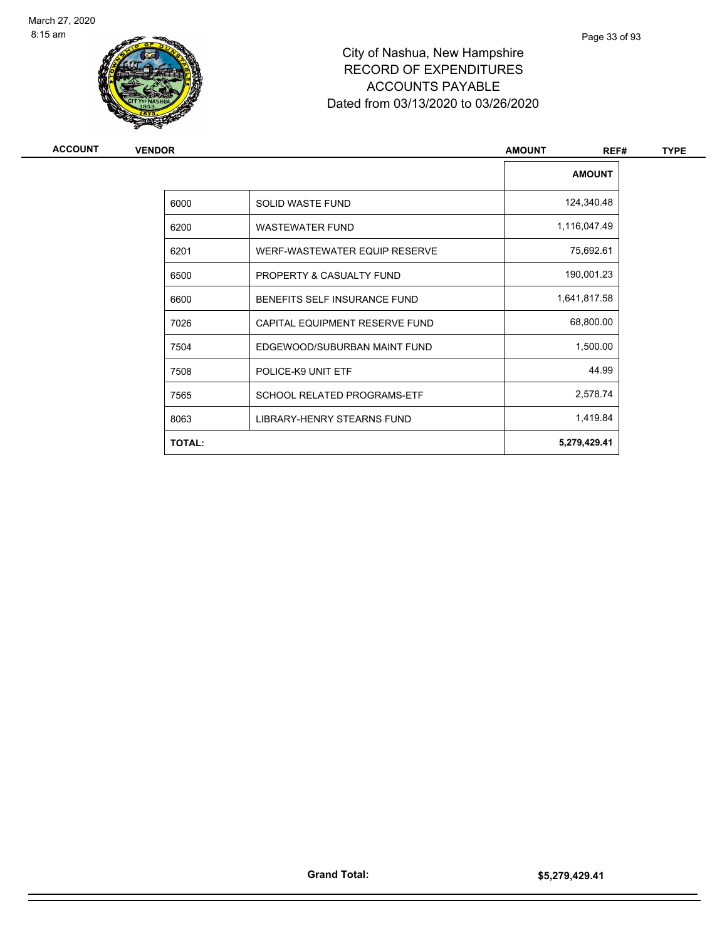

| ACCOUNT | <b>VENDOR</b> |                                    | <b>AMOUNT</b><br>REF# | <b>TYPE</b> |
|---------|---------------|------------------------------------|-----------------------|-------------|
|         |               |                                    | <b>AMOUNT</b>         |             |
|         | 6000          | SOLID WASTE FUND                   | 124,340.48            |             |
|         | 6200          | <b>WASTEWATER FUND</b>             | 1,116,047.49          |             |
|         | 6201          | WERF-WASTEWATER EQUIP RESERVE      | 75,692.61             |             |
|         | 6500          | PROPERTY & CASUALTY FUND           | 190,001.23            |             |
|         | 6600          | BENEFITS SELF INSURANCE FUND       | 1,641,817.58          |             |
|         | 7026          | CAPITAL EQUIPMENT RESERVE FUND     | 68,800.00             |             |
|         | 7504          | EDGEWOOD/SUBURBAN MAINT FUND       | 1,500.00              |             |
|         | 7508          | POLICE-K9 UNIT ETF                 | 44.99                 |             |
|         | 7565          | <b>SCHOOL RELATED PROGRAMS-ETF</b> | 2,578.74              |             |
|         | 8063          | LIBRARY-HENRY STEARNS FUND         | 1,419.84              |             |
|         | <b>TOTAL:</b> |                                    | 5,279,429.41          |             |
|         |               |                                    |                       |             |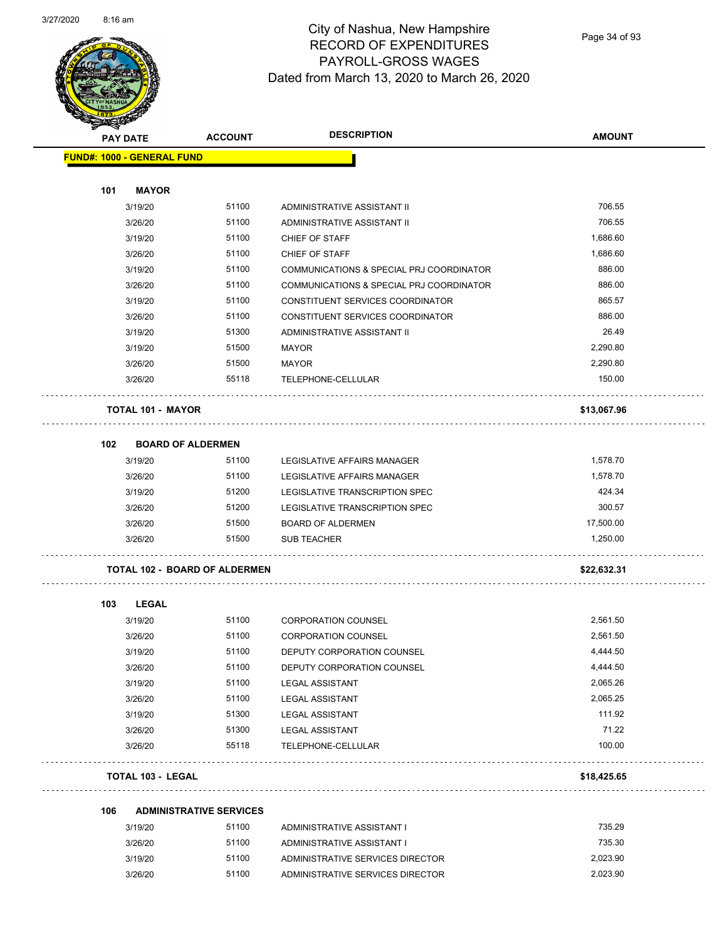

#### City of Nashua, New Hampshire RECORD OF EXPENDITURES PAYROLL-GROSS WAGES Dated from March 13, 2020 to March 26, 2020

Page 34 of 93

|     | <b>PAY DATE</b>                      | <b>ACCOUNT</b> | <b>DESCRIPTION</b>                       | <b>AMOUNT</b> |
|-----|--------------------------------------|----------------|------------------------------------------|---------------|
|     | <b>FUND#: 1000 - GENERAL FUND</b>    |                |                                          |               |
|     |                                      |                |                                          |               |
| 101 | <b>MAYOR</b>                         |                |                                          |               |
|     | 3/19/20                              | 51100          | ADMINISTRATIVE ASSISTANT II              | 706.55        |
|     | 3/26/20                              | 51100          | ADMINISTRATIVE ASSISTANT II              | 706.55        |
|     | 3/19/20                              | 51100          | CHIEF OF STAFF                           | 1,686.60      |
|     | 3/26/20                              | 51100          | CHIEF OF STAFF                           | 1,686.60      |
|     | 3/19/20                              | 51100          | COMMUNICATIONS & SPECIAL PRJ COORDINATOR | 886.00        |
|     | 3/26/20                              | 51100          | COMMUNICATIONS & SPECIAL PRJ COORDINATOR | 886.00        |
|     | 3/19/20                              | 51100          | CONSTITUENT SERVICES COORDINATOR         | 865.57        |
|     | 3/26/20                              | 51100          | CONSTITUENT SERVICES COORDINATOR         | 886.00        |
|     | 3/19/20                              | 51300          | ADMINISTRATIVE ASSISTANT II              | 26.49         |
|     | 3/19/20                              | 51500          | <b>MAYOR</b>                             | 2,290.80      |
|     | 3/26/20                              | 51500          | <b>MAYOR</b>                             | 2,290.80      |
|     | 3/26/20                              | 55118          | TELEPHONE-CELLULAR                       | 150.00        |
|     |                                      |                |                                          |               |
|     | <b>TOTAL 101 - MAYOR</b>             |                |                                          | \$13,067.96   |
| 102 | <b>BOARD OF ALDERMEN</b>             |                |                                          |               |
|     | 3/19/20                              | 51100          | LEGISLATIVE AFFAIRS MANAGER              | 1,578.70      |
|     | 3/26/20                              | 51100          | LEGISLATIVE AFFAIRS MANAGER              | 1,578.70      |
|     | 3/19/20                              | 51200          | LEGISLATIVE TRANSCRIPTION SPEC           | 424.34        |
|     | 3/26/20                              | 51200          | LEGISLATIVE TRANSCRIPTION SPEC           | 300.57        |
|     | 3/26/20                              | 51500          | <b>BOARD OF ALDERMEN</b>                 | 17,500.00     |
|     | 3/26/20                              | 51500          | <b>SUB TEACHER</b>                       | 1,250.00      |
|     |                                      |                |                                          |               |
|     | <b>TOTAL 102 - BOARD OF ALDERMEN</b> |                |                                          | \$22,632.31   |
|     |                                      |                |                                          |               |
| 103 | <b>LEGAL</b>                         |                |                                          |               |
|     | 3/19/20                              | 51100          | <b>CORPORATION COUNSEL</b>               | 2,561.50      |
|     | 3/26/20                              | 51100          | <b>CORPORATION COUNSEL</b>               | 2,561.50      |
|     | 3/19/20                              | 51100          | DEPUTY CORPORATION COUNSEL               | 4,444.50      |
|     | 3/26/20                              | 51100          | DEPUTY CORPORATION COUNSEL               | 4,444.50      |
|     | 3/19/20                              | 51100          | <b>LEGAL ASSISTANT</b>                   | 2,065.26      |
|     | 3/26/20                              | 51100          | <b>LEGAL ASSISTANT</b>                   | 2,065.25      |
|     | 3/19/20                              | 51300          | <b>LEGAL ASSISTANT</b>                   | 111.92        |
|     | 3/26/20                              | 51300          | <b>LEGAL ASSISTANT</b>                   | 71.22         |
|     | 3/26/20                              | 55118          | TELEPHONE-CELLULAR                       | 100.00        |
|     | <b>TOTAL 103 - LEGAL</b>             |                |                                          | \$18,425.65   |
| 106 | <b>ADMINISTRATIVE SERVICES</b>       |                |                                          |               |
|     | 3/19/20                              | 51100          | ADMINISTRATIVE ASSISTANT I               | 735.29        |
|     | 3/26/20                              | 51100          | ADMINISTRATIVE ASSISTANT I               | 735.30        |
|     | 3/19/20                              | 51100          | ADMINISTRATIVE SERVICES DIRECTOR         | 2,023.90      |
|     | 3/26/20                              | 51100          | ADMINISTRATIVE SERVICES DIRECTOR         | 2,023.90      |
|     |                                      |                |                                          |               |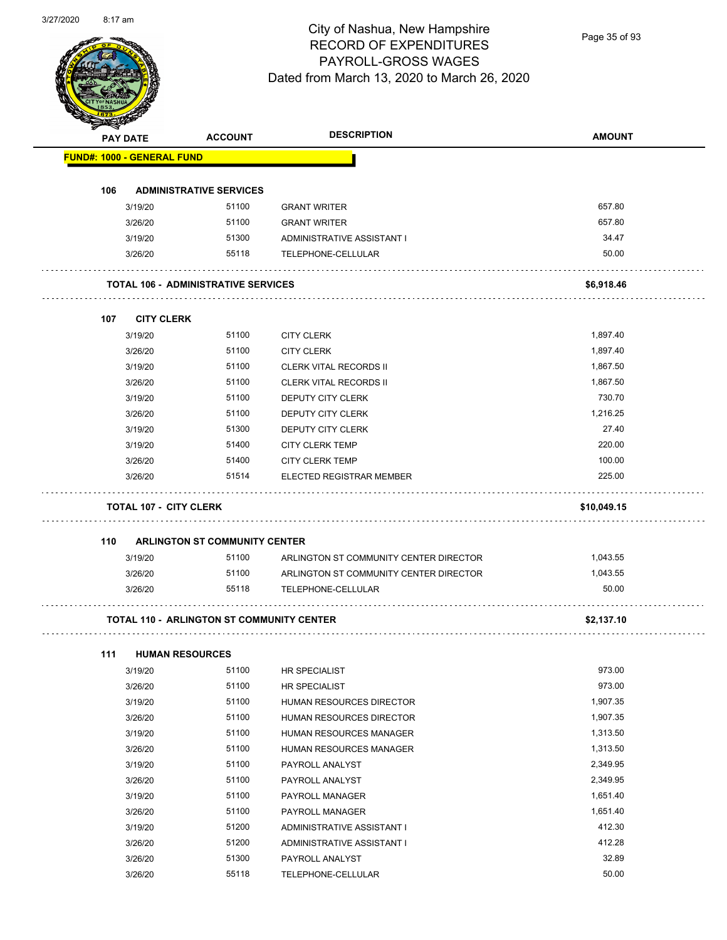#### City of Nashua, New Hampshire RECORD OF EXPENDITURES PAYROLL-GROSS WAGES Dated from March 13, 2020 to March 26, 2020

Page 35 of 93

|     | <b>PAY DATE</b>                   | <b>ACCOUNT</b>                                   | <b>DESCRIPTION</b>                     | <b>AMOUNT</b> |
|-----|-----------------------------------|--------------------------------------------------|----------------------------------------|---------------|
|     | <b>FUND#: 1000 - GENERAL FUND</b> |                                                  |                                        |               |
|     |                                   |                                                  |                                        |               |
| 106 |                                   | <b>ADMINISTRATIVE SERVICES</b>                   |                                        |               |
|     | 3/19/20                           | 51100                                            | <b>GRANT WRITER</b>                    | 657.80        |
|     | 3/26/20                           | 51100                                            | <b>GRANT WRITER</b>                    | 657.80        |
|     | 3/19/20                           | 51300                                            | ADMINISTRATIVE ASSISTANT I             | 34.47         |
|     | 3/26/20                           | 55118                                            | TELEPHONE-CELLULAR                     | 50.00         |
|     |                                   | <b>TOTAL 106 - ADMINISTRATIVE SERVICES</b>       |                                        | \$6,918.46    |
| 107 | <b>CITY CLERK</b>                 |                                                  |                                        |               |
|     | 3/19/20                           | 51100                                            | <b>CITY CLERK</b>                      | 1,897.40      |
|     | 3/26/20                           | 51100                                            | <b>CITY CLERK</b>                      | 1,897.40      |
|     | 3/19/20                           | 51100                                            | <b>CLERK VITAL RECORDS II</b>          | 1,867.50      |
|     | 3/26/20                           | 51100                                            | <b>CLERK VITAL RECORDS II</b>          | 1,867.50      |
|     | 3/19/20                           | 51100                                            | DEPUTY CITY CLERK                      | 730.70        |
|     | 3/26/20                           | 51100                                            | <b>DEPUTY CITY CLERK</b>               | 1,216.25      |
|     | 3/19/20                           | 51300                                            | DEPUTY CITY CLERK                      | 27.40         |
|     | 3/19/20                           | 51400                                            | <b>CITY CLERK TEMP</b>                 | 220.00        |
|     | 3/26/20                           | 51400                                            | <b>CITY CLERK TEMP</b>                 | 100.00        |
|     | 3/26/20                           | 51514                                            | ELECTED REGISTRAR MEMBER               | 225.00        |
|     | <b>TOTAL 107 - CITY CLERK</b>     |                                                  |                                        | \$10,049.15   |
| 110 |                                   | <b>ARLINGTON ST COMMUNITY CENTER</b>             |                                        |               |
|     | 3/19/20                           | 51100                                            | ARLINGTON ST COMMUNITY CENTER DIRECTOR | 1,043.55      |
|     |                                   | 51100                                            | ARLINGTON ST COMMUNITY CENTER DIRECTOR | 1,043.55      |
|     | 3/26/20                           |                                                  |                                        |               |
|     | 3/26/20                           | 55118                                            | TELEPHONE-CELLULAR                     | 50.00         |
|     |                                   | <b>TOTAL 110 - ARLINGTON ST COMMUNITY CENTER</b> |                                        | \$2,137.10    |
| 111 |                                   | <b>HUMAN RESOURCES</b>                           |                                        |               |
|     | 3/19/20                           | 51100                                            | <b>HR SPECIALIST</b>                   | 973.00        |
|     | 3/26/20                           | 51100                                            | HR SPECIALIST                          | 973.00        |
|     | 3/19/20                           | 51100                                            | HUMAN RESOURCES DIRECTOR               | 1,907.35      |
|     | 3/26/20                           | 51100                                            | HUMAN RESOURCES DIRECTOR               | 1,907.35      |
|     | 3/19/20                           | 51100                                            | HUMAN RESOURCES MANAGER                | 1,313.50      |
|     | 3/26/20                           | 51100                                            | HUMAN RESOURCES MANAGER                | 1,313.50      |
|     | 3/19/20                           | 51100                                            | PAYROLL ANALYST                        | 2,349.95      |
|     | 3/26/20                           | 51100                                            | PAYROLL ANALYST                        | 2,349.95      |
|     | 3/19/20                           | 51100                                            | PAYROLL MANAGER                        | 1,651.40      |
|     | 3/26/20                           | 51100                                            | PAYROLL MANAGER                        | 1,651.40      |
|     | 3/19/20                           | 51200                                            | ADMINISTRATIVE ASSISTANT I             | 412.30        |
|     | 3/26/20                           | 51200                                            | ADMINISTRATIVE ASSISTANT I             | 412.28        |
|     | 3/26/20                           | 51300                                            | PAYROLL ANALYST                        | 32.89         |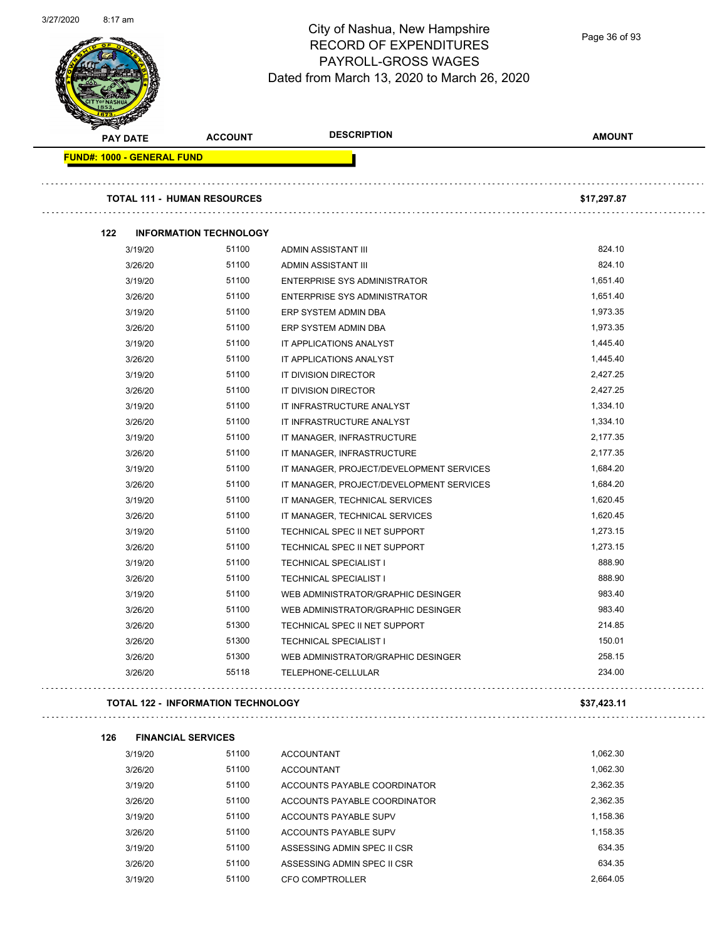

#### City of Nashua, New Hampshire RECORD OF EXPENDITURES PAYROLL-GROSS WAGES Dated from March 13, 2020 to March 26, 2020

Page 36 of 93

| <b>PAY DATE</b>                           |             | <b>ACCOUNT</b>                     | <b>DESCRIPTION</b>                       | <b>AMOUNT</b> |
|-------------------------------------------|-------------|------------------------------------|------------------------------------------|---------------|
| <b>FUND#: 1000 - GENERAL FUND</b>         |             |                                    |                                          |               |
|                                           |             | <b>TOTAL 111 - HUMAN RESOURCES</b> |                                          | \$17,297.87   |
|                                           |             |                                    |                                          |               |
| 122                                       |             | <b>INFORMATION TECHNOLOGY</b>      |                                          |               |
|                                           | 3/19/20     | 51100                              | ADMIN ASSISTANT III                      | 824.10        |
|                                           | 3/26/20     | 51100                              | ADMIN ASSISTANT III                      | 824.10        |
|                                           | 3/19/20     | 51100                              | <b>ENTERPRISE SYS ADMINISTRATOR</b>      | 1,651.40      |
|                                           | 3/26/20     | 51100                              | ENTERPRISE SYS ADMINISTRATOR             | 1,651.40      |
|                                           | 3/19/20     | 51100                              | ERP SYSTEM ADMIN DBA                     | 1,973.35      |
|                                           | 3/26/20     | 51100                              | ERP SYSTEM ADMIN DBA                     | 1,973.35      |
|                                           | 3/19/20     | 51100                              | IT APPLICATIONS ANALYST                  | 1,445.40      |
|                                           | 3/26/20     | 51100                              | IT APPLICATIONS ANALYST                  | 1,445.40      |
|                                           | 3/19/20     | 51100                              | IT DIVISION DIRECTOR                     | 2,427.25      |
|                                           | 3/26/20     | 51100                              | IT DIVISION DIRECTOR                     | 2,427.25      |
|                                           | 3/19/20     | 51100                              | IT INFRASTRUCTURE ANALYST                | 1,334.10      |
|                                           | 3/26/20     | 51100                              | IT INFRASTRUCTURE ANALYST                | 1,334.10      |
|                                           | 3/19/20     | 51100                              | IT MANAGER, INFRASTRUCTURE               | 2,177.35      |
|                                           | 3/26/20     | 51100                              | IT MANAGER, INFRASTRUCTURE               | 2,177.35      |
|                                           | 3/19/20     | 51100                              | IT MANAGER, PROJECT/DEVELOPMENT SERVICES | 1,684.20      |
|                                           | 3/26/20     | 51100                              | IT MANAGER, PROJECT/DEVELOPMENT SERVICES | 1,684.20      |
|                                           | 3/19/20     | 51100                              | IT MANAGER, TECHNICAL SERVICES           | 1,620.45      |
|                                           | 3/26/20     | 51100                              | IT MANAGER, TECHNICAL SERVICES           | 1,620.45      |
|                                           | 3/19/20     | 51100                              | TECHNICAL SPEC II NET SUPPORT            | 1,273.15      |
|                                           | 3/26/20     | 51100                              | TECHNICAL SPEC II NET SUPPORT            | 1,273.15      |
|                                           | 3/19/20     | 51100                              | <b>TECHNICAL SPECIALIST I</b>            | 888.90        |
|                                           | 3/26/20     | 51100                              | <b>TECHNICAL SPECIALIST I</b>            | 888.90        |
|                                           | 3/19/20     | 51100                              | WEB ADMINISTRATOR/GRAPHIC DESINGER       | 983.40        |
|                                           | 3/26/20     | 51100                              | WEB ADMINISTRATOR/GRAPHIC DESINGER       | 983.40        |
|                                           | 3/26/20     | 51300                              | TECHNICAL SPEC II NET SUPPORT            | 214.85        |
|                                           | 3/26/20     | 51300                              | TECHNICAL SPECIALIST I                   | 150.01        |
|                                           | 3/26/20     | 51300                              | WEB ADMINISTRATOR/GRAPHIC DESINGER       | 258.15        |
|                                           | 3/26/20     | 55118                              | TELEPHONE-CELLULAR                       | 234.00        |
| <b>TOTAL 122 - INFORMATION TECHNOLOGY</b> | \$37,423.11 |                                    |                                          |               |

| 3/19/20 | 51100 | <b>ACCOUNTANT</b>            | 1,062.30 |
|---------|-------|------------------------------|----------|
| 3/26/20 | 51100 | <b>ACCOUNTANT</b>            | 1.062.30 |
| 3/19/20 | 51100 | ACCOUNTS PAYABLE COORDINATOR | 2.362.35 |
| 3/26/20 | 51100 | ACCOUNTS PAYABLE COORDINATOR | 2,362.35 |
| 3/19/20 | 51100 | ACCOUNTS PAYABLE SUPV        | 1,158.36 |
| 3/26/20 | 51100 | ACCOUNTS PAYABLE SUPV        | 1.158.35 |
| 3/19/20 | 51100 | ASSESSING ADMIN SPEC II CSR  | 634.35   |
| 3/26/20 | 51100 | ASSESSING ADMIN SPEC II CSR  | 634.35   |
| 3/19/20 | 51100 | CFO COMPTROLLER              | 2.664.05 |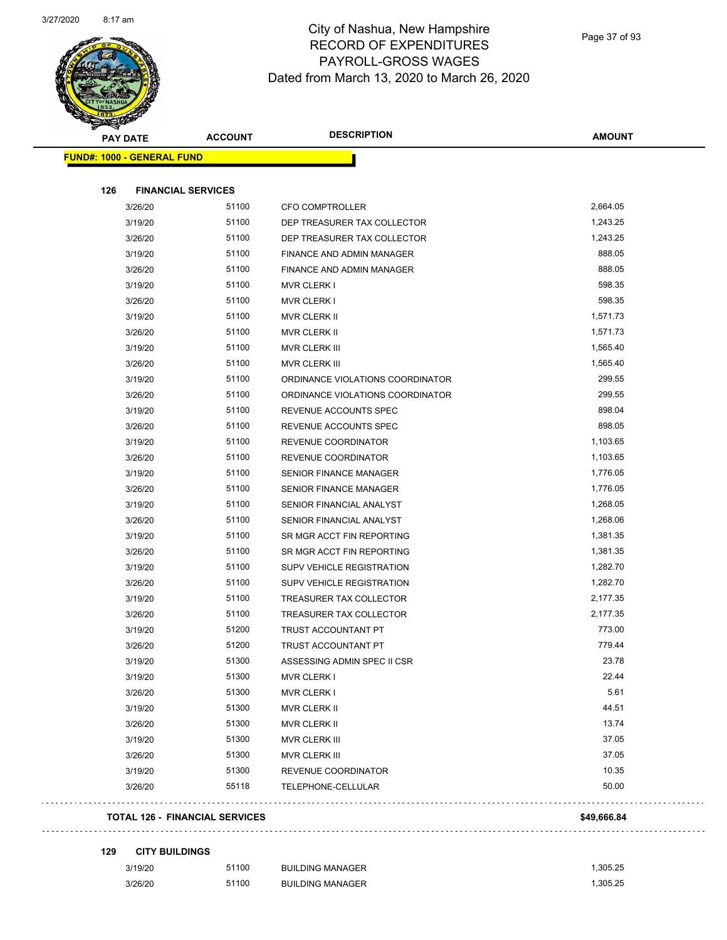

Page 37 of 93

| <b>PAY DATE</b>                   | <b>ACCOUNT</b>                 | <b>DESCRIPTION</b>               | <b>AMOUNT</b> |
|-----------------------------------|--------------------------------|----------------------------------|---------------|
| <b>FUND#: 1000 - GENERAL FUND</b> |                                |                                  |               |
| 126                               | <b>FINANCIAL SERVICES</b>      |                                  |               |
| 3/26/20                           | 51100                          | <b>CFO COMPTROLLER</b>           | 2,664.05      |
| 3/19/20                           | 51100                          | DEP TREASURER TAX COLLECTOR      | 1,243.25      |
| 3/26/20                           | 51100                          | DEP TREASURER TAX COLLECTOR      | 1,243.25      |
| 3/19/20                           | 51100                          | FINANCE AND ADMIN MANAGER        | 888.05        |
| 3/26/20                           | 51100                          | FINANCE AND ADMIN MANAGER        | 888.05        |
| 3/19/20                           | 51100                          | <b>MVR CLERK I</b>               | 598.35        |
| 3/26/20                           | 51100                          | <b>MVR CLERK I</b>               | 598.35        |
| 3/19/20                           | 51100                          | MVR CLERK II                     | 1,571.73      |
| 3/26/20                           | 51100                          | MVR CLERK II                     | 1,571.73      |
| 3/19/20                           | 51100                          | <b>MVR CLERK III</b>             | 1,565.40      |
| 3/26/20                           | 51100                          | MVR CLERK III                    | 1,565.40      |
| 3/19/20                           | 51100                          | ORDINANCE VIOLATIONS COORDINATOR | 299.55        |
| 3/26/20                           | 51100                          | ORDINANCE VIOLATIONS COORDINATOR | 299.55        |
| 3/19/20                           | 51100                          | REVENUE ACCOUNTS SPEC            | 898.04        |
| 3/26/20                           | 51100                          | REVENUE ACCOUNTS SPEC            | 898.05        |
| 3/19/20                           | 51100                          | <b>REVENUE COORDINATOR</b>       | 1,103.65      |
| 3/26/20                           | 51100                          | REVENUE COORDINATOR              | 1,103.65      |
| 3/19/20                           | 51100                          | <b>SENIOR FINANCE MANAGER</b>    | 1,776.05      |
| 3/26/20                           | 51100                          | <b>SENIOR FINANCE MANAGER</b>    | 1,776.05      |
| 3/19/20                           | 51100                          | SENIOR FINANCIAL ANALYST         | 1,268.05      |
| 3/26/20                           | 51100                          | SENIOR FINANCIAL ANALYST         | 1,268.06      |
| 3/19/20                           | 51100                          | SR MGR ACCT FIN REPORTING        | 1,381.35      |
| 3/26/20                           | 51100                          | SR MGR ACCT FIN REPORTING        | 1,381.35      |
| 3/19/20                           | 51100                          | SUPV VEHICLE REGISTRATION        | 1,282.70      |
| 3/26/20                           | 51100                          | SUPV VEHICLE REGISTRATION        | 1,282.70      |
| 3/19/20                           | 51100                          | TREASURER TAX COLLECTOR          | 2,177.35      |
| 3/26/20                           | 51100                          | TREASURER TAX COLLECTOR          | 2,177.35      |
| 3/19/20                           | 51200                          | TRUST ACCOUNTANT PT              | 773.00        |
| 3/26/20                           | 51200                          | TRUST ACCOUNTANT PT              | 779.44        |
| 3/19/20                           | 51300                          | ASSESSING ADMIN SPEC II CSR      | 23.78         |
| 3/19/20                           | 51300                          | <b>MVR CLERK I</b>               | 22.44         |
| 3/26/20                           | 51300                          | <b>MVR CLERK I</b>               | 5.61          |
| 3/19/20                           | 51300                          | MVR CLERK II                     | 44.51         |
| 3/26/20                           | 51300                          | MVR CLERK II                     | 13.74         |
| 3/19/20                           | 51300                          | MVR CLERK III                    | 37.05         |
| 3/26/20                           | 51300                          | MVR CLERK III                    | 37.05         |
| 3/19/20                           | 51300                          | REVENUE COORDINATOR              | 10.35         |
| 3/26/20                           | 55118                          | TELEPHONE-CELLULAR               | 50.00         |
|                                   |                                |                                  |               |
|                                   | TOTAL 126 - FINANCIAL SERVICES |                                  | \$49,666.84   |

**129 CITY BUILDINGS**

| 3/19/20 | 51100 | <b>BUILDING MANAGER</b> | .305.25  |
|---------|-------|-------------------------|----------|
| 3/26/20 | 51100 | <b>BUILDING MANAGER</b> | 1.305.25 |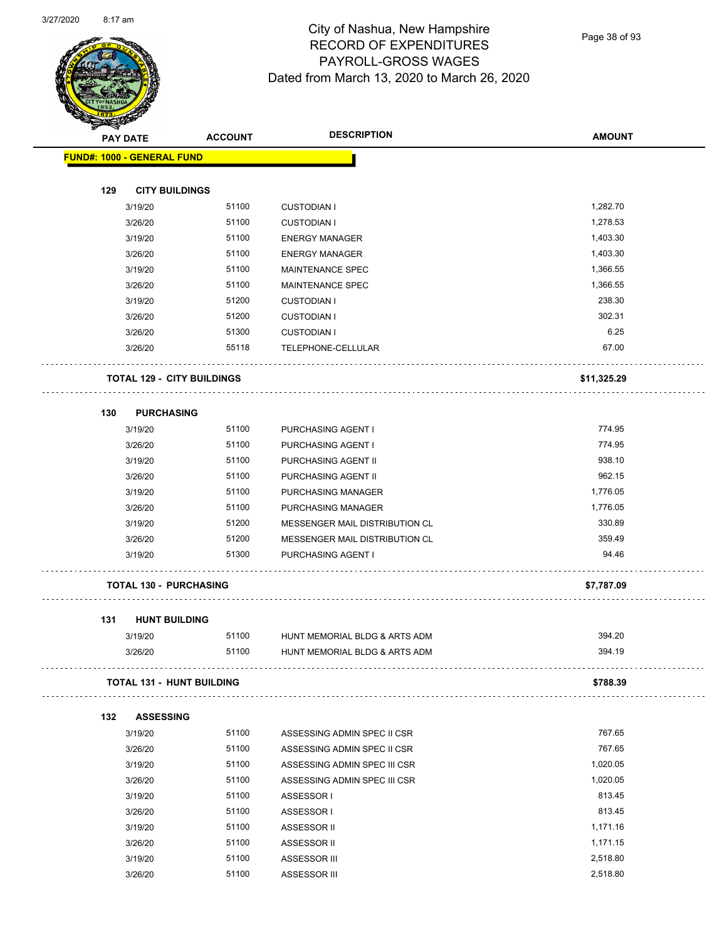

Page 38 of 93

| <b>PAY DATE</b>                   |         | <b>ACCOUNT</b>                    | <b>DESCRIPTION</b>             | <b>AMOUNT</b> |
|-----------------------------------|---------|-----------------------------------|--------------------------------|---------------|
| <b>FUND#: 1000 - GENERAL FUND</b> |         |                                   |                                |               |
|                                   |         |                                   |                                |               |
| 129                               |         | <b>CITY BUILDINGS</b>             |                                |               |
|                                   | 3/19/20 | 51100                             | <b>CUSTODIAN I</b>             | 1,282.70      |
|                                   | 3/26/20 | 51100                             | <b>CUSTODIAN I</b>             | 1,278.53      |
|                                   | 3/19/20 | 51100                             | <b>ENERGY MANAGER</b>          | 1,403.30      |
|                                   | 3/26/20 | 51100                             | <b>ENERGY MANAGER</b>          | 1,403.30      |
|                                   | 3/19/20 | 51100                             | MAINTENANCE SPEC               | 1,366.55      |
|                                   | 3/26/20 | 51100                             | <b>MAINTENANCE SPEC</b>        | 1,366.55      |
|                                   | 3/19/20 | 51200                             | <b>CUSTODIAN I</b>             | 238.30        |
|                                   | 3/26/20 | 51200                             | <b>CUSTODIAN I</b>             | 302.31        |
|                                   | 3/26/20 | 51300                             | <b>CUSTODIAN I</b>             | 6.25          |
|                                   | 3/26/20 | 55118                             | TELEPHONE-CELLULAR             | 67.00         |
|                                   |         | <b>TOTAL 129 - CITY BUILDINGS</b> |                                | \$11,325.29   |
|                                   |         |                                   |                                |               |
| 130                               |         | <b>PURCHASING</b>                 |                                |               |
|                                   | 3/19/20 | 51100                             | PURCHASING AGENT I             | 774.95        |
|                                   | 3/26/20 | 51100                             | PURCHASING AGENT I             | 774.95        |
|                                   | 3/19/20 | 51100                             | PURCHASING AGENT II            | 938.10        |
|                                   | 3/26/20 | 51100                             | PURCHASING AGENT II            | 962.15        |
|                                   | 3/19/20 | 51100                             | PURCHASING MANAGER             | 1,776.05      |
|                                   | 3/26/20 | 51100                             | PURCHASING MANAGER             | 1,776.05      |
|                                   | 3/19/20 | 51200                             | MESSENGER MAIL DISTRIBUTION CL | 330.89        |
|                                   | 3/26/20 | 51200                             | MESSENGER MAIL DISTRIBUTION CL | 359.49        |
|                                   | 3/19/20 | 51300                             | PURCHASING AGENT I             | 94.46         |
|                                   |         | <b>TOTAL 130 - PURCHASING</b>     |                                | \$7,787.09    |
| 131                               |         | <b>HUNT BUILDING</b>              |                                |               |
|                                   | 3/19/20 | 51100                             | HUNT MEMORIAL BLDG & ARTS ADM  | 394.20        |
|                                   | 3/26/20 | 51100                             | HUNT MEMORIAL BLDG & ARTS ADM  | 394.19        |
|                                   |         | <b>TOTAL 131 - HUNT BUILDING</b>  |                                | \$788.39      |
| 132                               |         | <b>ASSESSING</b>                  |                                |               |
|                                   | 3/19/20 | 51100                             | ASSESSING ADMIN SPEC II CSR    | 767.65        |
|                                   | 3/26/20 | 51100                             | ASSESSING ADMIN SPEC II CSR    | 767.65        |
|                                   | 3/19/20 | 51100                             | ASSESSING ADMIN SPEC III CSR   | 1,020.05      |
|                                   | 3/26/20 | 51100                             | ASSESSING ADMIN SPEC III CSR   | 1,020.05      |
|                                   | 3/19/20 | 51100                             | ASSESSOR I                     | 813.45        |
|                                   | 3/26/20 | 51100                             | ASSESSOR I                     | 813.45        |
|                                   | 3/19/20 | 51100                             | ASSESSOR II                    | 1,171.16      |
|                                   | 3/26/20 | 51100                             | ASSESSOR II                    | 1,171.15      |
|                                   | 3/19/20 | 51100                             | ASSESSOR III                   | 2,518.80      |
|                                   | 3/26/20 | 51100                             | ASSESSOR III                   | 2,518.80      |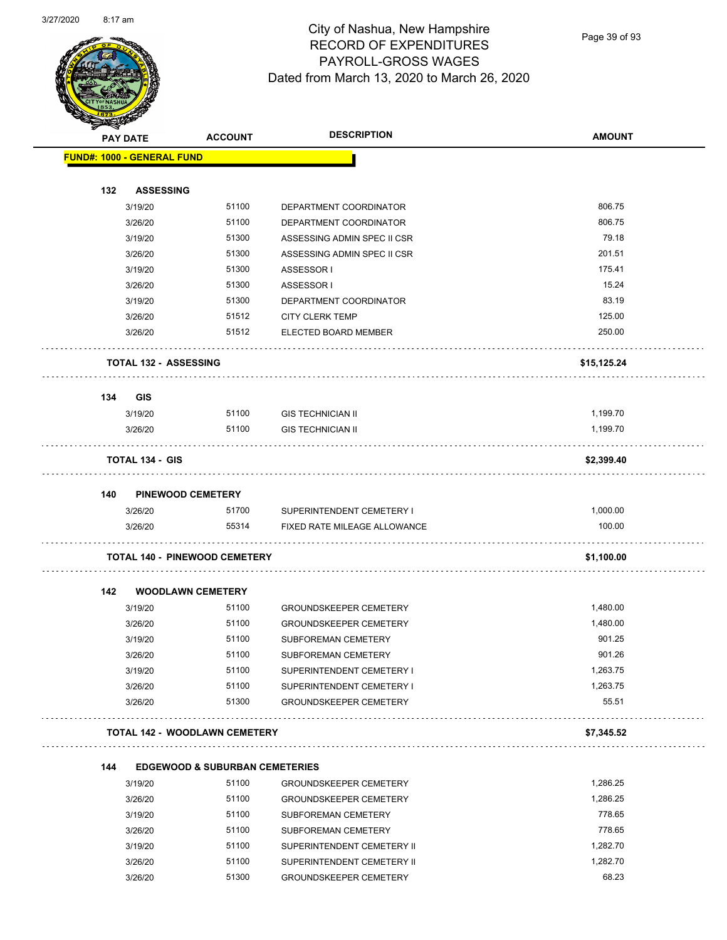

Page 39 of 93

| <b>Anthony</b> | <b>PAY DATE</b>                      | <b>ACCOUNT</b>                                     | <b>DESCRIPTION</b>            | <b>AMOUNT</b> |
|----------------|--------------------------------------|----------------------------------------------------|-------------------------------|---------------|
|                | <b>FUND#: 1000 - GENERAL FUND</b>    |                                                    |                               |               |
|                |                                      |                                                    |                               |               |
| 132            | <b>ASSESSING</b>                     |                                                    |                               |               |
|                | 3/19/20                              | 51100                                              | DEPARTMENT COORDINATOR        | 806.75        |
|                | 3/26/20                              | 51100                                              | DEPARTMENT COORDINATOR        | 806.75        |
|                | 3/19/20                              | 51300                                              | ASSESSING ADMIN SPEC II CSR   | 79.18         |
|                | 3/26/20                              | 51300                                              | ASSESSING ADMIN SPEC II CSR   | 201.51        |
|                | 3/19/20                              | 51300                                              | ASSESSOR I                    | 175.41        |
|                | 3/26/20                              | 51300                                              | ASSESSOR I                    | 15.24         |
|                | 3/19/20                              | 51300                                              | DEPARTMENT COORDINATOR        | 83.19         |
|                | 3/26/20                              | 51512                                              | <b>CITY CLERK TEMP</b>        | 125.00        |
|                | 3/26/20                              | 51512                                              | ELECTED BOARD MEMBER          | 250.00        |
|                | <b>TOTAL 132 - ASSESSING</b>         |                                                    |                               | \$15,125.24   |
| 134            | <b>GIS</b>                           |                                                    |                               |               |
|                | 3/19/20                              | 51100                                              | <b>GIS TECHNICIAN II</b>      | 1,199.70      |
|                | 3/26/20                              | 51100                                              | <b>GIS TECHNICIAN II</b>      | 1,199.70      |
|                | TOTAL 134 - GIS                      |                                                    |                               | \$2,399.40    |
| 140            | <b>PINEWOOD CEMETERY</b>             |                                                    |                               |               |
|                | 3/26/20                              | 51700                                              | SUPERINTENDENT CEMETERY I     | 1,000.00      |
|                | 3/26/20                              | 55314                                              | FIXED RATE MILEAGE ALLOWANCE  | 100.00        |
|                | <b>TOTAL 140 - PINEWOOD CEMETERY</b> |                                                    |                               | \$1,100.00    |
| 142            | <b>WOODLAWN CEMETERY</b>             |                                                    |                               |               |
|                | 3/19/20                              | 51100                                              | <b>GROUNDSKEEPER CEMETERY</b> | 1,480.00      |
|                | 3/26/20                              | 51100                                              | <b>GROUNDSKEEPER CEMETERY</b> | 1,480.00      |
|                | 3/19/20                              | 51100                                              | SUBFOREMAN CEMETERY           | 901.25        |
|                | 3/26/20                              | 51100                                              | SUBFOREMAN CEMETERY           | 901.26        |
|                | 3/19/20                              | 51100                                              | SUPERINTENDENT CEMETERY I     | 1,263.75      |
|                | 3/26/20                              | 51100                                              | SUPERINTENDENT CEMETERY I     | 1,263.75      |
|                | 3/26/20                              | 51300                                              | <b>GROUNDSKEEPER CEMETERY</b> | 55.51         |
|                | <b>TOTAL 142 - WOODLAWN CEMETERY</b> |                                                    |                               | \$7,345.52    |
|                |                                      |                                                    |                               |               |
| 144            | 3/19/20                              | <b>EDGEWOOD &amp; SUBURBAN CEMETERIES</b><br>51100 | <b>GROUNDSKEEPER CEMETERY</b> | 1,286.25      |
|                | 3/26/20                              | 51100                                              | <b>GROUNDSKEEPER CEMETERY</b> | 1,286.25      |
|                | 3/19/20                              | 51100                                              | SUBFOREMAN CEMETERY           | 778.65        |
|                | 3/26/20                              | 51100                                              | SUBFOREMAN CEMETERY           | 778.65        |
|                | 3/19/20                              | 51100                                              | SUPERINTENDENT CEMETERY II    | 1,282.70      |
|                | 3/26/20                              | 51100                                              | SUPERINTENDENT CEMETERY II    | 1,282.70      |
|                | 3/26/20                              | 51300                                              | <b>GROUNDSKEEPER CEMETERY</b> | 68.23         |
|                |                                      |                                                    |                               |               |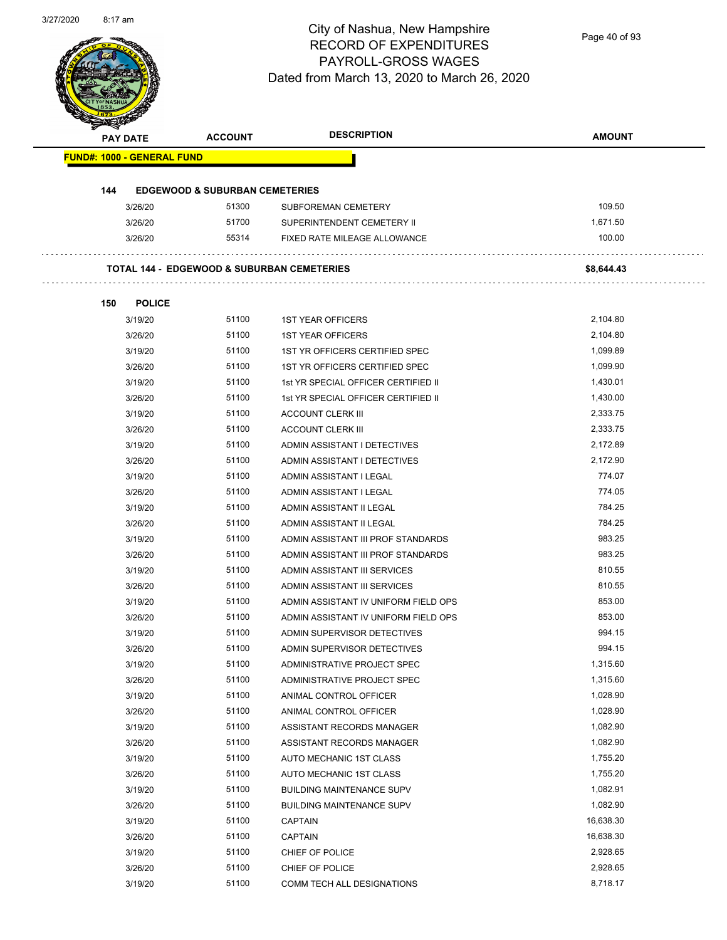Page 40 of 93

|     | PAY DATE                          | <b>ACCOUNT</b>                            | <b>DESCRIPTION</b>                                    | <b>AMOUNT</b> |
|-----|-----------------------------------|-------------------------------------------|-------------------------------------------------------|---------------|
|     | <b>FUND#: 1000 - GENERAL FUND</b> |                                           |                                                       |               |
|     |                                   |                                           |                                                       |               |
| 144 |                                   | <b>EDGEWOOD &amp; SUBURBAN CEMETERIES</b> |                                                       |               |
|     | 3/26/20                           | 51300                                     | <b>SUBFOREMAN CEMETERY</b>                            | 109.50        |
|     | 3/26/20                           | 51700                                     | SUPERINTENDENT CEMETERY II                            | 1,671.50      |
|     | 3/26/20                           | 55314                                     | FIXED RATE MILEAGE ALLOWANCE                          | 100.00        |
|     |                                   |                                           | <b>TOTAL 144 - EDGEWOOD &amp; SUBURBAN CEMETERIES</b> | \$8,644.43    |
| 150 | <b>POLICE</b>                     |                                           |                                                       |               |
|     | 3/19/20                           | 51100                                     | <b>1ST YEAR OFFICERS</b>                              | 2,104.80      |
|     | 3/26/20                           | 51100                                     | <b>1ST YEAR OFFICERS</b>                              | 2,104.80      |
|     | 3/19/20                           | 51100                                     | 1ST YR OFFICERS CERTIFIED SPEC                        | 1,099.89      |
|     | 3/26/20                           | 51100                                     | 1ST YR OFFICERS CERTIFIED SPEC                        | 1,099.90      |
|     | 3/19/20                           | 51100                                     | 1st YR SPECIAL OFFICER CERTIFIED II                   | 1,430.01      |
|     | 3/26/20                           | 51100                                     | 1st YR SPECIAL OFFICER CERTIFIED II                   | 1,430.00      |
|     | 3/19/20                           | 51100                                     | <b>ACCOUNT CLERK III</b>                              | 2,333.75      |
|     | 3/26/20                           | 51100                                     | <b>ACCOUNT CLERK III</b>                              | 2,333.75      |
|     | 3/19/20                           | 51100                                     | ADMIN ASSISTANT I DETECTIVES                          | 2,172.89      |
|     | 3/26/20                           | 51100                                     | ADMIN ASSISTANT I DETECTIVES                          | 2,172.90      |
|     | 3/19/20                           | 51100                                     | ADMIN ASSISTANT I LEGAL                               | 774.07        |
|     | 3/26/20                           | 51100                                     | ADMIN ASSISTANT I LEGAL                               | 774.05        |
|     | 3/19/20                           | 51100                                     | ADMIN ASSISTANT II LEGAL                              | 784.25        |
|     | 3/26/20                           | 51100                                     | ADMIN ASSISTANT II LEGAL                              | 784.25        |
|     | 3/19/20                           | 51100                                     | ADMIN ASSISTANT III PROF STANDARDS                    | 983.25        |
|     | 3/26/20                           | 51100                                     | ADMIN ASSISTANT III PROF STANDARDS                    | 983.25        |
|     | 3/19/20                           | 51100                                     | ADMIN ASSISTANT III SERVICES                          | 810.55        |
|     | 3/26/20                           | 51100                                     | ADMIN ASSISTANT III SERVICES                          | 810.55        |
|     | 3/19/20                           | 51100                                     | ADMIN ASSISTANT IV UNIFORM FIELD OPS                  | 853.00        |
|     | 3/26/20                           | 51100                                     | ADMIN ASSISTANT IV UNIFORM FIELD OPS                  | 853.00        |
|     | 3/19/20                           | 51100                                     | ADMIN SUPERVISOR DETECTIVES                           | 994.15        |
|     | 3/26/20                           | 51100                                     | ADMIN SUPERVISOR DETECTIVES                           | 994.15        |
|     | 3/19/20                           | 51100                                     | ADMINISTRATIVE PROJECT SPEC                           | 1,315.60      |
|     | 3/26/20                           | 51100                                     | ADMINISTRATIVE PROJECT SPEC                           | 1,315.60      |
|     | 3/19/20                           | 51100                                     | ANIMAL CONTROL OFFICER                                | 1,028.90      |
|     | 3/26/20                           | 51100                                     | ANIMAL CONTROL OFFICER                                | 1,028.90      |
|     | 3/19/20                           | 51100                                     | ASSISTANT RECORDS MANAGER                             | 1,082.90      |
|     | 3/26/20                           | 51100                                     | ASSISTANT RECORDS MANAGER                             | 1,082.90      |
|     | 3/19/20                           | 51100                                     | AUTO MECHANIC 1ST CLASS                               | 1,755.20      |
|     | 3/26/20                           | 51100                                     | AUTO MECHANIC 1ST CLASS                               | 1,755.20      |
|     | 3/19/20                           | 51100                                     | <b>BUILDING MAINTENANCE SUPV</b>                      | 1,082.91      |
|     | 3/26/20                           | 51100                                     | <b>BUILDING MAINTENANCE SUPV</b>                      | 1,082.90      |
|     | 3/19/20                           | 51100                                     | <b>CAPTAIN</b>                                        | 16,638.30     |
|     | 3/26/20                           | 51100                                     | <b>CAPTAIN</b>                                        | 16,638.30     |
|     | 3/19/20                           | 51100                                     | CHIEF OF POLICE                                       | 2,928.65      |
|     | 3/26/20                           | 51100                                     | CHIEF OF POLICE                                       | 2,928.65      |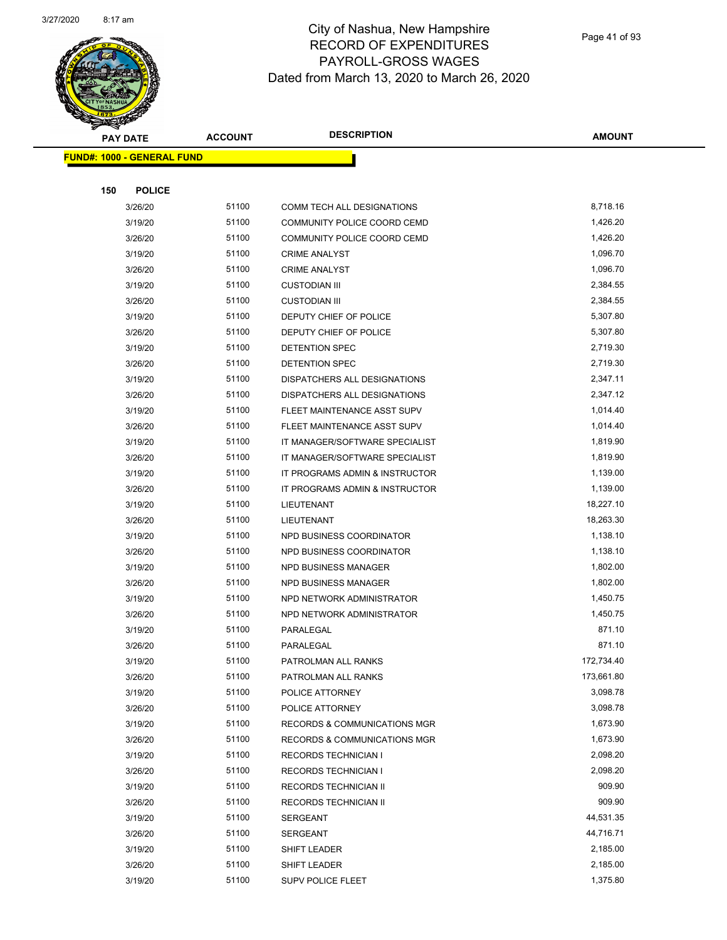

|     | <b>PAY DATE</b>                   | <b>ACCOUNT</b> | <b>DESCRIPTION</b>                      | <b>AMOUNT</b> |
|-----|-----------------------------------|----------------|-----------------------------------------|---------------|
|     | <b>FUND#: 1000 - GENERAL FUND</b> |                |                                         |               |
|     |                                   |                |                                         |               |
| 150 | <b>POLICE</b>                     |                |                                         |               |
|     | 3/26/20                           | 51100          | COMM TECH ALL DESIGNATIONS              | 8,718.16      |
|     | 3/19/20                           | 51100          | COMMUNITY POLICE COORD CEMD             | 1,426.20      |
|     | 3/26/20                           | 51100          | COMMUNITY POLICE COORD CEMD             | 1,426.20      |
|     | 3/19/20                           | 51100          | <b>CRIME ANALYST</b>                    | 1,096.70      |
|     | 3/26/20                           | 51100          | <b>CRIME ANALYST</b>                    | 1,096.70      |
|     | 3/19/20                           | 51100          | <b>CUSTODIAN III</b>                    | 2,384.55      |
|     | 3/26/20                           | 51100          | <b>CUSTODIAN III</b>                    | 2,384.55      |
|     | 3/19/20                           | 51100          | DEPUTY CHIEF OF POLICE                  | 5,307.80      |
|     | 3/26/20                           | 51100          | DEPUTY CHIEF OF POLICE                  | 5,307.80      |
|     | 3/19/20                           | 51100          | <b>DETENTION SPEC</b>                   | 2,719.30      |
|     | 3/26/20                           | 51100          | <b>DETENTION SPEC</b>                   | 2,719.30      |
|     | 3/19/20                           | 51100          | <b>DISPATCHERS ALL DESIGNATIONS</b>     | 2,347.11      |
|     | 3/26/20                           | 51100          | DISPATCHERS ALL DESIGNATIONS            | 2,347.12      |
|     | 3/19/20                           | 51100          | FLEET MAINTENANCE ASST SUPV             | 1,014.40      |
|     | 3/26/20                           | 51100          | FLEET MAINTENANCE ASST SUPV             | 1,014.40      |
|     | 3/19/20                           | 51100          | IT MANAGER/SOFTWARE SPECIALIST          | 1,819.90      |
|     | 3/26/20                           | 51100          | IT MANAGER/SOFTWARE SPECIALIST          | 1,819.90      |
|     | 3/19/20                           | 51100          | IT PROGRAMS ADMIN & INSTRUCTOR          | 1,139.00      |
|     | 3/26/20                           | 51100          | IT PROGRAMS ADMIN & INSTRUCTOR          | 1,139.00      |
|     | 3/19/20                           | 51100          | LIEUTENANT                              | 18,227.10     |
|     | 3/26/20                           | 51100          | LIEUTENANT                              | 18,263.30     |
|     | 3/19/20                           | 51100          | NPD BUSINESS COORDINATOR                | 1,138.10      |
|     | 3/26/20                           | 51100          | NPD BUSINESS COORDINATOR                | 1,138.10      |
|     | 3/19/20                           | 51100          | NPD BUSINESS MANAGER                    | 1,802.00      |
|     | 3/26/20                           | 51100          | <b>NPD BUSINESS MANAGER</b>             | 1,802.00      |
|     | 3/19/20                           | 51100          | NPD NETWORK ADMINISTRATOR               | 1,450.75      |
|     | 3/26/20                           | 51100          | NPD NETWORK ADMINISTRATOR               | 1,450.75      |
|     | 3/19/20                           | 51100          | PARALEGAL                               | 871.10        |
|     | 3/26/20                           | 51100          | PARALEGAL                               | 871.10        |
|     | 3/19/20                           | 51100          | PATROLMAN ALL RANKS                     | 172,734.40    |
|     | 3/26/20                           | 51100          | PATROLMAN ALL RANKS                     | 173,661.80    |
|     | 3/19/20                           | 51100          | POLICE ATTORNEY                         | 3,098.78      |
|     | 3/26/20                           | 51100          | POLICE ATTORNEY                         | 3,098.78      |
|     | 3/19/20                           | 51100          | RECORDS & COMMUNICATIONS MGR            | 1,673.90      |
|     | 3/26/20                           | 51100          | <b>RECORDS &amp; COMMUNICATIONS MGR</b> | 1,673.90      |
|     | 3/19/20                           | 51100          | <b>RECORDS TECHNICIAN I</b>             | 2,098.20      |
|     | 3/26/20                           | 51100          | <b>RECORDS TECHNICIAN I</b>             | 2,098.20      |
|     | 3/19/20                           | 51100          | RECORDS TECHNICIAN II                   | 909.90        |
|     | 3/26/20                           | 51100          | RECORDS TECHNICIAN II                   | 909.90        |
|     | 3/19/20                           | 51100          | <b>SERGEANT</b>                         | 44,531.35     |
|     | 3/26/20                           | 51100          | <b>SERGEANT</b>                         | 44,716.71     |
|     | 3/19/20                           | 51100          | SHIFT LEADER                            | 2,185.00      |
|     | 3/26/20                           | 51100          | SHIFT LEADER                            | 2,185.00      |
|     | 3/19/20                           | 51100          | SUPV POLICE FLEET                       | 1,375.80      |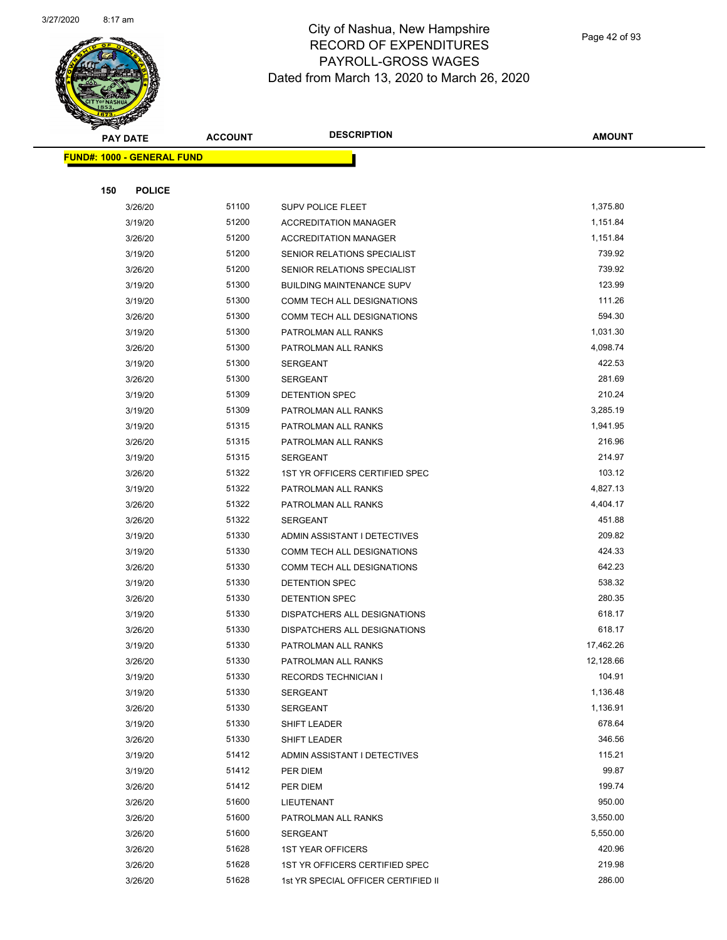

Page 42 of 93

|     | <b>PAY DATE</b>                   | <b>ACCOUNT</b> | <b>DESCRIPTION</b>                  | <b>AMOUNT</b> |
|-----|-----------------------------------|----------------|-------------------------------------|---------------|
|     | <b>FUND#: 1000 - GENERAL FUND</b> |                |                                     |               |
|     |                                   |                |                                     |               |
| 150 | <b>POLICE</b>                     |                |                                     |               |
|     | 3/26/20                           | 51100          | <b>SUPV POLICE FLEET</b>            | 1,375.80      |
|     | 3/19/20                           | 51200          | <b>ACCREDITATION MANAGER</b>        | 1,151.84      |
|     | 3/26/20                           | 51200          | <b>ACCREDITATION MANAGER</b>        | 1,151.84      |
|     | 3/19/20                           | 51200          | SENIOR RELATIONS SPECIALIST         | 739.92        |
|     | 3/26/20                           | 51200          | SENIOR RELATIONS SPECIALIST         | 739.92        |
|     | 3/19/20                           | 51300          | <b>BUILDING MAINTENANCE SUPV</b>    | 123.99        |
|     | 3/19/20                           | 51300          | COMM TECH ALL DESIGNATIONS          | 111.26        |
|     | 3/26/20                           | 51300          | COMM TECH ALL DESIGNATIONS          | 594.30        |
|     | 3/19/20                           | 51300          | PATROLMAN ALL RANKS                 | 1,031.30      |
|     | 3/26/20                           | 51300          | PATROLMAN ALL RANKS                 | 4,098.74      |
|     | 3/19/20                           | 51300          | <b>SERGEANT</b>                     | 422.53        |
|     | 3/26/20                           | 51300          | <b>SERGEANT</b>                     | 281.69        |
|     | 3/19/20                           | 51309          | DETENTION SPEC                      | 210.24        |
|     | 3/19/20                           | 51309          | PATROLMAN ALL RANKS                 | 3,285.19      |
|     | 3/19/20                           | 51315          | PATROLMAN ALL RANKS                 | 1,941.95      |
|     | 3/26/20                           | 51315          | PATROLMAN ALL RANKS                 | 216.96        |
|     | 3/19/20                           | 51315          | <b>SERGEANT</b>                     | 214.97        |
|     | 3/26/20                           | 51322          | 1ST YR OFFICERS CERTIFIED SPEC      | 103.12        |
|     | 3/19/20                           | 51322          | PATROLMAN ALL RANKS                 | 4,827.13      |
|     | 3/26/20                           | 51322          | PATROLMAN ALL RANKS                 | 4,404.17      |
|     | 3/26/20                           | 51322          | <b>SERGEANT</b>                     | 451.88        |
|     | 3/19/20                           | 51330          | ADMIN ASSISTANT I DETECTIVES        | 209.82        |
|     | 3/19/20                           | 51330          | COMM TECH ALL DESIGNATIONS          | 424.33        |
|     | 3/26/20                           | 51330          | COMM TECH ALL DESIGNATIONS          | 642.23        |
|     | 3/19/20                           | 51330          | DETENTION SPEC                      | 538.32        |
|     | 3/26/20                           | 51330          | DETENTION SPEC                      | 280.35        |
|     | 3/19/20                           | 51330          | DISPATCHERS ALL DESIGNATIONS        | 618.17        |
|     | 3/26/20                           | 51330          | DISPATCHERS ALL DESIGNATIONS        | 618.17        |
|     | 3/19/20                           | 51330          | PATROLMAN ALL RANKS                 | 17,462.26     |
|     | 3/26/20                           | 51330          | PATROLMAN ALL RANKS                 | 12,128.66     |
|     | 3/19/20                           | 51330          | <b>RECORDS TECHNICIAN I</b>         | 104.91        |
|     | 3/19/20                           | 51330          | <b>SERGEANT</b>                     | 1,136.48      |
|     | 3/26/20                           | 51330          | <b>SERGEANT</b>                     | 1,136.91      |
|     | 3/19/20                           | 51330          | SHIFT LEADER                        | 678.64        |
|     | 3/26/20                           | 51330          | SHIFT LEADER                        | 346.56        |
|     | 3/19/20                           | 51412          | ADMIN ASSISTANT I DETECTIVES        | 115.21        |
|     | 3/19/20                           | 51412          | PER DIEM                            | 99.87         |
|     | 3/26/20                           | 51412          | PER DIEM                            | 199.74        |
|     | 3/26/20                           | 51600          | LIEUTENANT                          | 950.00        |
|     | 3/26/20                           | 51600          | PATROLMAN ALL RANKS                 | 3,550.00      |
|     | 3/26/20                           | 51600          | SERGEANT                            | 5,550.00      |
|     | 3/26/20                           | 51628          | <b>1ST YEAR OFFICERS</b>            | 420.96        |
|     | 3/26/20                           | 51628          | 1ST YR OFFICERS CERTIFIED SPEC      | 219.98        |
|     | 3/26/20                           | 51628          | 1st YR SPECIAL OFFICER CERTIFIED II | 286.00        |
|     |                                   |                |                                     |               |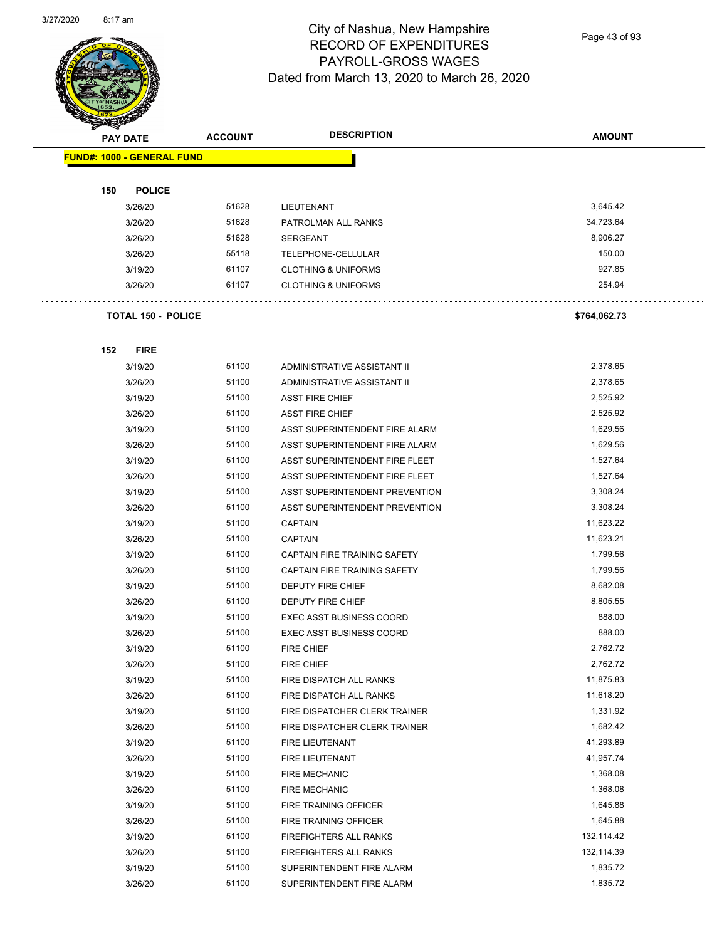

Page 43 of 93

| $\tilde{\phantom{a}}$ | <b>PAY DATE</b>                   | <b>ACCOUNT</b> | <b>DESCRIPTION</b>              | <b>AMOUNT</b> |
|-----------------------|-----------------------------------|----------------|---------------------------------|---------------|
|                       | <b>FUND#: 1000 - GENERAL FUND</b> |                |                                 |               |
|                       |                                   |                |                                 |               |
| 150                   | <b>POLICE</b>                     |                |                                 |               |
|                       | 3/26/20                           | 51628          | LIEUTENANT                      | 3,645.42      |
|                       | 3/26/20                           | 51628          | PATROLMAN ALL RANKS             | 34,723.64     |
|                       | 3/26/20                           | 51628          | <b>SERGEANT</b>                 | 8,906.27      |
|                       | 3/26/20                           | 55118          | TELEPHONE-CELLULAR              | 150.00        |
|                       | 3/19/20                           | 61107          | <b>CLOTHING &amp; UNIFORMS</b>  | 927.85        |
|                       | 3/26/20                           | 61107          | <b>CLOTHING &amp; UNIFORMS</b>  | 254.94        |
|                       |                                   |                |                                 |               |
|                       | <b>TOTAL 150 - POLICE</b>         |                |                                 | \$764,062.73  |
|                       |                                   |                |                                 |               |
| 152                   | <b>FIRE</b>                       |                |                                 |               |
|                       | 3/19/20                           | 51100          | ADMINISTRATIVE ASSISTANT II     | 2,378.65      |
|                       | 3/26/20                           | 51100          | ADMINISTRATIVE ASSISTANT II     | 2,378.65      |
|                       | 3/19/20                           | 51100          | <b>ASST FIRE CHIEF</b>          | 2,525.92      |
|                       | 3/26/20                           | 51100          | <b>ASST FIRE CHIEF</b>          | 2,525.92      |
|                       | 3/19/20                           | 51100          | ASST SUPERINTENDENT FIRE ALARM  | 1,629.56      |
|                       | 3/26/20                           | 51100          | ASST SUPERINTENDENT FIRE ALARM  | 1,629.56      |
|                       | 3/19/20                           | 51100          | ASST SUPERINTENDENT FIRE FLEET  | 1,527.64      |
|                       | 3/26/20                           | 51100          | ASST SUPERINTENDENT FIRE FLEET  | 1,527.64      |
|                       | 3/19/20                           | 51100          | ASST SUPERINTENDENT PREVENTION  | 3,308.24      |
|                       | 3/26/20                           | 51100          | ASST SUPERINTENDENT PREVENTION  | 3,308.24      |
|                       | 3/19/20                           | 51100          | <b>CAPTAIN</b>                  | 11,623.22     |
|                       | 3/26/20                           | 51100          | <b>CAPTAIN</b>                  | 11,623.21     |
|                       | 3/19/20                           | 51100          | CAPTAIN FIRE TRAINING SAFETY    | 1,799.56      |
|                       | 3/26/20                           | 51100          | CAPTAIN FIRE TRAINING SAFETY    | 1,799.56      |
|                       | 3/19/20                           | 51100          | <b>DEPUTY FIRE CHIEF</b>        | 8,682.08      |
|                       | 3/26/20                           | 51100          | <b>DEPUTY FIRE CHIEF</b>        | 8,805.55      |
|                       | 3/19/20                           | 51100          | <b>EXEC ASST BUSINESS COORD</b> | 888.00        |
|                       | 3/26/20                           | 51100          | <b>EXEC ASST BUSINESS COORD</b> | 888.00        |
|                       | 3/19/20                           | 51100          | <b>FIRE CHIEF</b>               | 2,762.72      |
|                       | 3/26/20                           | 51100          | FIRE CHIEF                      | 2,762.72      |
|                       | 3/19/20                           | 51100          | FIRE DISPATCH ALL RANKS         | 11,875.83     |
|                       | 3/26/20                           | 51100          | FIRE DISPATCH ALL RANKS         | 11,618.20     |
|                       | 3/19/20                           | 51100          | FIRE DISPATCHER CLERK TRAINER   | 1,331.92      |
|                       | 3/26/20                           | 51100          | FIRE DISPATCHER CLERK TRAINER   | 1,682.42      |
|                       | 3/19/20                           | 51100          | FIRE LIEUTENANT                 | 41,293.89     |
|                       | 3/26/20                           | 51100          | FIRE LIEUTENANT                 | 41,957.74     |
|                       | 3/19/20                           | 51100          | <b>FIRE MECHANIC</b>            | 1,368.08      |
|                       | 3/26/20                           | 51100          | <b>FIRE MECHANIC</b>            | 1,368.08      |
|                       | 3/19/20                           | 51100          | FIRE TRAINING OFFICER           | 1,645.88      |
|                       | 3/26/20                           | 51100          | FIRE TRAINING OFFICER           | 1,645.88      |
|                       | 3/19/20                           | 51100          | FIREFIGHTERS ALL RANKS          | 132,114.42    |
|                       | 3/26/20                           | 51100          | FIREFIGHTERS ALL RANKS          | 132,114.39    |
|                       | 3/19/20                           | 51100          | SUPERINTENDENT FIRE ALARM       | 1,835.72      |
|                       | 3/26/20                           | 51100          | SUPERINTENDENT FIRE ALARM       | 1,835.72      |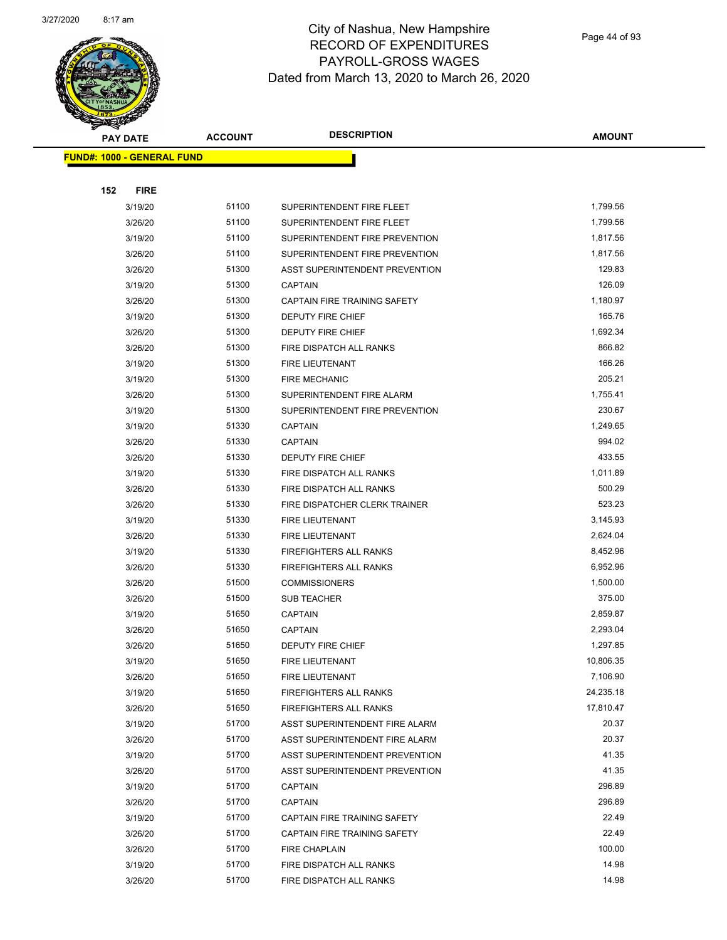

Page 44 of 93

| <b>PAY DATE</b>                   | <b>ACCOUNT</b> | <b>DESCRIPTION</b>                    | AMOUNT    |
|-----------------------------------|----------------|---------------------------------------|-----------|
| <b>FUND#: 1000 - GENERAL FUND</b> |                |                                       |           |
|                                   |                |                                       |           |
| 152<br><b>FIRE</b>                |                |                                       |           |
| 3/19/20                           | 51100          | SUPERINTENDENT FIRE FLEET             | 1,799.56  |
| 3/26/20                           | 51100          | SUPERINTENDENT FIRE FLEET             | 1,799.56  |
| 3/19/20                           | 51100          | SUPERINTENDENT FIRE PREVENTION        | 1,817.56  |
| 3/26/20                           | 51100          | SUPERINTENDENT FIRE PREVENTION        | 1,817.56  |
| 3/26/20                           | 51300          | <b>ASST SUPERINTENDENT PREVENTION</b> | 129.83    |
| 3/19/20                           | 51300          | <b>CAPTAIN</b>                        | 126.09    |
| 3/26/20                           | 51300          | CAPTAIN FIRE TRAINING SAFETY          | 1,180.97  |
| 3/19/20                           | 51300          | DEPUTY FIRE CHIEF                     | 165.76    |
| 3/26/20                           | 51300          | DEPUTY FIRE CHIEF                     | 1,692.34  |
| 3/26/20                           | 51300          | FIRE DISPATCH ALL RANKS               | 866.82    |
| 3/19/20                           | 51300          | <b>FIRE LIEUTENANT</b>                | 166.26    |
| 3/19/20                           | 51300          | <b>FIRE MECHANIC</b>                  | 205.21    |
| 3/26/20                           | 51300          | SUPERINTENDENT FIRE ALARM             | 1,755.41  |
| 3/19/20                           | 51300          | SUPERINTENDENT FIRE PREVENTION        | 230.67    |
| 3/19/20                           | 51330          | <b>CAPTAIN</b>                        | 1,249.65  |
| 3/26/20                           | 51330          | <b>CAPTAIN</b>                        | 994.02    |
| 3/26/20                           | 51330          | DEPUTY FIRE CHIEF                     | 433.55    |
| 3/19/20                           | 51330          | FIRE DISPATCH ALL RANKS               | 1,011.89  |
| 3/26/20                           | 51330          | FIRE DISPATCH ALL RANKS               | 500.29    |
| 3/26/20                           | 51330          | FIRE DISPATCHER CLERK TRAINER         | 523.23    |
| 3/19/20                           | 51330          | FIRE LIEUTENANT                       | 3,145.93  |
| 3/26/20                           | 51330          | FIRE LIEUTENANT                       | 2,624.04  |
| 3/19/20                           | 51330          | <b>FIREFIGHTERS ALL RANKS</b>         | 8,452.96  |
| 3/26/20                           | 51330          | <b>FIREFIGHTERS ALL RANKS</b>         | 6,952.96  |
| 3/26/20                           | 51500          | <b>COMMISSIONERS</b>                  | 1,500.00  |
| 3/26/20                           | 51500          | <b>SUB TEACHER</b>                    | 375.00    |
| 3/19/20                           | 51650          | <b>CAPTAIN</b>                        | 2,859.87  |
| 3/26/20                           | 51650          | <b>CAPTAIN</b>                        | 2,293.04  |
| 3/26/20                           | 51650          | <b>DEPUTY FIRE CHIEF</b>              | 1,297.85  |
| 3/19/20                           | 51650          | FIRE LIEUTENANT                       | 10,806.35 |
| 3/26/20                           | 51650          | FIRE LIEUTENANT                       | 7,106.90  |
| 3/19/20                           | 51650          | FIREFIGHTERS ALL RANKS                | 24,235.18 |
| 3/26/20                           | 51650          | <b>FIREFIGHTERS ALL RANKS</b>         | 17,810.47 |
| 3/19/20                           | 51700          | ASST SUPERINTENDENT FIRE ALARM        | 20.37     |
| 3/26/20                           | 51700          | ASST SUPERINTENDENT FIRE ALARM        | 20.37     |
| 3/19/20                           | 51700          | ASST SUPERINTENDENT PREVENTION        | 41.35     |
| 3/26/20                           | 51700          | ASST SUPERINTENDENT PREVENTION        | 41.35     |
| 3/19/20                           | 51700          | <b>CAPTAIN</b>                        | 296.89    |
| 3/26/20                           | 51700          | <b>CAPTAIN</b>                        | 296.89    |
| 3/19/20                           | 51700          | CAPTAIN FIRE TRAINING SAFETY          | 22.49     |
| 3/26/20                           | 51700          | CAPTAIN FIRE TRAINING SAFETY          | 22.49     |
| 3/26/20                           | 51700          | <b>FIRE CHAPLAIN</b>                  | 100.00    |
| 3/19/20                           | 51700          | FIRE DISPATCH ALL RANKS               | 14.98     |
| 3/26/20                           | 51700          | FIRE DISPATCH ALL RANKS               | 14.98     |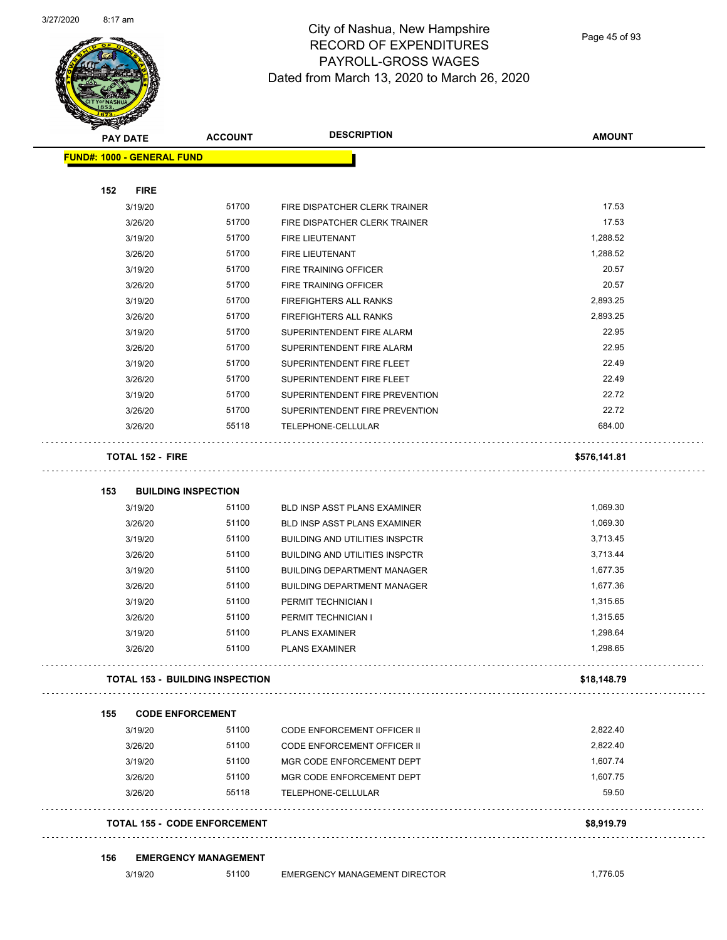

Page 45 of 93

|     | <b>SANGRAN</b><br><b>PAY DATE</b> | <b>ACCOUNT</b>                         | <b>DESCRIPTION</b>                    | <b>AMOUNT</b> |
|-----|-----------------------------------|----------------------------------------|---------------------------------------|---------------|
|     | <b>FUND#: 1000 - GENERAL FUND</b> |                                        |                                       |               |
|     |                                   |                                        |                                       |               |
| 152 | <b>FIRE</b>                       |                                        |                                       |               |
|     | 3/19/20                           | 51700                                  | FIRE DISPATCHER CLERK TRAINER         | 17.53         |
|     | 3/26/20                           | 51700                                  | FIRE DISPATCHER CLERK TRAINER         | 17.53         |
|     | 3/19/20                           | 51700                                  | FIRE LIEUTENANT                       | 1,288.52      |
|     | 3/26/20                           | 51700                                  | <b>FIRE LIEUTENANT</b>                | 1,288.52      |
|     | 3/19/20                           | 51700                                  | <b>FIRE TRAINING OFFICER</b>          | 20.57         |
|     | 3/26/20                           | 51700                                  | <b>FIRE TRAINING OFFICER</b>          | 20.57         |
|     | 3/19/20                           | 51700                                  | FIREFIGHTERS ALL RANKS                | 2,893.25      |
|     | 3/26/20                           | 51700                                  | FIREFIGHTERS ALL RANKS                | 2,893.25      |
|     | 3/19/20                           | 51700                                  | SUPERINTENDENT FIRE ALARM             | 22.95         |
|     | 3/26/20                           | 51700                                  | SUPERINTENDENT FIRE ALARM             | 22.95         |
|     | 3/19/20                           | 51700                                  | SUPERINTENDENT FIRE FLEET             | 22.49         |
|     | 3/26/20                           | 51700                                  | SUPERINTENDENT FIRE FLEET             | 22.49         |
|     | 3/19/20                           | 51700                                  | SUPERINTENDENT FIRE PREVENTION        | 22.72         |
|     | 3/26/20                           | 51700                                  | SUPERINTENDENT FIRE PREVENTION        | 22.72         |
|     | 3/26/20                           | 55118                                  | TELEPHONE-CELLULAR                    | 684.00        |
|     | <b>TOTAL 152 - FIRE</b>           |                                        |                                       | \$576,141.81  |
| 153 |                                   | <b>BUILDING INSPECTION</b>             |                                       |               |
|     | 3/19/20                           | 51100                                  | BLD INSP ASST PLANS EXAMINER          | 1,069.30      |
|     | 3/26/20                           | 51100                                  | <b>BLD INSP ASST PLANS EXAMINER</b>   | 1,069.30      |
|     | 3/19/20                           | 51100                                  | <b>BUILDING AND UTILITIES INSPCTR</b> | 3,713.45      |
|     | 3/26/20                           | 51100                                  | <b>BUILDING AND UTILITIES INSPCTR</b> | 3,713.44      |
|     | 3/19/20                           | 51100                                  | <b>BUILDING DEPARTMENT MANAGER</b>    | 1,677.35      |
|     | 3/26/20                           | 51100                                  | <b>BUILDING DEPARTMENT MANAGER</b>    | 1,677.36      |
|     | 3/19/20                           | 51100                                  | PERMIT TECHNICIAN I                   | 1,315.65      |
|     | 3/26/20                           | 51100                                  | PERMIT TECHNICIAN I                   | 1,315.65      |
|     | 3/19/20                           | 51100                                  | <b>PLANS EXAMINER</b>                 | 1,298.64      |
|     | 3/26/20                           | 51100                                  | <b>PLANS EXAMINER</b>                 | 1,298.65      |
|     |                                   | <b>TOTAL 153 - BUILDING INSPECTION</b> |                                       | \$18,148.79   |
| 155 |                                   | <b>CODE ENFORCEMENT</b>                |                                       |               |
|     | 3/19/20                           | 51100                                  | <b>CODE ENFORCEMENT OFFICER II</b>    | 2,822.40      |
|     | 3/26/20                           | 51100                                  | CODE ENFORCEMENT OFFICER II           | 2.822.40      |
|     | 3/19/20                           | 51100                                  | MGR CODE ENFORCEMENT DEPT             | 1,607.74      |
|     | 3/26/20                           | 51100                                  | MGR CODE ENFORCEMENT DEPT             | 1,607.75      |
|     | 3/26/20                           | 55118                                  | TELEPHONE-CELLULAR                    | 59.50         |
|     |                                   | <b>TOTAL 155 - CODE ENFORCEMENT</b>    |                                       | \$8,919.79    |
| 156 |                                   | <b>EMERGENCY MANAGEMENT</b>            |                                       |               |
|     | 3/19/20                           | 51100                                  | <b>EMERGENCY MANAGEMENT DIRECTOR</b>  | 1,776.05      |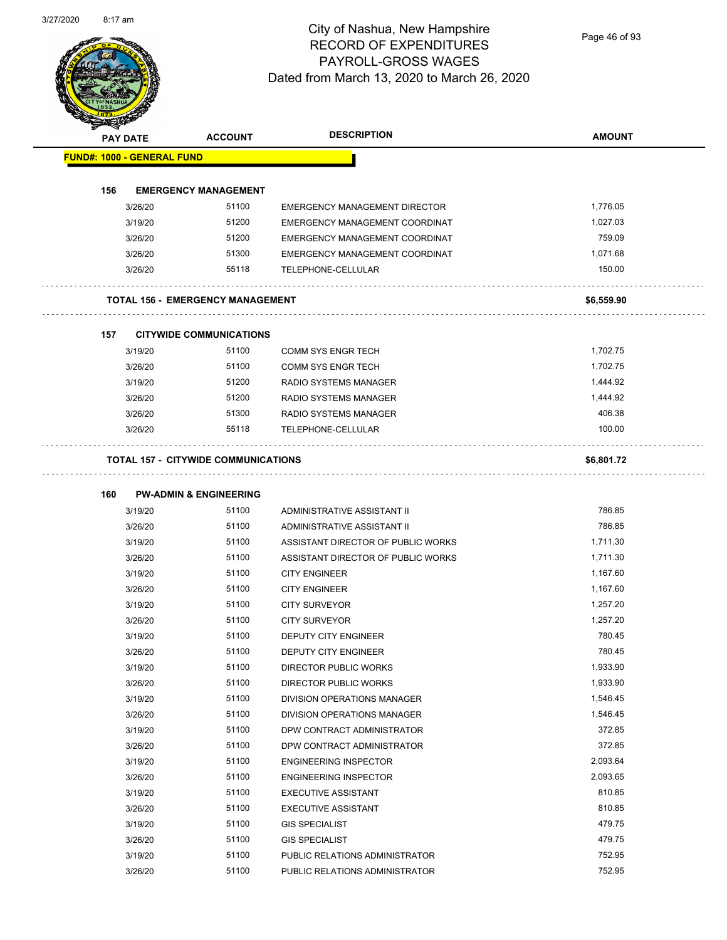Page 46 of 93

| <b>PAY DATE</b>                   | <b>ACCOUNT</b>                             | <b>DESCRIPTION</b>                 | <b>AMOUNT</b> |
|-----------------------------------|--------------------------------------------|------------------------------------|---------------|
| <b>FUND#: 1000 - GENERAL FUND</b> |                                            |                                    |               |
| 156                               | <b>EMERGENCY MANAGEMENT</b>                |                                    |               |
| 3/26/20                           | 51100                                      | EMERGENCY MANAGEMENT DIRECTOR      | 1,776.05      |
| 3/19/20                           | 51200                                      | EMERGENCY MANAGEMENT COORDINAT     | 1,027.03      |
| 3/26/20                           | 51200                                      | EMERGENCY MANAGEMENT COORDINAT     | 759.09        |
| 3/26/20                           | 51300                                      | EMERGENCY MANAGEMENT COORDINAT     | 1,071.68      |
| 3/26/20                           | 55118                                      | TELEPHONE-CELLULAR                 | 150.00        |
|                                   | <b>TOTAL 156 - EMERGENCY MANAGEMENT</b>    |                                    | \$6,559.90    |
| 157                               | <b>CITYWIDE COMMUNICATIONS</b>             |                                    |               |
| 3/19/20                           | 51100                                      | <b>COMM SYS ENGR TECH</b>          | 1,702.75      |
| 3/26/20                           | 51100                                      | <b>COMM SYS ENGR TECH</b>          | 1,702.75      |
| 3/19/20                           | 51200                                      | <b>RADIO SYSTEMS MANAGER</b>       | 1,444.92      |
| 3/26/20                           | 51200                                      | RADIO SYSTEMS MANAGER              | 1,444.92      |
| 3/26/20                           | 51300                                      | RADIO SYSTEMS MANAGER              | 406.38        |
| 3/26/20                           | 55118                                      | TELEPHONE-CELLULAR                 | 100.00        |
|                                   | <b>TOTAL 157 - CITYWIDE COMMUNICATIONS</b> |                                    | \$6,801.72    |
|                                   |                                            |                                    |               |
| 160                               | <b>PW-ADMIN &amp; ENGINEERING</b>          |                                    |               |
| 3/19/20                           | 51100                                      | ADMINISTRATIVE ASSISTANT II        | 786.85        |
| 3/26/20                           | 51100                                      | ADMINISTRATIVE ASSISTANT II        | 786.85        |
| 3/19/20                           | 51100                                      | ASSISTANT DIRECTOR OF PUBLIC WORKS | 1,711.30      |
| 3/26/20                           | 51100                                      | ASSISTANT DIRECTOR OF PUBLIC WORKS | 1,711.30      |
| 3/19/20                           | 51100                                      | <b>CITY ENGINEER</b>               | 1,167.60      |
| 3/26/20                           | 51100                                      | <b>CITY ENGINEER</b>               | 1,167.60      |
| 3/19/20                           | 51100                                      | <b>CITY SURVEYOR</b>               | 1,257.20      |
| 3/26/20                           | 51100                                      | <b>CITY SURVEYOR</b>               | 1,257.20      |
| 3/19/20                           | 51100                                      | DEPUTY CITY ENGINEER               | 780.45        |
| 3/26/20                           | 51100                                      | DEPUTY CITY ENGINEER               | 780.45        |
| 3/19/20                           | 51100                                      | DIRECTOR PUBLIC WORKS              | 1,933.90      |
| 3/26/20                           | 51100                                      | DIRECTOR PUBLIC WORKS              | 1,933.90      |
| 3/19/20                           | 51100                                      | DIVISION OPERATIONS MANAGER        | 1,546.45      |
| 3/26/20                           | 51100                                      | DIVISION OPERATIONS MANAGER        | 1,546.45      |
| 3/19/20                           | 51100                                      | DPW CONTRACT ADMINISTRATOR         | 372.85        |
| 3/26/20                           | 51100                                      | DPW CONTRACT ADMINISTRATOR         | 372.85        |
| 3/19/20                           | 51100                                      | <b>ENGINEERING INSPECTOR</b>       | 2,093.64      |
| 3/26/20                           | 51100                                      | <b>ENGINEERING INSPECTOR</b>       | 2,093.65      |
| 3/19/20                           | 51100                                      | <b>EXECUTIVE ASSISTANT</b>         | 810.85        |
| 3/26/20                           | 51100                                      | <b>EXECUTIVE ASSISTANT</b>         | 810.85        |
| 3/19/20                           | 51100                                      | <b>GIS SPECIALIST</b>              | 479.75        |
| 3/26/20                           | 51100                                      | <b>GIS SPECIALIST</b>              | 479.75        |
| 3/19/20                           | 51100                                      | PUBLIC RELATIONS ADMINISTRATOR     | 752.95        |
| 3/26/20                           | 51100                                      | PUBLIC RELATIONS ADMINISTRATOR     | 752.95        |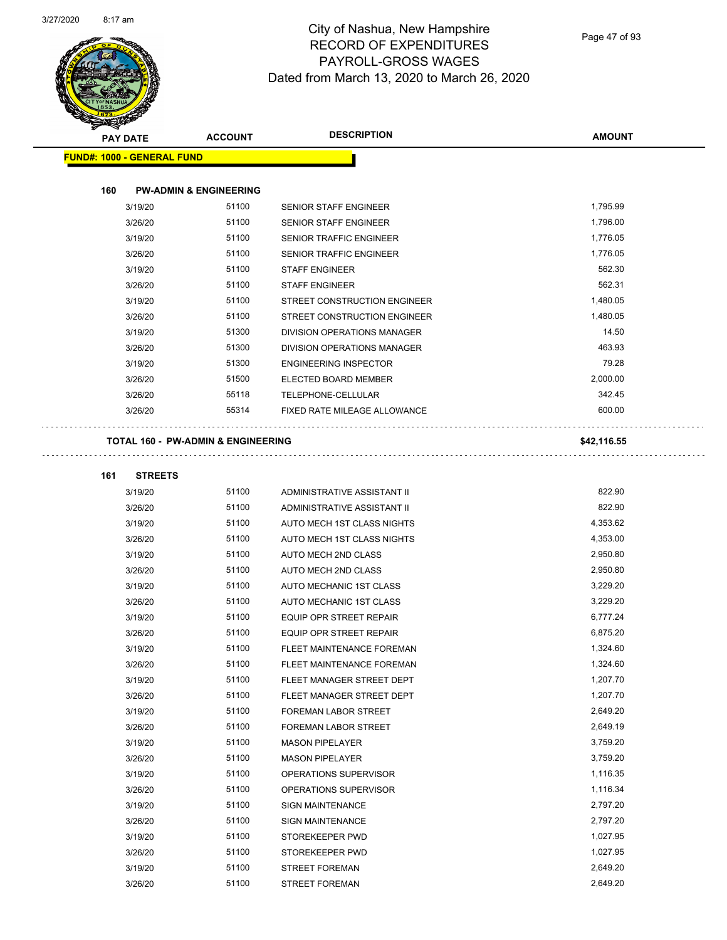

Page 47 of 93

| $\tilde{\phantom{a}}$<br><b>PAY DATE</b> | <b>ACCOUNT</b>                     | <b>DESCRIPTION</b>             | <b>AMOUNT</b> |
|------------------------------------------|------------------------------------|--------------------------------|---------------|
| <b>FUND#: 1000 - GENERAL FUND</b>        |                                    |                                |               |
|                                          |                                    |                                |               |
| 160                                      | <b>PW-ADMIN &amp; ENGINEERING</b>  |                                |               |
| 3/19/20                                  | 51100                              | SENIOR STAFF ENGINEER          | 1,795.99      |
| 3/26/20                                  | 51100                              | SENIOR STAFF ENGINEER          | 1,796.00      |
| 3/19/20                                  | 51100                              | <b>SENIOR TRAFFIC ENGINEER</b> | 1,776.05      |
| 3/26/20                                  | 51100                              | <b>SENIOR TRAFFIC ENGINEER</b> | 1,776.05      |
| 3/19/20                                  | 51100                              | <b>STAFF ENGINEER</b>          | 562.30        |
| 3/26/20                                  | 51100                              | <b>STAFF ENGINEER</b>          | 562.31        |
| 3/19/20                                  | 51100                              | STREET CONSTRUCTION ENGINEER   | 1,480.05      |
| 3/26/20                                  | 51100                              | STREET CONSTRUCTION ENGINEER   | 1,480.05      |
| 3/19/20                                  | 51300                              | DIVISION OPERATIONS MANAGER    | 14.50         |
| 3/26/20                                  | 51300                              | DIVISION OPERATIONS MANAGER    | 463.93        |
| 3/19/20                                  | 51300                              | <b>ENGINEERING INSPECTOR</b>   | 79.28         |
| 3/26/20                                  | 51500                              | ELECTED BOARD MEMBER           | 2,000.00      |
| 3/26/20                                  | 55118                              | TELEPHONE-CELLULAR             | 342.45        |
| 3/26/20                                  | 55314                              | FIXED RATE MILEAGE ALLOWANCE   | 600.00        |
|                                          | TOTAL 160 - PW-ADMIN & ENGINEERING |                                | \$42,116.55   |
| <b>STREETS</b><br>161                    |                                    |                                |               |
| 3/19/20                                  | 51100                              | ADMINISTRATIVE ASSISTANT II    | 822.90        |
| 3/26/20                                  | 51100                              | ADMINISTRATIVE ASSISTANT II    | 822.90        |
| 3/19/20                                  | 51100                              | AUTO MECH 1ST CLASS NIGHTS     | 4,353.62      |
| 3/26/20                                  | 51100                              | AUTO MECH 1ST CLASS NIGHTS     | 4,353.00      |
| 3/19/20                                  | 51100                              | AUTO MECH 2ND CLASS            | 2,950.80      |
| 3/26/20                                  | 51100                              | AUTO MECH 2ND CLASS            | 2,950.80      |
| 3/19/20                                  | 51100                              | AUTO MECHANIC 1ST CLASS        | 3,229.20      |
| 3/26/20                                  | 51100                              | <b>AUTO MECHANIC 1ST CLASS</b> | 3,229.20      |
| 3/19/20                                  | 51100                              | <b>EQUIP OPR STREET REPAIR</b> | 6,777.24      |
| 3/26/20                                  | 51100                              | EQUIP OPR STREET REPAIR        | 6,875.20      |
| 3/19/20                                  | 51100                              | FLEET MAINTENANCE FOREMAN      | 1,324.60      |
| 3/26/20                                  | 51100                              | FLEET MAINTENANCE FOREMAN      | 1,324.60      |
| 3/19/20                                  | 51100                              | FLEET MANAGER STREET DEPT      | 1,207.70      |
| 3/26/20                                  | 51100                              | FLEET MANAGER STREET DEPT      | 1,207.70      |
| 3/19/20                                  | 51100                              | FOREMAN LABOR STREET           | 2,649.20      |
| 3/26/20                                  | 51100                              | FOREMAN LABOR STREET           | 2,649.19      |
| 3/19/20                                  | 51100                              | <b>MASON PIPELAYER</b>         | 3,759.20      |
| 3/26/20                                  | 51100                              | <b>MASON PIPELAYER</b>         | 3,759.20      |
| 3/19/20                                  | 51100                              | OPERATIONS SUPERVISOR          | 1,116.35      |
| 3/26/20                                  | 51100                              | OPERATIONS SUPERVISOR          | 1,116.34      |
| 3/19/20                                  | 51100                              | <b>SIGN MAINTENANCE</b>        | 2,797.20      |
| 3/26/20                                  | 51100                              | <b>SIGN MAINTENANCE</b>        | 2,797.20      |
| 3/19/20                                  | 51100                              | STOREKEEPER PWD                | 1,027.95      |
| 3/26/20                                  | 51100                              | STOREKEEPER PWD                | 1,027.95      |
| 3/19/20                                  | 51100                              | STREET FOREMAN                 | 2,649.20      |
| 3/26/20                                  | 51100                              | <b>STREET FOREMAN</b>          | 2,649.20      |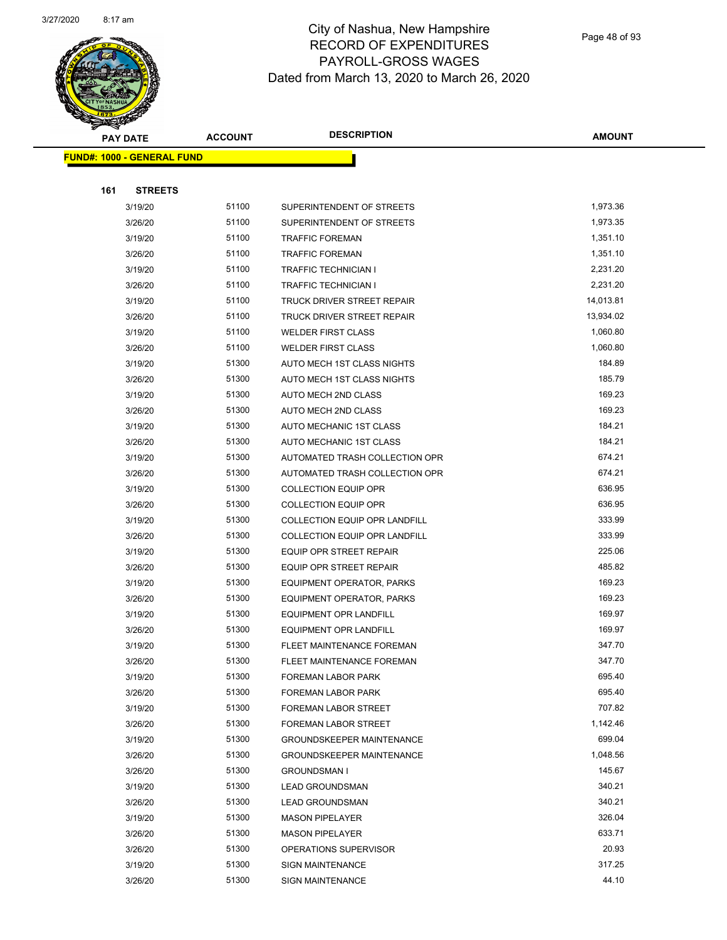

Page 48 of 93

| <b>PAY DATE</b>                   | <b>ACCOUNT</b> | <b>DESCRIPTION</b>                   | <b>AMOUNT</b> |
|-----------------------------------|----------------|--------------------------------------|---------------|
| <b>FUND#: 1000 - GENERAL FUND</b> |                |                                      |               |
|                                   |                |                                      |               |
| 161<br><b>STREETS</b>             |                |                                      |               |
| 3/19/20                           | 51100          | SUPERINTENDENT OF STREETS            | 1,973.36      |
| 3/26/20                           | 51100          | SUPERINTENDENT OF STREETS            | 1,973.35      |
| 3/19/20                           | 51100          | <b>TRAFFIC FOREMAN</b>               | 1,351.10      |
| 3/26/20                           | 51100          | <b>TRAFFIC FOREMAN</b>               | 1,351.10      |
| 3/19/20                           | 51100          | TRAFFIC TECHNICIAN I                 | 2,231.20      |
| 3/26/20                           | 51100          | <b>TRAFFIC TECHNICIAN I</b>          | 2,231.20      |
| 3/19/20                           | 51100          | TRUCK DRIVER STREET REPAIR           | 14,013.81     |
| 3/26/20                           | 51100          | TRUCK DRIVER STREET REPAIR           | 13,934.02     |
| 3/19/20                           | 51100          | <b>WELDER FIRST CLASS</b>            | 1,060.80      |
| 3/26/20                           | 51100          | <b>WELDER FIRST CLASS</b>            | 1,060.80      |
| 3/19/20                           | 51300          | AUTO MECH 1ST CLASS NIGHTS           | 184.89        |
| 3/26/20                           | 51300          | AUTO MECH 1ST CLASS NIGHTS           | 185.79        |
| 3/19/20                           | 51300          | AUTO MECH 2ND CLASS                  | 169.23        |
| 3/26/20                           | 51300          | AUTO MECH 2ND CLASS                  | 169.23        |
| 3/19/20                           | 51300          | AUTO MECHANIC 1ST CLASS              | 184.21        |
| 3/26/20                           | 51300          | AUTO MECHANIC 1ST CLASS              | 184.21        |
| 3/19/20                           | 51300          | AUTOMATED TRASH COLLECTION OPR       | 674.21        |
| 3/26/20                           | 51300          | AUTOMATED TRASH COLLECTION OPR       | 674.21        |
| 3/19/20                           | 51300          | <b>COLLECTION EQUIP OPR</b>          | 636.95        |
| 3/26/20                           | 51300          | <b>COLLECTION EQUIP OPR</b>          | 636.95        |
| 3/19/20                           | 51300          | <b>COLLECTION EQUIP OPR LANDFILL</b> | 333.99        |
| 3/26/20                           | 51300          | <b>COLLECTION EQUIP OPR LANDFILL</b> | 333.99        |
| 3/19/20                           | 51300          | EQUIP OPR STREET REPAIR              | 225.06        |
| 3/26/20                           | 51300          | EQUIP OPR STREET REPAIR              | 485.82        |
| 3/19/20                           | 51300          | EQUIPMENT OPERATOR, PARKS            | 169.23        |
| 3/26/20                           | 51300          | EQUIPMENT OPERATOR, PARKS            | 169.23        |
| 3/19/20                           | 51300          | <b>EQUIPMENT OPR LANDFILL</b>        | 169.97        |
| 3/26/20                           | 51300          | <b>EQUIPMENT OPR LANDFILL</b>        | 169.97        |
| 3/19/20                           | 51300          | FLEET MAINTENANCE FOREMAN            | 347.70        |
| 3/26/20                           | 51300          | FLEET MAINTENANCE FOREMAN            | 347.70        |
| 3/19/20                           | 51300          | FOREMAN LABOR PARK                   | 695.40        |
| 3/26/20                           | 51300          | FOREMAN LABOR PARK                   | 695.40        |
| 3/19/20                           | 51300          | FOREMAN LABOR STREET                 | 707.82        |
| 3/26/20                           | 51300          | FOREMAN LABOR STREET                 | 1,142.46      |
| 3/19/20                           | 51300          | <b>GROUNDSKEEPER MAINTENANCE</b>     | 699.04        |
| 3/26/20                           | 51300          | <b>GROUNDSKEEPER MAINTENANCE</b>     | 1,048.56      |
| 3/26/20                           | 51300          | <b>GROUNDSMAN I</b>                  | 145.67        |
| 3/19/20                           | 51300          | <b>LEAD GROUNDSMAN</b>               | 340.21        |
| 3/26/20                           | 51300          | <b>LEAD GROUNDSMAN</b>               | 340.21        |
| 3/19/20                           | 51300          | <b>MASON PIPELAYER</b>               | 326.04        |
| 3/26/20                           | 51300          | <b>MASON PIPELAYER</b>               | 633.71        |
| 3/26/20                           | 51300          | OPERATIONS SUPERVISOR                | 20.93         |
| 3/19/20                           | 51300          | <b>SIGN MAINTENANCE</b>              | 317.25        |
| 3/26/20                           | 51300          | <b>SIGN MAINTENANCE</b>              | 44.10         |
|                                   |                |                                      |               |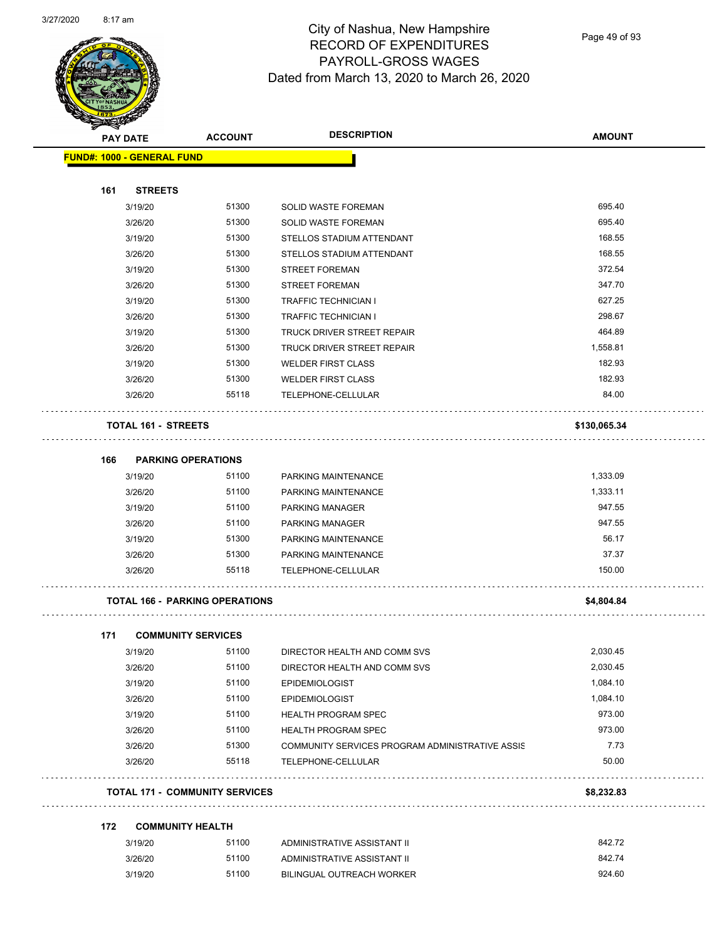

Page 49 of 93

| <b>STARTING CARD</b> |                                   |                                       |                                                 |               |
|----------------------|-----------------------------------|---------------------------------------|-------------------------------------------------|---------------|
|                      | <b>PAY DATE</b>                   | <b>ACCOUNT</b>                        | <b>DESCRIPTION</b>                              | <b>AMOUNT</b> |
|                      | <b>FUND#: 1000 - GENERAL FUND</b> |                                       |                                                 |               |
|                      |                                   |                                       |                                                 |               |
| 161                  | <b>STREETS</b>                    |                                       |                                                 |               |
|                      | 3/19/20                           | 51300                                 | SOLID WASTE FOREMAN                             | 695.40        |
|                      | 3/26/20                           | 51300                                 | SOLID WASTE FOREMAN                             | 695.40        |
|                      | 3/19/20                           | 51300                                 | STELLOS STADIUM ATTENDANT                       | 168.55        |
|                      | 3/26/20                           | 51300                                 | STELLOS STADIUM ATTENDANT                       | 168.55        |
|                      | 3/19/20                           | 51300                                 | <b>STREET FOREMAN</b>                           | 372.54        |
|                      | 3/26/20                           | 51300                                 | <b>STREET FOREMAN</b>                           | 347.70        |
|                      | 3/19/20                           | 51300                                 | <b>TRAFFIC TECHNICIAN I</b>                     | 627.25        |
|                      | 3/26/20                           | 51300                                 | <b>TRAFFIC TECHNICIAN I</b>                     | 298.67        |
|                      | 3/19/20                           | 51300                                 | TRUCK DRIVER STREET REPAIR                      | 464.89        |
|                      | 3/26/20                           | 51300                                 | TRUCK DRIVER STREET REPAIR                      | 1,558.81      |
|                      | 3/19/20                           | 51300                                 | <b>WELDER FIRST CLASS</b>                       | 182.93        |
|                      | 3/26/20                           | 51300                                 | <b>WELDER FIRST CLASS</b>                       | 182.93        |
|                      | 3/26/20                           | 55118                                 | TELEPHONE-CELLULAR                              | 84.00         |
|                      | <b>TOTAL 161 - STREETS</b>        |                                       |                                                 | \$130,065.34  |
| 166                  | <b>PARKING OPERATIONS</b>         |                                       |                                                 |               |
|                      | 3/19/20                           | 51100                                 | PARKING MAINTENANCE                             | 1,333.09      |
|                      | 3/26/20                           | 51100                                 | PARKING MAINTENANCE                             | 1,333.11      |
|                      | 3/19/20                           | 51100                                 | <b>PARKING MANAGER</b>                          | 947.55        |
|                      | 3/26/20                           | 51100                                 | PARKING MANAGER                                 | 947.55        |
|                      | 3/19/20                           | 51300                                 | PARKING MAINTENANCE                             | 56.17         |
|                      | 3/26/20                           | 51300                                 | PARKING MAINTENANCE                             | 37.37         |
|                      | 3/26/20                           | 55118                                 | TELEPHONE-CELLULAR                              | 150.00        |
|                      |                                   | <b>TOTAL 166 - PARKING OPERATIONS</b> |                                                 | \$4,804.84    |
|                      |                                   |                                       |                                                 |               |
| 171                  | <b>COMMUNITY SERVICES</b>         |                                       |                                                 |               |
|                      | 3/19/20                           | 51100                                 | DIRECTOR HEALTH AND COMM SVS                    | 2,030.45      |
|                      | 3/26/20                           | 51100                                 | DIRECTOR HEALTH AND COMM SVS                    | 2,030.45      |
|                      | 3/19/20                           | 51100                                 | <b>EPIDEMIOLOGIST</b>                           | 1,084.10      |
|                      | 3/26/20                           | 51100                                 | <b>EPIDEMIOLOGIST</b>                           | 1,084.10      |
|                      | 3/19/20                           | 51100                                 | HEALTH PROGRAM SPEC                             | 973.00        |
|                      | 3/26/20                           | 51100                                 | <b>HEALTH PROGRAM SPEC</b>                      | 973.00        |
|                      | 3/26/20                           | 51300                                 | COMMUNITY SERVICES PROGRAM ADMINISTRATIVE ASSIS | 7.73          |
|                      | 3/26/20                           | 55118                                 | TELEPHONE-CELLULAR                              | 50.00         |
|                      |                                   | <b>TOTAL 171 - COMMUNITY SERVICES</b> |                                                 | \$8,232.83    |
| 172                  | <b>COMMUNITY HEALTH</b>           |                                       |                                                 |               |
|                      | 3/19/20                           | 51100                                 | ADMINISTRATIVE ASSISTANT II                     | 842.72        |
|                      | 3/26/20                           | 51100                                 | ADMINISTRATIVE ASSISTANT II                     | 842.74        |

3/19/20 51100 BILINGUAL OUTREACH WORKER 924.60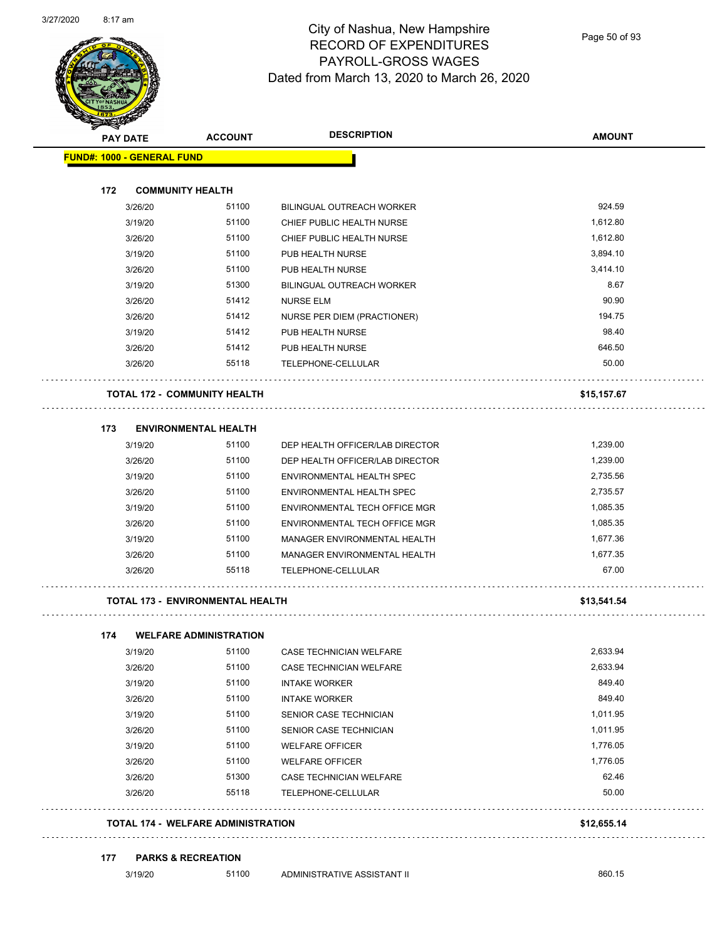

Page 50 of 93

|     | <b>PAY DATE</b>                   | <b>ACCOUNT</b>                          | <b>DESCRIPTION</b>               | <b>AMOUNT</b> |
|-----|-----------------------------------|-----------------------------------------|----------------------------------|---------------|
|     | <b>FUND#: 1000 - GENERAL FUND</b> |                                         |                                  |               |
| 172 |                                   | <b>COMMUNITY HEALTH</b>                 |                                  |               |
|     | 3/26/20                           | 51100                                   | <b>BILINGUAL OUTREACH WORKER</b> | 924.59        |
|     | 3/19/20                           | 51100                                   | CHIEF PUBLIC HEALTH NURSE        | 1,612.80      |
|     | 3/26/20                           | 51100                                   | CHIEF PUBLIC HEALTH NURSE        | 1,612.80      |
|     | 3/19/20                           | 51100                                   | PUB HEALTH NURSE                 | 3,894.10      |
|     | 3/26/20                           | 51100                                   | PUB HEALTH NURSE                 | 3,414.10      |
|     | 3/19/20                           | 51300                                   | <b>BILINGUAL OUTREACH WORKER</b> | 8.67          |
|     | 3/26/20                           | 51412                                   | <b>NURSE ELM</b>                 | 90.90         |
|     | 3/26/20                           | 51412                                   | NURSE PER DIEM (PRACTIONER)      | 194.75        |
|     | 3/19/20                           | 51412                                   | PUB HEALTH NURSE                 | 98.40         |
|     | 3/26/20                           | 51412                                   | PUB HEALTH NURSE                 | 646.50        |
|     | 3/26/20                           | 55118                                   | TELEPHONE-CELLULAR               | 50.00         |
|     |                                   | <b>TOTAL 172 - COMMUNITY HEALTH</b>     |                                  | \$15,157.67   |
| 173 |                                   | <b>ENVIRONMENTAL HEALTH</b>             |                                  |               |
|     | 3/19/20                           | 51100                                   | DEP HEALTH OFFICER/LAB DIRECTOR  | 1,239.00      |
|     | 3/26/20                           | 51100                                   | DEP HEALTH OFFICER/LAB DIRECTOR  | 1,239.00      |
|     | 3/19/20                           | 51100                                   | ENVIRONMENTAL HEALTH SPEC        | 2,735.56      |
|     | 3/26/20                           | 51100                                   | ENVIRONMENTAL HEALTH SPEC        | 2,735.57      |
|     | 3/19/20                           | 51100                                   | ENVIRONMENTAL TECH OFFICE MGR    | 1,085.35      |
|     | 3/26/20                           | 51100                                   | ENVIRONMENTAL TECH OFFICE MGR    | 1,085.35      |
|     | 3/19/20                           | 51100                                   | MANAGER ENVIRONMENTAL HEALTH     | 1,677.36      |
|     | 3/26/20                           | 51100                                   | MANAGER ENVIRONMENTAL HEALTH     | 1,677.35      |
|     | 3/26/20                           | 55118                                   | TELEPHONE-CELLULAR               | 67.00         |
|     |                                   | <b>TOTAL 173 - ENVIRONMENTAL HEALTH</b> |                                  | \$13,541.54   |
| 174 |                                   | <b>WELFARE ADMINISTRATION</b>           |                                  |               |
|     | 3/19/20                           | 51100                                   | CASE TECHNICIAN WELFARE          | 2,633.94      |
|     | 3/26/20                           | 51100                                   | CASE TECHNICIAN WELFARE          | 2,633.94      |
|     | 3/19/20                           | 51100                                   | <b>INTAKE WORKER</b>             | 849.40        |
|     | 3/26/20                           | 51100                                   | <b>INTAKE WORKER</b>             | 849.40        |
|     | 3/19/20                           | 51100                                   | SENIOR CASE TECHNICIAN           | 1,011.95      |
|     | 3/26/20                           | 51100                                   | SENIOR CASE TECHNICIAN           | 1,011.95      |
|     | 3/19/20                           | 51100                                   | <b>WELFARE OFFICER</b>           | 1,776.05      |
|     | 3/26/20                           | 51100                                   | <b>WELFARE OFFICER</b>           | 1,776.05      |
|     | 3/26/20                           | 51300                                   | CASE TECHNICIAN WELFARE          | 62.46         |
|     | 3/26/20                           | 55118                                   | TELEPHONE-CELLULAR               | 50.00         |
|     |                                   |                                         |                                  |               |

#### **177 PARKS & RECREATION**

3/19/20 51100 ADMINISTRATIVE ASSISTANT II 860.15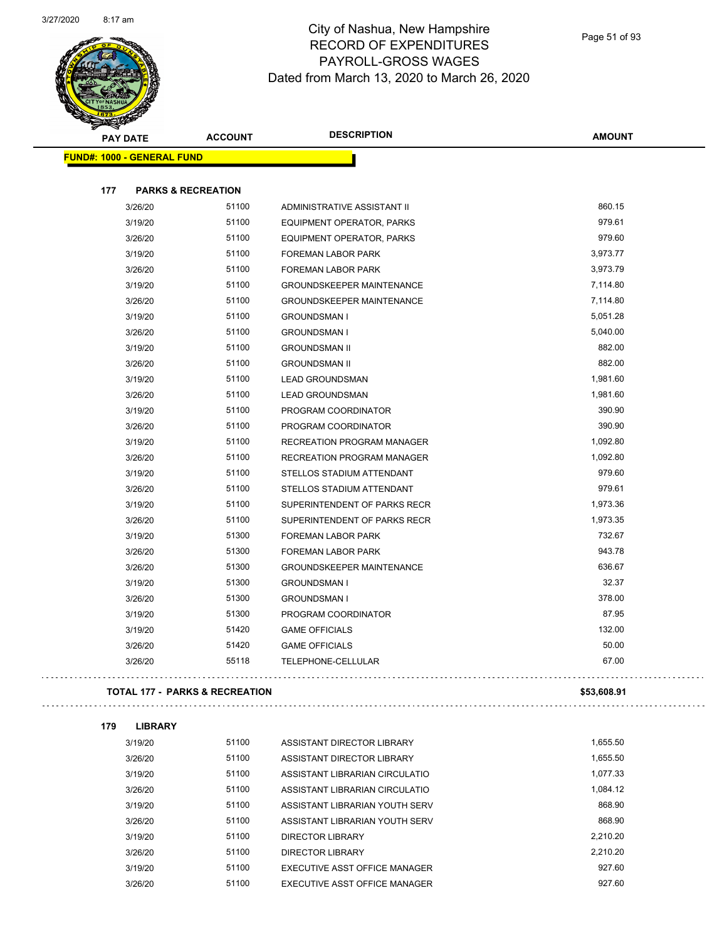

| <b>PAY DATE</b>                           | <b>ACCOUNT</b> | <b>DESCRIPTION</b>                      | <b>AMOUNT</b> |
|-------------------------------------------|----------------|-----------------------------------------|---------------|
| <b>FUND#: 1000 - GENERAL FUND</b>         |                |                                         |               |
|                                           |                |                                         |               |
| 177<br><b>PARKS &amp; RECREATION</b>      |                |                                         |               |
| 3/26/20                                   | 51100          | ADMINISTRATIVE ASSISTANT II             | 860.15        |
| 3/19/20                                   | 51100          | EQUIPMENT OPERATOR, PARKS               | 979.61        |
| 3/26/20                                   | 51100          | EQUIPMENT OPERATOR, PARKS               | 979.60        |
| 3/19/20                                   | 51100          | FOREMAN LABOR PARK                      | 3,973.77      |
| 3/26/20                                   | 51100          | <b>FOREMAN LABOR PARK</b>               | 3,973.79      |
| 3/19/20                                   | 51100          | <b>GROUNDSKEEPER MAINTENANCE</b>        | 7,114.80      |
| 3/26/20                                   | 51100          | <b>GROUNDSKEEPER MAINTENANCE</b>        | 7,114.80      |
| 3/19/20                                   | 51100          | <b>GROUNDSMAN I</b>                     | 5,051.28      |
| 3/26/20                                   | 51100          | <b>GROUNDSMAN I</b>                     | 5,040.00      |
| 3/19/20                                   | 51100          | <b>GROUNDSMAN II</b>                    | 882.00        |
| 3/26/20                                   | 51100          | <b>GROUNDSMAN II</b>                    | 882.00        |
| 3/19/20                                   | 51100          | <b>LEAD GROUNDSMAN</b>                  | 1,981.60      |
| 3/26/20                                   | 51100          | <b>LEAD GROUNDSMAN</b>                  | 1,981.60      |
| 3/19/20                                   | 51100          | PROGRAM COORDINATOR                     | 390.90        |
| 3/26/20                                   | 51100          | PROGRAM COORDINATOR                     | 390.90        |
| 3/19/20                                   | 51100          | RECREATION PROGRAM MANAGER              | 1,092.80      |
| 3/26/20                                   | 51100          | RECREATION PROGRAM MANAGER              | 1,092.80      |
| 3/19/20                                   | 51100          | STELLOS STADIUM ATTENDANT               | 979.60        |
| 3/26/20                                   | 51100          | STELLOS STADIUM ATTENDANT               | 979.61        |
| 3/19/20                                   | 51100          | SUPERINTENDENT OF PARKS RECR            | 1,973.36      |
| 3/26/20                                   | 51100          | SUPERINTENDENT OF PARKS RECR            | 1,973.35      |
| 3/19/20                                   | 51300          | FOREMAN LABOR PARK                      | 732.67        |
| 3/26/20                                   | 51300          | <b>FOREMAN LABOR PARK</b>               | 943.78        |
| 3/26/20                                   | 51300          | <b>GROUNDSKEEPER MAINTENANCE</b>        | 636.67        |
| 3/19/20                                   | 51300          | <b>GROUNDSMAN I</b>                     | 32.37         |
| 3/26/20                                   | 51300          | <b>GROUNDSMAN I</b>                     | 378.00        |
| 3/19/20                                   | 51300          | PROGRAM COORDINATOR                     | 87.95         |
| 3/19/20                                   | 51420          | <b>GAME OFFICIALS</b>                   | 132.00        |
| 3/26/20                                   | 51420          | <b>GAME OFFICIALS</b>                   | 50.00         |
| 3/26/20                                   | 55118          | TELEPHONE-CELLULAR                      | 67.00         |
| <b>TOTAL 177 - PARKS &amp; RECREATION</b> |                |                                         | \$53,608.91   |
|                                           |                |                                         |               |
| 179<br><b>LIBRARY</b>                     |                |                                         |               |
| 3/19/20                                   | 51100          | ASSISTANT DIRECTOR LIBRARY              | 1,655.50      |
| 3/26/20                                   | 51100          | ASSISTANT DIRECTOR LIBRARY              | 1,655.50      |
| 3/19/20                                   | 51100          | ASSISTANT LIBRARIAN CIRCULATIO          | 1,077.33      |
| 3/26/20                                   | 51100          | ASSISTANT LIBRARIAN CIRCULATIO          | 1,084.12      |
| 2110120                                   | 51100          | <b>ACCICTANT LIDDADIAN VOLITLI CEDV</b> | <b>868.00</b> |

| 3/26/20 | 51100 | ASSISTANT LIBRARIAN CIRCULATIO | 1.084.12 |
|---------|-------|--------------------------------|----------|
| 3/19/20 | 51100 | ASSISTANT LIBRARIAN YOUTH SERV | 868.90   |
| 3/26/20 | 51100 | ASSISTANT LIBRARIAN YOUTH SERV | 868.90   |
| 3/19/20 | 51100 | DIRECTOR LIBRARY               | 2.210.20 |
| 3/26/20 | 51100 | DIRECTOR LIBRARY               | 2.210.20 |
| 3/19/20 | 51100 | EXECUTIVE ASST OFFICE MANAGER  | 927.60   |
| 3/26/20 | 51100 | EXECUTIVE ASST OFFICE MANAGER  | 927.60   |
|         |       |                                |          |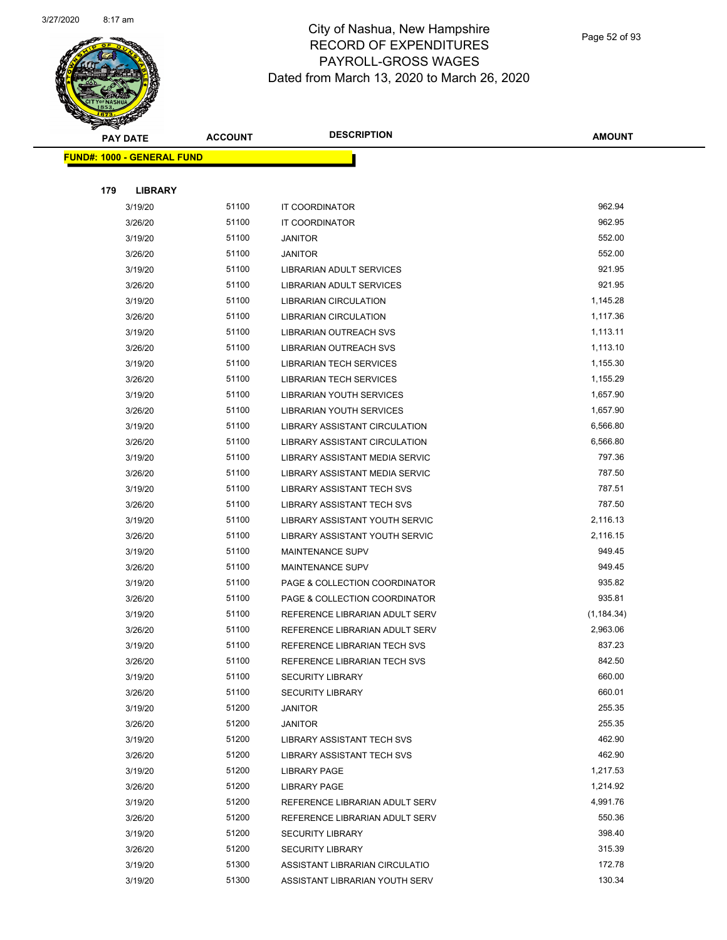

Page 52 of 93

| <b>PAY DATE</b>                   | <b>ACCOUNT</b> | <b>DESCRIPTION</b>                    | <b>AMOUNT</b>    |
|-----------------------------------|----------------|---------------------------------------|------------------|
| <b>FUND#: 1000 - GENERAL FUND</b> |                |                                       |                  |
|                                   |                |                                       |                  |
| 179<br><b>LIBRARY</b>             |                |                                       |                  |
| 3/19/20                           | 51100          | IT COORDINATOR                        | 962.94           |
| 3/26/20                           | 51100          | IT COORDINATOR                        | 962.95           |
| 3/19/20                           | 51100          | <b>JANITOR</b>                        | 552.00           |
| 3/26/20                           | 51100          | <b>JANITOR</b>                        | 552.00           |
| 3/19/20                           | 51100          | LIBRARIAN ADULT SERVICES              | 921.95           |
| 3/26/20                           | 51100          | LIBRARIAN ADULT SERVICES              | 921.95           |
| 3/19/20                           | 51100          | <b>LIBRARIAN CIRCULATION</b>          | 1,145.28         |
| 3/26/20                           | 51100          | <b>LIBRARIAN CIRCULATION</b>          | 1,117.36         |
| 3/19/20                           | 51100          | LIBRARIAN OUTREACH SVS                | 1,113.11         |
| 3/26/20                           | 51100          | LIBRARIAN OUTREACH SVS                | 1,113.10         |
| 3/19/20                           | 51100          | <b>LIBRARIAN TECH SERVICES</b>        | 1,155.30         |
| 3/26/20                           | 51100          | LIBRARIAN TECH SERVICES               | 1,155.29         |
| 3/19/20                           | 51100          | <b>LIBRARIAN YOUTH SERVICES</b>       | 1,657.90         |
| 3/26/20                           | 51100          | LIBRARIAN YOUTH SERVICES              | 1,657.90         |
| 3/19/20                           | 51100          | LIBRARY ASSISTANT CIRCULATION         | 6,566.80         |
| 3/26/20                           | 51100          | LIBRARY ASSISTANT CIRCULATION         | 6,566.80         |
| 3/19/20                           | 51100          | <b>LIBRARY ASSISTANT MEDIA SERVIC</b> | 797.36           |
| 3/26/20                           | 51100          | LIBRARY ASSISTANT MEDIA SERVIC        | 787.50           |
| 3/19/20                           | 51100          | LIBRARY ASSISTANT TECH SVS            | 787.51           |
| 3/26/20                           | 51100          | LIBRARY ASSISTANT TECH SVS            | 787.50           |
| 3/19/20                           | 51100          | LIBRARY ASSISTANT YOUTH SERVIC        | 2,116.13         |
| 3/26/20                           | 51100          | LIBRARY ASSISTANT YOUTH SERVIC        | 2,116.15         |
| 3/19/20                           | 51100          | MAINTENANCE SUPV                      | 949.45           |
| 3/26/20                           | 51100          | MAINTENANCE SUPV                      | 949.45           |
| 3/19/20                           | 51100          | PAGE & COLLECTION COORDINATOR         | 935.82           |
| 3/26/20                           | 51100          | PAGE & COLLECTION COORDINATOR         | 935.81           |
| 3/19/20                           | 51100          | REFERENCE LIBRARIAN ADULT SERV        | (1, 184.34)      |
| 3/26/20                           | 51100          | REFERENCE LIBRARIAN ADULT SERV        | 2,963.06         |
| 3/19/20                           | 51100          | REFERENCE LIBRARIAN TECH SVS          | 837.23           |
| 3/26/20                           | 51100          | REFERENCE LIBRARIAN TECH SVS          | 842.50           |
| 3/19/20                           | 51100          | <b>SECURITY LIBRARY</b>               | 660.00           |
| 3/26/20                           | 51100          | <b>SECURITY LIBRARY</b>               | 660.01           |
| 3/19/20                           | 51200          | <b>JANITOR</b>                        | 255.35           |
| 3/26/20                           | 51200          | <b>JANITOR</b>                        | 255.35           |
| 3/19/20                           | 51200          | LIBRARY ASSISTANT TECH SVS            | 462.90           |
| 3/26/20                           | 51200          | LIBRARY ASSISTANT TECH SVS            | 462.90           |
| 3/19/20                           | 51200          | <b>LIBRARY PAGE</b>                   | 1,217.53         |
| 3/26/20                           | 51200          | <b>LIBRARY PAGE</b>                   | 1,214.92         |
| 3/19/20                           | 51200          | REFERENCE LIBRARIAN ADULT SERV        | 4,991.76         |
| 3/26/20                           | 51200          | REFERENCE LIBRARIAN ADULT SERV        | 550.36<br>398.40 |
| 3/19/20                           | 51200<br>51200 | <b>SECURITY LIBRARY</b>               | 315.39           |
| 3/26/20                           | 51300          | <b>SECURITY LIBRARY</b>               | 172.78           |
| 3/19/20                           | 51300          | ASSISTANT LIBRARIAN CIRCULATIO        | 130.34           |
| 3/19/20                           |                | ASSISTANT LIBRARIAN YOUTH SERV        |                  |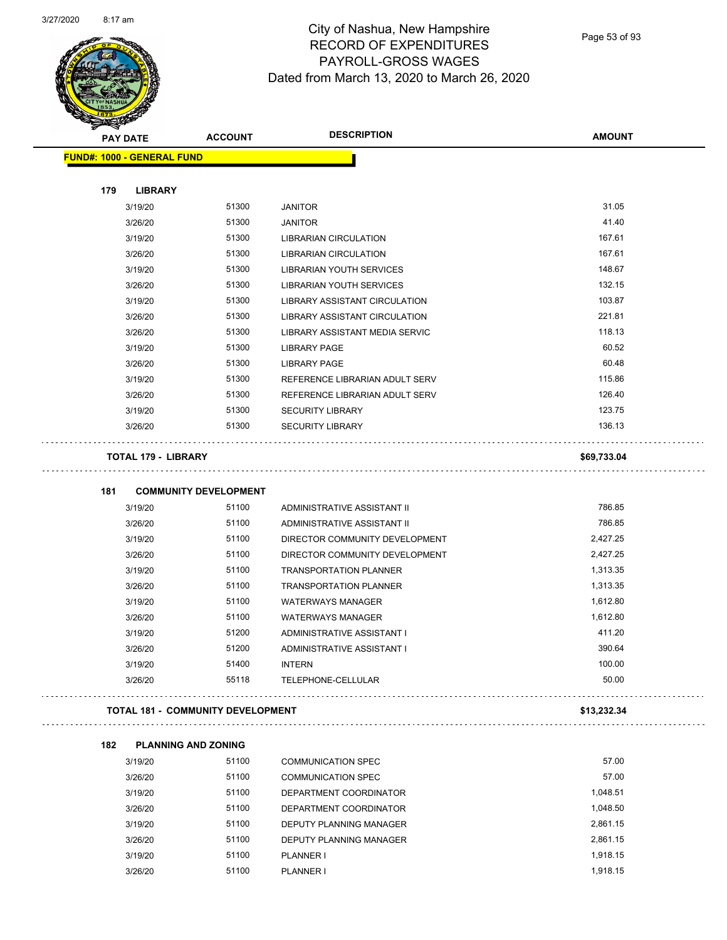

Page 53 of 93

| <b>PAY DATE</b>                   |                                          | <b>ACCOUNT</b> | <b>DESCRIPTION</b>                      | <b>AMOUNT</b> |
|-----------------------------------|------------------------------------------|----------------|-----------------------------------------|---------------|
| <b>FUND#: 1000 - GENERAL FUND</b> |                                          |                |                                         |               |
|                                   |                                          |                |                                         |               |
| 179                               | <b>LIBRARY</b>                           | 51300          |                                         | 31.05         |
| 3/19/20                           |                                          | 51300          | <b>JANITOR</b>                          | 41.40         |
| 3/26/20<br>3/19/20                |                                          | 51300          | <b>JANITOR</b><br>LIBRARIAN CIRCULATION | 167.61        |
| 3/26/20                           |                                          | 51300          | LIBRARIAN CIRCULATION                   | 167.61        |
| 3/19/20                           |                                          | 51300          | LIBRARIAN YOUTH SERVICES                | 148.67        |
| 3/26/20                           |                                          | 51300          | LIBRARIAN YOUTH SERVICES                | 132.15        |
| 3/19/20                           |                                          | 51300          | LIBRARY ASSISTANT CIRCULATION           | 103.87        |
| 3/26/20                           |                                          | 51300          | LIBRARY ASSISTANT CIRCULATION           | 221.81        |
| 3/26/20                           |                                          | 51300          | LIBRARY ASSISTANT MEDIA SERVIC          | 118.13        |
| 3/19/20                           |                                          | 51300          | <b>LIBRARY PAGE</b>                     | 60.52         |
| 3/26/20                           |                                          | 51300          | <b>LIBRARY PAGE</b>                     | 60.48         |
| 3/19/20                           |                                          | 51300          | REFERENCE LIBRARIAN ADULT SERV          | 115.86        |
| 3/26/20                           |                                          | 51300          | REFERENCE LIBRARIAN ADULT SERV          | 126.40        |
| 3/19/20                           |                                          | 51300          | <b>SECURITY LIBRARY</b>                 | 123.75        |
| 3/26/20                           |                                          | 51300          | <b>SECURITY LIBRARY</b>                 | 136.13        |
|                                   | <b>TOTAL 179 - LIBRARY</b>               |                |                                         | \$69,733.04   |
|                                   |                                          |                |                                         |               |
| 181                               | <b>COMMUNITY DEVELOPMENT</b>             |                |                                         |               |
| 3/19/20                           |                                          | 51100          | ADMINISTRATIVE ASSISTANT II             | 786.85        |
| 3/26/20                           |                                          | 51100          | ADMINISTRATIVE ASSISTANT II             | 786.85        |
| 3/19/20                           |                                          | 51100          | DIRECTOR COMMUNITY DEVELOPMENT          | 2,427.25      |
| 3/26/20                           |                                          | 51100          | DIRECTOR COMMUNITY DEVELOPMENT          | 2,427.25      |
| 3/19/20                           |                                          | 51100          | <b>TRANSPORTATION PLANNER</b>           | 1,313.35      |
| 3/26/20                           |                                          | 51100          | <b>TRANSPORTATION PLANNER</b>           | 1,313.35      |
| 3/19/20                           |                                          | 51100          | <b>WATERWAYS MANAGER</b>                | 1,612.80      |
| 3/26/20                           |                                          | 51100          | <b>WATERWAYS MANAGER</b>                | 1,612.80      |
| 3/19/20                           |                                          | 51200          | ADMINISTRATIVE ASSISTANT I              | 411.20        |
| 3/26/20                           |                                          | 51200          | ADMINISTRATIVE ASSISTANT I              | 390.64        |
| 3/19/20                           |                                          | 51400          | <b>INTERN</b>                           | 100.00        |
| 3/26/20                           |                                          | 55118          | TELEPHONE-CELLULAR                      | 50.00         |
|                                   | <b>TOTAL 181 - COMMUNITY DEVELOPMENT</b> |                |                                         | \$13,232.34   |
| 182                               | <b>PLANNING AND ZONING</b>               |                |                                         |               |
| 3/19/20                           |                                          | 51100          | <b>COMMUNICATION SPEC</b>               | 57.00         |
| 3/26/20                           |                                          | 51100          | <b>COMMUNICATION SPEC</b>               | 57.00         |
| 3/19/20                           |                                          | 51100          | DEPARTMENT COORDINATOR                  | 1,048.51      |
| 3/26/20                           |                                          | 51100          | DEPARTMENT COORDINATOR                  | 1,048.50      |
| 3/19/20                           |                                          | 51100          | DEPUTY PLANNING MANAGER                 | 2,861.15      |
| 3/26/20                           |                                          | 51100          | DEPUTY PLANNING MANAGER                 | 2,861.15      |

3/19/20 51100 PLANNER I 1,918.15 3/26/20 51100 PLANNER I 1,918.15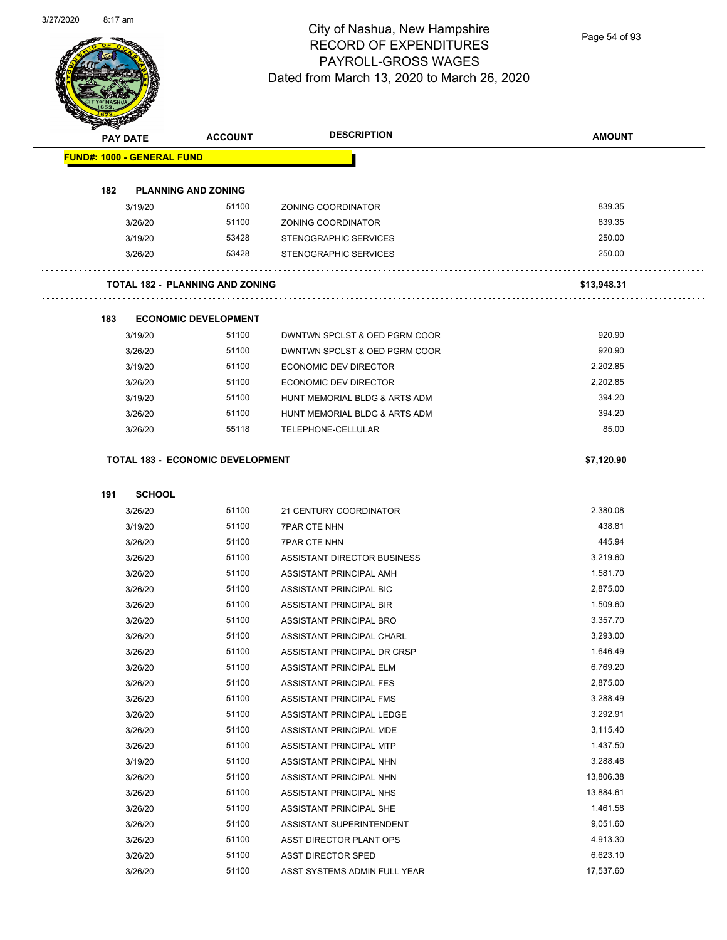

Page 54 of 93

| <b>SANGRAD</b>                    |                 |                                         | <b>DESCRIPTION</b>            | <b>AMOUNT</b> |
|-----------------------------------|-----------------|-----------------------------------------|-------------------------------|---------------|
|                                   | <b>PAY DATE</b> | <b>ACCOUNT</b>                          |                               |               |
| <b>FUND#: 1000 - GENERAL FUND</b> |                 |                                         |                               |               |
|                                   |                 |                                         |                               |               |
| 182                               |                 | <b>PLANNING AND ZONING</b>              |                               |               |
|                                   | 3/19/20         | 51100                                   | ZONING COORDINATOR            | 839.35        |
|                                   | 3/26/20         | 51100                                   | ZONING COORDINATOR            | 839.35        |
|                                   | 3/19/20         | 53428                                   | STENOGRAPHIC SERVICES         | 250.00        |
|                                   | 3/26/20         | 53428                                   | STENOGRAPHIC SERVICES         | 250.00        |
|                                   |                 | <b>TOTAL 182 - PLANNING AND ZONING</b>  |                               | \$13,948.31   |
| 183                               |                 | <b>ECONOMIC DEVELOPMENT</b>             |                               |               |
|                                   | 3/19/20         | 51100                                   | DWNTWN SPCLST & OED PGRM COOR | 920.90        |
|                                   | 3/26/20         | 51100                                   | DWNTWN SPCLST & OED PGRM COOR | 920.90        |
|                                   | 3/19/20         | 51100                                   | <b>ECONOMIC DEV DIRECTOR</b>  | 2,202.85      |
|                                   | 3/26/20         | 51100                                   | ECONOMIC DEV DIRECTOR         | 2,202.85      |
|                                   | 3/19/20         | 51100                                   | HUNT MEMORIAL BLDG & ARTS ADM | 394.20        |
|                                   | 3/26/20         | 51100                                   | HUNT MEMORIAL BLDG & ARTS ADM | 394.20        |
|                                   | 3/26/20         | 55118                                   | TELEPHONE-CELLULAR            | 85.00         |
|                                   |                 |                                         |                               |               |
|                                   |                 | <b>TOTAL 183 - ECONOMIC DEVELOPMENT</b> |                               | \$7,120.90    |
| 191                               | <b>SCHOOL</b>   |                                         |                               |               |
|                                   | 3/26/20         | 51100                                   | 21 CENTURY COORDINATOR        | 2,380.08      |
|                                   | 3/19/20         | 51100                                   | <b>7PAR CTE NHN</b>           | 438.81        |
|                                   | 3/26/20         | 51100                                   | <b>7PAR CTE NHN</b>           | 445.94        |
|                                   | 3/26/20         | 51100                                   | ASSISTANT DIRECTOR BUSINESS   | 3,219.60      |
|                                   | 3/26/20         | 51100                                   | ASSISTANT PRINCIPAL AMH       | 1,581.70      |
|                                   | 3/26/20         | 51100                                   | ASSISTANT PRINCIPAL BIC       | 2,875.00      |
|                                   | 3/26/20         | 51100                                   | ASSISTANT PRINCIPAL BIR       | 1,509.60      |
|                                   | 3/26/20         | 51100                                   | ASSISTANT PRINCIPAL BRO       | 3,357.70      |
|                                   | 3/26/20         | 51100                                   | ASSISTANT PRINCIPAL CHARL     | 3,293.00      |
|                                   | 3/26/20         | 51100                                   | ASSISTANT PRINCIPAL DR CRSP   | 1,646.49      |
|                                   | 3/26/20         | 51100                                   | ASSISTANT PRINCIPAL ELM       | 6,769.20      |
|                                   | 3/26/20         | 51100                                   | ASSISTANT PRINCIPAL FES       | 2,875.00      |
|                                   | 3/26/20         | 51100                                   | ASSISTANT PRINCIPAL FMS       | 3,288.49      |
|                                   | 3/26/20         | 51100                                   | ASSISTANT PRINCIPAL LEDGE     | 3,292.91      |
|                                   | 3/26/20         | 51100                                   | ASSISTANT PRINCIPAL MDE       | 3,115.40      |
|                                   | 3/26/20         | 51100                                   | ASSISTANT PRINCIPAL MTP       | 1,437.50      |
|                                   | 3/19/20         | 51100                                   | ASSISTANT PRINCIPAL NHN       | 3,288.46      |
|                                   | 3/26/20         | 51100                                   | ASSISTANT PRINCIPAL NHN       | 13,806.38     |
|                                   | 3/26/20         | 51100                                   | ASSISTANT PRINCIPAL NHS       | 13,884.61     |
|                                   | 3/26/20         | 51100                                   | ASSISTANT PRINCIPAL SHE       | 1,461.58      |
|                                   | 3/26/20         | 51100                                   | ASSISTANT SUPERINTENDENT      | 9,051.60      |
|                                   | 3/26/20         | 51100                                   | ASST DIRECTOR PLANT OPS       | 4,913.30      |
|                                   | 3/26/20         | 51100                                   | ASST DIRECTOR SPED            | 6,623.10      |
|                                   | 3/26/20         | 51100                                   | ASST SYSTEMS ADMIN FULL YEAR  | 17,537.60     |
|                                   |                 |                                         |                               |               |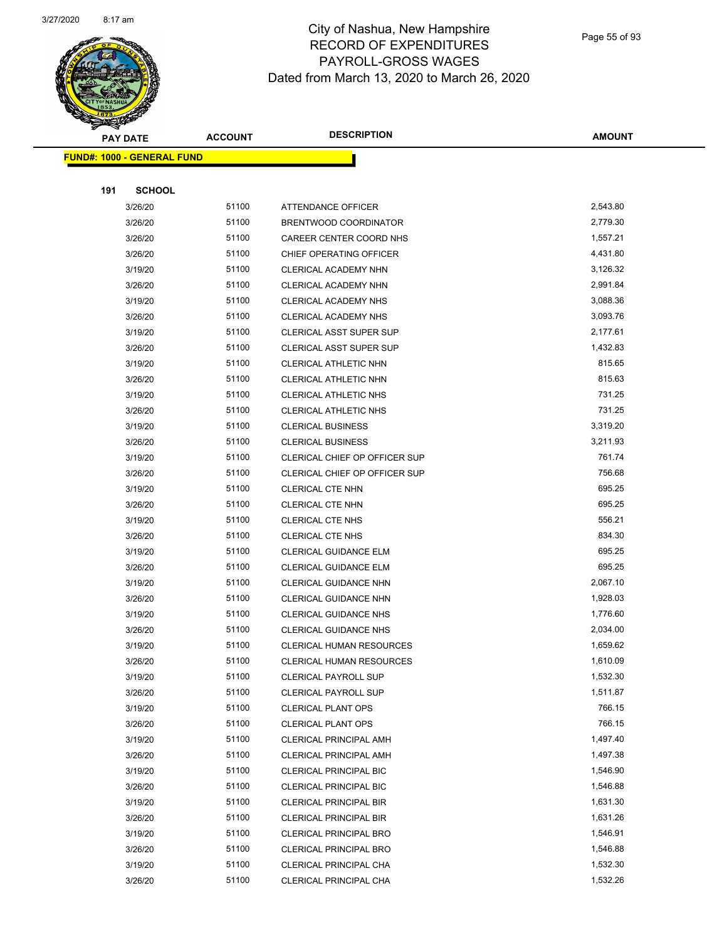

Page 55 of 93

|     | <b>PAY DATE</b>                   | <b>ACCOUNT</b> | <b>DESCRIPTION</b>             | <b>AMOUNT</b> |  |
|-----|-----------------------------------|----------------|--------------------------------|---------------|--|
|     | <b>FUND#: 1000 - GENERAL FUND</b> |                |                                |               |  |
|     |                                   |                |                                |               |  |
| 191 | <b>SCHOOL</b>                     |                |                                |               |  |
|     | 3/26/20                           | 51100          | ATTENDANCE OFFICER             | 2,543.80      |  |
|     | 3/26/20                           | 51100          | BRENTWOOD COORDINATOR          | 2,779.30      |  |
|     | 3/26/20                           | 51100          | CAREER CENTER COORD NHS        | 1,557.21      |  |
|     | 3/26/20                           | 51100          | CHIEF OPERATING OFFICER        | 4,431.80      |  |
|     | 3/19/20                           | 51100          | CLERICAL ACADEMY NHN           | 3,126.32      |  |
|     | 3/26/20                           | 51100          | CLERICAL ACADEMY NHN           | 2,991.84      |  |
|     | 3/19/20                           | 51100          | <b>CLERICAL ACADEMY NHS</b>    | 3,088.36      |  |
|     | 3/26/20                           | 51100          | <b>CLERICAL ACADEMY NHS</b>    | 3,093.76      |  |
|     | 3/19/20                           | 51100          | <b>CLERICAL ASST SUPER SUP</b> | 2,177.61      |  |
|     | 3/26/20                           | 51100          | <b>CLERICAL ASST SUPER SUP</b> | 1,432.83      |  |
|     | 3/19/20                           | 51100          | CLERICAL ATHLETIC NHN          | 815.65        |  |
|     | 3/26/20                           | 51100          | CLERICAL ATHLETIC NHN          | 815.63        |  |
|     | 3/19/20                           | 51100          | CLERICAL ATHLETIC NHS          | 731.25        |  |
|     | 3/26/20                           | 51100          | CLERICAL ATHLETIC NHS          | 731.25        |  |
|     | 3/19/20                           | 51100          | <b>CLERICAL BUSINESS</b>       | 3,319.20      |  |
|     | 3/26/20                           | 51100          | <b>CLERICAL BUSINESS</b>       | 3,211.93      |  |
|     | 3/19/20                           | 51100          | CLERICAL CHIEF OP OFFICER SUP  | 761.74        |  |
|     | 3/26/20                           | 51100          | CLERICAL CHIEF OP OFFICER SUP  | 756.68        |  |
|     | 3/19/20                           | 51100          | CLERICAL CTE NHN               | 695.25        |  |
|     | 3/26/20                           | 51100          | CLERICAL CTE NHN               | 695.25        |  |
|     | 3/19/20                           | 51100          | CLERICAL CTE NHS               | 556.21        |  |
|     | 3/26/20                           | 51100          | CLERICAL CTE NHS               | 834.30        |  |
|     | 3/19/20                           | 51100          | CLERICAL GUIDANCE ELM          | 695.25        |  |
|     | 3/26/20                           | 51100          | CLERICAL GUIDANCE ELM          | 695.25        |  |
|     | 3/19/20                           | 51100          | <b>CLERICAL GUIDANCE NHN</b>   | 2,067.10      |  |
|     | 3/26/20                           | 51100          | CLERICAL GUIDANCE NHN          | 1,928.03      |  |
|     | 3/19/20                           | 51100          | <b>CLERICAL GUIDANCE NHS</b>   | 1,776.60      |  |
|     | 3/26/20                           | 51100          | <b>CLERICAL GUIDANCE NHS</b>   | 2,034.00      |  |
|     | 3/19/20                           | 51100          | CLERICAL HUMAN RESOURCES       | 1,659.62      |  |
|     | 3/26/20                           | 51100          | CLERICAL HUMAN RESOURCES       | 1,610.09      |  |
|     | 3/19/20                           | 51100          | <b>CLERICAL PAYROLL SUP</b>    | 1,532.30      |  |
|     | 3/26/20                           | 51100          | <b>CLERICAL PAYROLL SUP</b>    | 1,511.87      |  |
|     | 3/19/20                           | 51100          | <b>CLERICAL PLANT OPS</b>      | 766.15        |  |
|     | 3/26/20                           | 51100          | <b>CLERICAL PLANT OPS</b>      | 766.15        |  |
|     | 3/19/20                           | 51100          | <b>CLERICAL PRINCIPAL AMH</b>  | 1,497.40      |  |
|     | 3/26/20                           | 51100          | <b>CLERICAL PRINCIPAL AMH</b>  | 1,497.38      |  |
|     | 3/19/20                           | 51100          | <b>CLERICAL PRINCIPAL BIC</b>  | 1,546.90      |  |
|     | 3/26/20                           | 51100          | <b>CLERICAL PRINCIPAL BIC</b>  | 1,546.88      |  |
|     | 3/19/20                           | 51100          | <b>CLERICAL PRINCIPAL BIR</b>  | 1,631.30      |  |
|     | 3/26/20                           | 51100          | <b>CLERICAL PRINCIPAL BIR</b>  | 1,631.26      |  |
|     | 3/19/20                           | 51100          | <b>CLERICAL PRINCIPAL BRO</b>  | 1,546.91      |  |
|     | 3/26/20                           | 51100          | <b>CLERICAL PRINCIPAL BRO</b>  | 1,546.88      |  |
|     | 3/19/20                           | 51100          | CLERICAL PRINCIPAL CHA         | 1,532.30      |  |
|     | 3/26/20                           | 51100          | CLERICAL PRINCIPAL CHA         | 1,532.26      |  |
|     |                                   |                |                                |               |  |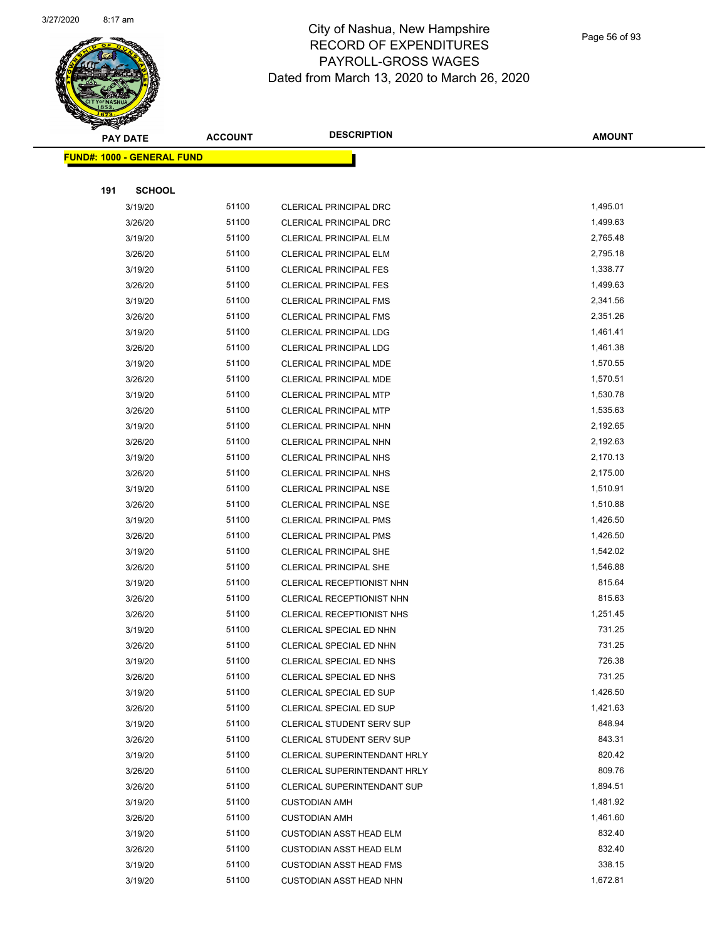

Page 56 of 93

|     | <b>PAY DATE</b>                    | <b>ACCOUNT</b> | <b>DESCRIPTION</b>             | <b>AMOUNT</b> |
|-----|------------------------------------|----------------|--------------------------------|---------------|
|     | <u> FUND#: 1000 - GENERAL FUND</u> |                |                                |               |
|     |                                    |                |                                |               |
| 191 | <b>SCHOOL</b>                      |                |                                |               |
|     | 3/19/20                            | 51100          | CLERICAL PRINCIPAL DRC         | 1,495.01      |
|     | 3/26/20                            | 51100          | <b>CLERICAL PRINCIPAL DRC</b>  | 1,499.63      |
|     | 3/19/20                            | 51100          | <b>CLERICAL PRINCIPAL ELM</b>  | 2,765.48      |
|     | 3/26/20                            | 51100          | <b>CLERICAL PRINCIPAL ELM</b>  | 2,795.18      |
|     | 3/19/20                            | 51100          | <b>CLERICAL PRINCIPAL FES</b>  | 1,338.77      |
|     | 3/26/20                            | 51100          | <b>CLERICAL PRINCIPAL FES</b>  | 1,499.63      |
|     | 3/19/20                            | 51100          | <b>CLERICAL PRINCIPAL FMS</b>  | 2,341.56      |
|     | 3/26/20                            | 51100          | <b>CLERICAL PRINCIPAL FMS</b>  | 2,351.26      |
|     | 3/19/20                            | 51100          | <b>CLERICAL PRINCIPAL LDG</b>  | 1,461.41      |
|     | 3/26/20                            | 51100          | <b>CLERICAL PRINCIPAL LDG</b>  | 1,461.38      |
|     | 3/19/20                            | 51100          | <b>CLERICAL PRINCIPAL MDE</b>  | 1,570.55      |
|     | 3/26/20                            | 51100          | <b>CLERICAL PRINCIPAL MDE</b>  | 1,570.51      |
|     | 3/19/20                            | 51100          | <b>CLERICAL PRINCIPAL MTP</b>  | 1,530.78      |
|     | 3/26/20                            | 51100          | <b>CLERICAL PRINCIPAL MTP</b>  | 1,535.63      |
|     | 3/19/20                            | 51100          | CLERICAL PRINCIPAL NHN         | 2,192.65      |
|     | 3/26/20                            | 51100          | <b>CLERICAL PRINCIPAL NHN</b>  | 2,192.63      |
|     | 3/19/20                            | 51100          | <b>CLERICAL PRINCIPAL NHS</b>  | 2,170.13      |
|     | 3/26/20                            | 51100          | <b>CLERICAL PRINCIPAL NHS</b>  | 2,175.00      |
|     | 3/19/20                            | 51100          | <b>CLERICAL PRINCIPAL NSE</b>  | 1,510.91      |
|     | 3/26/20                            | 51100          | <b>CLERICAL PRINCIPAL NSE</b>  | 1,510.88      |
|     | 3/19/20                            | 51100          | <b>CLERICAL PRINCIPAL PMS</b>  | 1,426.50      |
|     | 3/26/20                            | 51100          | <b>CLERICAL PRINCIPAL PMS</b>  | 1,426.50      |
|     | 3/19/20                            | 51100          | <b>CLERICAL PRINCIPAL SHE</b>  | 1,542.02      |
|     | 3/26/20                            | 51100          | <b>CLERICAL PRINCIPAL SHE</b>  | 1,546.88      |
|     | 3/19/20                            | 51100          | CLERICAL RECEPTIONIST NHN      | 815.64        |
|     | 3/26/20                            | 51100          | CLERICAL RECEPTIONIST NHN      | 815.63        |
|     | 3/26/20                            | 51100          | CLERICAL RECEPTIONIST NHS      | 1,251.45      |
|     | 3/19/20                            | 51100          | CLERICAL SPECIAL ED NHN        | 731.25        |
|     | 3/26/20                            | 51100          | CLERICAL SPECIAL ED NHN        | 731.25        |
|     | 3/19/20                            | 51100          | <b>CLERICAL SPECIAL ED NHS</b> | 726.38        |
|     | 3/26/20                            | 51100          | CLERICAL SPECIAL ED NHS        | 731.25        |
|     | 3/19/20                            | 51100          | CLERICAL SPECIAL ED SUP        | 1,426.50      |
|     | 3/26/20                            | 51100          | CLERICAL SPECIAL ED SUP        | 1,421.63      |
|     | 3/19/20                            | 51100          | CLERICAL STUDENT SERV SUP      | 848.94        |
|     | 3/26/20                            | 51100          | CLERICAL STUDENT SERV SUP      | 843.31        |
|     | 3/19/20                            | 51100          | CLERICAL SUPERINTENDANT HRLY   | 820.42        |
|     | 3/26/20                            | 51100          | CLERICAL SUPERINTENDANT HRLY   | 809.76        |
|     | 3/26/20                            | 51100          | CLERICAL SUPERINTENDANT SUP    | 1,894.51      |
|     | 3/19/20                            | 51100          | <b>CUSTODIAN AMH</b>           | 1,481.92      |
|     | 3/26/20                            | 51100          | <b>CUSTODIAN AMH</b>           | 1,461.60      |
|     | 3/19/20                            | 51100          | <b>CUSTODIAN ASST HEAD ELM</b> | 832.40        |
|     | 3/26/20                            | 51100          | <b>CUSTODIAN ASST HEAD ELM</b> | 832.40        |
|     | 3/19/20                            | 51100          | <b>CUSTODIAN ASST HEAD FMS</b> | 338.15        |
|     | 3/19/20                            | 51100          | <b>CUSTODIAN ASST HEAD NHN</b> | 1,672.81      |
|     |                                    |                |                                |               |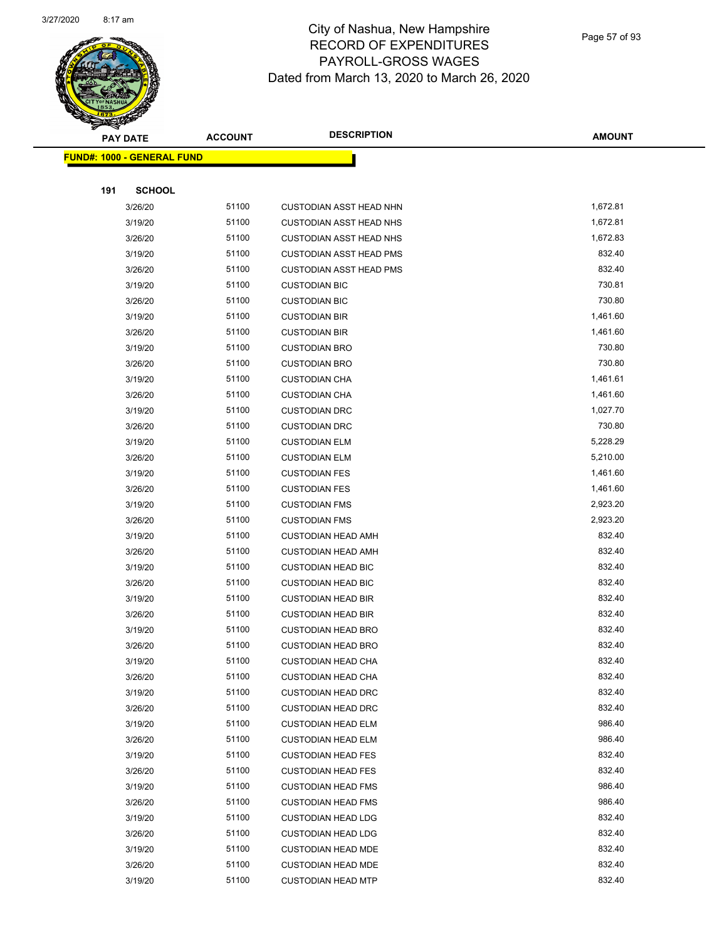

Page 57 of 93

| <b>PAY DATE</b>                   | <b>ACCOUNT</b> | <b>DESCRIPTION</b>                                     | <b>AMOUNT</b>    |
|-----------------------------------|----------------|--------------------------------------------------------|------------------|
| <b>FUND#: 1000 - GENERAL FUND</b> |                |                                                        |                  |
|                                   |                |                                                        |                  |
| 191<br><b>SCHOOL</b>              |                |                                                        |                  |
| 3/26/20                           | 51100          | <b>CUSTODIAN ASST HEAD NHN</b>                         | 1,672.81         |
| 3/19/20                           | 51100          | <b>CUSTODIAN ASST HEAD NHS</b>                         | 1,672.81         |
| 3/26/20                           | 51100          | <b>CUSTODIAN ASST HEAD NHS</b>                         | 1,672.83         |
| 3/19/20                           | 51100          | <b>CUSTODIAN ASST HEAD PMS</b>                         | 832.40           |
| 3/26/20                           | 51100          | <b>CUSTODIAN ASST HEAD PMS</b>                         | 832.40           |
| 3/19/20                           | 51100          | <b>CUSTODIAN BIC</b>                                   | 730.81           |
| 3/26/20                           | 51100          | <b>CUSTODIAN BIC</b>                                   | 730.80           |
| 3/19/20                           | 51100          | <b>CUSTODIAN BIR</b>                                   | 1,461.60         |
| 3/26/20                           | 51100          | <b>CUSTODIAN BIR</b>                                   | 1,461.60         |
| 3/19/20                           | 51100          | <b>CUSTODIAN BRO</b>                                   | 730.80           |
| 3/26/20                           | 51100          | <b>CUSTODIAN BRO</b>                                   | 730.80           |
| 3/19/20                           | 51100          | <b>CUSTODIAN CHA</b>                                   | 1,461.61         |
| 3/26/20                           | 51100          | <b>CUSTODIAN CHA</b>                                   | 1,461.60         |
| 3/19/20                           | 51100          | <b>CUSTODIAN DRC</b>                                   | 1,027.70         |
| 3/26/20                           | 51100          | <b>CUSTODIAN DRC</b>                                   | 730.80           |
| 3/19/20                           | 51100          | <b>CUSTODIAN ELM</b>                                   | 5,228.29         |
| 3/26/20                           | 51100          | <b>CUSTODIAN ELM</b>                                   | 5,210.00         |
| 3/19/20                           | 51100          | <b>CUSTODIAN FES</b>                                   | 1,461.60         |
| 3/26/20                           | 51100          | <b>CUSTODIAN FES</b>                                   | 1,461.60         |
| 3/19/20                           | 51100          | <b>CUSTODIAN FMS</b>                                   | 2,923.20         |
| 3/26/20                           | 51100          | <b>CUSTODIAN FMS</b>                                   | 2,923.20         |
| 3/19/20                           | 51100          | <b>CUSTODIAN HEAD AMH</b>                              | 832.40           |
| 3/26/20                           | 51100          | <b>CUSTODIAN HEAD AMH</b>                              | 832.40           |
| 3/19/20                           | 51100          | <b>CUSTODIAN HEAD BIC</b>                              | 832.40           |
| 3/26/20                           | 51100          | <b>CUSTODIAN HEAD BIC</b>                              | 832.40           |
| 3/19/20                           | 51100          | <b>CUSTODIAN HEAD BIR</b>                              | 832.40           |
| 3/26/20                           | 51100          | <b>CUSTODIAN HEAD BIR</b>                              | 832.40           |
| 3/19/20                           | 51100          | <b>CUSTODIAN HEAD BRO</b>                              | 832.40           |
| 3/26/20                           | 51100          | <b>CUSTODIAN HEAD BRO</b>                              | 832.40           |
| 3/19/20                           | 51100          | <b>CUSTODIAN HEAD CHA</b>                              | 832.40           |
| 3/26/20                           | 51100          | <b>CUSTODIAN HEAD CHA</b>                              | 832.40           |
| 3/19/20                           | 51100          | <b>CUSTODIAN HEAD DRC</b>                              | 832.40           |
| 3/26/20                           | 51100          | <b>CUSTODIAN HEAD DRC</b>                              | 832.40           |
| 3/19/20                           | 51100<br>51100 | <b>CUSTODIAN HEAD ELM</b>                              | 986.40<br>986.40 |
| 3/26/20                           | 51100          | <b>CUSTODIAN HEAD ELM</b>                              | 832.40           |
| 3/19/20                           | 51100          | <b>CUSTODIAN HEAD FES</b><br><b>CUSTODIAN HEAD FES</b> | 832.40           |
| 3/26/20                           | 51100          | <b>CUSTODIAN HEAD FMS</b>                              | 986.40           |
| 3/19/20<br>3/26/20                | 51100          | <b>CUSTODIAN HEAD FMS</b>                              | 986.40           |
| 3/19/20                           | 51100          | <b>CUSTODIAN HEAD LDG</b>                              | 832.40           |
| 3/26/20                           | 51100          | <b>CUSTODIAN HEAD LDG</b>                              | 832.40           |
| 3/19/20                           | 51100          | <b>CUSTODIAN HEAD MDE</b>                              | 832.40           |
| 3/26/20                           | 51100          | <b>CUSTODIAN HEAD MDE</b>                              | 832.40           |
| 3/19/20                           | 51100          | <b>CUSTODIAN HEAD MTP</b>                              | 832.40           |
|                                   |                |                                                        |                  |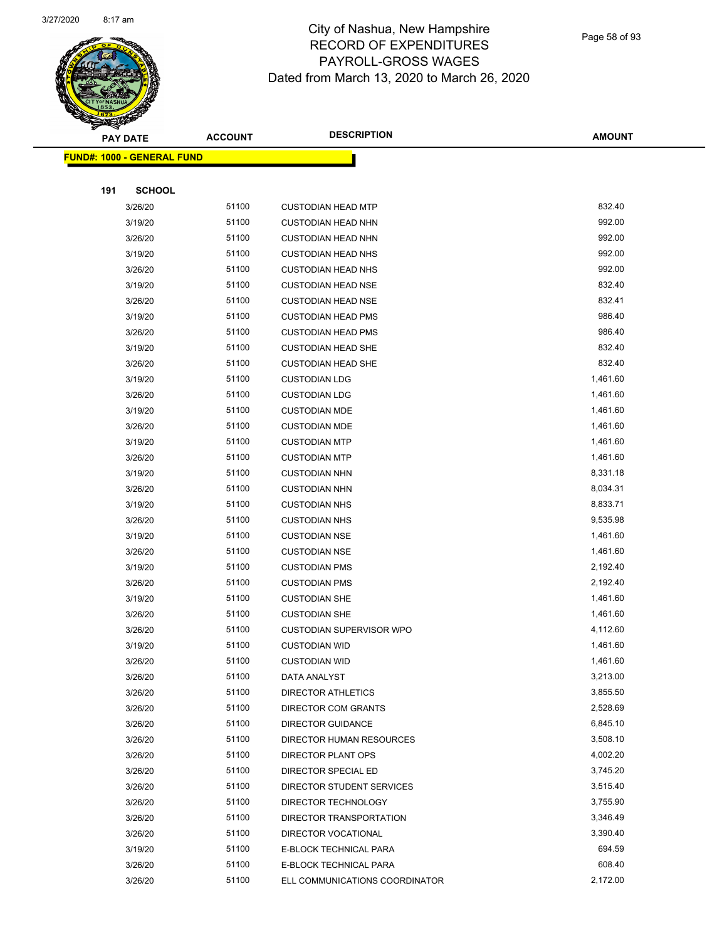

Page 58 of 93

|     | <b>PAY DATE</b>                   | <b>ACCOUNT</b> | <b>DESCRIPTION</b>              | <b>AMOUNT</b> |
|-----|-----------------------------------|----------------|---------------------------------|---------------|
|     | <b>FUND#: 1000 - GENERAL FUND</b> |                |                                 |               |
|     |                                   |                |                                 |               |
| 191 | <b>SCHOOL</b>                     |                |                                 |               |
|     | 3/26/20                           | 51100          | <b>CUSTODIAN HEAD MTP</b>       | 832.40        |
|     | 3/19/20                           | 51100          | <b>CUSTODIAN HEAD NHN</b>       | 992.00        |
|     | 3/26/20                           | 51100          | <b>CUSTODIAN HEAD NHN</b>       | 992.00        |
|     | 3/19/20                           | 51100          | <b>CUSTODIAN HEAD NHS</b>       | 992.00        |
|     | 3/26/20                           | 51100          | <b>CUSTODIAN HEAD NHS</b>       | 992.00        |
|     | 3/19/20                           | 51100          | <b>CUSTODIAN HEAD NSE</b>       | 832.40        |
|     | 3/26/20                           | 51100          | <b>CUSTODIAN HEAD NSE</b>       | 832.41        |
|     | 3/19/20                           | 51100          | <b>CUSTODIAN HEAD PMS</b>       | 986.40        |
|     | 3/26/20                           | 51100          | <b>CUSTODIAN HEAD PMS</b>       | 986.40        |
|     | 3/19/20                           | 51100          | <b>CUSTODIAN HEAD SHE</b>       | 832.40        |
|     | 3/26/20                           | 51100          | <b>CUSTODIAN HEAD SHE</b>       | 832.40        |
|     | 3/19/20                           | 51100          | <b>CUSTODIAN LDG</b>            | 1,461.60      |
|     | 3/26/20                           | 51100          | <b>CUSTODIAN LDG</b>            | 1,461.60      |
|     | 3/19/20                           | 51100          | <b>CUSTODIAN MDE</b>            | 1,461.60      |
|     | 3/26/20                           | 51100          | <b>CUSTODIAN MDE</b>            | 1,461.60      |
|     | 3/19/20                           | 51100          | <b>CUSTODIAN MTP</b>            | 1,461.60      |
|     | 3/26/20                           | 51100          | <b>CUSTODIAN MTP</b>            | 1,461.60      |
|     | 3/19/20                           | 51100          | <b>CUSTODIAN NHN</b>            | 8,331.18      |
|     | 3/26/20                           | 51100          | <b>CUSTODIAN NHN</b>            | 8,034.31      |
|     | 3/19/20                           | 51100          | <b>CUSTODIAN NHS</b>            | 8,833.71      |
|     | 3/26/20                           | 51100          | <b>CUSTODIAN NHS</b>            | 9,535.98      |
|     | 3/19/20                           | 51100          | <b>CUSTODIAN NSE</b>            | 1,461.60      |
|     | 3/26/20                           | 51100          | <b>CUSTODIAN NSE</b>            | 1,461.60      |
|     | 3/19/20                           | 51100          | <b>CUSTODIAN PMS</b>            | 2,192.40      |
|     | 3/26/20                           | 51100          | <b>CUSTODIAN PMS</b>            | 2,192.40      |
|     | 3/19/20                           | 51100          | <b>CUSTODIAN SHE</b>            | 1,461.60      |
|     | 3/26/20                           | 51100          | <b>CUSTODIAN SHE</b>            | 1,461.60      |
|     | 3/26/20                           | 51100          | <b>CUSTODIAN SUPERVISOR WPO</b> | 4,112.60      |
|     | 3/19/20                           | 51100          | <b>CUSTODIAN WID</b>            | 1,461.60      |
|     | 3/26/20                           | 51100          | <b>CUSTODIAN WID</b>            | 1,461.60      |
|     | 3/26/20                           | 51100          | DATA ANALYST                    | 3,213.00      |
|     | 3/26/20                           | 51100          | <b>DIRECTOR ATHLETICS</b>       | 3,855.50      |
|     | 3/26/20                           | 51100          | DIRECTOR COM GRANTS             | 2,528.69      |
|     | 3/26/20                           | 51100          | <b>DIRECTOR GUIDANCE</b>        | 6,845.10      |
|     | 3/26/20                           | 51100          | DIRECTOR HUMAN RESOURCES        | 3,508.10      |
|     | 3/26/20                           | 51100          | DIRECTOR PLANT OPS              | 4,002.20      |
|     | 3/26/20                           | 51100          | DIRECTOR SPECIAL ED             | 3,745.20      |
|     | 3/26/20                           | 51100          | DIRECTOR STUDENT SERVICES       | 3,515.40      |
|     | 3/26/20                           | 51100          | DIRECTOR TECHNOLOGY             | 3,755.90      |
|     | 3/26/20                           | 51100          | DIRECTOR TRANSPORTATION         | 3,346.49      |
|     | 3/26/20                           | 51100          | DIRECTOR VOCATIONAL             | 3,390.40      |
|     | 3/19/20                           | 51100          | E-BLOCK TECHNICAL PARA          | 694.59        |
|     | 3/26/20                           | 51100          | E-BLOCK TECHNICAL PARA          | 608.40        |
|     | 3/26/20                           | 51100          | ELL COMMUNICATIONS COORDINATOR  | 2,172.00      |
|     |                                   |                |                                 |               |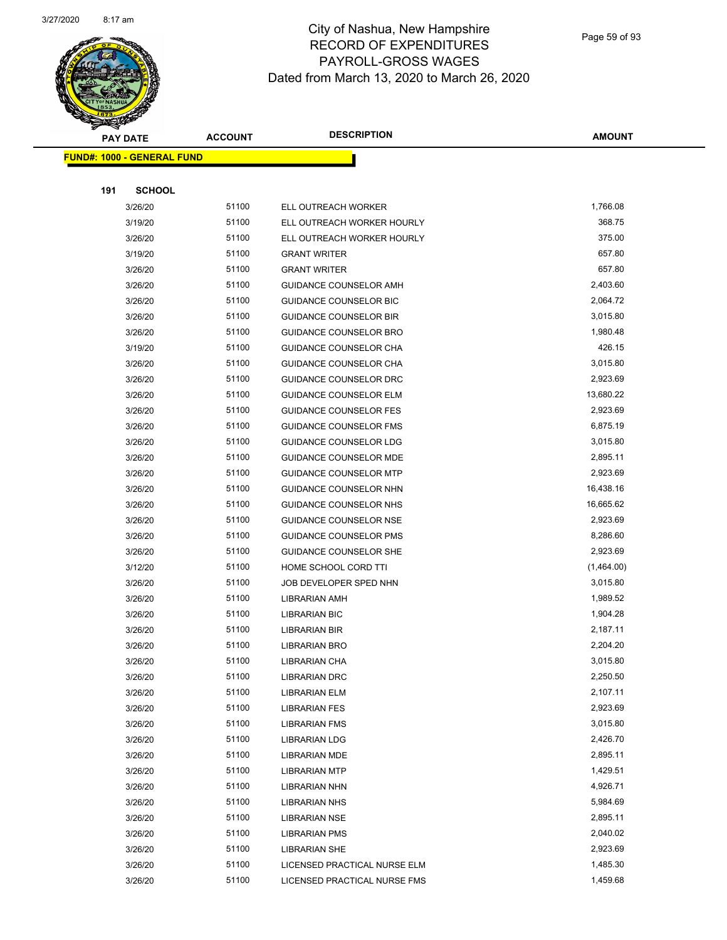

Page 59 of 93

| <b>PAY DATE</b>                   |                    | <b>ACCOUNT</b> | <b>DESCRIPTION</b>                           | <b>AMOUNT</b>        |
|-----------------------------------|--------------------|----------------|----------------------------------------------|----------------------|
| <b>FUND#: 1000 - GENERAL FUND</b> |                    |                |                                              |                      |
|                                   |                    |                |                                              |                      |
| 191                               | <b>SCHOOL</b>      |                |                                              |                      |
|                                   | 3/26/20            | 51100          | ELL OUTREACH WORKER                          | 1,766.08             |
|                                   | 3/19/20            | 51100          | ELL OUTREACH WORKER HOURLY                   | 368.75               |
|                                   | 3/26/20            | 51100          | ELL OUTREACH WORKER HOURLY                   | 375.00               |
|                                   | 3/19/20            | 51100          | <b>GRANT WRITER</b>                          | 657.80               |
|                                   | 3/26/20            | 51100          | <b>GRANT WRITER</b>                          | 657.80               |
|                                   | 3/26/20            | 51100          | GUIDANCE COUNSELOR AMH                       | 2,403.60             |
|                                   | 3/26/20            | 51100          | GUIDANCE COUNSELOR BIC                       | 2,064.72             |
|                                   | 3/26/20            | 51100          | <b>GUIDANCE COUNSELOR BIR</b>                | 3,015.80             |
|                                   | 3/26/20            | 51100          | GUIDANCE COUNSELOR BRO                       | 1,980.48             |
|                                   | 3/19/20            | 51100          | GUIDANCE COUNSELOR CHA                       | 426.15               |
|                                   | 3/26/20            | 51100          | GUIDANCE COUNSELOR CHA                       | 3,015.80             |
|                                   | 3/26/20            | 51100          | GUIDANCE COUNSELOR DRC                       | 2,923.69             |
|                                   | 3/26/20            | 51100          | <b>GUIDANCE COUNSELOR ELM</b>                | 13,680.22            |
|                                   | 3/26/20            | 51100          | <b>GUIDANCE COUNSELOR FES</b>                | 2,923.69             |
|                                   | 3/26/20            | 51100          | <b>GUIDANCE COUNSELOR FMS</b>                | 6,875.19             |
|                                   | 3/26/20            | 51100          | <b>GUIDANCE COUNSELOR LDG</b>                | 3,015.80             |
|                                   | 3/26/20            | 51100          | GUIDANCE COUNSELOR MDE                       | 2,895.11             |
|                                   | 3/26/20            | 51100          | <b>GUIDANCE COUNSELOR MTP</b>                | 2,923.69             |
|                                   | 3/26/20            | 51100          | GUIDANCE COUNSELOR NHN                       | 16,438.16            |
|                                   | 3/26/20            | 51100          | GUIDANCE COUNSELOR NHS                       | 16,665.62            |
|                                   | 3/26/20            | 51100          | <b>GUIDANCE COUNSELOR NSE</b>                | 2,923.69             |
|                                   | 3/26/20            | 51100          | GUIDANCE COUNSELOR PMS                       | 8,286.60             |
|                                   | 3/26/20            | 51100          | GUIDANCE COUNSELOR SHE                       | 2,923.69             |
|                                   | 3/12/20            | 51100          | HOME SCHOOL CORD TTI                         | (1,464.00)           |
|                                   | 3/26/20            | 51100          | JOB DEVELOPER SPED NHN                       | 3,015.80             |
|                                   | 3/26/20            | 51100          | <b>LIBRARIAN AMH</b>                         | 1,989.52             |
|                                   | 3/26/20            | 51100          | <b>LIBRARIAN BIC</b>                         | 1,904.28             |
|                                   | 3/26/20            | 51100          | <b>LIBRARIAN BIR</b>                         | 2,187.11             |
|                                   | 3/26/20            | 51100          | <b>LIBRARIAN BRO</b>                         | 2,204.20             |
|                                   | 3/26/20            | 51100          | LIBRARIAN CHA                                | 3,015.80             |
|                                   | 3/26/20            | 51100          | <b>LIBRARIAN DRC</b>                         | 2,250.50             |
|                                   | 3/26/20            | 51100          | <b>LIBRARIAN ELM</b>                         | 2,107.11             |
|                                   | 3/26/20<br>3/26/20 | 51100<br>51100 | <b>LIBRARIAN FES</b><br><b>LIBRARIAN FMS</b> | 2,923.69<br>3,015.80 |
|                                   | 3/26/20            | 51100          |                                              | 2,426.70             |
|                                   | 3/26/20            | 51100          | <b>LIBRARIAN LDG</b><br><b>LIBRARIAN MDE</b> | 2,895.11             |
|                                   | 3/26/20            | 51100          | <b>LIBRARIAN MTP</b>                         | 1,429.51             |
|                                   | 3/26/20            | 51100          | <b>LIBRARIAN NHN</b>                         | 4,926.71             |
|                                   | 3/26/20            | 51100          | <b>LIBRARIAN NHS</b>                         | 5,984.69             |
|                                   | 3/26/20            | 51100          | <b>LIBRARIAN NSE</b>                         | 2,895.11             |
|                                   | 3/26/20            | 51100          | <b>LIBRARIAN PMS</b>                         | 2,040.02             |
|                                   | 3/26/20            | 51100          | <b>LIBRARIAN SHE</b>                         | 2,923.69             |
|                                   | 3/26/20            | 51100          | LICENSED PRACTICAL NURSE ELM                 | 1,485.30             |
|                                   | 3/26/20            | 51100          | LICENSED PRACTICAL NURSE FMS                 | 1,459.68             |
|                                   |                    |                |                                              |                      |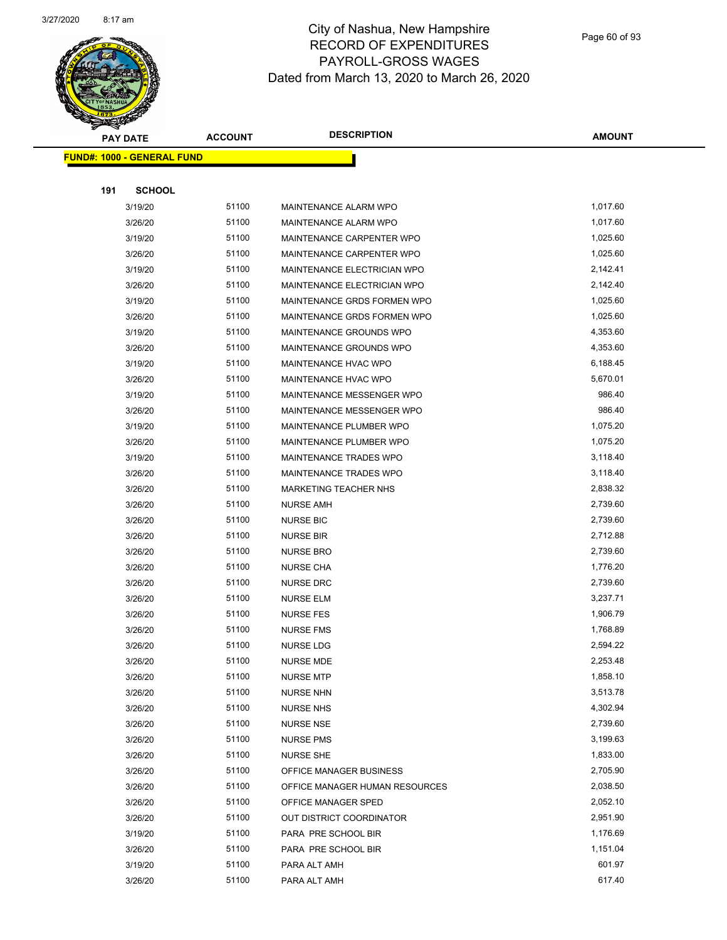

Page 60 of 93

| <b>PAY DATE</b>                   | <b>ACCOUNT</b> | <b>DESCRIPTION</b>             | <b>AMOUNT</b> |
|-----------------------------------|----------------|--------------------------------|---------------|
| <b>FUND#: 1000 - GENERAL FUND</b> |                |                                |               |
|                                   |                |                                |               |
| 191<br><b>SCHOOL</b>              |                |                                |               |
| 3/19/20                           | 51100          | MAINTENANCE ALARM WPO          | 1,017.60      |
| 3/26/20                           | 51100          | MAINTENANCE ALARM WPO          | 1,017.60      |
| 3/19/20                           | 51100          | MAINTENANCE CARPENTER WPO      | 1,025.60      |
| 3/26/20                           | 51100          | MAINTENANCE CARPENTER WPO      | 1,025.60      |
| 3/19/20                           | 51100          | MAINTENANCE ELECTRICIAN WPO    | 2,142.41      |
| 3/26/20                           | 51100          | MAINTENANCE ELECTRICIAN WPO    | 2,142.40      |
| 3/19/20                           | 51100          | MAINTENANCE GRDS FORMEN WPO    | 1,025.60      |
| 3/26/20                           | 51100          | MAINTENANCE GRDS FORMEN WPO    | 1,025.60      |
| 3/19/20                           | 51100          | MAINTENANCE GROUNDS WPO        | 4,353.60      |
| 3/26/20                           | 51100          | MAINTENANCE GROUNDS WPO        | 4,353.60      |
| 3/19/20                           | 51100          | MAINTENANCE HVAC WPO           | 6,188.45      |
| 3/26/20                           | 51100          | MAINTENANCE HVAC WPO           | 5,670.01      |
| 3/19/20                           | 51100          | MAINTENANCE MESSENGER WPO      | 986.40        |
| 3/26/20                           | 51100          | MAINTENANCE MESSENGER WPO      | 986.40        |
| 3/19/20                           | 51100          | MAINTENANCE PLUMBER WPO        | 1,075.20      |
| 3/26/20                           | 51100          | MAINTENANCE PLUMBER WPO        | 1,075.20      |
| 3/19/20                           | 51100          | MAINTENANCE TRADES WPO         | 3,118.40      |
| 3/26/20                           | 51100          | MAINTENANCE TRADES WPO         | 3,118.40      |
| 3/26/20                           | 51100          | MARKETING TEACHER NHS          | 2,838.32      |
| 3/26/20                           | 51100          | <b>NURSE AMH</b>               | 2,739.60      |
| 3/26/20                           | 51100          | <b>NURSE BIC</b>               | 2,739.60      |
| 3/26/20                           | 51100          | <b>NURSE BIR</b>               | 2,712.88      |
| 3/26/20                           | 51100          | <b>NURSE BRO</b>               | 2,739.60      |
| 3/26/20                           | 51100          | <b>NURSE CHA</b>               | 1,776.20      |
| 3/26/20                           | 51100          | <b>NURSE DRC</b>               | 2,739.60      |
| 3/26/20                           | 51100          | <b>NURSE ELM</b>               | 3,237.71      |
| 3/26/20                           | 51100          | <b>NURSE FES</b>               | 1,906.79      |
| 3/26/20                           | 51100          | <b>NURSE FMS</b>               | 1,768.89      |
| 3/26/20                           | 51100          | <b>NURSE LDG</b>               | 2,594.22      |
| 3/26/20                           | 51100          | NURSE MDE                      | 2,253.48      |
| 3/26/20                           | 51100          | <b>NURSE MTP</b>               | 1,858.10      |
| 3/26/20                           | 51100          | <b>NURSE NHN</b>               | 3,513.78      |
| 3/26/20                           | 51100          | <b>NURSE NHS</b>               | 4,302.94      |
| 3/26/20                           | 51100          | <b>NURSE NSE</b>               | 2,739.60      |
| 3/26/20                           | 51100          | <b>NURSE PMS</b>               | 3,199.63      |
| 3/26/20                           | 51100          | <b>NURSE SHE</b>               | 1,833.00      |
| 3/26/20                           | 51100          | OFFICE MANAGER BUSINESS        | 2,705.90      |
| 3/26/20                           | 51100          | OFFICE MANAGER HUMAN RESOURCES | 2,038.50      |
| 3/26/20                           | 51100          | OFFICE MANAGER SPED            | 2,052.10      |
| 3/26/20                           | 51100          | OUT DISTRICT COORDINATOR       | 2,951.90      |
| 3/19/20                           | 51100          | PARA PRE SCHOOL BIR            | 1,176.69      |
| 3/26/20                           | 51100          | PARA PRE SCHOOL BIR            | 1,151.04      |
| 3/19/20                           | 51100          | PARA ALT AMH                   | 601.97        |
| 3/26/20                           | 51100          | PARA ALT AMH                   | 617.40        |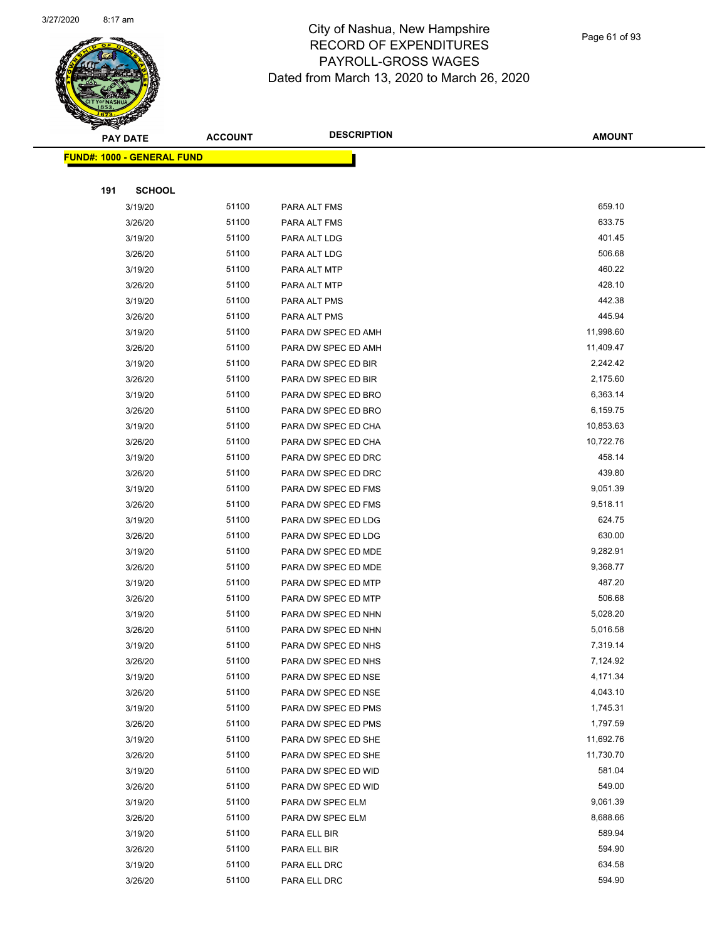

| <b>PAY DATE</b>                    | <b>ACCOUNT</b> | <b>DESCRIPTION</b>  | <b>AMOUNT</b> |
|------------------------------------|----------------|---------------------|---------------|
| <u> FUND#: 1000 - GENERAL FUND</u> |                |                     |               |
|                                    |                |                     |               |
| <b>SCHOOL</b><br>191               |                |                     |               |
| 3/19/20                            | 51100          | PARA ALT FMS        | 659.10        |
| 3/26/20                            | 51100          | PARA ALT FMS        | 633.75        |
| 3/19/20                            | 51100          | PARA ALT LDG        | 401.45        |
| 3/26/20                            | 51100          | PARA ALT LDG        | 506.68        |
| 3/19/20                            | 51100          | PARA ALT MTP        | 460.22        |
| 3/26/20                            | 51100          | PARA ALT MTP        | 428.10        |
| 3/19/20                            | 51100          | PARA ALT PMS        | 442.38        |
| 3/26/20                            | 51100          | PARA ALT PMS        | 445.94        |
| 3/19/20                            | 51100          | PARA DW SPEC ED AMH | 11,998.60     |
| 3/26/20                            | 51100          | PARA DW SPEC ED AMH | 11,409.47     |
| 3/19/20                            | 51100          | PARA DW SPEC ED BIR | 2,242.42      |
| 3/26/20                            | 51100          | PARA DW SPEC ED BIR | 2,175.60      |
| 3/19/20                            | 51100          | PARA DW SPEC ED BRO | 6,363.14      |
| 3/26/20                            | 51100          | PARA DW SPEC ED BRO | 6,159.75      |
| 3/19/20                            | 51100          | PARA DW SPEC ED CHA | 10,853.63     |
| 3/26/20                            | 51100          | PARA DW SPEC ED CHA | 10,722.76     |
| 3/19/20                            | 51100          | PARA DW SPEC ED DRC | 458.14        |
| 3/26/20                            | 51100          | PARA DW SPEC ED DRC | 439.80        |
| 3/19/20                            | 51100          | PARA DW SPEC ED FMS | 9,051.39      |
| 3/26/20                            | 51100          | PARA DW SPEC ED FMS | 9,518.11      |
| 3/19/20                            | 51100          | PARA DW SPEC ED LDG | 624.75        |
| 3/26/20                            | 51100          | PARA DW SPEC ED LDG | 630.00        |
| 3/19/20                            | 51100          | PARA DW SPEC ED MDE | 9,282.91      |
| 3/26/20                            | 51100          | PARA DW SPEC ED MDE | 9,368.77      |
| 3/19/20                            | 51100          | PARA DW SPEC ED MTP | 487.20        |
| 3/26/20                            | 51100          | PARA DW SPEC ED MTP | 506.68        |
| 3/19/20                            | 51100          | PARA DW SPEC ED NHN | 5,028.20      |
| 3/26/20                            | 51100          | PARA DW SPEC ED NHN | 5,016.58      |
| 3/19/20                            | 51100          | PARA DW SPEC ED NHS | 7,319.14      |
| 3/26/20                            | 51100          | PARA DW SPEC ED NHS | 7,124.92      |
| 3/19/20                            | 51100          | PARA DW SPEC ED NSE | 4,171.34      |
| 3/26/20                            | 51100          | PARA DW SPEC ED NSE | 4,043.10      |
| 3/19/20                            | 51100          | PARA DW SPEC ED PMS | 1,745.31      |
| 3/26/20                            | 51100          | PARA DW SPEC ED PMS | 1,797.59      |
| 3/19/20                            | 51100          | PARA DW SPEC ED SHE | 11,692.76     |
| 3/26/20                            | 51100          | PARA DW SPEC ED SHE | 11,730.70     |
| 3/19/20                            | 51100          | PARA DW SPEC ED WID | 581.04        |
| 3/26/20                            | 51100          | PARA DW SPEC ED WID | 549.00        |
| 3/19/20                            | 51100          | PARA DW SPEC ELM    | 9,061.39      |
| 3/26/20                            | 51100          | PARA DW SPEC ELM    | 8,688.66      |
| 3/19/20                            | 51100          | PARA ELL BIR        | 589.94        |
| 3/26/20                            | 51100          | PARA ELL BIR        | 594.90        |
| 3/19/20                            | 51100          | PARA ELL DRC        | 634.58        |
| 3/26/20                            | 51100          | PARA ELL DRC        | 594.90        |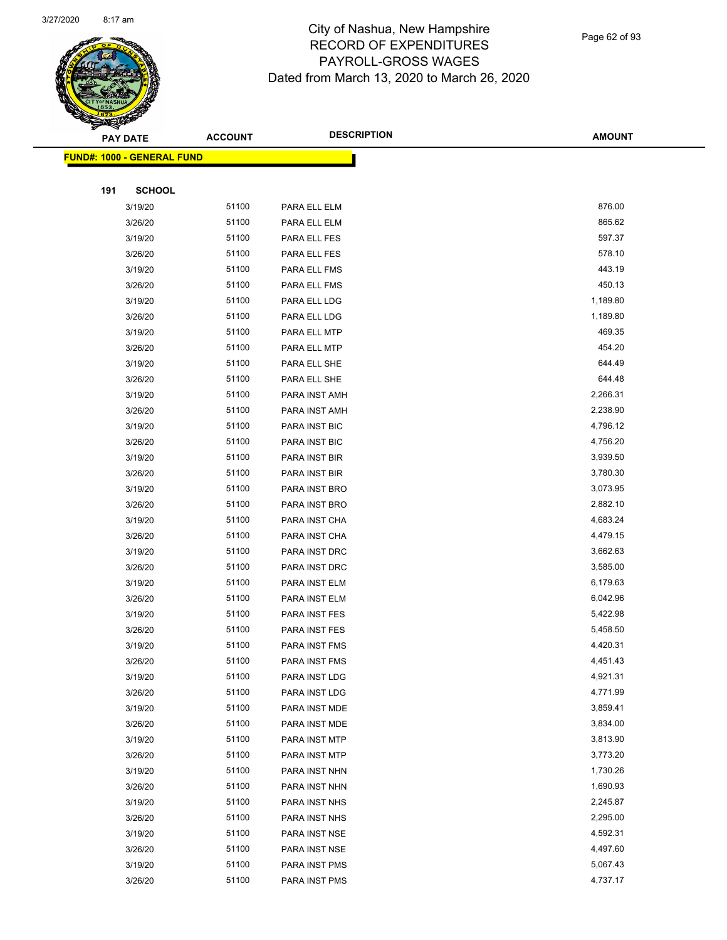

Page 62 of 93

|     | <b>PAY DATE</b>                    | <b>ACCOUNT</b> | <b>DESCRIPTION</b> | <b>AMOUNT</b> |
|-----|------------------------------------|----------------|--------------------|---------------|
|     | <u> FUND#: 1000 - GENERAL FUND</u> |                |                    |               |
|     |                                    |                |                    |               |
| 191 | <b>SCHOOL</b>                      |                |                    |               |
|     | 3/19/20                            | 51100          | PARA ELL ELM       | 876.00        |
|     | 3/26/20                            | 51100          | PARA ELL ELM       | 865.62        |
|     | 3/19/20                            | 51100          | PARA ELL FES       | 597.37        |
|     | 3/26/20                            | 51100          | PARA ELL FES       | 578.10        |
|     | 3/19/20                            | 51100          | PARA ELL FMS       | 443.19        |
|     | 3/26/20                            | 51100          | PARA ELL FMS       | 450.13        |
|     | 3/19/20                            | 51100          | PARA ELL LDG       | 1,189.80      |
|     | 3/26/20                            | 51100          | PARA ELL LDG       | 1,189.80      |
|     | 3/19/20                            | 51100          | PARA ELL MTP       | 469.35        |
|     | 3/26/20                            | 51100          | PARA ELL MTP       | 454.20        |
|     | 3/19/20                            | 51100          | PARA ELL SHE       | 644.49        |
|     | 3/26/20                            | 51100          | PARA ELL SHE       | 644.48        |
|     | 3/19/20                            | 51100          | PARA INST AMH      | 2,266.31      |
|     | 3/26/20                            | 51100          | PARA INST AMH      | 2,238.90      |
|     | 3/19/20                            | 51100          | PARA INST BIC      | 4,796.12      |
|     | 3/26/20                            | 51100          | PARA INST BIC      | 4,756.20      |
|     | 3/19/20                            | 51100          | PARA INST BIR      | 3,939.50      |
|     | 3/26/20                            | 51100          | PARA INST BIR      | 3,780.30      |
|     | 3/19/20                            | 51100          | PARA INST BRO      | 3,073.95      |
|     | 3/26/20                            | 51100          | PARA INST BRO      | 2,882.10      |
|     | 3/19/20                            | 51100          | PARA INST CHA      | 4,683.24      |
|     | 3/26/20                            | 51100          | PARA INST CHA      | 4,479.15      |
|     | 3/19/20                            | 51100          | PARA INST DRC      | 3,662.63      |
|     | 3/26/20                            | 51100          | PARA INST DRC      | 3,585.00      |
|     | 3/19/20                            | 51100          | PARA INST ELM      | 6,179.63      |
|     | 3/26/20                            | 51100          | PARA INST ELM      | 6,042.96      |
|     | 3/19/20                            | 51100          | PARA INST FES      | 5,422.98      |
|     | 3/26/20                            | 51100          | PARA INST FES      | 5,458.50      |
|     | 3/19/20                            | 51100          | PARA INST FMS      | 4,420.31      |
|     | 3/26/20                            | 51100          | PARA INST FMS      | 4,451.43      |
|     | 3/19/20                            | 51100          | PARA INST LDG      | 4,921.31      |
|     | 3/26/20                            | 51100          | PARA INST LDG      | 4,771.99      |
|     | 3/19/20                            | 51100          | PARA INST MDE      | 3,859.41      |
|     | 3/26/20                            | 51100          | PARA INST MDE      | 3,834.00      |
|     | 3/19/20                            | 51100          | PARA INST MTP      | 3,813.90      |
|     | 3/26/20                            | 51100          | PARA INST MTP      | 3,773.20      |
|     | 3/19/20                            | 51100          | PARA INST NHN      | 1,730.26      |
|     | 3/26/20                            | 51100          | PARA INST NHN      | 1,690.93      |
|     | 3/19/20                            | 51100          | PARA INST NHS      | 2,245.87      |
|     | 3/26/20                            | 51100          | PARA INST NHS      | 2,295.00      |
|     | 3/19/20                            | 51100          | PARA INST NSE      | 4,592.31      |
|     | 3/26/20                            | 51100          | PARA INST NSE      | 4,497.60      |
|     | 3/19/20                            | 51100          | PARA INST PMS      | 5,067.43      |
|     | 3/26/20                            | 51100          | PARA INST PMS      | 4,737.17      |
|     |                                    |                |                    |               |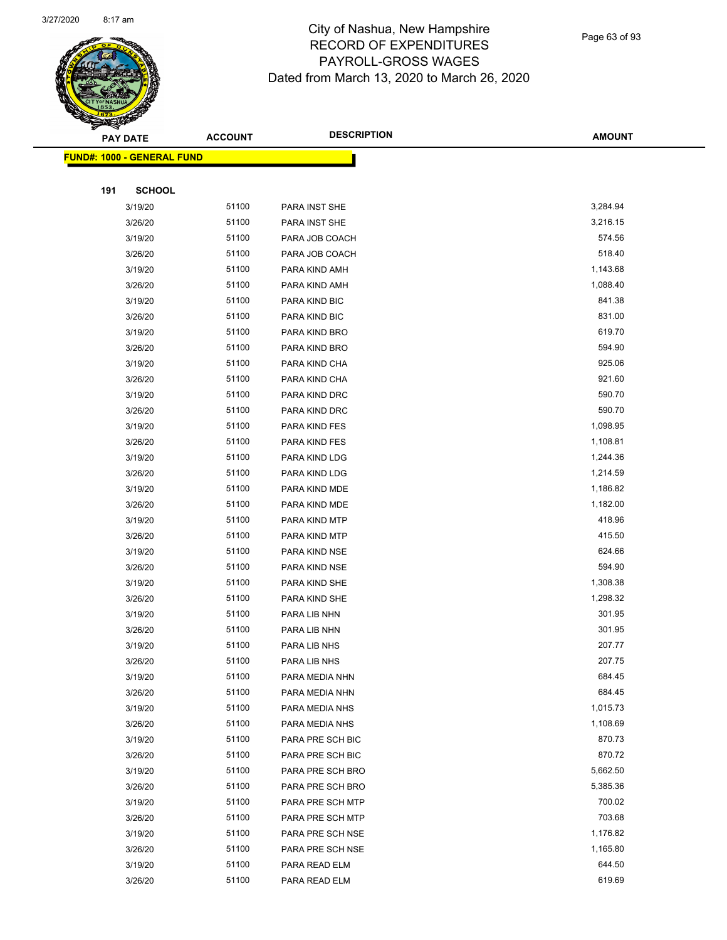

|     | <b>PAY DATE</b>                    | <b>ACCOUNT</b> | <b>DESCRIPTION</b> | <b>AMOUNT</b> |
|-----|------------------------------------|----------------|--------------------|---------------|
|     | <u> FUND#: 1000 - GENERAL FUND</u> |                |                    |               |
|     |                                    |                |                    |               |
| 191 | <b>SCHOOL</b>                      |                |                    |               |
|     | 3/19/20                            | 51100          | PARA INST SHE      | 3,284.94      |
|     | 3/26/20                            | 51100          | PARA INST SHE      | 3,216.15      |
|     | 3/19/20                            | 51100          | PARA JOB COACH     | 574.56        |
|     | 3/26/20                            | 51100          | PARA JOB COACH     | 518.40        |
|     | 3/19/20                            | 51100          | PARA KIND AMH      | 1,143.68      |
|     | 3/26/20                            | 51100          | PARA KIND AMH      | 1,088.40      |
|     | 3/19/20                            | 51100          | PARA KIND BIC      | 841.38        |
|     | 3/26/20                            | 51100          | PARA KIND BIC      | 831.00        |
|     | 3/19/20                            | 51100          | PARA KIND BRO      | 619.70        |
|     | 3/26/20                            | 51100          | PARA KIND BRO      | 594.90        |
|     | 3/19/20                            | 51100          | PARA KIND CHA      | 925.06        |
|     | 3/26/20                            | 51100          | PARA KIND CHA      | 921.60        |
|     | 3/19/20                            | 51100          | PARA KIND DRC      | 590.70        |
|     | 3/26/20                            | 51100          | PARA KIND DRC      | 590.70        |
|     | 3/19/20                            | 51100          | PARA KIND FES      | 1,098.95      |
|     | 3/26/20                            | 51100          | PARA KIND FES      | 1,108.81      |
|     | 3/19/20                            | 51100          | PARA KIND LDG      | 1,244.36      |
|     | 3/26/20                            | 51100          | PARA KIND LDG      | 1,214.59      |
|     | 3/19/20                            | 51100          | PARA KIND MDE      | 1,186.82      |
|     | 3/26/20                            | 51100          | PARA KIND MDE      | 1,182.00      |
|     | 3/19/20                            | 51100          | PARA KIND MTP      | 418.96        |
|     | 3/26/20                            | 51100          | PARA KIND MTP      | 415.50        |
|     | 3/19/20                            | 51100          | PARA KIND NSE      | 624.66        |
|     | 3/26/20                            | 51100          | PARA KIND NSE      | 594.90        |
|     | 3/19/20                            | 51100          | PARA KIND SHE      | 1,308.38      |
|     | 3/26/20                            | 51100          | PARA KIND SHE      | 1,298.32      |
|     | 3/19/20                            | 51100          | PARA LIB NHN       | 301.95        |
|     | 3/26/20                            | 51100          | PARA LIB NHN       | 301.95        |
|     | 3/19/20                            | 51100          | PARA LIB NHS       | 207.77        |
|     | 3/26/20                            | 51100          | PARA LIB NHS       | 207.75        |
|     | 3/19/20                            | 51100          | PARA MEDIA NHN     | 684.45        |
|     | 3/26/20                            | 51100          | PARA MEDIA NHN     | 684.45        |
|     | 3/19/20                            | 51100          | PARA MEDIA NHS     | 1,015.73      |
|     | 3/26/20                            | 51100          | PARA MEDIA NHS     | 1,108.69      |
|     | 3/19/20                            | 51100          | PARA PRE SCH BIC   | 870.73        |
|     | 3/26/20                            | 51100          | PARA PRE SCH BIC   | 870.72        |
|     | 3/19/20                            | 51100          | PARA PRE SCH BRO   | 5,662.50      |
|     | 3/26/20                            | 51100          | PARA PRE SCH BRO   | 5,385.36      |
|     | 3/19/20                            | 51100          | PARA PRE SCH MTP   | 700.02        |
|     | 3/26/20                            | 51100          | PARA PRE SCH MTP   | 703.68        |
|     | 3/19/20                            | 51100          | PARA PRE SCH NSE   | 1,176.82      |
|     | 3/26/20                            | 51100          | PARA PRE SCH NSE   | 1,165.80      |
|     | 3/19/20                            | 51100          | PARA READ ELM      | 644.50        |
|     | 3/26/20                            | 51100          | PARA READ ELM      | 619.69        |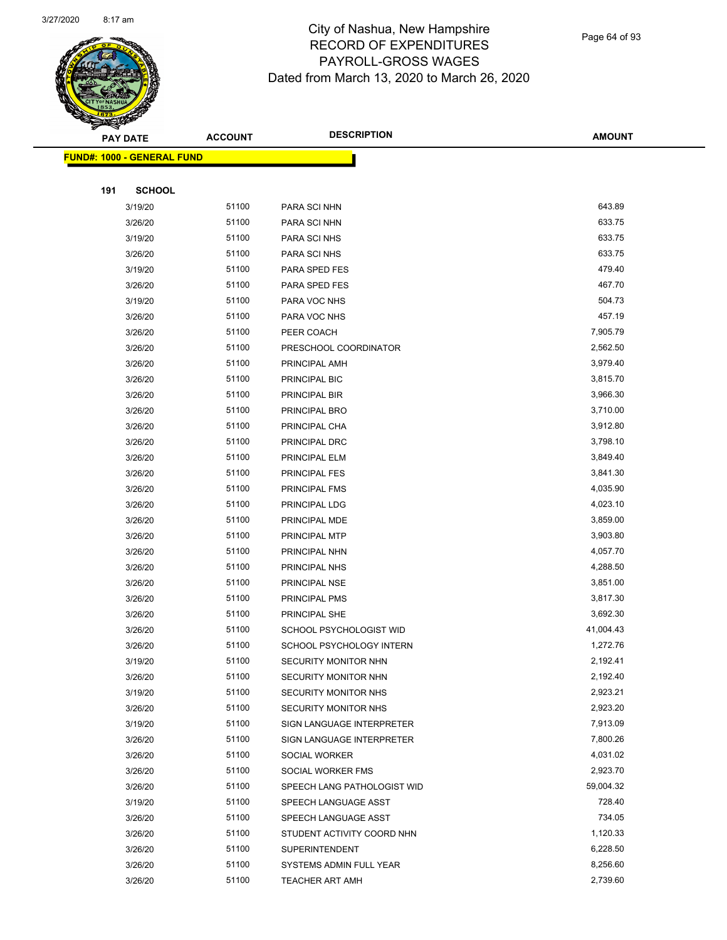

Page 64 of 93

|     | <b>PAY DATE</b>                   | <b>ACCOUNT</b> | <b>DESCRIPTION</b>                                | <b>AMOUNT</b>        |  |
|-----|-----------------------------------|----------------|---------------------------------------------------|----------------------|--|
|     | <b>FUND#: 1000 - GENERAL FUND</b> |                |                                                   |                      |  |
|     |                                   |                |                                                   |                      |  |
| 191 | <b>SCHOOL</b>                     |                |                                                   |                      |  |
|     | 3/19/20                           | 51100          | PARA SCI NHN                                      | 643.89               |  |
|     | 3/26/20                           | 51100          | PARA SCI NHN                                      | 633.75               |  |
|     | 3/19/20                           | 51100          | PARA SCI NHS                                      | 633.75               |  |
|     | 3/26/20                           | 51100          | PARA SCI NHS                                      | 633.75               |  |
|     | 3/19/20                           | 51100          | PARA SPED FES                                     | 479.40               |  |
|     | 3/26/20                           | 51100          | PARA SPED FES                                     | 467.70               |  |
|     | 3/19/20                           | 51100          | PARA VOC NHS                                      | 504.73               |  |
|     | 3/26/20                           | 51100          | PARA VOC NHS                                      | 457.19               |  |
|     | 3/26/20                           | 51100          | PEER COACH                                        | 7,905.79             |  |
|     | 3/26/20                           | 51100          | PRESCHOOL COORDINATOR                             | 2,562.50             |  |
|     | 3/26/20                           | 51100          | PRINCIPAL AMH                                     | 3,979.40             |  |
|     | 3/26/20                           | 51100          | PRINCIPAL BIC                                     | 3,815.70             |  |
|     | 3/26/20                           | 51100          | PRINCIPAL BIR                                     | 3,966.30             |  |
|     | 3/26/20                           | 51100          | PRINCIPAL BRO                                     | 3,710.00             |  |
|     | 3/26/20                           | 51100          | PRINCIPAL CHA                                     | 3,912.80             |  |
|     | 3/26/20                           | 51100          | PRINCIPAL DRC                                     | 3,798.10             |  |
|     | 3/26/20                           | 51100          | PRINCIPAL ELM                                     | 3,849.40             |  |
|     | 3/26/20                           | 51100          | PRINCIPAL FES                                     | 3,841.30             |  |
|     | 3/26/20                           | 51100          | PRINCIPAL FMS                                     | 4,035.90             |  |
|     | 3/26/20                           | 51100          | PRINCIPAL LDG                                     | 4,023.10             |  |
|     | 3/26/20                           | 51100          | PRINCIPAL MDE                                     | 3,859.00             |  |
|     | 3/26/20                           | 51100          | PRINCIPAL MTP                                     | 3,903.80             |  |
|     | 3/26/20                           | 51100          | PRINCIPAL NHN                                     | 4,057.70             |  |
|     | 3/26/20                           | 51100          | PRINCIPAL NHS                                     | 4,288.50             |  |
|     | 3/26/20                           | 51100          | PRINCIPAL NSE                                     | 3,851.00             |  |
|     | 3/26/20                           | 51100          | PRINCIPAL PMS                                     | 3,817.30             |  |
|     | 3/26/20                           | 51100          | PRINCIPAL SHE                                     | 3,692.30             |  |
|     | 3/26/20                           | 51100          | SCHOOL PSYCHOLOGIST WID                           | 41,004.43            |  |
|     | 3/26/20                           | 51100          | SCHOOL PSYCHOLOGY INTERN                          | 1,272.76             |  |
|     | 3/19/20                           | 51100          | SECURITY MONITOR NHN                              | 2,192.41             |  |
|     | 3/26/20                           | 51100          | SECURITY MONITOR NHN                              | 2,192.40<br>2,923.21 |  |
|     | 3/19/20<br>3/26/20                | 51100<br>51100 | SECURITY MONITOR NHS                              | 2,923.20             |  |
|     | 3/19/20                           | 51100          | SECURITY MONITOR NHS<br>SIGN LANGUAGE INTERPRETER | 7,913.09             |  |
|     | 3/26/20                           | 51100          | SIGN LANGUAGE INTERPRETER                         | 7,800.26             |  |
|     | 3/26/20                           | 51100          | SOCIAL WORKER                                     | 4,031.02             |  |
|     | 3/26/20                           | 51100          | SOCIAL WORKER FMS                                 | 2,923.70             |  |
|     | 3/26/20                           | 51100          | SPEECH LANG PATHOLOGIST WID                       | 59,004.32            |  |
|     | 3/19/20                           | 51100          | SPEECH LANGUAGE ASST                              | 728.40               |  |
|     | 3/26/20                           | 51100          | SPEECH LANGUAGE ASST                              | 734.05               |  |
|     | 3/26/20                           | 51100          | STUDENT ACTIVITY COORD NHN                        | 1,120.33             |  |
|     | 3/26/20                           | 51100          | <b>SUPERINTENDENT</b>                             | 6,228.50             |  |
|     | 3/26/20                           | 51100          | SYSTEMS ADMIN FULL YEAR                           | 8,256.60             |  |
|     | 3/26/20                           | 51100          | <b>TEACHER ART AMH</b>                            | 2,739.60             |  |
|     |                                   |                |                                                   |                      |  |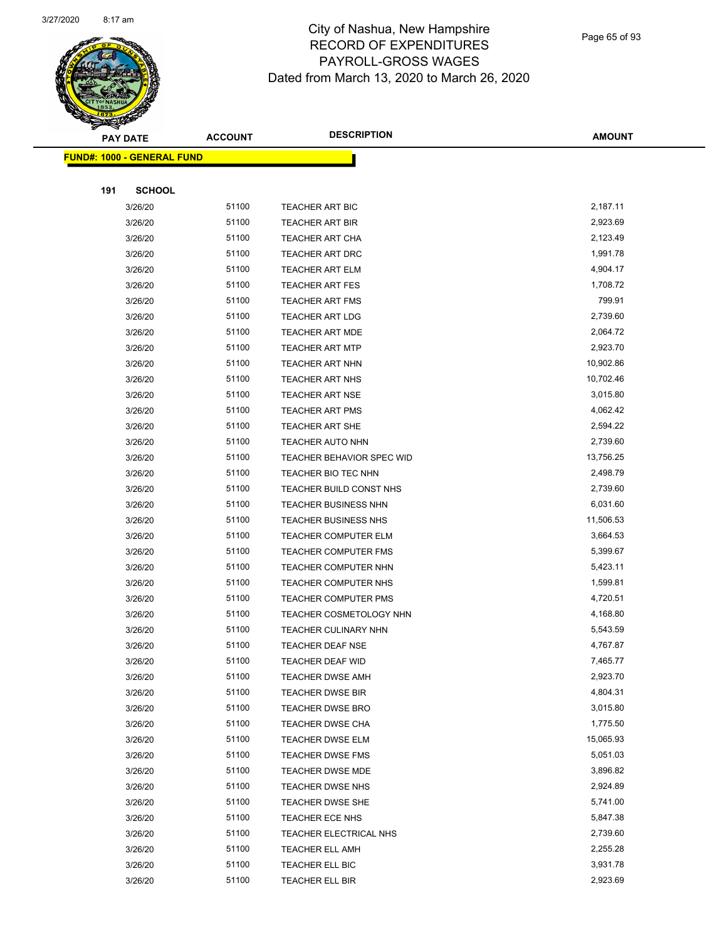

Page 65 of 93

|     | <b>PAY DATE</b>                   | <b>ACCOUNT</b> | <b>DESCRIPTION</b>          | <b>AMOUNT</b> |
|-----|-----------------------------------|----------------|-----------------------------|---------------|
|     | <b>FUND#: 1000 - GENERAL FUND</b> |                |                             |               |
|     |                                   |                |                             |               |
| 191 | <b>SCHOOL</b>                     |                |                             |               |
|     | 3/26/20                           | 51100          | <b>TEACHER ART BIC</b>      | 2,187.11      |
|     | 3/26/20                           | 51100          | <b>TEACHER ART BIR</b>      | 2,923.69      |
|     | 3/26/20                           | 51100          | <b>TEACHER ART CHA</b>      | 2,123.49      |
|     | 3/26/20                           | 51100          | <b>TEACHER ART DRC</b>      | 1,991.78      |
|     | 3/26/20                           | 51100          | <b>TEACHER ART ELM</b>      | 4,904.17      |
|     | 3/26/20                           | 51100          | <b>TEACHER ART FES</b>      | 1,708.72      |
|     | 3/26/20                           | 51100          | <b>TEACHER ART FMS</b>      | 799.91        |
|     | 3/26/20                           | 51100          | <b>TEACHER ART LDG</b>      | 2,739.60      |
|     | 3/26/20                           | 51100          | <b>TEACHER ART MDE</b>      | 2,064.72      |
|     | 3/26/20                           | 51100          | <b>TEACHER ART MTP</b>      | 2,923.70      |
|     | 3/26/20                           | 51100          | <b>TEACHER ART NHN</b>      | 10,902.86     |
|     | 3/26/20                           | 51100          | <b>TEACHER ART NHS</b>      | 10,702.46     |
|     | 3/26/20                           | 51100          | <b>TEACHER ART NSE</b>      | 3,015.80      |
|     | 3/26/20                           | 51100          | <b>TEACHER ART PMS</b>      | 4,062.42      |
|     | 3/26/20                           | 51100          | <b>TEACHER ART SHE</b>      | 2,594.22      |
|     | 3/26/20                           | 51100          | <b>TEACHER AUTO NHN</b>     | 2,739.60      |
|     | 3/26/20                           | 51100          | TEACHER BEHAVIOR SPEC WID   | 13,756.25     |
|     | 3/26/20                           | 51100          | TEACHER BIO TEC NHN         | 2,498.79      |
|     | 3/26/20                           | 51100          | TEACHER BUILD CONST NHS     | 2,739.60      |
|     | 3/26/20                           | 51100          | TEACHER BUSINESS NHN        | 6,031.60      |
|     | 3/26/20                           | 51100          | <b>TEACHER BUSINESS NHS</b> | 11,506.53     |
|     | 3/26/20                           | 51100          | <b>TEACHER COMPUTER ELM</b> | 3,664.53      |
|     | 3/26/20                           | 51100          | <b>TEACHER COMPUTER FMS</b> | 5,399.67      |
|     | 3/26/20                           | 51100          | TEACHER COMPUTER NHN        | 5,423.11      |
|     | 3/26/20                           | 51100          | TEACHER COMPUTER NHS        | 1,599.81      |
|     | 3/26/20                           | 51100          | <b>TEACHER COMPUTER PMS</b> | 4,720.51      |
|     | 3/26/20                           | 51100          | TEACHER COSMETOLOGY NHN     | 4,168.80      |
|     | 3/26/20                           | 51100          | <b>TEACHER CULINARY NHN</b> | 5,543.59      |
|     | 3/26/20                           | 51100          | TEACHER DEAF NSE            | 4,767.87      |
|     | 3/26/20                           | 51100          | <b>TEACHER DEAF WID</b>     | 7,465.77      |
|     | 3/26/20                           | 51100          | <b>TEACHER DWSE AMH</b>     | 2,923.70      |
|     | 3/26/20                           | 51100          | <b>TEACHER DWSE BIR</b>     | 4,804.31      |
|     | 3/26/20                           | 51100          | <b>TEACHER DWSE BRO</b>     | 3,015.80      |
|     | 3/26/20                           | 51100          | <b>TEACHER DWSE CHA</b>     | 1,775.50      |
|     | 3/26/20                           | 51100          | <b>TEACHER DWSE ELM</b>     | 15,065.93     |
|     | 3/26/20                           | 51100          | <b>TEACHER DWSE FMS</b>     | 5,051.03      |
|     | 3/26/20                           | 51100          | TEACHER DWSE MDE            | 3,896.82      |
|     | 3/26/20                           | 51100          | <b>TEACHER DWSE NHS</b>     | 2,924.89      |
|     | 3/26/20                           | 51100          | TEACHER DWSE SHE            | 5,741.00      |
|     | 3/26/20                           | 51100          | <b>TEACHER ECE NHS</b>      | 5,847.38      |
|     | 3/26/20                           | 51100          | TEACHER ELECTRICAL NHS      | 2,739.60      |
|     | 3/26/20                           | 51100          | <b>TEACHER ELL AMH</b>      | 2,255.28      |
|     | 3/26/20                           | 51100          | TEACHER ELL BIC             | 3,931.78      |
|     | 3/26/20                           | 51100          | TEACHER ELL BIR             | 2,923.69      |
|     |                                   |                |                             |               |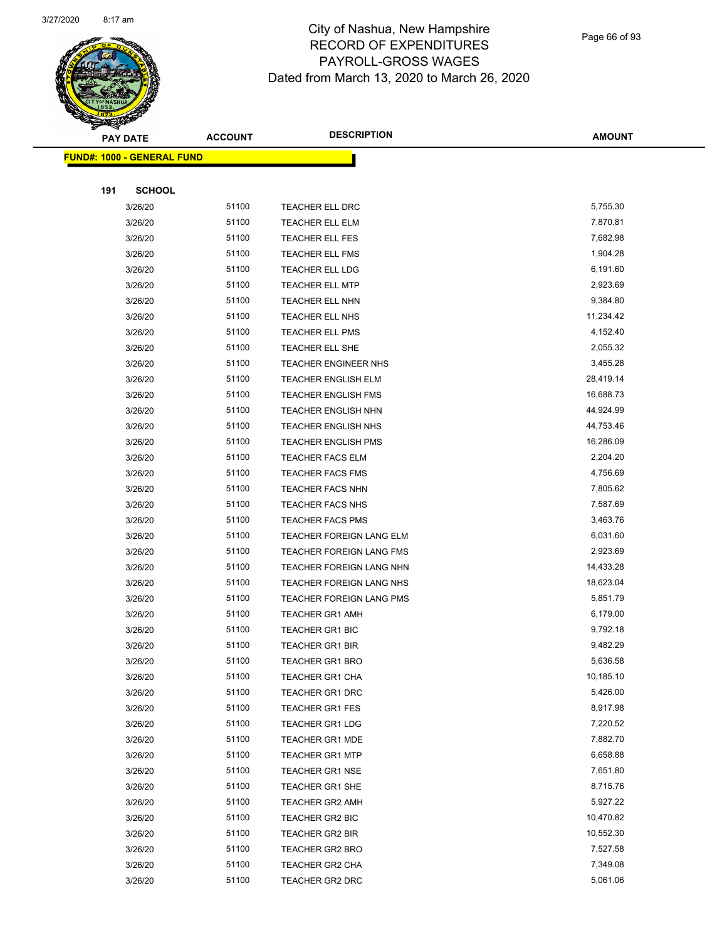

Page 66 of 93

|     | <b>PAY DATE</b>                   | <b>ACCOUNT</b> | <b>DESCRIPTION</b>          | <b>AMOUNT</b> |
|-----|-----------------------------------|----------------|-----------------------------|---------------|
|     | <b>FUND#: 1000 - GENERAL FUND</b> |                |                             |               |
|     |                                   |                |                             |               |
| 191 | <b>SCHOOL</b>                     |                |                             |               |
|     | 3/26/20                           | 51100          | TEACHER ELL DRC             | 5,755.30      |
|     | 3/26/20                           | 51100          | TEACHER ELL ELM             | 7,870.81      |
|     | 3/26/20                           | 51100          | TEACHER ELL FES             | 7,682.98      |
|     | 3/26/20                           | 51100          | <b>TEACHER ELL FMS</b>      | 1,904.28      |
|     | 3/26/20                           | 51100          | <b>TEACHER ELL LDG</b>      | 6,191.60      |
|     | 3/26/20                           | 51100          | <b>TEACHER ELL MTP</b>      | 2,923.69      |
|     | 3/26/20                           | 51100          | <b>TEACHER ELL NHN</b>      | 9,384.80      |
|     | 3/26/20                           | 51100          | <b>TEACHER ELL NHS</b>      | 11,234.42     |
|     | 3/26/20                           | 51100          | <b>TEACHER ELL PMS</b>      | 4,152.40      |
|     | 3/26/20                           | 51100          | TEACHER ELL SHE             | 2,055.32      |
|     | 3/26/20                           | 51100          | <b>TEACHER ENGINEER NHS</b> | 3,455.28      |
|     | 3/26/20                           | 51100          | <b>TEACHER ENGLISH ELM</b>  | 28,419.14     |
|     | 3/26/20                           | 51100          | <b>TEACHER ENGLISH FMS</b>  | 16,688.73     |
|     | 3/26/20                           | 51100          | <b>TEACHER ENGLISH NHN</b>  | 44,924.99     |
|     | 3/26/20                           | 51100          | <b>TEACHER ENGLISH NHS</b>  | 44,753.46     |
|     | 3/26/20                           | 51100          | <b>TEACHER ENGLISH PMS</b>  | 16,286.09     |
|     | 3/26/20                           | 51100          | <b>TEACHER FACS ELM</b>     | 2,204.20      |
|     | 3/26/20                           | 51100          | <b>TEACHER FACS FMS</b>     | 4,756.69      |
|     | 3/26/20                           | 51100          | <b>TEACHER FACS NHN</b>     | 7,805.62      |
|     | 3/26/20                           | 51100          | <b>TEACHER FACS NHS</b>     | 7,587.69      |
|     | 3/26/20                           | 51100          | <b>TEACHER FACS PMS</b>     | 3,463.76      |
|     | 3/26/20                           | 51100          | TEACHER FOREIGN LANG ELM    | 6,031.60      |
|     | 3/26/20                           | 51100          | TEACHER FOREIGN LANG FMS    | 2,923.69      |
|     | 3/26/20                           | 51100          | TEACHER FOREIGN LANG NHN    | 14,433.28     |
|     | 3/26/20                           | 51100          | TEACHER FOREIGN LANG NHS    | 18,623.04     |
|     | 3/26/20                           | 51100          | TEACHER FOREIGN LANG PMS    | 5,851.79      |
|     | 3/26/20                           | 51100          | <b>TEACHER GR1 AMH</b>      | 6,179.00      |
|     | 3/26/20                           | 51100          | <b>TEACHER GR1 BIC</b>      | 9,792.18      |
|     | 3/26/20                           | 51100          | <b>TEACHER GR1 BIR</b>      | 9,482.29      |
|     | 3/26/20                           | 51100          | <b>TEACHER GR1 BRO</b>      | 5,636.58      |
|     | 3/26/20                           | 51100          | TEACHER GR1 CHA             | 10,185.10     |
|     | 3/26/20                           | 51100          | <b>TEACHER GR1 DRC</b>      | 5,426.00      |
|     | 3/26/20                           | 51100          | <b>TEACHER GR1 FES</b>      | 8,917.98      |
|     | 3/26/20                           | 51100          | <b>TEACHER GR1 LDG</b>      | 7,220.52      |
|     | 3/26/20                           | 51100          | <b>TEACHER GR1 MDE</b>      | 7,882.70      |
|     | 3/26/20                           | 51100          | <b>TEACHER GR1 MTP</b>      | 6,658.88      |
|     | 3/26/20                           | 51100          | <b>TEACHER GR1 NSE</b>      | 7,651.80      |
|     | 3/26/20                           | 51100          | <b>TEACHER GR1 SHE</b>      | 8,715.76      |
|     | 3/26/20                           | 51100          | <b>TEACHER GR2 AMH</b>      | 5,927.22      |
|     | 3/26/20                           | 51100          | <b>TEACHER GR2 BIC</b>      | 10,470.82     |
|     | 3/26/20                           | 51100          | TEACHER GR2 BIR             | 10,552.30     |
|     | 3/26/20                           | 51100          | <b>TEACHER GR2 BRO</b>      | 7,527.58      |
|     | 3/26/20                           | 51100          | <b>TEACHER GR2 CHA</b>      | 7,349.08      |
|     | 3/26/20                           | 51100          | TEACHER GR2 DRC             | 5,061.06      |
|     |                                   |                |                             |               |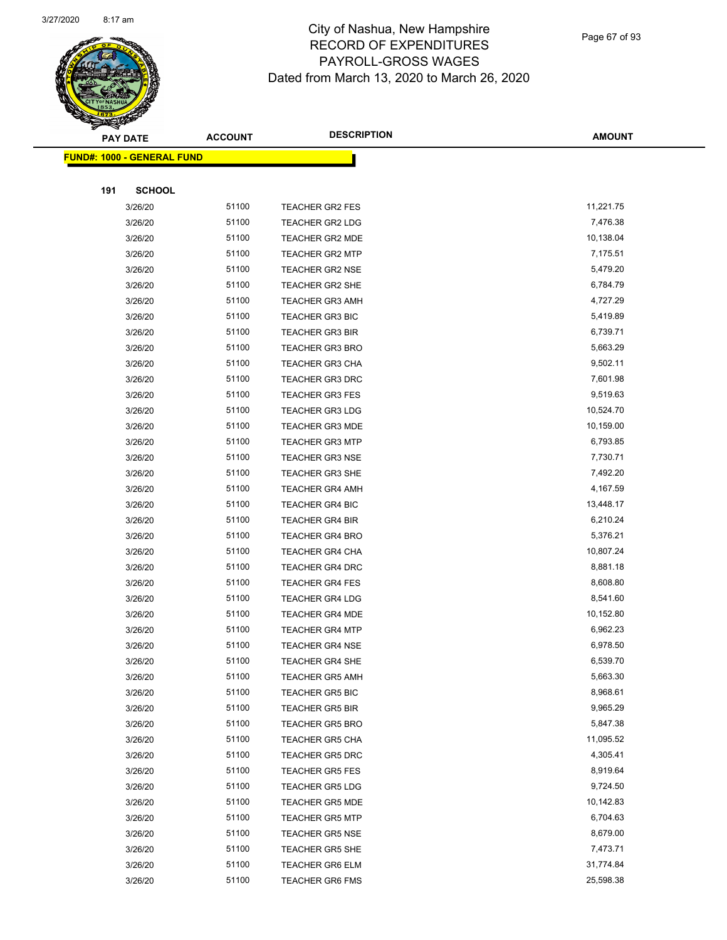

Page 67 of 93

|     | <b>PAY DATE</b>                   | <b>ACCOUNT</b> | <b>DESCRIPTION</b>                               | <b>AMOUNT</b>         |
|-----|-----------------------------------|----------------|--------------------------------------------------|-----------------------|
|     | <b>FUND#: 1000 - GENERAL FUND</b> |                |                                                  |                       |
|     |                                   |                |                                                  |                       |
| 191 | <b>SCHOOL</b>                     |                |                                                  |                       |
|     | 3/26/20                           | 51100          | <b>TEACHER GR2 FES</b>                           | 11,221.75             |
|     | 3/26/20                           | 51100          | <b>TEACHER GR2 LDG</b>                           | 7,476.38              |
|     | 3/26/20                           | 51100          | <b>TEACHER GR2 MDE</b>                           | 10,138.04             |
|     | 3/26/20                           | 51100          | <b>TEACHER GR2 MTP</b>                           | 7,175.51              |
|     | 3/26/20                           | 51100          | <b>TEACHER GR2 NSE</b>                           | 5,479.20              |
|     | 3/26/20                           | 51100          | <b>TEACHER GR2 SHE</b>                           | 6,784.79              |
|     | 3/26/20                           | 51100          | <b>TEACHER GR3 AMH</b>                           | 4,727.29              |
|     | 3/26/20                           | 51100          | <b>TEACHER GR3 BIC</b>                           | 5,419.89              |
|     | 3/26/20                           | 51100          | <b>TEACHER GR3 BIR</b>                           | 6,739.71              |
|     | 3/26/20                           | 51100          | <b>TEACHER GR3 BRO</b>                           | 5,663.29              |
|     | 3/26/20                           | 51100          | <b>TEACHER GR3 CHA</b>                           | 9,502.11              |
|     | 3/26/20                           | 51100          | <b>TEACHER GR3 DRC</b>                           | 7,601.98              |
|     | 3/26/20                           | 51100          | <b>TEACHER GR3 FES</b>                           | 9,519.63              |
|     | 3/26/20                           | 51100          | <b>TEACHER GR3 LDG</b>                           | 10,524.70             |
|     | 3/26/20                           | 51100          | <b>TEACHER GR3 MDE</b>                           | 10,159.00             |
|     | 3/26/20                           | 51100          | <b>TEACHER GR3 MTP</b>                           | 6,793.85              |
|     | 3/26/20                           | 51100          | <b>TEACHER GR3 NSE</b>                           | 7,730.71              |
|     | 3/26/20                           | 51100          | <b>TEACHER GR3 SHE</b>                           | 7,492.20              |
|     | 3/26/20                           | 51100          | <b>TEACHER GR4 AMH</b>                           | 4,167.59              |
|     | 3/26/20                           | 51100          | <b>TEACHER GR4 BIC</b>                           | 13,448.17             |
|     | 3/26/20                           | 51100          | <b>TEACHER GR4 BIR</b>                           | 6,210.24              |
|     | 3/26/20                           | 51100          | <b>TEACHER GR4 BRO</b>                           | 5,376.21              |
|     | 3/26/20                           | 51100          | <b>TEACHER GR4 CHA</b>                           | 10,807.24             |
|     | 3/26/20                           | 51100          | <b>TEACHER GR4 DRC</b>                           | 8,881.18              |
|     | 3/26/20                           | 51100          | <b>TEACHER GR4 FES</b>                           | 8,608.80              |
|     | 3/26/20                           | 51100          | <b>TEACHER GR4 LDG</b>                           | 8,541.60              |
|     | 3/26/20                           | 51100          | <b>TEACHER GR4 MDE</b>                           | 10,152.80             |
|     | 3/26/20                           | 51100          | <b>TEACHER GR4 MTP</b>                           | 6,962.23              |
|     | 3/26/20                           | 51100          | <b>TEACHER GR4 NSE</b>                           | 6,978.50              |
|     | 3/26/20                           | 51100          | <b>TEACHER GR4 SHE</b>                           | 6,539.70              |
|     | 3/26/20                           | 51100          | <b>TEACHER GR5 AMH</b>                           | 5,663.30              |
|     | 3/26/20                           | 51100          | <b>TEACHER GR5 BIC</b>                           | 8,968.61              |
|     | 3/26/20                           | 51100          | <b>TEACHER GR5 BIR</b>                           | 9,965.29              |
|     | 3/26/20                           | 51100          | <b>TEACHER GR5 BRO</b>                           | 5,847.38              |
|     | 3/26/20                           | 51100          | <b>TEACHER GR5 CHA</b>                           | 11,095.52             |
|     | 3/26/20                           | 51100          | TEACHER GR5 DRC                                  | 4,305.41              |
|     | 3/26/20                           | 51100          | <b>TEACHER GR5 FES</b>                           | 8,919.64              |
|     | 3/26/20                           | 51100<br>51100 | <b>TEACHER GR5 LDG</b>                           | 9,724.50<br>10,142.83 |
|     | 3/26/20                           | 51100          | <b>TEACHER GR5 MDE</b>                           | 6,704.63              |
|     | 3/26/20                           | 51100          | <b>TEACHER GR5 MTP</b>                           | 8,679.00              |
|     | 3/26/20                           | 51100          | <b>TEACHER GR5 NSE</b>                           | 7,473.71              |
|     | 3/26/20                           | 51100          | <b>TEACHER GR5 SHE</b>                           | 31,774.84             |
|     | 3/26/20                           | 51100          | <b>TEACHER GR6 ELM</b><br><b>TEACHER GR6 FMS</b> | 25,598.38             |
|     | 3/26/20                           |                |                                                  |                       |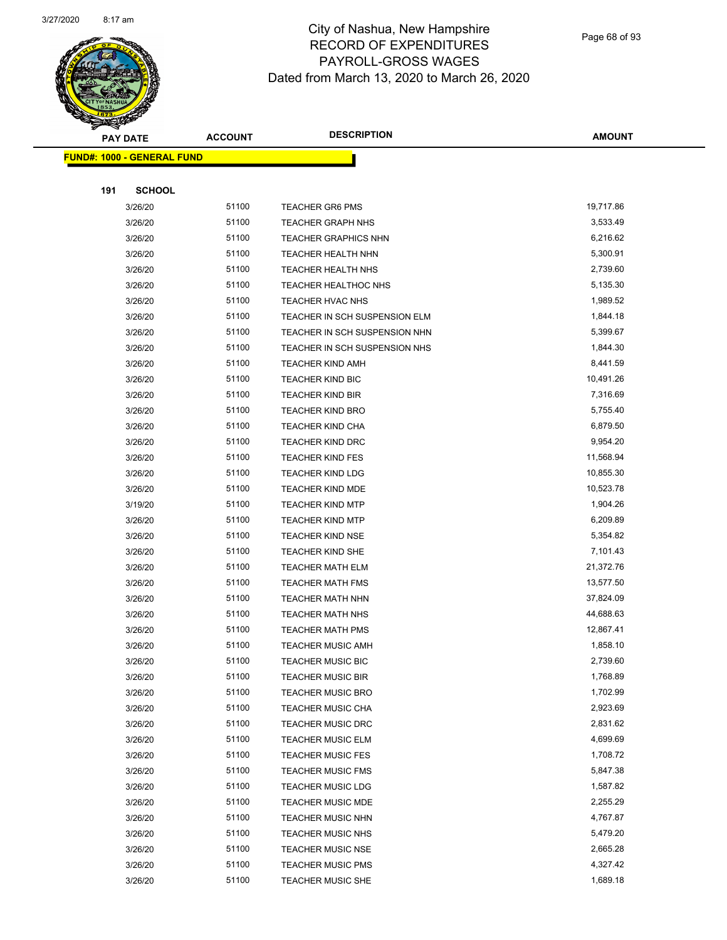

Page 68 of 93

| <b>PAY DATE</b>                   | <b>ACCOUNT</b> | <b>DESCRIPTION</b>            | <b>AMOUNT</b> |
|-----------------------------------|----------------|-------------------------------|---------------|
| <b>FUND#: 1000 - GENERAL FUND</b> |                |                               |               |
|                                   |                |                               |               |
| 191<br><b>SCHOOL</b>              |                |                               |               |
| 3/26/20                           | 51100          | <b>TEACHER GR6 PMS</b>        | 19,717.86     |
| 3/26/20                           | 51100          | <b>TEACHER GRAPH NHS</b>      | 3,533.49      |
| 3/26/20                           | 51100          | <b>TEACHER GRAPHICS NHN</b>   | 6,216.62      |
| 3/26/20                           | 51100          | TEACHER HEALTH NHN            | 5,300.91      |
| 3/26/20                           | 51100          | <b>TEACHER HEALTH NHS</b>     | 2,739.60      |
| 3/26/20                           | 51100          | <b>TEACHER HEALTHOC NHS</b>   | 5,135.30      |
| 3/26/20                           | 51100          | TEACHER HVAC NHS              | 1,989.52      |
| 3/26/20                           | 51100          | TEACHER IN SCH SUSPENSION ELM | 1,844.18      |
| 3/26/20                           | 51100          | TEACHER IN SCH SUSPENSION NHN | 5,399.67      |
| 3/26/20                           | 51100          | TEACHER IN SCH SUSPENSION NHS | 1,844.30      |
| 3/26/20                           | 51100          | <b>TEACHER KIND AMH</b>       | 8,441.59      |
| 3/26/20                           | 51100          | <b>TEACHER KIND BIC</b>       | 10,491.26     |
| 3/26/20                           | 51100          | <b>TEACHER KIND BIR</b>       | 7,316.69      |
| 3/26/20                           | 51100          | <b>TEACHER KIND BRO</b>       | 5,755.40      |
| 3/26/20                           | 51100          | <b>TEACHER KIND CHA</b>       | 6,879.50      |
| 3/26/20                           | 51100          | <b>TEACHER KIND DRC</b>       | 9,954.20      |
| 3/26/20                           | 51100          | <b>TEACHER KIND FES</b>       | 11,568.94     |
| 3/26/20                           | 51100          | <b>TEACHER KIND LDG</b>       | 10,855.30     |
| 3/26/20                           | 51100          | TEACHER KIND MDE              | 10,523.78     |
| 3/19/20                           | 51100          | <b>TEACHER KIND MTP</b>       | 1,904.26      |
| 3/26/20                           | 51100          | <b>TEACHER KIND MTP</b>       | 6,209.89      |
| 3/26/20                           | 51100          | <b>TEACHER KIND NSE</b>       | 5,354.82      |
| 3/26/20                           | 51100          | <b>TEACHER KIND SHE</b>       | 7,101.43      |
| 3/26/20                           | 51100          | <b>TEACHER MATH ELM</b>       | 21,372.76     |
| 3/26/20                           | 51100          | <b>TEACHER MATH FMS</b>       | 13,577.50     |
| 3/26/20                           | 51100          | <b>TEACHER MATH NHN</b>       | 37,824.09     |
| 3/26/20                           | 51100          | <b>TEACHER MATH NHS</b>       | 44,688.63     |
| 3/26/20                           | 51100          | <b>TEACHER MATH PMS</b>       | 12,867.41     |
| 3/26/20                           | 51100          | <b>TEACHER MUSIC AMH</b>      | 1,858.10      |
| 3/26/20                           | 51100          | TEACHER MUSIC BIC             | 2,739.60      |
| 3/26/20                           | 51100          | <b>TEACHER MUSIC BIR</b>      | 1,768.89      |
| 3/26/20                           | 51100          | <b>TEACHER MUSIC BRO</b>      | 1,702.99      |
| 3/26/20                           | 51100          | <b>TEACHER MUSIC CHA</b>      | 2,923.69      |
| 3/26/20                           | 51100          | <b>TEACHER MUSIC DRC</b>      | 2,831.62      |
| 3/26/20                           | 51100          | <b>TEACHER MUSIC ELM</b>      | 4,699.69      |
| 3/26/20                           | 51100          | <b>TEACHER MUSIC FES</b>      | 1,708.72      |
| 3/26/20                           | 51100          | <b>TEACHER MUSIC FMS</b>      | 5,847.38      |
| 3/26/20                           | 51100          | <b>TEACHER MUSIC LDG</b>      | 1,587.82      |
| 3/26/20                           | 51100          | <b>TEACHER MUSIC MDE</b>      | 2,255.29      |
| 3/26/20                           | 51100          | <b>TEACHER MUSIC NHN</b>      | 4,767.87      |
| 3/26/20                           | 51100          | <b>TEACHER MUSIC NHS</b>      | 5,479.20      |
| 3/26/20                           | 51100          | <b>TEACHER MUSIC NSE</b>      | 2,665.28      |
| 3/26/20                           | 51100          | <b>TEACHER MUSIC PMS</b>      | 4,327.42      |
| 3/26/20                           | 51100          | <b>TEACHER MUSIC SHE</b>      | 1,689.18      |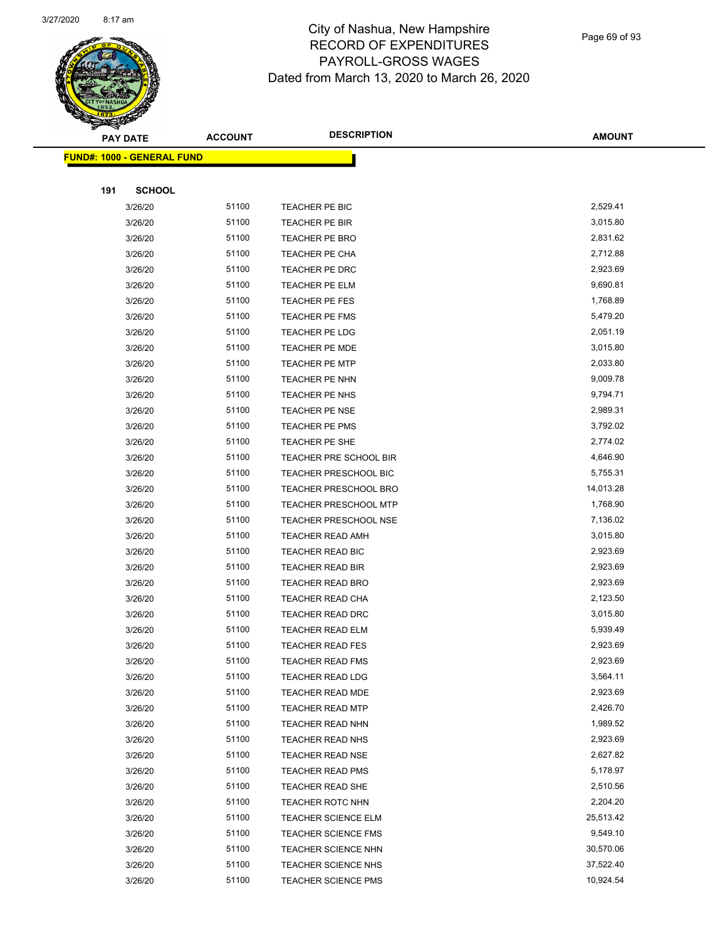

Page 69 of 93

|     | <b>PAY DATE</b>                   | <b>ACCOUNT</b> | <b>DESCRIPTION</b>           | <b>AMOUNT</b> |
|-----|-----------------------------------|----------------|------------------------------|---------------|
|     | <b>FUND#: 1000 - GENERAL FUND</b> |                |                              |               |
|     |                                   |                |                              |               |
| 191 | <b>SCHOOL</b>                     |                |                              |               |
|     | 3/26/20                           | 51100          | TEACHER PE BIC               | 2,529.41      |
|     | 3/26/20                           | 51100          | TEACHER PE BIR               | 3,015.80      |
|     | 3/26/20                           | 51100          | <b>TEACHER PE BRO</b>        | 2,831.62      |
|     | 3/26/20                           | 51100          | TEACHER PE CHA               | 2,712.88      |
|     | 3/26/20                           | 51100          | TEACHER PE DRC               | 2,923.69      |
|     | 3/26/20                           | 51100          | TEACHER PE ELM               | 9,690.81      |
|     | 3/26/20                           | 51100          | TEACHER PE FES               | 1,768.89      |
|     | 3/26/20                           | 51100          | <b>TEACHER PE FMS</b>        | 5,479.20      |
|     | 3/26/20                           | 51100          | TEACHER PE LDG               | 2,051.19      |
|     | 3/26/20                           | 51100          | <b>TEACHER PE MDE</b>        | 3,015.80      |
|     | 3/26/20                           | 51100          | <b>TEACHER PE MTP</b>        | 2,033.80      |
|     | 3/26/20                           | 51100          | TEACHER PE NHN               | 9,009.78      |
|     | 3/26/20                           | 51100          | TEACHER PE NHS               | 9,794.71      |
|     | 3/26/20                           | 51100          | <b>TEACHER PE NSE</b>        | 2,989.31      |
|     | 3/26/20                           | 51100          | <b>TEACHER PE PMS</b>        | 3,792.02      |
|     | 3/26/20                           | 51100          | TEACHER PE SHE               | 2,774.02      |
|     | 3/26/20                           | 51100          | TEACHER PRE SCHOOL BIR       | 4,646.90      |
|     | 3/26/20                           | 51100          | <b>TEACHER PRESCHOOL BIC</b> | 5,755.31      |
|     | 3/26/20                           | 51100          | <b>TEACHER PRESCHOOL BRO</b> | 14,013.28     |
|     | 3/26/20                           | 51100          | <b>TEACHER PRESCHOOL MTP</b> | 1,768.90      |
|     | 3/26/20                           | 51100          | <b>TEACHER PRESCHOOL NSE</b> | 7,136.02      |
|     | 3/26/20                           | 51100          | <b>TEACHER READ AMH</b>      | 3,015.80      |
|     | 3/26/20                           | 51100          | TEACHER READ BIC             | 2,923.69      |
|     | 3/26/20                           | 51100          | <b>TEACHER READ BIR</b>      | 2,923.69      |
|     | 3/26/20                           | 51100          | <b>TEACHER READ BRO</b>      | 2,923.69      |
|     | 3/26/20                           | 51100          | TEACHER READ CHA             | 2,123.50      |
|     | 3/26/20                           | 51100          | TEACHER READ DRC             | 3,015.80      |
|     | 3/26/20                           | 51100          | <b>TEACHER READ ELM</b>      | 5,939.49      |
|     | 3/26/20                           | 51100          | <b>TEACHER READ FES</b>      | 2,923.69      |
|     | 3/26/20                           | 51100          | <b>TEACHER READ FMS</b>      | 2,923.69      |
|     | 3/26/20                           | 51100          | <b>TEACHER READ LDG</b>      | 3,564.11      |
|     | 3/26/20                           | 51100          | <b>TEACHER READ MDE</b>      | 2,923.69      |
|     | 3/26/20                           | 51100          | <b>TEACHER READ MTP</b>      | 2,426.70      |
|     | 3/26/20                           | 51100          | <b>TEACHER READ NHN</b>      | 1,989.52      |
|     | 3/26/20                           | 51100          | <b>TEACHER READ NHS</b>      | 2,923.69      |
|     | 3/26/20                           | 51100          | <b>TEACHER READ NSE</b>      | 2,627.82      |
|     | 3/26/20                           | 51100          | <b>TEACHER READ PMS</b>      | 5,178.97      |
|     | 3/26/20                           | 51100          | <b>TEACHER READ SHE</b>      | 2,510.56      |
|     | 3/26/20                           | 51100          | <b>TEACHER ROTC NHN</b>      | 2,204.20      |
|     | 3/26/20                           | 51100          | <b>TEACHER SCIENCE ELM</b>   | 25,513.42     |
|     | 3/26/20                           | 51100          | <b>TEACHER SCIENCE FMS</b>   | 9,549.10      |
|     | 3/26/20                           | 51100          | <b>TEACHER SCIENCE NHN</b>   | 30,570.06     |
|     | 3/26/20                           | 51100          | <b>TEACHER SCIENCE NHS</b>   | 37,522.40     |
|     | 3/26/20                           | 51100          | <b>TEACHER SCIENCE PMS</b>   | 10,924.54     |
|     |                                   |                |                              |               |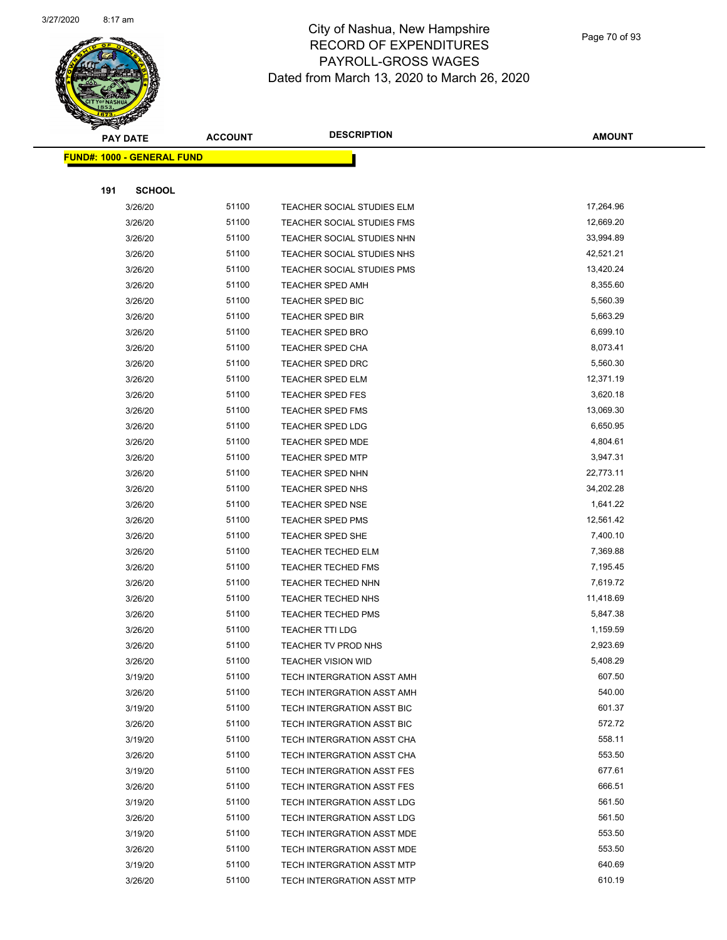

Page 70 of 93

|     | <b>PAY DATE</b>                   | <b>ACCOUNT</b> | <b>DESCRIPTION</b>         | <b>AMOUNT</b> |
|-----|-----------------------------------|----------------|----------------------------|---------------|
|     | <b>FUND#: 1000 - GENERAL FUND</b> |                |                            |               |
|     |                                   |                |                            |               |
| 191 | <b>SCHOOL</b>                     |                |                            |               |
|     | 3/26/20                           | 51100          | TEACHER SOCIAL STUDIES ELM | 17,264.96     |
|     | 3/26/20                           | 51100          | TEACHER SOCIAL STUDIES FMS | 12,669.20     |
|     | 3/26/20                           | 51100          | TEACHER SOCIAL STUDIES NHN | 33,994.89     |
|     | 3/26/20                           | 51100          | TEACHER SOCIAL STUDIES NHS | 42,521.21     |
|     | 3/26/20                           | 51100          | TEACHER SOCIAL STUDIES PMS | 13,420.24     |
|     | 3/26/20                           | 51100          | TEACHER SPED AMH           | 8,355.60      |
|     | 3/26/20                           | 51100          | TEACHER SPED BIC           | 5,560.39      |
|     | 3/26/20                           | 51100          | <b>TEACHER SPED BIR</b>    | 5,663.29      |
|     | 3/26/20                           | 51100          | <b>TEACHER SPED BRO</b>    | 6,699.10      |
|     | 3/26/20                           | 51100          | <b>TEACHER SPED CHA</b>    | 8,073.41      |
|     | 3/26/20                           | 51100          | TEACHER SPED DRC           | 5,560.30      |
|     | 3/26/20                           | 51100          | <b>TEACHER SPED ELM</b>    | 12,371.19     |
|     | 3/26/20                           | 51100          | <b>TEACHER SPED FES</b>    | 3,620.18      |
|     | 3/26/20                           | 51100          | <b>TEACHER SPED FMS</b>    | 13,069.30     |
|     | 3/26/20                           | 51100          | <b>TEACHER SPED LDG</b>    | 6,650.95      |
|     | 3/26/20                           | 51100          | TEACHER SPED MDE           | 4,804.61      |
|     | 3/26/20                           | 51100          | <b>TEACHER SPED MTP</b>    | 3,947.31      |
|     | 3/26/20                           | 51100          | TEACHER SPED NHN           | 22,773.11     |
|     | 3/26/20                           | 51100          | TEACHER SPED NHS           | 34,202.28     |
|     | 3/26/20                           | 51100          | <b>TEACHER SPED NSE</b>    | 1,641.22      |
|     | 3/26/20                           | 51100          | TEACHER SPED PMS           | 12,561.42     |
|     | 3/26/20                           | 51100          | <b>TEACHER SPED SHE</b>    | 7,400.10      |
|     | 3/26/20                           | 51100          | <b>TEACHER TECHED ELM</b>  | 7,369.88      |
|     | 3/26/20                           | 51100          | <b>TEACHER TECHED FMS</b>  | 7,195.45      |
|     | 3/26/20                           | 51100          | TEACHER TECHED NHN         | 7,619.72      |
|     | 3/26/20                           | 51100          | <b>TEACHER TECHED NHS</b>  | 11,418.69     |
|     | 3/26/20                           | 51100          | <b>TEACHER TECHED PMS</b>  | 5,847.38      |
|     | 3/26/20                           | 51100          | <b>TEACHER TTI LDG</b>     | 1,159.59      |
|     | 3/26/20                           | 51100          | TEACHER TV PROD NHS        | 2,923.69      |
|     | 3/26/20                           | 51100          | <b>TEACHER VISION WID</b>  | 5,408.29      |
|     | 3/19/20                           | 51100          | TECH INTERGRATION ASST AMH | 607.50        |
|     | 3/26/20                           | 51100          | TECH INTERGRATION ASST AMH | 540.00        |
|     | 3/19/20                           | 51100          | TECH INTERGRATION ASST BIC | 601.37        |
|     | 3/26/20                           | 51100          | TECH INTERGRATION ASST BIC | 572.72        |
|     | 3/19/20                           | 51100          | TECH INTERGRATION ASST CHA | 558.11        |
|     | 3/26/20                           | 51100          | TECH INTERGRATION ASST CHA | 553.50        |
|     | 3/19/20                           | 51100          | TECH INTERGRATION ASST FES | 677.61        |
|     | 3/26/20                           | 51100          | TECH INTERGRATION ASST FES | 666.51        |
|     | 3/19/20                           | 51100          | TECH INTERGRATION ASST LDG | 561.50        |
|     | 3/26/20                           | 51100          | TECH INTERGRATION ASST LDG | 561.50        |
|     | 3/19/20                           | 51100          | TECH INTERGRATION ASST MDE | 553.50        |
|     | 3/26/20                           | 51100          | TECH INTERGRATION ASST MDE | 553.50        |
|     | 3/19/20                           | 51100          | TECH INTERGRATION ASST MTP | 640.69        |
|     | 3/26/20                           | 51100          | TECH INTERGRATION ASST MTP | 610.19        |
|     |                                   |                |                            |               |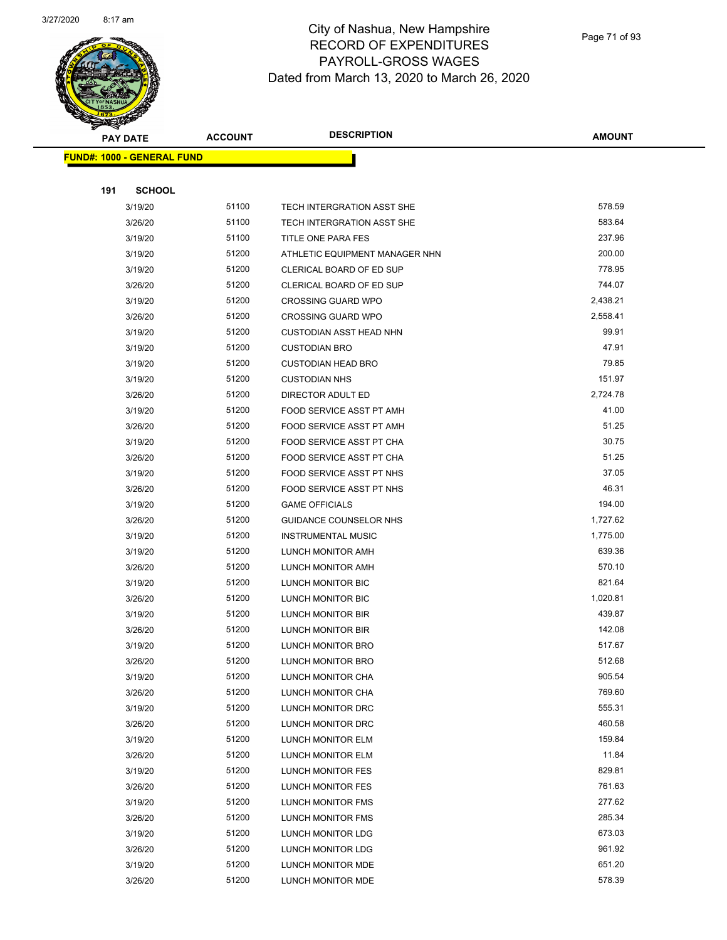

Page 71 of 93

| ॼ<br><b>PAY DATE</b>              | <b>ACCOUNT</b> | <b>DESCRIPTION</b>                     | <b>AMOUNT</b>    |
|-----------------------------------|----------------|----------------------------------------|------------------|
| <b>FUND#: 1000 - GENERAL FUND</b> |                |                                        |                  |
|                                   |                |                                        |                  |
| 191<br><b>SCHOOL</b>              |                |                                        |                  |
| 3/19/20                           | 51100          | TECH INTERGRATION ASST SHE             | 578.59           |
| 3/26/20                           | 51100          | TECH INTERGRATION ASST SHE             | 583.64           |
| 3/19/20                           | 51100          | TITLE ONE PARA FES                     | 237.96           |
| 3/19/20                           | 51200          | ATHLETIC EQUIPMENT MANAGER NHN         | 200.00           |
| 3/19/20                           | 51200          | CLERICAL BOARD OF ED SUP               | 778.95           |
| 3/26/20                           | 51200          | CLERICAL BOARD OF ED SUP               | 744.07           |
| 3/19/20                           | 51200          | <b>CROSSING GUARD WPO</b>              | 2,438.21         |
| 3/26/20                           | 51200          | <b>CROSSING GUARD WPO</b>              | 2,558.41         |
| 3/19/20                           | 51200          | <b>CUSTODIAN ASST HEAD NHN</b>         | 99.91            |
| 3/19/20                           | 51200          | <b>CUSTODIAN BRO</b>                   | 47.91            |
| 3/19/20                           | 51200          | <b>CUSTODIAN HEAD BRO</b>              | 79.85            |
| 3/19/20                           | 51200          | <b>CUSTODIAN NHS</b>                   | 151.97           |
| 3/26/20                           | 51200          | DIRECTOR ADULT ED                      | 2,724.78         |
| 3/19/20                           | 51200          | FOOD SERVICE ASST PT AMH               | 41.00            |
| 3/26/20                           | 51200          | FOOD SERVICE ASST PT AMH               | 51.25            |
| 3/19/20                           | 51200          | FOOD SERVICE ASST PT CHA               | 30.75            |
| 3/26/20                           | 51200          | FOOD SERVICE ASST PT CHA               | 51.25            |
| 3/19/20                           | 51200          | FOOD SERVICE ASST PT NHS               | 37.05            |
| 3/26/20                           | 51200          | FOOD SERVICE ASST PT NHS               | 46.31            |
| 3/19/20                           | 51200          | <b>GAME OFFICIALS</b>                  | 194.00           |
| 3/26/20                           | 51200          | GUIDANCE COUNSELOR NHS                 | 1,727.62         |
| 3/19/20                           | 51200          | <b>INSTRUMENTAL MUSIC</b>              | 1,775.00         |
| 3/19/20                           | 51200          | LUNCH MONITOR AMH                      | 639.36           |
| 3/26/20                           | 51200          | LUNCH MONITOR AMH                      | 570.10           |
| 3/19/20                           | 51200          | LUNCH MONITOR BIC                      | 821.64           |
| 3/26/20                           | 51200          | LUNCH MONITOR BIC                      | 1,020.81         |
| 3/19/20                           | 51200          | LUNCH MONITOR BIR                      | 439.87           |
| 3/26/20                           | 51200          | LUNCH MONITOR BIR                      | 142.08           |
| 3/19/20                           | 51200          | LUNCH MONITOR BRO                      | 517.67           |
| 3/26/20                           | 51200<br>51200 | LUNCH MONITOR BRO                      | 512.68<br>905.54 |
| 3/19/20<br>3/26/20                | 51200          | LUNCH MONITOR CHA<br>LUNCH MONITOR CHA | 769.60           |
| 3/19/20                           | 51200          | LUNCH MONITOR DRC                      | 555.31           |
| 3/26/20                           | 51200          | LUNCH MONITOR DRC                      | 460.58           |
| 3/19/20                           | 51200          | LUNCH MONITOR ELM                      | 159.84           |
| 3/26/20                           | 51200          | LUNCH MONITOR ELM                      | 11.84            |
| 3/19/20                           | 51200          | <b>LUNCH MONITOR FES</b>               | 829.81           |
| 3/26/20                           | 51200          | LUNCH MONITOR FES                      | 761.63           |
| 3/19/20                           | 51200          | LUNCH MONITOR FMS                      | 277.62           |
| 3/26/20                           | 51200          | LUNCH MONITOR FMS                      | 285.34           |
| 3/19/20                           | 51200          | LUNCH MONITOR LDG                      | 673.03           |
| 3/26/20                           | 51200          | LUNCH MONITOR LDG                      | 961.92           |
| 3/19/20                           | 51200          | LUNCH MONITOR MDE                      | 651.20           |
| 3/26/20                           | 51200          | LUNCH MONITOR MDE                      | 578.39           |
|                                   |                |                                        |                  |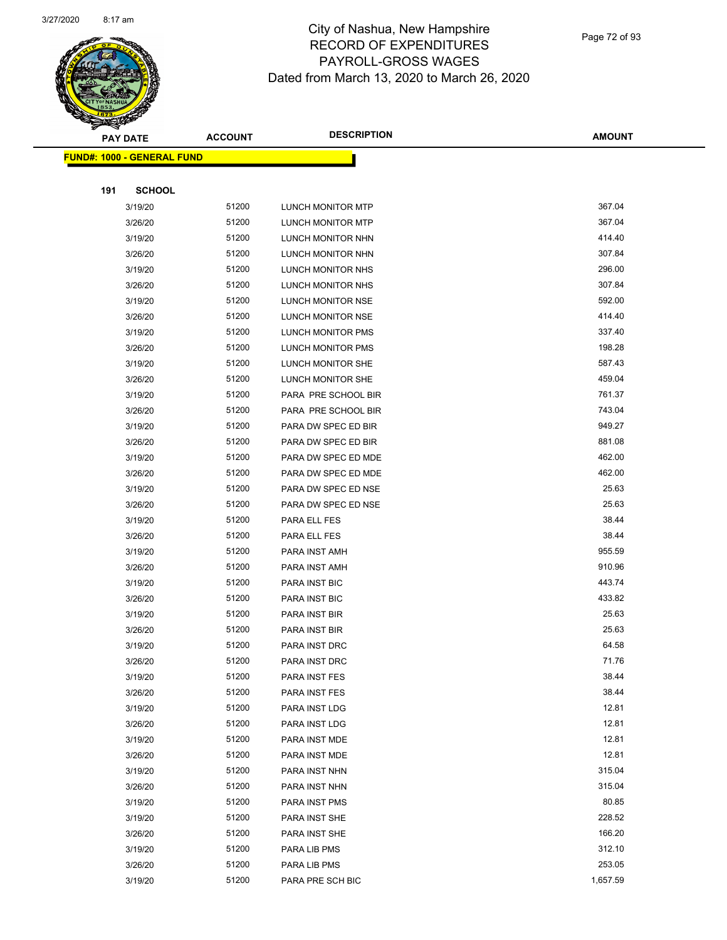

Page 72 of 93

|     | <b>PAY DATE</b>                   | <b>ACCOUNT</b> | <b>DESCRIPTION</b>             | <b>AMOUNT</b>  |
|-----|-----------------------------------|----------------|--------------------------------|----------------|
|     | <b>FUND#: 1000 - GENERAL FUND</b> |                |                                |                |
|     |                                   |                |                                |                |
| 191 | <b>SCHOOL</b>                     |                |                                |                |
|     | 3/19/20                           | 51200          | <b>LUNCH MONITOR MTP</b>       | 367.04         |
|     | 3/26/20                           | 51200          | LUNCH MONITOR MTP              | 367.04         |
|     | 3/19/20                           | 51200          | LUNCH MONITOR NHN              | 414.40         |
|     | 3/26/20                           | 51200          | LUNCH MONITOR NHN              | 307.84         |
|     | 3/19/20                           | 51200          | LUNCH MONITOR NHS              | 296.00         |
|     | 3/26/20                           | 51200          | LUNCH MONITOR NHS              | 307.84         |
|     | 3/19/20                           | 51200          | LUNCH MONITOR NSE              | 592.00         |
|     | 3/26/20                           | 51200          | LUNCH MONITOR NSE              | 414.40         |
|     | 3/19/20                           | 51200          | LUNCH MONITOR PMS              | 337.40         |
|     | 3/26/20                           | 51200          | <b>LUNCH MONITOR PMS</b>       | 198.28         |
|     | 3/19/20                           | 51200          | LUNCH MONITOR SHE              | 587.43         |
|     | 3/26/20                           | 51200          | LUNCH MONITOR SHE              | 459.04         |
|     | 3/19/20                           | 51200          | PARA PRE SCHOOL BIR            | 761.37         |
|     | 3/26/20                           | 51200          | PARA PRE SCHOOL BIR            | 743.04         |
|     | 3/19/20                           | 51200          | PARA DW SPEC ED BIR            | 949.27         |
|     | 3/26/20                           | 51200          | PARA DW SPEC ED BIR            | 881.08         |
|     | 3/19/20                           | 51200          | PARA DW SPEC ED MDE            | 462.00         |
|     | 3/26/20                           | 51200          | PARA DW SPEC ED MDE            | 462.00         |
|     | 3/19/20                           | 51200          | PARA DW SPEC ED NSE            | 25.63          |
|     | 3/26/20                           | 51200          | PARA DW SPEC ED NSE            | 25.63          |
|     | 3/19/20                           | 51200          | PARA ELL FES                   | 38.44          |
|     | 3/26/20                           | 51200          | PARA ELL FES                   | 38.44          |
|     | 3/19/20                           | 51200          | PARA INST AMH                  | 955.59         |
|     | 3/26/20                           | 51200          | PARA INST AMH                  | 910.96         |
|     | 3/19/20                           | 51200          | PARA INST BIC                  | 443.74         |
|     | 3/26/20                           | 51200          | PARA INST BIC                  | 433.82         |
|     | 3/19/20                           | 51200          | PARA INST BIR                  | 25.63          |
|     | 3/26/20                           | 51200          | PARA INST BIR                  | 25.63          |
|     | 3/19/20                           | 51200          | PARA INST DRC                  | 64.58          |
|     | 3/26/20                           | 51200          | PARA INST DRC                  | 71.76          |
|     | 3/19/20                           | 51200          | PARA INST FES                  | 38.44          |
|     | 3/26/20                           | 51200          | PARA INST FES                  | 38.44          |
|     | 3/19/20                           | 51200          | PARA INST LDG                  | 12.81          |
|     | 3/26/20                           | 51200          | PARA INST LDG                  | 12.81          |
|     | 3/19/20                           | 51200          | PARA INST MDE                  | 12.81<br>12.81 |
|     | 3/26/20                           | 51200          | PARA INST MDE                  | 315.04         |
|     | 3/19/20                           | 51200<br>51200 | PARA INST NHN                  | 315.04         |
|     | 3/26/20<br>3/19/20                | 51200          | PARA INST NHN                  | 80.85          |
|     | 3/19/20                           | 51200          | PARA INST PMS<br>PARA INST SHE | 228.52         |
|     |                                   | 51200          |                                | 166.20         |
|     | 3/26/20                           | 51200          | PARA INST SHE<br>PARA LIB PMS  | 312.10         |
|     | 3/19/20<br>3/26/20                | 51200          | PARA LIB PMS                   | 253.05         |
|     | 3/19/20                           | 51200          | PARA PRE SCH BIC               | 1,657.59       |
|     |                                   |                |                                |                |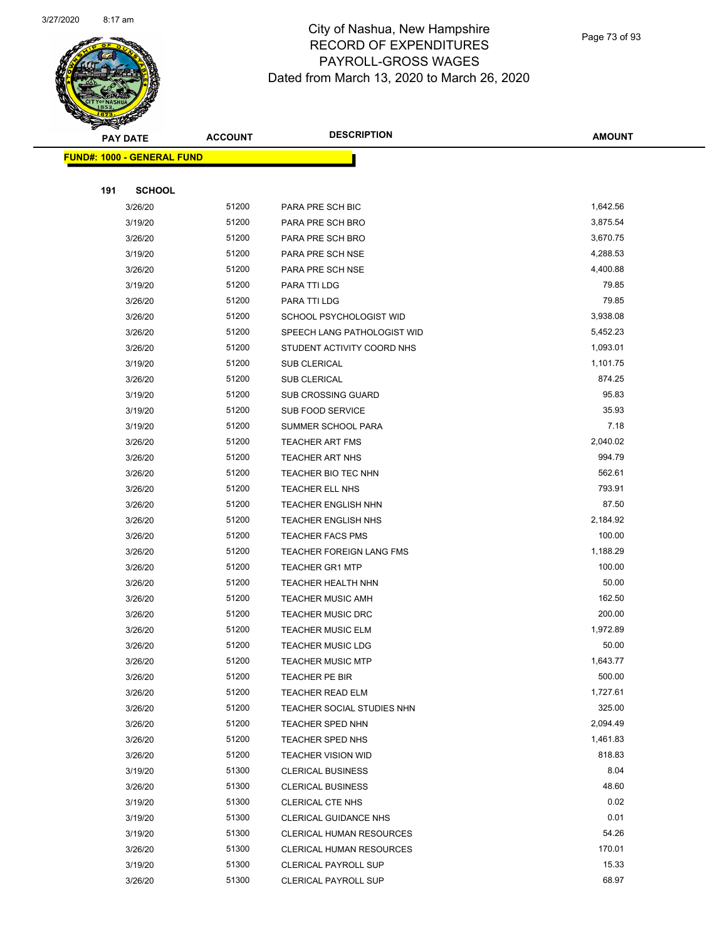

Page 73 of 93

|     | <b>PAY DATE</b>                   | <b>ACCOUNT</b> | <b>DESCRIPTION</b>           | <b>AMOUNT</b> |  |
|-----|-----------------------------------|----------------|------------------------------|---------------|--|
|     | <b>FUND#: 1000 - GENERAL FUND</b> |                |                              |               |  |
|     |                                   |                |                              |               |  |
| 191 | <b>SCHOOL</b>                     |                |                              |               |  |
|     | 3/26/20                           | 51200          | PARA PRE SCH BIC             | 1,642.56      |  |
|     | 3/19/20                           | 51200          | PARA PRE SCH BRO             | 3,875.54      |  |
|     | 3/26/20                           | 51200          | PARA PRE SCH BRO             | 3,670.75      |  |
|     | 3/19/20                           | 51200          | PARA PRE SCH NSE             | 4,288.53      |  |
|     | 3/26/20                           | 51200          | PARA PRE SCH NSE             | 4,400.88      |  |
|     | 3/19/20                           | 51200          | PARA TTI LDG                 | 79.85         |  |
|     | 3/26/20                           | 51200          | PARA TTI LDG                 | 79.85         |  |
|     | 3/26/20                           | 51200          | SCHOOL PSYCHOLOGIST WID      | 3,938.08      |  |
|     | 3/26/20                           | 51200          | SPEECH LANG PATHOLOGIST WID  | 5,452.23      |  |
|     | 3/26/20                           | 51200          | STUDENT ACTIVITY COORD NHS   | 1,093.01      |  |
|     | 3/19/20                           | 51200          | <b>SUB CLERICAL</b>          | 1,101.75      |  |
|     | 3/26/20                           | 51200          | SUB CLERICAL                 | 874.25        |  |
|     | 3/19/20                           | 51200          | <b>SUB CROSSING GUARD</b>    | 95.83         |  |
|     | 3/19/20                           | 51200          | SUB FOOD SERVICE             | 35.93         |  |
|     | 3/19/20                           | 51200          | SUMMER SCHOOL PARA           | 7.18          |  |
|     | 3/26/20                           | 51200          | <b>TEACHER ART FMS</b>       | 2,040.02      |  |
|     | 3/26/20                           | 51200          | <b>TEACHER ART NHS</b>       | 994.79        |  |
|     | 3/26/20                           | 51200          | TEACHER BIO TEC NHN          | 562.61        |  |
|     | 3/26/20                           | 51200          | TEACHER ELL NHS              | 793.91        |  |
|     | 3/26/20                           | 51200          | TEACHER ENGLISH NHN          | 87.50         |  |
|     | 3/26/20                           | 51200          | <b>TEACHER ENGLISH NHS</b>   | 2,184.92      |  |
|     | 3/26/20                           | 51200          | <b>TEACHER FACS PMS</b>      | 100.00        |  |
|     | 3/26/20                           | 51200          | TEACHER FOREIGN LANG FMS     | 1,188.29      |  |
|     | 3/26/20                           | 51200          | <b>TEACHER GR1 MTP</b>       | 100.00        |  |
|     | 3/26/20                           | 51200          | TEACHER HEALTH NHN           | 50.00         |  |
|     | 3/26/20                           | 51200          | <b>TEACHER MUSIC AMH</b>     | 162.50        |  |
|     | 3/26/20                           | 51200          | <b>TEACHER MUSIC DRC</b>     | 200.00        |  |
|     | 3/26/20                           | 51200          | <b>TEACHER MUSIC ELM</b>     | 1,972.89      |  |
|     | 3/26/20                           | 51200          | <b>TEACHER MUSIC LDG</b>     | 50.00         |  |
|     | 3/26/20                           | 51200          | TEACHER MUSIC MTP            | 1,643.77      |  |
|     | 3/26/20                           | 51200          | TEACHER PE BIR               | 500.00        |  |
|     | 3/26/20                           | 51200          | <b>TEACHER READ ELM</b>      | 1,727.61      |  |
|     | 3/26/20                           | 51200          | TEACHER SOCIAL STUDIES NHN   | 325.00        |  |
|     | 3/26/20                           | 51200          | TEACHER SPED NHN             | 2,094.49      |  |
|     | 3/26/20                           | 51200          | TEACHER SPED NHS             | 1,461.83      |  |
|     | 3/26/20                           | 51200          | <b>TEACHER VISION WID</b>    | 818.83        |  |
|     | 3/19/20                           | 51300          | <b>CLERICAL BUSINESS</b>     | 8.04          |  |
|     | 3/26/20                           | 51300          | <b>CLERICAL BUSINESS</b>     | 48.60         |  |
|     | 3/19/20                           | 51300          | <b>CLERICAL CTE NHS</b>      | 0.02          |  |
|     | 3/19/20                           | 51300          | <b>CLERICAL GUIDANCE NHS</b> | 0.01          |  |
|     | 3/19/20                           | 51300          | CLERICAL HUMAN RESOURCES     | 54.26         |  |
|     | 3/26/20                           | 51300          | CLERICAL HUMAN RESOURCES     | 170.01        |  |
|     | 3/19/20                           | 51300          | CLERICAL PAYROLL SUP         | 15.33         |  |
|     | 3/26/20                           | 51300          | CLERICAL PAYROLL SUP         | 68.97         |  |
|     |                                   |                |                              |               |  |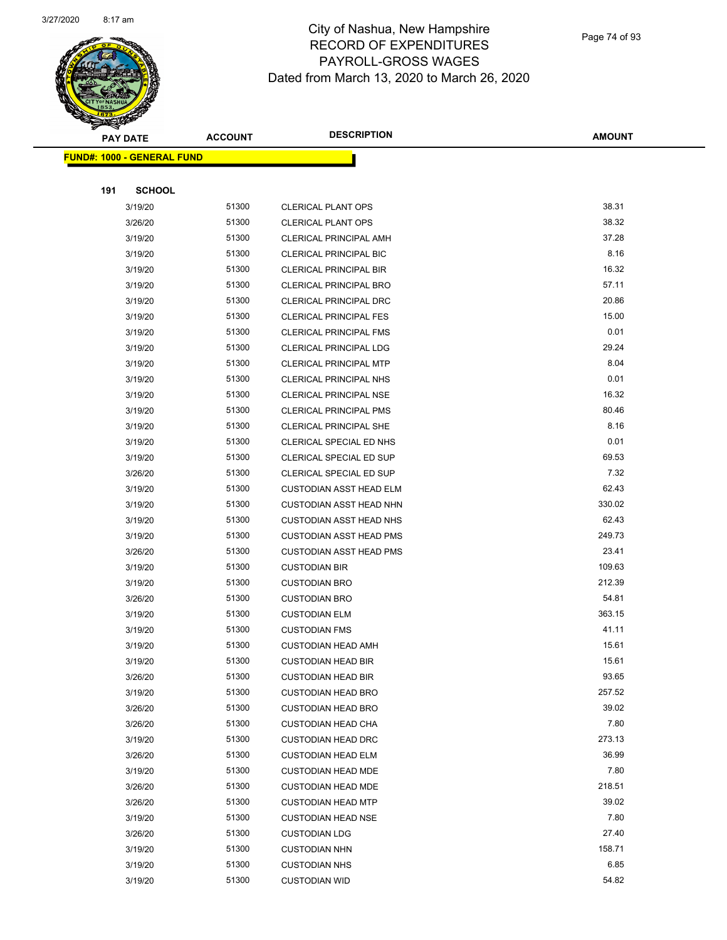

Page 74 of 93

|     | <b>PAY DATE</b>                   | <b>ACCOUNT</b> | <b>DESCRIPTION</b>                                     | <b>AMOUNT</b>  |
|-----|-----------------------------------|----------------|--------------------------------------------------------|----------------|
|     | <b>FUND#: 1000 - GENERAL FUND</b> |                |                                                        |                |
|     |                                   |                |                                                        |                |
| 191 | <b>SCHOOL</b>                     |                |                                                        |                |
|     | 3/19/20                           | 51300          | <b>CLERICAL PLANT OPS</b>                              | 38.31          |
|     | 3/26/20                           | 51300          | <b>CLERICAL PLANT OPS</b>                              | 38.32          |
|     | 3/19/20                           | 51300          | <b>CLERICAL PRINCIPAL AMH</b>                          | 37.28          |
|     | 3/19/20                           | 51300          | <b>CLERICAL PRINCIPAL BIC</b>                          | 8.16           |
|     | 3/19/20                           | 51300          | <b>CLERICAL PRINCIPAL BIR</b>                          | 16.32          |
|     | 3/19/20                           | 51300          | <b>CLERICAL PRINCIPAL BRO</b>                          | 57.11          |
|     | 3/19/20                           | 51300          | <b>CLERICAL PRINCIPAL DRC</b>                          | 20.86          |
|     | 3/19/20                           | 51300          | CLERICAL PRINCIPAL FES                                 | 15.00          |
|     | 3/19/20                           | 51300          | <b>CLERICAL PRINCIPAL FMS</b>                          | 0.01           |
|     | 3/19/20                           | 51300          | CLERICAL PRINCIPAL LDG                                 | 29.24          |
|     | 3/19/20                           | 51300          | CLERICAL PRINCIPAL MTP                                 | 8.04           |
|     | 3/19/20                           | 51300          | <b>CLERICAL PRINCIPAL NHS</b>                          | 0.01           |
|     | 3/19/20                           | 51300          | <b>CLERICAL PRINCIPAL NSE</b>                          | 16.32          |
|     | 3/19/20                           | 51300          | <b>CLERICAL PRINCIPAL PMS</b>                          | 80.46          |
|     | 3/19/20                           | 51300          | CLERICAL PRINCIPAL SHE                                 | 8.16           |
|     | 3/19/20                           | 51300          | CLERICAL SPECIAL ED NHS                                | 0.01           |
|     | 3/19/20                           | 51300          | CLERICAL SPECIAL ED SUP                                | 69.53          |
|     | 3/26/20                           | 51300          | CLERICAL SPECIAL ED SUP                                | 7.32           |
|     | 3/19/20                           | 51300          | <b>CUSTODIAN ASST HEAD ELM</b>                         | 62.43          |
|     | 3/19/20                           | 51300          | <b>CUSTODIAN ASST HEAD NHN</b>                         | 330.02         |
|     | 3/19/20                           | 51300          | <b>CUSTODIAN ASST HEAD NHS</b>                         | 62.43          |
|     | 3/19/20                           | 51300          | <b>CUSTODIAN ASST HEAD PMS</b>                         | 249.73         |
|     | 3/26/20                           | 51300          | <b>CUSTODIAN ASST HEAD PMS</b>                         | 23.41          |
|     | 3/19/20                           | 51300          | <b>CUSTODIAN BIR</b>                                   | 109.63         |
|     | 3/19/20                           | 51300          | <b>CUSTODIAN BRO</b>                                   | 212.39         |
|     | 3/26/20                           | 51300          | <b>CUSTODIAN BRO</b>                                   | 54.81          |
|     | 3/19/20                           | 51300          | <b>CUSTODIAN ELM</b>                                   | 363.15         |
|     | 3/19/20                           | 51300          | <b>CUSTODIAN FMS</b>                                   | 41.11          |
|     | 3/19/20                           | 51300<br>51300 | <b>CUSTODIAN HEAD AMH</b>                              | 15.61<br>15.61 |
|     | 3/19/20<br>3/26/20                | 51300          | <b>CUSTODIAN HEAD BIR</b>                              | 93.65          |
|     | 3/19/20                           | 51300          | <b>CUSTODIAN HEAD BIR</b><br><b>CUSTODIAN HEAD BRO</b> | 257.52         |
|     | 3/26/20                           | 51300          | <b>CUSTODIAN HEAD BRO</b>                              | 39.02          |
|     | 3/26/20                           | 51300          | <b>CUSTODIAN HEAD CHA</b>                              | 7.80           |
|     | 3/19/20                           | 51300          | <b>CUSTODIAN HEAD DRC</b>                              | 273.13         |
|     | 3/26/20                           | 51300          | <b>CUSTODIAN HEAD ELM</b>                              | 36.99          |
|     | 3/19/20                           | 51300          | <b>CUSTODIAN HEAD MDE</b>                              | 7.80           |
|     | 3/26/20                           | 51300          | <b>CUSTODIAN HEAD MDE</b>                              | 218.51         |
|     | 3/26/20                           | 51300          | <b>CUSTODIAN HEAD MTP</b>                              | 39.02          |
|     | 3/19/20                           | 51300          | <b>CUSTODIAN HEAD NSE</b>                              | 7.80           |
|     | 3/26/20                           | 51300          | <b>CUSTODIAN LDG</b>                                   | 27.40          |
|     | 3/19/20                           | 51300          | <b>CUSTODIAN NHN</b>                                   | 158.71         |
|     | 3/19/20                           | 51300          | <b>CUSTODIAN NHS</b>                                   | 6.85           |
|     | 3/19/20                           | 51300          | <b>CUSTODIAN WID</b>                                   | 54.82          |
|     |                                   |                |                                                        |                |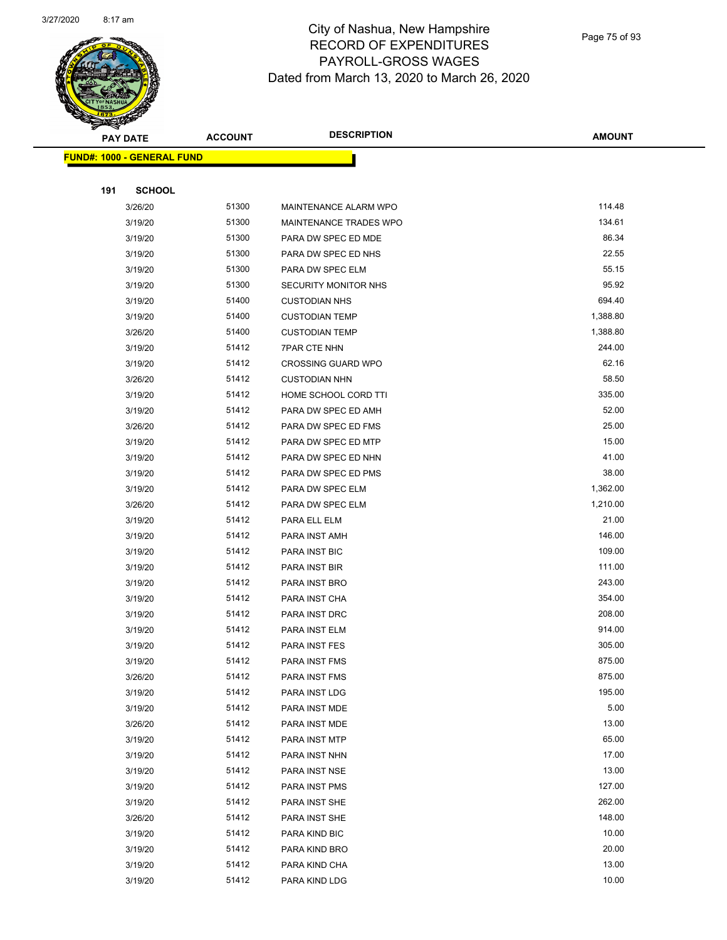

Page 75 of 93

| <b>PAY DATE</b>                   | <b>ACCOUNT</b> | <b>DESCRIPTION</b>             | <b>AMOUNT</b>    |
|-----------------------------------|----------------|--------------------------------|------------------|
| <b>FUND#: 1000 - GENERAL FUND</b> |                |                                |                  |
|                                   |                |                                |                  |
| 191<br><b>SCHOOL</b>              |                |                                |                  |
| 3/26/20                           | 51300          | MAINTENANCE ALARM WPO          | 114.48           |
| 3/19/20                           | 51300          | MAINTENANCE TRADES WPO         | 134.61           |
| 3/19/20                           | 51300          | PARA DW SPEC ED MDE            | 86.34            |
| 3/19/20                           | 51300          | PARA DW SPEC ED NHS            | 22.55            |
| 3/19/20                           | 51300          | PARA DW SPEC ELM               | 55.15            |
| 3/19/20                           | 51300          | <b>SECURITY MONITOR NHS</b>    | 95.92            |
| 3/19/20                           | 51400          | <b>CUSTODIAN NHS</b>           | 694.40           |
| 3/19/20                           | 51400          | <b>CUSTODIAN TEMP</b>          | 1,388.80         |
| 3/26/20                           | 51400          | <b>CUSTODIAN TEMP</b>          | 1,388.80         |
| 3/19/20                           | 51412          | <b>7PAR CTE NHN</b>            | 244.00           |
| 3/19/20                           | 51412          | <b>CROSSING GUARD WPO</b>      | 62.16            |
| 3/26/20                           | 51412          | <b>CUSTODIAN NHN</b>           | 58.50            |
| 3/19/20                           | 51412          | HOME SCHOOL CORD TTI           | 335.00           |
| 3/19/20                           | 51412          | PARA DW SPEC ED AMH            | 52.00            |
| 3/26/20                           | 51412          | PARA DW SPEC ED FMS            | 25.00            |
| 3/19/20                           | 51412          | PARA DW SPEC ED MTP            | 15.00            |
| 3/19/20                           | 51412          | PARA DW SPEC ED NHN            | 41.00            |
| 3/19/20                           | 51412          | PARA DW SPEC ED PMS            | 38.00            |
| 3/19/20                           | 51412          | PARA DW SPEC ELM               | 1,362.00         |
| 3/26/20                           | 51412          | PARA DW SPEC ELM               | 1,210.00         |
| 3/19/20                           | 51412          | PARA ELL ELM                   | 21.00            |
| 3/19/20                           | 51412          | PARA INST AMH                  | 146.00           |
| 3/19/20                           | 51412          | PARA INST BIC                  | 109.00           |
| 3/19/20                           | 51412          | PARA INST BIR                  | 111.00           |
| 3/19/20                           | 51412          | PARA INST BRO                  | 243.00           |
| 3/19/20                           | 51412          | PARA INST CHA                  | 354.00           |
| 3/19/20                           | 51412          | PARA INST DRC                  | 208.00           |
| 3/19/20                           | 51412          | PARA INST ELM                  | 914.00           |
| 3/19/20                           | 51412<br>51412 | PARA INST FES                  | 305.00<br>875.00 |
| 3/19/20                           | 51412          | PARA INST FMS                  | 875.00           |
| 3/26/20<br>3/19/20                | 51412          | PARA INST FMS<br>PARA INST LDG | 195.00           |
| 3/19/20                           | 51412          | PARA INST MDE                  | 5.00             |
| 3/26/20                           | 51412          | PARA INST MDE                  | 13.00            |
| 3/19/20                           | 51412          | PARA INST MTP                  | 65.00            |
| 3/19/20                           | 51412          | PARA INST NHN                  | 17.00            |
| 3/19/20                           | 51412          | PARA INST NSE                  | 13.00            |
| 3/19/20                           | 51412          | PARA INST PMS                  | 127.00           |
| 3/19/20                           | 51412          | PARA INST SHE                  | 262.00           |
| 3/26/20                           | 51412          | PARA INST SHE                  | 148.00           |
| 3/19/20                           | 51412          | PARA KIND BIC                  | 10.00            |
| 3/19/20                           | 51412          | PARA KIND BRO                  | 20.00            |
| 3/19/20                           | 51412          | PARA KIND CHA                  | 13.00            |
| 3/19/20                           | 51412          | PARA KIND LDG                  | 10.00            |
|                                   |                |                                |                  |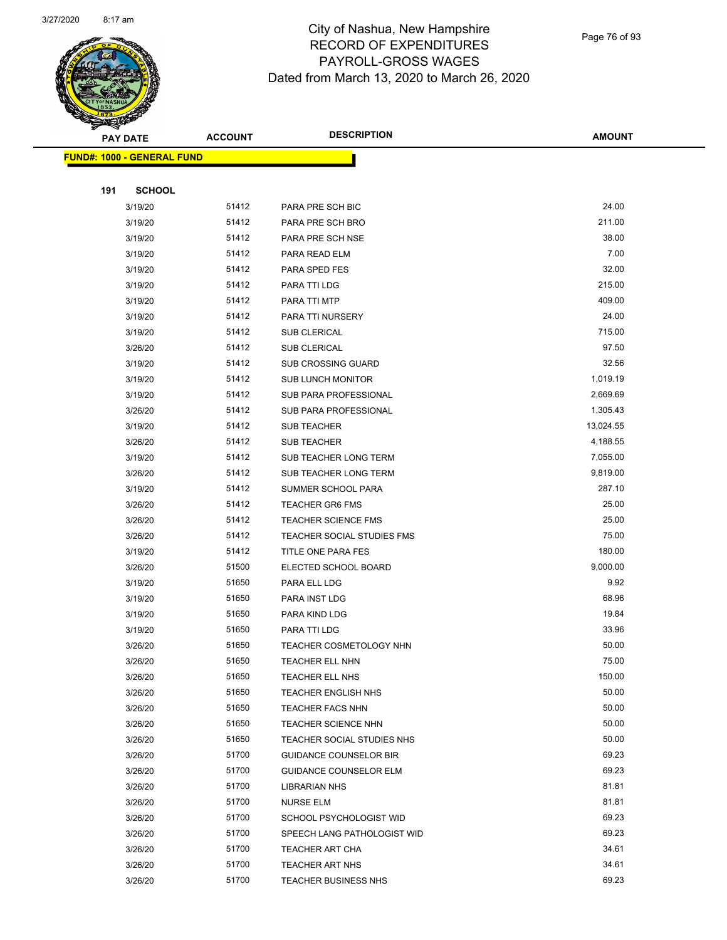

Page 76 of 93

|     | <b>PAY DATE</b>                   | <b>ACCOUNT</b> | <b>DESCRIPTION</b>                             | <b>AMOUNT</b>  |
|-----|-----------------------------------|----------------|------------------------------------------------|----------------|
|     | <b>FUND#: 1000 - GENERAL FUND</b> |                |                                                |                |
|     |                                   |                |                                                |                |
| 191 | <b>SCHOOL</b>                     |                |                                                |                |
|     | 3/19/20                           | 51412          | PARA PRE SCH BIC                               | 24.00          |
|     | 3/19/20                           | 51412          | PARA PRE SCH BRO                               | 211.00         |
|     | 3/19/20                           | 51412          | PARA PRE SCH NSE                               | 38.00          |
|     | 3/19/20                           | 51412          | PARA READ ELM                                  | 7.00           |
|     | 3/19/20                           | 51412          | PARA SPED FES                                  | 32.00          |
|     | 3/19/20                           | 51412          | PARA TTI LDG                                   | 215.00         |
|     | 3/19/20                           | 51412          | PARA TTI MTP                                   | 409.00         |
|     | 3/19/20                           | 51412          | PARA TTI NURSERY                               | 24.00          |
|     | 3/19/20                           | 51412          | SUB CLERICAL                                   | 715.00         |
|     | 3/26/20                           | 51412          | SUB CLERICAL                                   | 97.50          |
|     | 3/19/20                           | 51412          | SUB CROSSING GUARD                             | 32.56          |
|     | 3/19/20                           | 51412          | <b>SUB LUNCH MONITOR</b>                       | 1,019.19       |
|     | 3/19/20                           | 51412          | <b>SUB PARA PROFESSIONAL</b>                   | 2,669.69       |
|     | 3/26/20                           | 51412          | SUB PARA PROFESSIONAL                          | 1,305.43       |
|     | 3/19/20                           | 51412          | SUB TEACHER                                    | 13,024.55      |
|     | 3/26/20                           | 51412          | <b>SUB TEACHER</b>                             | 4,188.55       |
|     | 3/19/20                           | 51412          | SUB TEACHER LONG TERM                          | 7,055.00       |
|     | 3/26/20                           | 51412          | SUB TEACHER LONG TERM                          | 9,819.00       |
|     | 3/19/20                           | 51412          | SUMMER SCHOOL PARA                             | 287.10         |
|     | 3/26/20                           | 51412          | <b>TEACHER GR6 FMS</b>                         | 25.00          |
|     | 3/26/20                           | 51412          | <b>TEACHER SCIENCE FMS</b>                     | 25.00          |
|     | 3/26/20                           | 51412          | TEACHER SOCIAL STUDIES FMS                     | 75.00          |
|     | 3/19/20                           | 51412          | TITLE ONE PARA FES                             | 180.00         |
|     | 3/26/20                           | 51500          | ELECTED SCHOOL BOARD                           | 9,000.00       |
|     | 3/19/20                           | 51650          | PARA ELL LDG                                   | 9.92           |
|     | 3/19/20                           | 51650          | PARA INST LDG                                  | 68.96          |
|     | 3/19/20                           | 51650          | PARA KIND LDG                                  | 19.84          |
|     | 3/19/20                           | 51650<br>51650 | PARA TTI LDG<br><b>TEACHER COSMETOLOGY NHN</b> | 33.96<br>50.00 |
|     | 3/26/20                           | 51650          |                                                | 75.00          |
|     | 3/26/20<br>3/26/20                | 51650          | TEACHER ELL NHN<br>TEACHER ELL NHS             | 150.00         |
|     | 3/26/20                           | 51650          | <b>TEACHER ENGLISH NHS</b>                     | 50.00          |
|     | 3/26/20                           | 51650          | <b>TEACHER FACS NHN</b>                        | 50.00          |
|     | 3/26/20                           | 51650          | TEACHER SCIENCE NHN                            | 50.00          |
|     | 3/26/20                           | 51650          | TEACHER SOCIAL STUDIES NHS                     | 50.00          |
|     | 3/26/20                           | 51700          | <b>GUIDANCE COUNSELOR BIR</b>                  | 69.23          |
|     | 3/26/20                           | 51700          | <b>GUIDANCE COUNSELOR ELM</b>                  | 69.23          |
|     | 3/26/20                           | 51700          | <b>LIBRARIAN NHS</b>                           | 81.81          |
|     | 3/26/20                           | 51700          | <b>NURSE ELM</b>                               | 81.81          |
|     | 3/26/20                           | 51700          | SCHOOL PSYCHOLOGIST WID                        | 69.23          |
|     | 3/26/20                           | 51700          | SPEECH LANG PATHOLOGIST WID                    | 69.23          |
|     | 3/26/20                           | 51700          | TEACHER ART CHA                                | 34.61          |
|     | 3/26/20                           | 51700          | TEACHER ART NHS                                | 34.61          |
|     | 3/26/20                           | 51700          | <b>TEACHER BUSINESS NHS</b>                    | 69.23          |
|     |                                   |                |                                                |                |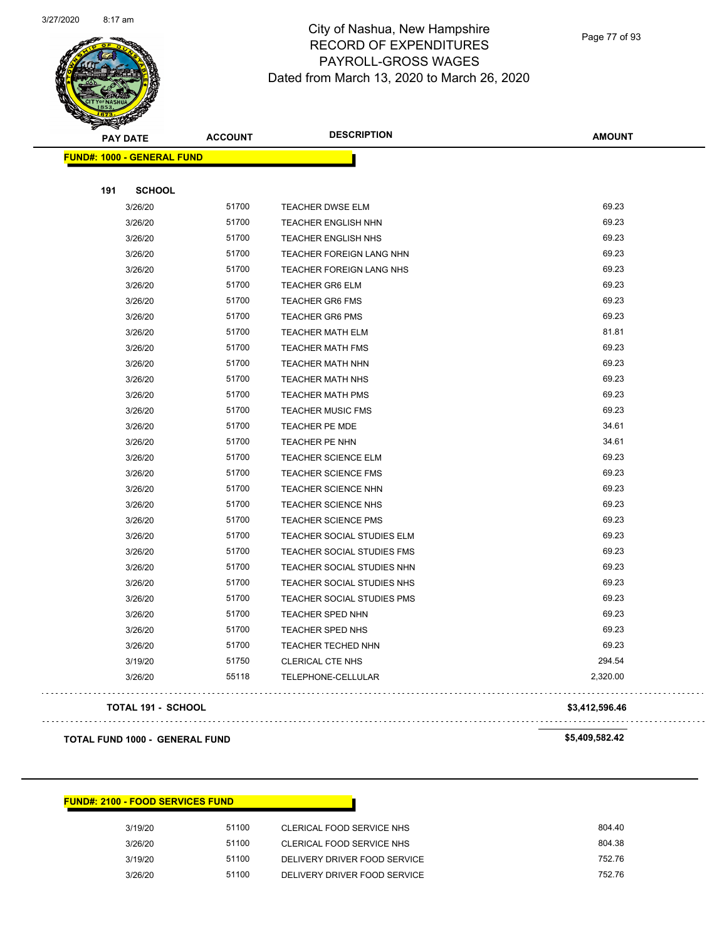

Page 77 of 93

| <b>PAY DATE</b>                   | <b>ACCOUNT</b> | <b>DESCRIPTION</b>         | <b>AMOUNT</b>  |
|-----------------------------------|----------------|----------------------------|----------------|
| <b>FUND#: 1000 - GENERAL FUND</b> |                |                            |                |
|                                   |                |                            |                |
| 191<br><b>SCHOOL</b>              |                |                            |                |
| 3/26/20                           | 51700          | TEACHER DWSE ELM           | 69.23          |
| 3/26/20                           | 51700          | TEACHER ENGLISH NHN        | 69.23          |
| 3/26/20                           | 51700          | <b>TEACHER ENGLISH NHS</b> | 69.23          |
| 3/26/20                           | 51700          | TEACHER FOREIGN LANG NHN   | 69.23          |
| 3/26/20                           | 51700          | TEACHER FOREIGN LANG NHS   | 69.23          |
| 3/26/20                           | 51700          | <b>TEACHER GR6 ELM</b>     | 69.23          |
| 3/26/20                           | 51700          | <b>TEACHER GR6 FMS</b>     | 69.23          |
| 3/26/20                           | 51700          | <b>TEACHER GR6 PMS</b>     | 69.23          |
| 3/26/20                           | 51700          | <b>TEACHER MATH ELM</b>    | 81.81          |
| 3/26/20                           | 51700          | <b>TEACHER MATH FMS</b>    | 69.23          |
| 3/26/20                           | 51700          | <b>TEACHER MATH NHN</b>    | 69.23          |
| 3/26/20                           | 51700          | <b>TEACHER MATH NHS</b>    | 69.23          |
| 3/26/20                           | 51700          | <b>TEACHER MATH PMS</b>    | 69.23          |
| 3/26/20                           | 51700          | <b>TEACHER MUSIC FMS</b>   | 69.23          |
| 3/26/20                           | 51700          | TEACHER PE MDE             | 34.61          |
| 3/26/20                           | 51700          | TEACHER PE NHN             | 34.61          |
| 3/26/20                           | 51700          | TEACHER SCIENCE ELM        | 69.23          |
| 3/26/20                           | 51700          | <b>TEACHER SCIENCE FMS</b> | 69.23          |
| 3/26/20                           | 51700          | <b>TEACHER SCIENCE NHN</b> | 69.23          |
| 3/26/20                           | 51700          | TEACHER SCIENCE NHS        | 69.23          |
| 3/26/20                           | 51700          | <b>TEACHER SCIENCE PMS</b> | 69.23          |
| 3/26/20                           | 51700          | TEACHER SOCIAL STUDIES ELM | 69.23          |
| 3/26/20                           | 51700          | TEACHER SOCIAL STUDIES FMS | 69.23          |
| 3/26/20                           | 51700          | TEACHER SOCIAL STUDIES NHN | 69.23          |
| 3/26/20                           | 51700          | TEACHER SOCIAL STUDIES NHS | 69.23          |
| 3/26/20                           | 51700          | TEACHER SOCIAL STUDIES PMS | 69.23          |
| 3/26/20                           | 51700          | TEACHER SPED NHN           | 69.23          |
| 3/26/20                           | 51700          | TEACHER SPED NHS           | 69.23          |
| 3/26/20                           | 51700          | TEACHER TECHED NHN         | 69.23          |
| 3/19/20                           | 51750          | <b>CLERICAL CTE NHS</b>    | 294.54         |
| 3/26/20                           | 55118          | TELEPHONE-CELLULAR         | 2,320.00       |
| TOTAL 191 - SCHOOL                |                |                            | \$3,412,596.46 |

#### **TOTAL FUND 1000 - GENERAL FUND \$5,409,582.42**

#### **FUND#: 2100 - FOOD SERVICES FUND**

| 3/19/20 | 51100 | CLERICAL FOOD SERVICE NHS    | 804.40 |
|---------|-------|------------------------------|--------|
| 3/26/20 | 51100 | CLERICAL FOOD SERVICE NHS    | 804.38 |
| 3/19/20 | 51100 | DELIVERY DRIVER FOOD SERVICE | 752.76 |
| 3/26/20 | 51100 | DELIVERY DRIVER FOOD SERVICE | 752.76 |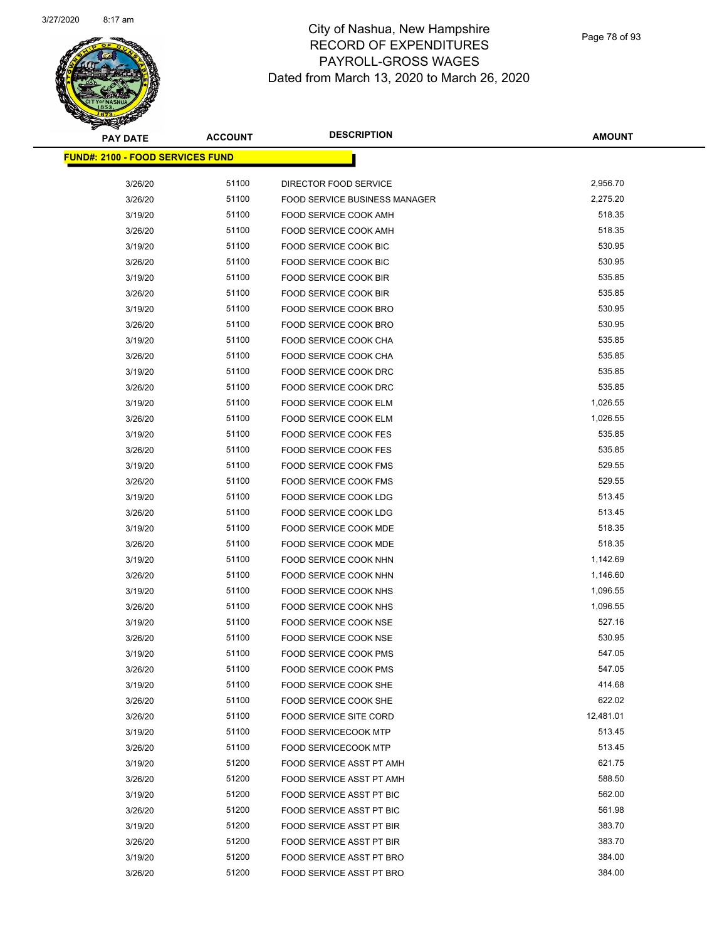

Page 78 of 93

| <b>PAY DATE</b>                         | <b>ACCOUNT</b> | <b>DESCRIPTION</b>                   | <b>AMOUNT</b> |
|-----------------------------------------|----------------|--------------------------------------|---------------|
| <b>FUND#: 2100 - FOOD SERVICES FUND</b> |                |                                      |               |
|                                         |                |                                      |               |
| 3/26/20                                 | 51100          | DIRECTOR FOOD SERVICE                | 2,956.70      |
| 3/26/20                                 | 51100          | <b>FOOD SERVICE BUSINESS MANAGER</b> | 2,275.20      |
| 3/19/20                                 | 51100          | FOOD SERVICE COOK AMH                | 518.35        |
| 3/26/20                                 | 51100          | FOOD SERVICE COOK AMH                | 518.35        |
| 3/19/20                                 | 51100          | FOOD SERVICE COOK BIC                | 530.95        |
| 3/26/20                                 | 51100          | <b>FOOD SERVICE COOK BIC</b>         | 530.95        |
| 3/19/20                                 | 51100          | FOOD SERVICE COOK BIR                | 535.85        |
| 3/26/20                                 | 51100          | <b>FOOD SERVICE COOK BIR</b>         | 535.85        |
| 3/19/20                                 | 51100          | FOOD SERVICE COOK BRO                | 530.95        |
| 3/26/20                                 | 51100          | FOOD SERVICE COOK BRO                | 530.95        |
| 3/19/20                                 | 51100          | FOOD SERVICE COOK CHA                | 535.85        |
| 3/26/20                                 | 51100          | FOOD SERVICE COOK CHA                | 535.85        |
| 3/19/20                                 | 51100          | FOOD SERVICE COOK DRC                | 535.85        |
| 3/26/20                                 | 51100          | FOOD SERVICE COOK DRC                | 535.85        |
| 3/19/20                                 | 51100          | FOOD SERVICE COOK ELM                | 1,026.55      |
| 3/26/20                                 | 51100          | FOOD SERVICE COOK ELM                | 1,026.55      |
| 3/19/20                                 | 51100          | <b>FOOD SERVICE COOK FES</b>         | 535.85        |
| 3/26/20                                 | 51100          | <b>FOOD SERVICE COOK FES</b>         | 535.85        |
| 3/19/20                                 | 51100          | FOOD SERVICE COOK FMS                | 529.55        |
| 3/26/20                                 | 51100          | <b>FOOD SERVICE COOK FMS</b>         | 529.55        |
| 3/19/20                                 | 51100          | FOOD SERVICE COOK LDG                | 513.45        |
| 3/26/20                                 | 51100          | FOOD SERVICE COOK LDG                | 513.45        |
| 3/19/20                                 | 51100          | FOOD SERVICE COOK MDE                | 518.35        |
| 3/26/20                                 | 51100          | FOOD SERVICE COOK MDE                | 518.35        |
| 3/19/20                                 | 51100          | FOOD SERVICE COOK NHN                | 1,142.69      |
| 3/26/20                                 | 51100          | FOOD SERVICE COOK NHN                | 1,146.60      |
| 3/19/20                                 | 51100          | <b>FOOD SERVICE COOK NHS</b>         | 1,096.55      |
| 3/26/20                                 | 51100          | FOOD SERVICE COOK NHS                | 1,096.55      |
| 3/19/20                                 | 51100          | FOOD SERVICE COOK NSE                | 527.16        |
| 3/26/20                                 | 51100          | FOOD SERVICE COOK NSE                | 530.95        |
| 3/19/20                                 | 51100          | FOOD SERVICE COOK PMS                | 547.05        |
| 3/26/20                                 | 51100          | <b>FOOD SERVICE COOK PMS</b>         | 547.05        |
| 3/19/20                                 | 51100          | <b>FOOD SERVICE COOK SHE</b>         | 414.68        |
| 3/26/20                                 | 51100          | FOOD SERVICE COOK SHE                | 622.02        |
| 3/26/20                                 | 51100          | <b>FOOD SERVICE SITE CORD</b>        | 12,481.01     |
| 3/19/20                                 | 51100          | FOOD SERVICECOOK MTP                 | 513.45        |
| 3/26/20                                 | 51100          | <b>FOOD SERVICECOOK MTP</b>          | 513.45        |
| 3/19/20                                 | 51200          | <b>FOOD SERVICE ASST PT AMH</b>      | 621.75        |
| 3/26/20                                 | 51200          | FOOD SERVICE ASST PT AMH             | 588.50        |
| 3/19/20                                 | 51200          | FOOD SERVICE ASST PT BIC             | 562.00        |
| 3/26/20                                 | 51200          | FOOD SERVICE ASST PT BIC             | 561.98        |
| 3/19/20                                 | 51200          | FOOD SERVICE ASST PT BIR             | 383.70        |
| 3/26/20                                 | 51200          | FOOD SERVICE ASST PT BIR             | 383.70        |
| 3/19/20                                 | 51200          | FOOD SERVICE ASST PT BRO             | 384.00        |
| 3/26/20                                 | 51200          | FOOD SERVICE ASST PT BRO             | 384.00        |
|                                         |                |                                      |               |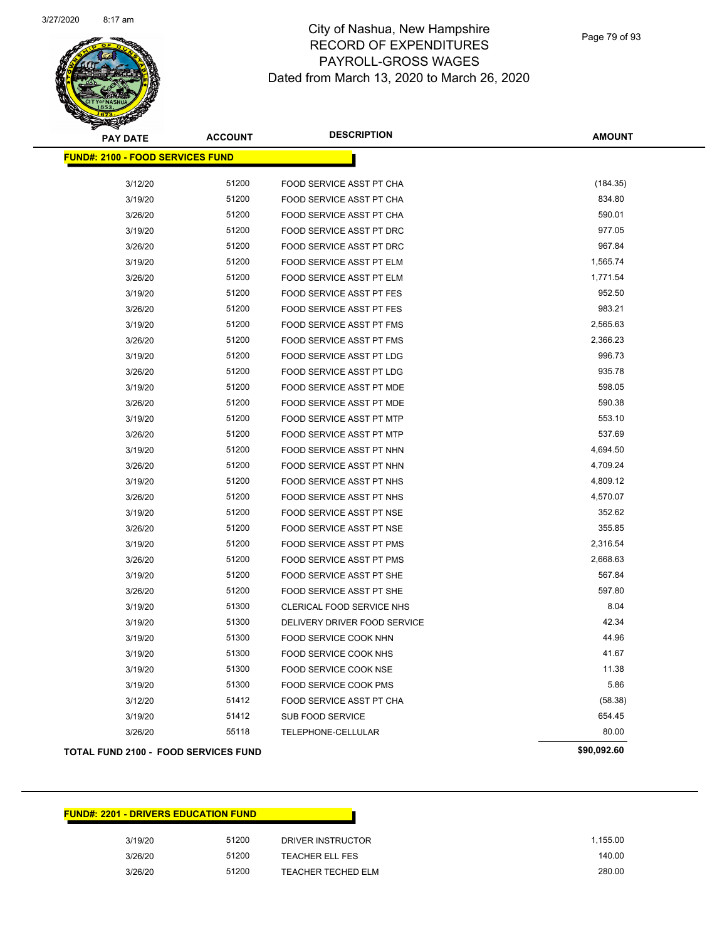

Page 79 of 93

| <b>PAY DATE</b>                         | <b>ACCOUNT</b> | <b>DESCRIPTION</b>              | <b>AMOUNT</b> |
|-----------------------------------------|----------------|---------------------------------|---------------|
| <b>FUND#: 2100 - FOOD SERVICES FUND</b> |                |                                 |               |
| 3/12/20                                 | 51200          | FOOD SERVICE ASST PT CHA        | (184.35)      |
| 3/19/20                                 | 51200          | FOOD SERVICE ASST PT CHA        | 834.80        |
| 3/26/20                                 | 51200          | FOOD SERVICE ASST PT CHA        | 590.01        |
| 3/19/20                                 | 51200          | FOOD SERVICE ASST PT DRC        | 977.05        |
| 3/26/20                                 | 51200          | FOOD SERVICE ASST PT DRC        | 967.84        |
| 3/19/20                                 | 51200          | FOOD SERVICE ASST PT ELM        | 1,565.74      |
| 3/26/20                                 | 51200          | FOOD SERVICE ASST PT ELM        | 1,771.54      |
| 3/19/20                                 | 51200          | FOOD SERVICE ASST PT FES        | 952.50        |
| 3/26/20                                 | 51200          | FOOD SERVICE ASST PT FES        | 983.21        |
| 3/19/20                                 | 51200          | FOOD SERVICE ASST PT FMS        | 2,565.63      |
| 3/26/20                                 | 51200          | FOOD SERVICE ASST PT FMS        | 2,366.23      |
| 3/19/20                                 | 51200          | FOOD SERVICE ASST PT LDG        | 996.73        |
| 3/26/20                                 | 51200          | FOOD SERVICE ASST PT LDG        | 935.78        |
| 3/19/20                                 | 51200          | FOOD SERVICE ASST PT MDE        | 598.05        |
| 3/26/20                                 | 51200          | FOOD SERVICE ASST PT MDE        | 590.38        |
| 3/19/20                                 | 51200          | FOOD SERVICE ASST PT MTP        | 553.10        |
| 3/26/20                                 | 51200          | <b>FOOD SERVICE ASST PT MTP</b> | 537.69        |
| 3/19/20                                 | 51200          | FOOD SERVICE ASST PT NHN        | 4,694.50      |
| 3/26/20                                 | 51200          | FOOD SERVICE ASST PT NHN        | 4,709.24      |
| 3/19/20                                 | 51200          | FOOD SERVICE ASST PT NHS        | 4,809.12      |
| 3/26/20                                 | 51200          | FOOD SERVICE ASST PT NHS        | 4,570.07      |
| 3/19/20                                 | 51200          | FOOD SERVICE ASST PT NSE        | 352.62        |
| 3/26/20                                 | 51200          | FOOD SERVICE ASST PT NSE        | 355.85        |
| 3/19/20                                 | 51200          | FOOD SERVICE ASST PT PMS        | 2,316.54      |
| 3/26/20                                 | 51200          | FOOD SERVICE ASST PT PMS        | 2,668.63      |
| 3/19/20                                 | 51200          | FOOD SERVICE ASST PT SHE        | 567.84        |
| 3/26/20                                 | 51200          | FOOD SERVICE ASST PT SHE        | 597.80        |
| 3/19/20                                 | 51300          | CLERICAL FOOD SERVICE NHS       | 8.04          |
| 3/19/20                                 | 51300          | DELIVERY DRIVER FOOD SERVICE    | 42.34         |
| 3/19/20                                 | 51300          | FOOD SERVICE COOK NHN           | 44.96         |
| 3/19/20                                 | 51300          | FOOD SERVICE COOK NHS           | 41.67         |
| 3/19/20                                 | 51300          | FOOD SERVICE COOK NSE           | 11.38         |
| 3/19/20                                 | 51300          | FOOD SERVICE COOK PMS           | 5.86          |
| 3/12/20                                 | 51412          | FOOD SERVICE ASST PT CHA        | (58.38)       |
| 3/19/20                                 | 51412          | SUB FOOD SERVICE                | 654.45        |
| 3/26/20                                 | 55118          | TELEPHONE-CELLULAR              | 80.00         |
| TOTAL FUND 2100 - FOOD SERVICES FUND    |                |                                 | \$90,092.60   |

| <b>FUND#: 2201 - DRIVERS EDUCATION FUND</b> |       |                    |          |
|---------------------------------------------|-------|--------------------|----------|
| 3/19/20                                     | 51200 | DRIVER INSTRUCTOR  | 1.155.00 |
| 3/26/20                                     | 51200 | TEACHER ELL FES    | 140.00   |
| 3/26/20                                     | 51200 | TEACHER TECHED ELM | 280.00   |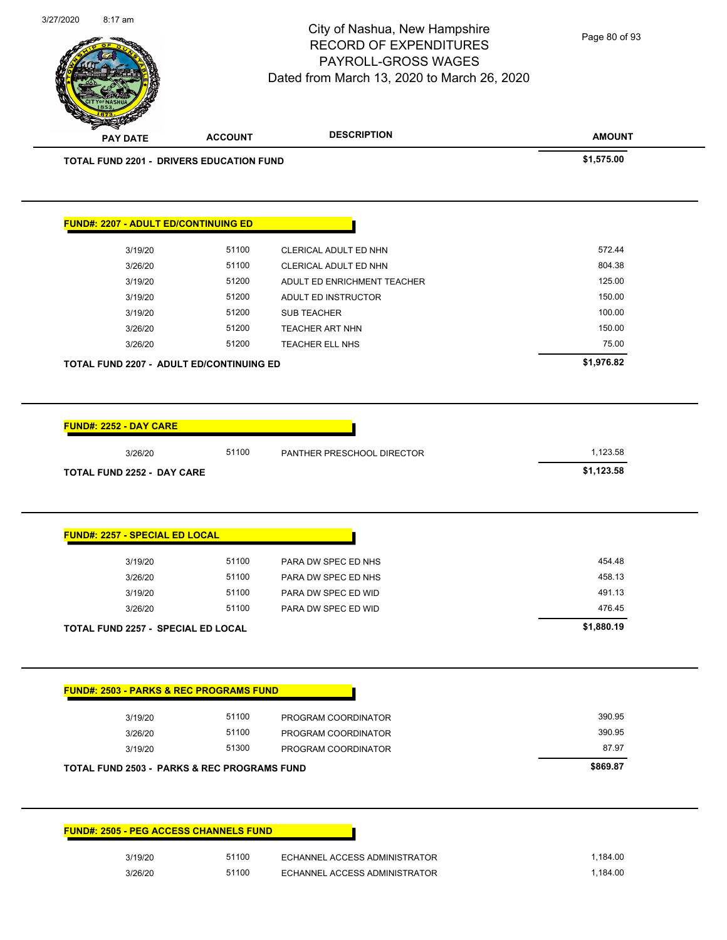Page 80 of 93

**AMOUNT** City of Nashua, New Hampshire RECORD OF EXPENDITURES PAYROLL-GROSS WAGES Dated from March 13, 2020 to March 26, 2020 **PAY DATE ACCOUNT DESCRIPTION TOTAL FUND 2201 - DRIVERS EDUCATION FUND \$1,575.00 FUND#: 2207 - ADULT ED/CONTINUING ED** 3/19/20 51100 CLERICAL ADULT ED NHN 572.44 3/26/20 51100 CLERICAL ADULT ED NHN 804.38 3/19/20 51200 ADULT ED ENRICHMENT TEACHER 125.00 3/19/20 51200 ADULT ED INSTRUCTOR 150.00 3/19/20 51200 SUB TEACHER 100.00 3/26/20 51200 TEACHER ART NHN 150.00 55 1200 51200 TEACHER ART NHN 3/26/20 51200 TEACHER ELL NHS 75.00 **TOTAL FUND 2207 - ADULT ED/CONTINUING ED \$1,976.82** 

3/27/2020 8:17 am

**FUND#: 2252 - DAY CARE**

**FUND#: 2257 - SPECIAL ED LOCAL**

3/26/20 51100 PANTHER PRESCHOOL DIRECTOR 1,123.58 **TOTAL FUND 2252 - DAY CARE \$1,123.58** 

|         | <b>TOTAL FUND 2257 - SPECIAL ED LOCAL</b> |       |                     | \$1,880.19 |
|---------|-------------------------------------------|-------|---------------------|------------|
| 3/26/20 |                                           | 51100 | PARA DW SPEC ED WID | 476.45     |
| 3/19/20 |                                           | 51100 | PARA DW SPEC ED WID | 491.13     |
| 3/26/20 |                                           | 51100 | PARA DW SPEC ED NHS | 458.13     |
| 3/19/20 |                                           | 51100 | PARA DW SPEC ED NHS | 454.48     |
|         |                                           |       |                     |            |

| 3/19/20                                                | 51100 | PROGRAM COORDINATOR | 390.95   |
|--------------------------------------------------------|-------|---------------------|----------|
| 3/26/20                                                | 51100 | PROGRAM COORDINATOR | 390.95   |
| 3/19/20                                                | 51300 | PROGRAM COORDINATOR | 87.97    |
| <b>TOTAL FUND 2503 - PARKS &amp; REC PROGRAMS FUND</b> |       |                     | \$869.87 |

| <b>FUND#: 2505 - PEG ACCESS CHANNELS FUND</b> |       |                               |
|-----------------------------------------------|-------|-------------------------------|
| 3/19/20                                       | 51100 | ECHANNEL ACCESS ADMINISTRATOR |
| 3/26/20                                       | 51100 | ECHANNEL ACCESS ADMINISTRATOR |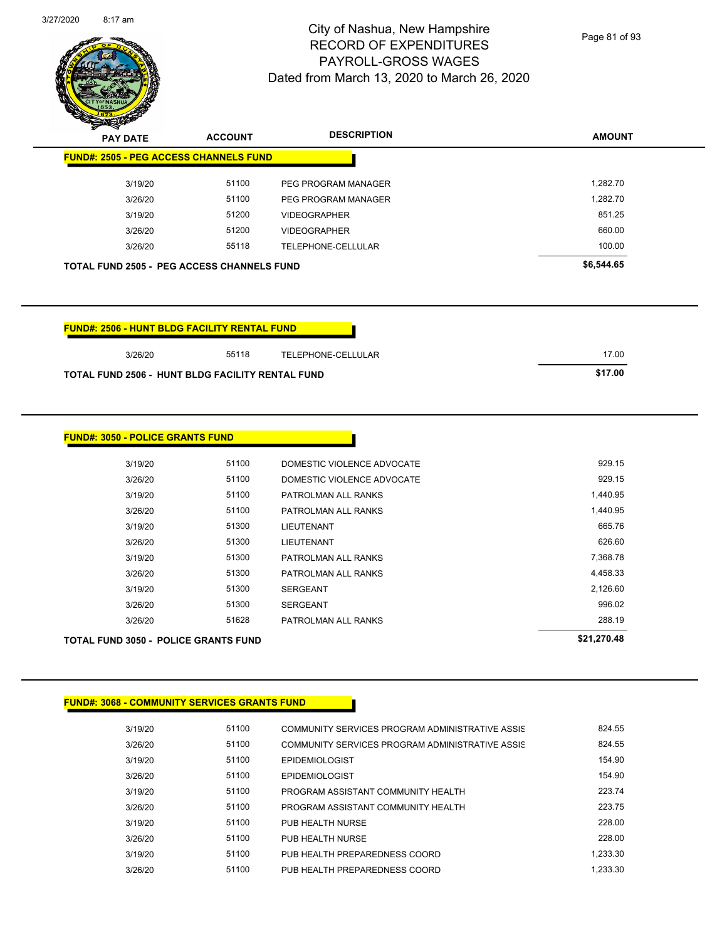

Page 81 of 93

| $\boldsymbol{z}$<br>--<br><b>PAY DATE</b>         | <b>ACCOUNT</b> | <b>DESCRIPTION</b>  | <b>AMOUNT</b> |
|---------------------------------------------------|----------------|---------------------|---------------|
| <b>FUND#: 2505 - PEG ACCESS CHANNELS FUND</b>     |                |                     |               |
| 3/19/20                                           | 51100          | PEG PROGRAM MANAGER | 1,282.70      |
| 3/26/20                                           | 51100          | PEG PROGRAM MANAGER | 1,282.70      |
| 3/19/20                                           | 51200          | <b>VIDEOGRAPHER</b> | 851.25        |
| 3/26/20                                           | 51200          | <b>VIDEOGRAPHER</b> | 660.00        |
| 3/26/20                                           | 55118          | TELEPHONE-CELLULAR  | 100.00        |
| <b>TOTAL FUND 2505 - PEG ACCESS CHANNELS FUND</b> |                |                     | \$6,544.65    |

| FUND#: 2506 - HUNT BLDG FACILITY RENTAL FUND_           |       |                    |         |
|---------------------------------------------------------|-------|--------------------|---------|
| 3/26/20                                                 | 55118 | TELEPHONE-CELLULAR | 17.00   |
| <b>TOTAL FUND 2506 - HUNT BLDG FACILITY RENTAL FUND</b> |       |                    | \$17.00 |

| <b>TOTAL FUND 3050 - POLICE GRANTS FUND</b> |       |                            | \$21,270.48 |
|---------------------------------------------|-------|----------------------------|-------------|
| 3/26/20                                     | 51628 | PATROLMAN ALL RANKS        | 288.19      |
| 3/26/20                                     | 51300 | <b>SERGEANT</b>            | 996.02      |
| 3/19/20                                     | 51300 | <b>SERGEANT</b>            | 2,126.60    |
| 3/26/20                                     | 51300 | PATROLMAN ALL RANKS        | 4,458.33    |
| 3/19/20                                     | 51300 | PATROLMAN ALL RANKS        | 7,368.78    |
| 3/26/20                                     | 51300 | LIEUTENANT                 | 626.60      |
| 3/19/20                                     | 51300 | LIEUTENANT                 | 665.76      |
| 3/26/20                                     | 51100 | PATROLMAN ALL RANKS        | 1,440.95    |
| 3/19/20                                     | 51100 | PATROLMAN ALL RANKS        | 1,440.95    |
| 3/26/20                                     | 51100 | DOMESTIC VIOLENCE ADVOCATE | 929.15      |
| 3/19/20                                     | 51100 | DOMESTIC VIOLENCE ADVOCATE | 929.15      |

#### **FUND#: 3068 - COMMUNITY SERVICES GRANTS FUND**

| 3/19/20 | 51100 | COMMUNITY SERVICES PROGRAM ADMINISTRATIVE ASSIS | 824.55   |
|---------|-------|-------------------------------------------------|----------|
| 3/26/20 | 51100 | COMMUNITY SERVICES PROGRAM ADMINISTRATIVE ASSIS | 824.55   |
| 3/19/20 | 51100 | <b>EPIDEMIOLOGIST</b>                           | 154.90   |
| 3/26/20 | 51100 | <b>EPIDEMIOLOGIST</b>                           | 154.90   |
| 3/19/20 | 51100 | PROGRAM ASSISTANT COMMUNITY HEALTH              | 223.74   |
| 3/26/20 | 51100 | PROGRAM ASSISTANT COMMUNITY HEALTH              | 223.75   |
| 3/19/20 | 51100 | PUB HEALTH NURSE                                | 228.00   |
| 3/26/20 | 51100 | PUB HEALTH NURSE                                | 228.00   |
| 3/19/20 | 51100 | PUB HEALTH PREPAREDNESS COORD                   | 1.233.30 |
| 3/26/20 | 51100 | PUB HEALTH PREPAREDNESS COORD                   | 1.233.30 |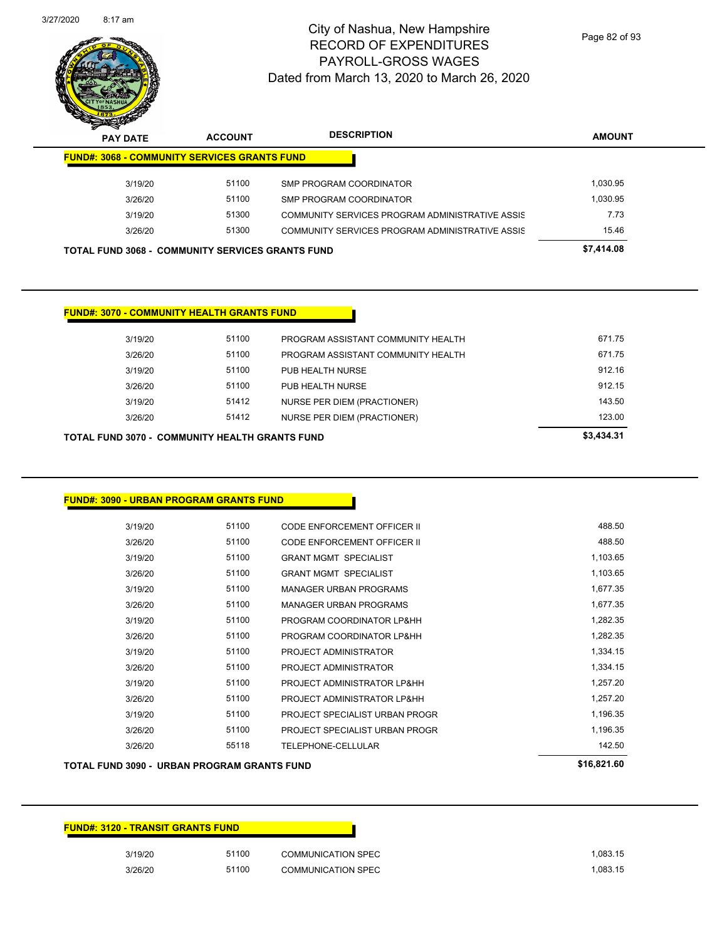| 3/19/20 | 51100 | <b>COMMUNICATION SPEC</b> | 1.083.15 |
|---------|-------|---------------------------|----------|
| 3/26/20 | 51100 | <b>COMMUNICATION SPEC</b> | 1,083.15 |

**FUND#: 3120 - TRANSIT GRANTS FUND**

| TOTAL FUND 3090 -  URBAN PROGRAM GRANTS FUND |       |                                | \$16,821.60 |
|----------------------------------------------|-------|--------------------------------|-------------|
| 3/26/20                                      | 55118 | <b>TELEPHONE-CELLULAR</b>      | 142.50      |
| 3/26/20                                      | 51100 | PROJECT SPECIALIST URBAN PROGR | 1,196.35    |
| 3/19/20                                      | 51100 | PROJECT SPECIALIST URBAN PROGR | 1,196.35    |
| 3/26/20                                      | 51100 | PROJECT ADMINISTRATOR LP&HH    | 1,257.20    |
| 3/19/20                                      | 51100 | PROJECT ADMINISTRATOR LP&HH    | 1,257.20    |
| 3/26/20                                      | 51100 | PROJECT ADMINISTRATOR          | 1,334.15    |
| 3/19/20                                      | 51100 | PROJECT ADMINISTRATOR          | 1,334.15    |
| 3/26/20                                      | 51100 | PROGRAM COORDINATOR LP&HH      | 1,282.35    |
| 3/19/20                                      | 51100 | PROGRAM COORDINATOR LP&HH      | 1,282.35    |
| 3/26/20                                      | 51100 | <b>MANAGER URBAN PROGRAMS</b>  | 1,677.35    |
| 3/19/20                                      | 51100 | <b>MANAGER URBAN PROGRAMS</b>  | 1,677.35    |
| 3/26/20                                      | 51100 | <b>GRANT MGMT SPECIALIST</b>   | 1,103.65    |
| 3/19/20                                      | 51100 | <b>GRANT MGMT SPECIALIST</b>   | 1,103.65    |

#### **FUND#: 3090 - URBAN PROGRAM GRANTS FUND**

| TOTAL FUND 3070 -  COMMUNITY HEALTH GRANTS FUND | \$3,434.31 |       |                                    |        |
|-------------------------------------------------|------------|-------|------------------------------------|--------|
|                                                 | 3/26/20    | 51412 | NURSE PER DIEM (PRACTIONER)        | 123.00 |
|                                                 | 3/19/20    | 51412 | <b>NURSE PER DIEM (PRACTIONER)</b> | 143.50 |
|                                                 | 3/26/20    | 51100 | PUB HEALTH NURSE                   | 912.15 |
|                                                 | 3/19/20    | 51100 | PUB HEALTH NURSE                   | 912.16 |
|                                                 | 3/26/20    | 51100 | PROGRAM ASSISTANT COMMUNITY HEALTH | 671.75 |
|                                                 | 3/19/20    | 51100 | PROGRAM ASSISTANT COMMUNITY HEALTH | 671.75 |

3/19/20 51100 CODE ENFORCEMENT OFFICER II 488.50 3/26/20 51100 CODE ENFORCEMENT OFFICER II 488.50

#### **FUND#: 3070 - COMMUNITY HEALTH GRANTS FUND**

| <b>Anton</b><br><b>PAY DATE</b>                         | <b>ACCOUNT</b> | <b>DESCRIPTION</b>                              | <b>AMOUNT</b> |
|---------------------------------------------------------|----------------|-------------------------------------------------|---------------|
| <b>FUND#: 3068 - COMMUNITY SERVICES GRANTS FUND</b>     |                |                                                 |               |
| 3/19/20                                                 | 51100          | SMP PROGRAM COORDINATOR                         | 1,030.95      |
| 3/26/20                                                 | 51100          | SMP PROGRAM COORDINATOR                         | 1.030.95      |
| 3/19/20                                                 | 51300          | COMMUNITY SERVICES PROGRAM ADMINISTRATIVE ASSIS | 7.73          |
| 3/26/20                                                 | 51300          | COMMUNITY SERVICES PROGRAM ADMINISTRATIVE ASSIS | 15.46         |
| <b>TOTAL FUND 3068 - COMMUNITY SERVICES GRANTS FUND</b> |                |                                                 | \$7,414.08    |

City of Nashua, New Hampshire RECORD OF EXPENDITURES PAYROLL-GROSS WAGES Dated from March 13, 2020 to March 26, 2020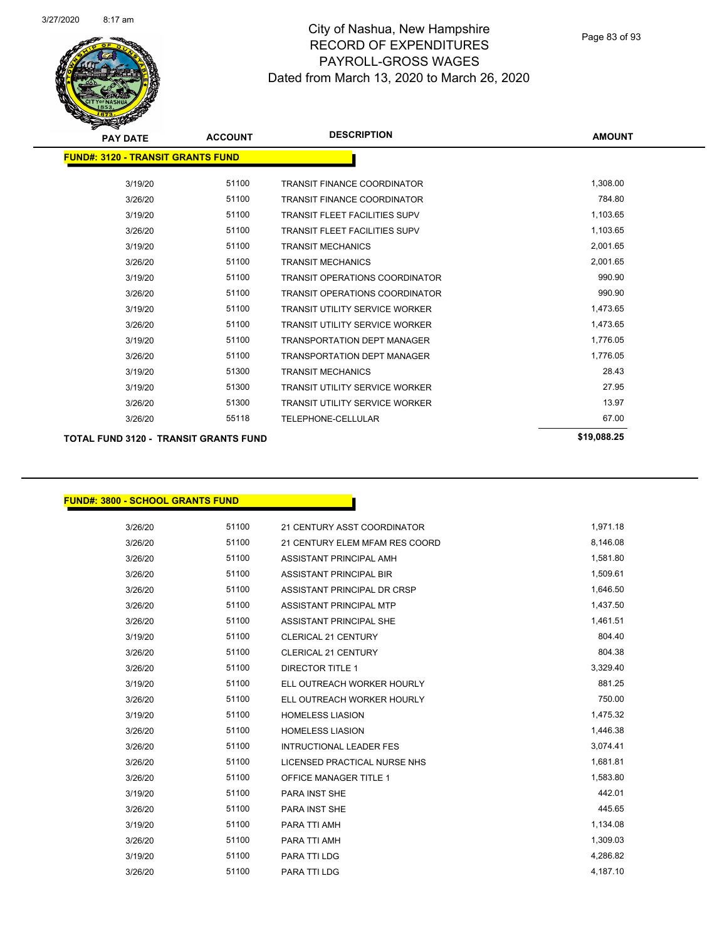

Page 83 of 93

| <b>PAY DATE</b>                          | <b>ACCOUNT</b> | <b>DESCRIPTION</b>                    | <b>AMOUNT</b> |
|------------------------------------------|----------------|---------------------------------------|---------------|
| <b>FUND#: 3120 - TRANSIT GRANTS FUND</b> |                |                                       |               |
|                                          |                |                                       |               |
| 3/19/20                                  | 51100          | <b>TRANSIT FINANCE COORDINATOR</b>    | 1,308.00      |
| 3/26/20                                  | 51100          | <b>TRANSIT FINANCE COORDINATOR</b>    | 784.80        |
| 3/19/20                                  | 51100          | <b>TRANSIT FLEET FACILITIES SUPV</b>  | 1,103.65      |
| 3/26/20                                  | 51100          | <b>TRANSIT FLEET FACILITIES SUPV</b>  | 1,103.65      |
| 3/19/20                                  | 51100          | <b>TRANSIT MECHANICS</b>              | 2,001.65      |
| 3/26/20                                  | 51100          | <b>TRANSIT MECHANICS</b>              | 2,001.65      |
| 3/19/20                                  | 51100          | <b>TRANSIT OPERATIONS COORDINATOR</b> | 990.90        |
| 3/26/20                                  | 51100          | <b>TRANSIT OPERATIONS COORDINATOR</b> | 990.90        |
| 3/19/20                                  | 51100          | <b>TRANSIT UTILITY SERVICE WORKER</b> | 1,473.65      |
| 3/26/20                                  | 51100          | <b>TRANSIT UTILITY SERVICE WORKER</b> | 1,473.65      |
| 3/19/20                                  | 51100          | <b>TRANSPORTATION DEPT MANAGER</b>    | 1,776.05      |
| 3/26/20                                  | 51100          | <b>TRANSPORTATION DEPT MANAGER</b>    | 1,776.05      |
| 3/19/20                                  | 51300          | <b>TRANSIT MECHANICS</b>              | 28.43         |
| 3/19/20                                  | 51300          | <b>TRANSIT UTILITY SERVICE WORKER</b> | 27.95         |
| 3/26/20                                  | 51300          | <b>TRANSIT UTILITY SERVICE WORKER</b> | 13.97         |
| 3/26/20                                  | 55118          | <b>TELEPHONE-CELLULAR</b>             | 67.00         |
| TOTAL FUND 3120 - TRANSIT GRANTS FUND    |                |                                       | \$19,088.25   |

#### **FUND#: 3800 - SCHOOL GRANTS FUND**

| 3/26/20 | 51100 | 21 CENTURY ASST COORDINATOR    | 1,971.18 |
|---------|-------|--------------------------------|----------|
| 3/26/20 | 51100 | 21 CENTURY ELEM MFAM RES COORD | 8,146.08 |
| 3/26/20 | 51100 | ASSISTANT PRINCIPAL AMH        | 1,581.80 |
| 3/26/20 | 51100 | <b>ASSISTANT PRINCIPAL BIR</b> | 1,509.61 |
| 3/26/20 | 51100 | ASSISTANT PRINCIPAL DR CRSP    | 1,646.50 |
| 3/26/20 | 51100 | <b>ASSISTANT PRINCIPAL MTP</b> | 1,437.50 |
| 3/26/20 | 51100 | ASSISTANT PRINCIPAL SHE        | 1,461.51 |
| 3/19/20 | 51100 | <b>CLERICAL 21 CENTURY</b>     | 804.40   |
| 3/26/20 | 51100 | <b>CLERICAL 21 CENTURY</b>     | 804.38   |
| 3/26/20 | 51100 | <b>DIRECTOR TITLE 1</b>        | 3,329.40 |
| 3/19/20 | 51100 | ELL OUTREACH WORKER HOURLY     | 881.25   |
| 3/26/20 | 51100 | ELL OUTREACH WORKER HOURLY     | 750.00   |
| 3/19/20 | 51100 | <b>HOMELESS LIASION</b>        | 1,475.32 |
| 3/26/20 | 51100 | <b>HOMELESS LIASION</b>        | 1,446.38 |
| 3/26/20 | 51100 | <b>INTRUCTIONAL LEADER FES</b> | 3,074.41 |
| 3/26/20 | 51100 | LICENSED PRACTICAL NURSE NHS   | 1,681.81 |
| 3/26/20 | 51100 | <b>OFFICE MANAGER TITLE 1</b>  | 1,583.80 |
| 3/19/20 | 51100 | PARA INST SHE                  | 442.01   |
| 3/26/20 | 51100 | PARA INST SHE                  | 445.65   |
| 3/19/20 | 51100 | PARA TTI AMH                   | 1,134.08 |
| 3/26/20 | 51100 | PARA TTI AMH                   | 1,309.03 |
| 3/19/20 | 51100 | PARA TTI LDG                   | 4,286.82 |
| 3/26/20 | 51100 | PARA TTI LDG                   | 4,187.10 |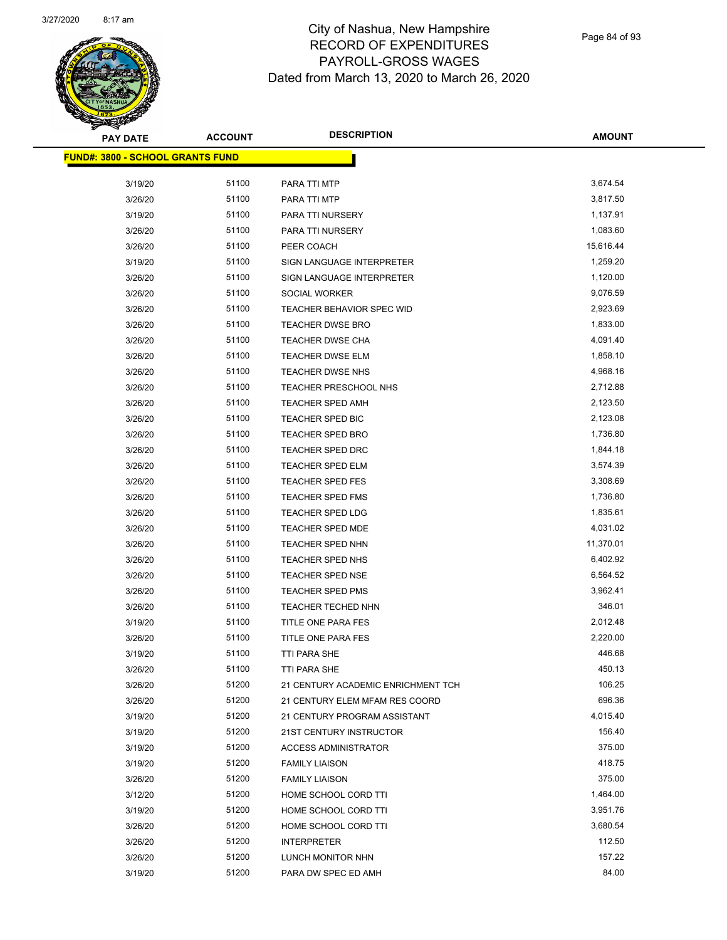

Page 84 of 93

| <b>PAY DATE</b>                         | <b>ACCOUNT</b> | <b>DESCRIPTION</b>                      | <b>AMOUNT</b> |
|-----------------------------------------|----------------|-----------------------------------------|---------------|
| <b>FUND#: 3800 - SCHOOL GRANTS FUND</b> |                |                                         |               |
| 3/19/20                                 | 51100          |                                         | 3,674.54      |
| 3/26/20                                 | 51100          | PARA TTI MTP                            | 3,817.50      |
|                                         | 51100          | PARA TTI MTP                            | 1,137.91      |
| 3/19/20                                 | 51100          | PARA TTI NURSERY                        | 1,083.60      |
| 3/26/20                                 | 51100          | PARA TTI NURSERY                        | 15,616.44     |
| 3/26/20<br>3/19/20                      | 51100          | PEER COACH<br>SIGN LANGUAGE INTERPRETER | 1,259.20      |
|                                         | 51100          | SIGN LANGUAGE INTERPRETER               | 1,120.00      |
| 3/26/20<br>3/26/20                      | 51100          | <b>SOCIAL WORKER</b>                    | 9,076.59      |
| 3/26/20                                 | 51100          | TEACHER BEHAVIOR SPEC WID               | 2,923.69      |
| 3/26/20                                 | 51100          | <b>TEACHER DWSE BRO</b>                 | 1,833.00      |
| 3/26/20                                 | 51100          | TEACHER DWSE CHA                        | 4,091.40      |
| 3/26/20                                 | 51100          | <b>TEACHER DWSE ELM</b>                 | 1,858.10      |
| 3/26/20                                 | 51100          | <b>TEACHER DWSE NHS</b>                 | 4,968.16      |
| 3/26/20                                 | 51100          | TEACHER PRESCHOOL NHS                   | 2,712.88      |
| 3/26/20                                 | 51100          | TEACHER SPED AMH                        | 2,123.50      |
| 3/26/20                                 | 51100          | TEACHER SPED BIC                        | 2,123.08      |
| 3/26/20                                 | 51100          | <b>TEACHER SPED BRO</b>                 | 1,736.80      |
| 3/26/20                                 | 51100          | TEACHER SPED DRC                        | 1,844.18      |
| 3/26/20                                 | 51100          | <b>TEACHER SPED ELM</b>                 | 3,574.39      |
| 3/26/20                                 | 51100          | TEACHER SPED FES                        | 3,308.69      |
| 3/26/20                                 | 51100          | TEACHER SPED FMS                        | 1,736.80      |
| 3/26/20                                 | 51100          | <b>TEACHER SPED LDG</b>                 | 1,835.61      |
| 3/26/20                                 | 51100          | <b>TEACHER SPED MDE</b>                 | 4,031.02      |
| 3/26/20                                 | 51100          | TEACHER SPED NHN                        | 11,370.01     |
| 3/26/20                                 | 51100          | TEACHER SPED NHS                        | 6,402.92      |
| 3/26/20                                 | 51100          | TEACHER SPED NSE                        | 6,564.52      |
| 3/26/20                                 | 51100          | <b>TEACHER SPED PMS</b>                 | 3,962.41      |
| 3/26/20                                 | 51100          | TEACHER TECHED NHN                      | 346.01        |
| 3/19/20                                 | 51100          | TITLE ONE PARA FES                      | 2,012.48      |
| 3/26/20                                 | 51100          | TITLE ONE PARA FES                      | 2,220.00      |
| 3/19/20                                 | 51100          | TTI PARA SHE                            | 446.68        |
| 3/26/20                                 | 51100          | <b>TTI PARA SHE</b>                     | 450.13        |
| 3/26/20                                 | 51200          | 21 CENTURY ACADEMIC ENRICHMENT TCH      | 106.25        |
| 3/26/20                                 | 51200          | 21 CENTURY ELEM MFAM RES COORD          | 696.36        |
| 3/19/20                                 | 51200          | 21 CENTURY PROGRAM ASSISTANT            | 4,015.40      |
| 3/19/20                                 | 51200          | 21ST CENTURY INSTRUCTOR                 | 156.40        |
| 3/19/20                                 | 51200          | <b>ACCESS ADMINISTRATOR</b>             | 375.00        |
| 3/19/20                                 | 51200          | <b>FAMILY LIAISON</b>                   | 418.75        |
| 3/26/20                                 | 51200          | <b>FAMILY LIAISON</b>                   | 375.00        |
| 3/12/20                                 | 51200          | HOME SCHOOL CORD TTI                    | 1,464.00      |
| 3/19/20                                 | 51200          | HOME SCHOOL CORD TTI                    | 3,951.76      |
| 3/26/20                                 | 51200          | HOME SCHOOL CORD TTI                    | 3,680.54      |
| 3/26/20                                 | 51200          | <b>INTERPRETER</b>                      | 112.50        |
| 3/26/20                                 | 51200          | LUNCH MONITOR NHN                       | 157.22        |
| 3/19/20                                 | 51200          | PARA DW SPEC ED AMH                     | 84.00         |
|                                         |                |                                         |               |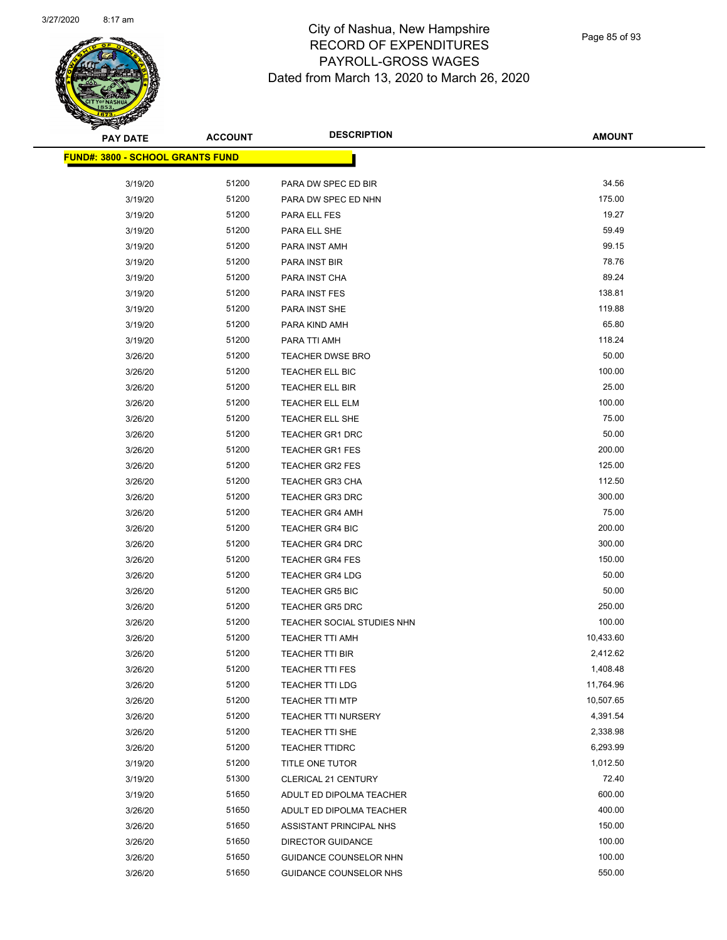

Page 85 of 93

| ॼ<br><b>PAY DATE</b>                    | <b>ACCOUNT</b> | <b>DESCRIPTION</b>         | <b>AMOUNT</b> |
|-----------------------------------------|----------------|----------------------------|---------------|
| <b>FUND#: 3800 - SCHOOL GRANTS FUND</b> |                |                            |               |
|                                         |                |                            |               |
| 3/19/20                                 | 51200          | PARA DW SPEC ED BIR        | 34.56         |
| 3/19/20                                 | 51200          | PARA DW SPEC ED NHN        | 175.00        |
| 3/19/20                                 | 51200          | PARA ELL FES               | 19.27         |
| 3/19/20                                 | 51200          | PARA ELL SHE               | 59.49         |
| 3/19/20                                 | 51200          | PARA INST AMH              | 99.15         |
| 3/19/20                                 | 51200          | PARA INST BIR              | 78.76         |
| 3/19/20                                 | 51200          | PARA INST CHA              | 89.24         |
| 3/19/20                                 | 51200          | PARA INST FES              | 138.81        |
| 3/19/20                                 | 51200          | PARA INST SHE              | 119.88        |
| 3/19/20                                 | 51200          | PARA KIND AMH              | 65.80         |
| 3/19/20                                 | 51200          | PARA TTI AMH               | 118.24        |
| 3/26/20                                 | 51200          | TEACHER DWSE BRO           | 50.00         |
| 3/26/20                                 | 51200          | TEACHER ELL BIC            | 100.00        |
| 3/26/20                                 | 51200          | TEACHER ELL BIR            | 25.00         |
| 3/26/20                                 | 51200          | TEACHER ELL ELM            | 100.00        |
| 3/26/20                                 | 51200          | TEACHER ELL SHE            | 75.00         |
| 3/26/20                                 | 51200          | TEACHER GR1 DRC            | 50.00         |
| 3/26/20                                 | 51200          | <b>TEACHER GR1 FES</b>     | 200.00        |
| 3/26/20                                 | 51200          | <b>TEACHER GR2 FES</b>     | 125.00        |
| 3/26/20                                 | 51200          | <b>TEACHER GR3 CHA</b>     | 112.50        |
| 3/26/20                                 | 51200          | <b>TEACHER GR3 DRC</b>     | 300.00        |
| 3/26/20                                 | 51200          | <b>TEACHER GR4 AMH</b>     | 75.00         |
| 3/26/20                                 | 51200          | <b>TEACHER GR4 BIC</b>     | 200.00        |
| 3/26/20                                 | 51200          | <b>TEACHER GR4 DRC</b>     | 300.00        |
| 3/26/20                                 | 51200          | <b>TEACHER GR4 FES</b>     | 150.00        |
| 3/26/20                                 | 51200          | <b>TEACHER GR4 LDG</b>     | 50.00         |
| 3/26/20                                 | 51200          | <b>TEACHER GR5 BIC</b>     | 50.00         |
| 3/26/20                                 | 51200          | <b>TEACHER GR5 DRC</b>     | 250.00        |
| 3/26/20                                 | 51200          | TEACHER SOCIAL STUDIES NHN | 100.00        |
| 3/26/20                                 | 51200          | <b>TEACHER TTI AMH</b>     | 10,433.60     |
| 3/26/20                                 | 51200          | <b>TEACHER TTI BIR</b>     | 2,412.62      |
| 3/26/20                                 | 51200          | TEACHER TTI FES            | 1,408.48      |
| 3/26/20                                 | 51200          | TEACHER TTI LDG            | 11,764.96     |
| 3/26/20                                 | 51200          | <b>TEACHER TTI MTP</b>     | 10,507.65     |
| 3/26/20                                 | 51200          | <b>TEACHER TTI NURSERY</b> | 4,391.54      |
| 3/26/20                                 | 51200          | TEACHER TTI SHE            | 2,338.98      |
| 3/26/20                                 | 51200          | <b>TEACHER TTIDRC</b>      | 6,293.99      |
| 3/19/20                                 | 51200          | TITLE ONE TUTOR            | 1,012.50      |
| 3/19/20                                 | 51300          | CLERICAL 21 CENTURY        | 72.40         |
| 3/19/20                                 | 51650          | ADULT ED DIPOLMA TEACHER   | 600.00        |
| 3/26/20                                 | 51650          | ADULT ED DIPOLMA TEACHER   | 400.00        |
| 3/26/20                                 | 51650          | ASSISTANT PRINCIPAL NHS    | 150.00        |
| 3/26/20                                 | 51650          | <b>DIRECTOR GUIDANCE</b>   | 100.00        |
| 3/26/20                                 | 51650          | GUIDANCE COUNSELOR NHN     | 100.00        |
| 3/26/20                                 | 51650          | GUIDANCE COUNSELOR NHS     | 550.00        |
|                                         |                |                            |               |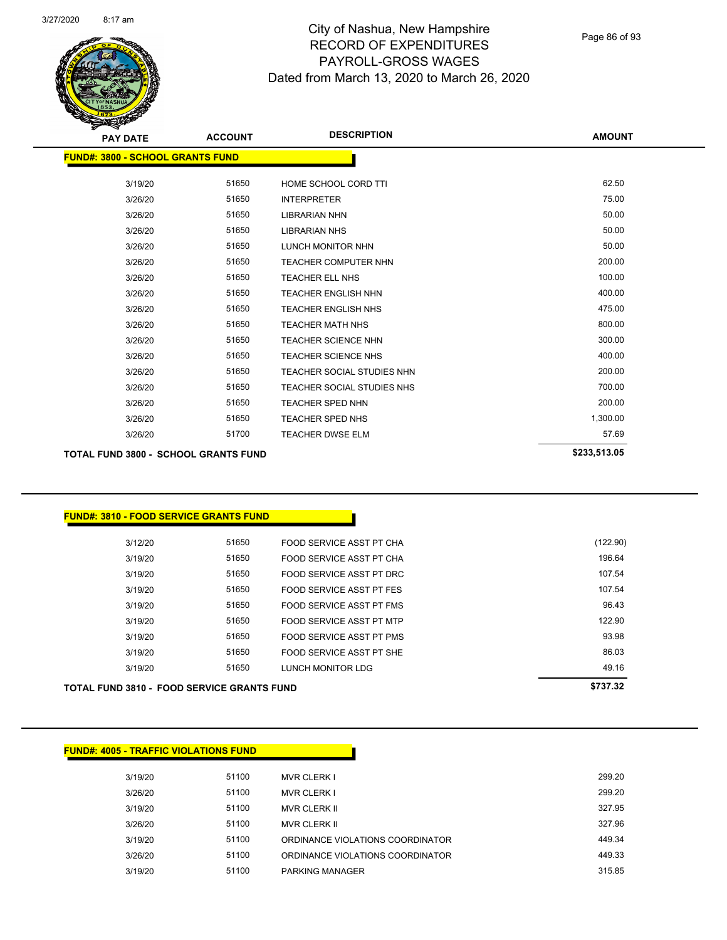

Page 86 of 93

| <b>PAY DATE</b>                             | <b>ACCOUNT</b> | <b>DESCRIPTION</b>          | <b>AMOUNT</b> |
|---------------------------------------------|----------------|-----------------------------|---------------|
| <b>FUND#: 3800 - SCHOOL GRANTS FUND</b>     |                |                             |               |
|                                             |                |                             |               |
| 3/19/20                                     | 51650          | HOME SCHOOL CORD TTI        | 62.50         |
| 3/26/20                                     | 51650          | <b>INTERPRETER</b>          | 75.00         |
| 3/26/20                                     | 51650          | <b>LIBRARIAN NHN</b>        | 50.00         |
| 3/26/20                                     | 51650          | <b>LIBRARIAN NHS</b>        | 50.00         |
| 3/26/20                                     | 51650          | LUNCH MONITOR NHN           | 50.00         |
| 3/26/20                                     | 51650          | <b>TEACHER COMPUTER NHN</b> | 200.00        |
| 3/26/20                                     | 51650          | <b>TEACHER ELL NHS</b>      | 100.00        |
| 3/26/20                                     | 51650          | <b>TEACHER ENGLISH NHN</b>  | 400.00        |
| 3/26/20                                     | 51650          | <b>TEACHER ENGLISH NHS</b>  | 475.00        |
| 3/26/20                                     | 51650          | <b>TEACHER MATH NHS</b>     | 800.00        |
| 3/26/20                                     | 51650          | <b>TEACHER SCIENCE NHN</b>  | 300.00        |
| 3/26/20                                     | 51650          | <b>TEACHER SCIENCE NHS</b>  | 400.00        |
| 3/26/20                                     | 51650          | TEACHER SOCIAL STUDIES NHN  | 200.00        |
| 3/26/20                                     | 51650          | TEACHER SOCIAL STUDIES NHS  | 700.00        |
| 3/26/20                                     | 51650          | <b>TEACHER SPED NHN</b>     | 200.00        |
| 3/26/20                                     | 51650          | <b>TEACHER SPED NHS</b>     | 1,300.00      |
| 3/26/20                                     | 51700          | <b>TEACHER DWSE ELM</b>     | 57.69         |
| <b>TOTAL FUND 3800 - SCHOOL GRANTS FUND</b> |                |                             | \$233,513.05  |

#### **FUND#: 3810 - FOOD SERVICE GRANTS FUND**

| TOTAL FUND 3810 - FOOD SERVICE GRANTS FUND | \$737.32 |                          |          |
|--------------------------------------------|----------|--------------------------|----------|
| 3/19/20                                    | 51650    | LUNCH MONITOR LDG        | 49.16    |
| 3/19/20                                    | 51650    | FOOD SERVICE ASST PT SHE | 86.03    |
| 3/19/20                                    | 51650    | FOOD SERVICE ASST PT PMS | 93.98    |
| 3/19/20                                    | 51650    | FOOD SERVICE ASST PT MTP | 122.90   |
| 3/19/20                                    | 51650    | FOOD SERVICE ASST PT FMS | 96.43    |
| 3/19/20                                    | 51650    | FOOD SERVICE ASST PT FES | 107.54   |
| 3/19/20                                    | 51650    | FOOD SERVICE ASST PT DRC | 107.54   |
| 3/19/20                                    | 51650    | FOOD SERVICE ASST PT CHA | 196.64   |
| 3/12/20                                    | 51650    | FOOD SERVICE ASST PT CHA | (122.90) |
|                                            |          |                          |          |

3/26/20 51100 ORDINANCE VIOLATIONS COORDINATOR 449.33 3/19/20 51100 PARKING MANAGER 315.85

# **FUND#: 4005 - TRAFFIC VIOLATIONS FUND** 3/19/20 51100 MVR CLERK I 299.20 3/26/20 51100 MVR CLERK I 299.20 3/19/20 51100 MVR CLERK II 327.95 3/26/20 51100 MVR CLERK II 327.96 3/19/20 51100 ORDINANCE VIOLATIONS COORDINATOR 449.34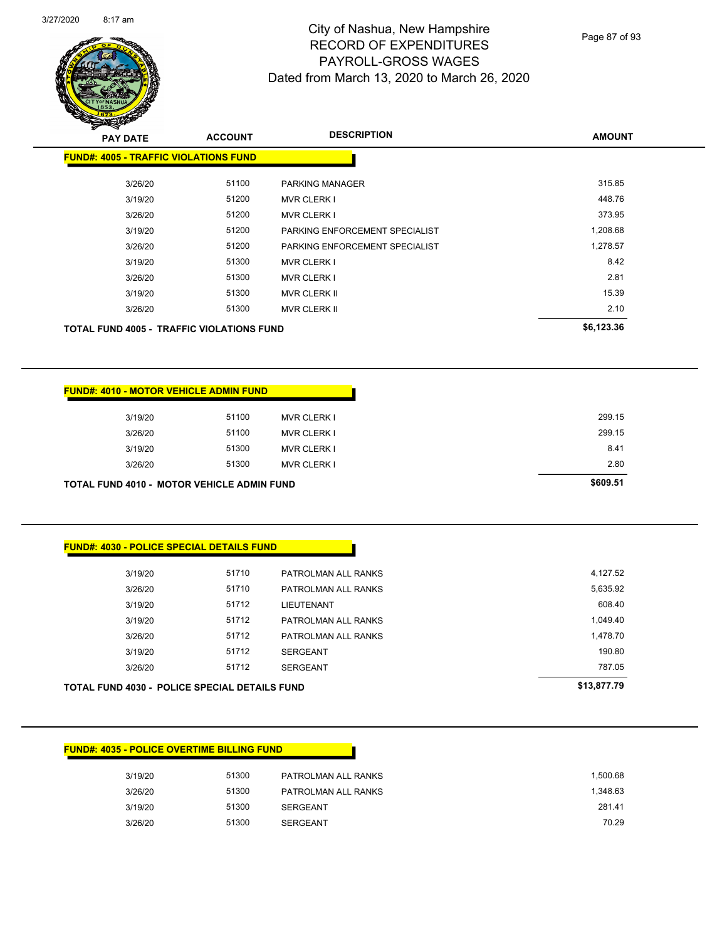Page 87 of 93

| <b>PAY DATE</b>                                  | <b>ACCOUNT</b> | <b>DESCRIPTION</b>             | <b>AMOUNT</b> |
|--------------------------------------------------|----------------|--------------------------------|---------------|
| <b>FUND#: 4005 - TRAFFIC VIOLATIONS FUND</b>     |                |                                |               |
| 3/26/20                                          | 51100          | <b>PARKING MANAGER</b>         | 315.85        |
| 3/19/20                                          | 51200          | <b>MVR CLERK I</b>             | 448.76        |
| 3/26/20                                          | 51200          | <b>MVR CLERK I</b>             | 373.95        |
| 3/19/20                                          | 51200          | PARKING ENFORCEMENT SPECIALIST | 1,208.68      |
| 3/26/20                                          | 51200          | PARKING ENFORCEMENT SPECIALIST | 1,278.57      |
| 3/19/20                                          | 51300          | <b>MVR CLERK I</b>             | 8.42          |
| 3/26/20                                          | 51300          | <b>MVR CLERK I</b>             | 2.81          |
| 3/19/20                                          | 51300          | <b>MVR CLERK II</b>            | 15.39         |
| 3/26/20                                          | 51300          | <b>MVR CLERK II</b>            | 2.10          |
| <b>TOTAL FUND 4005 - TRAFFIC VIOLATIONS FUND</b> |                |                                | \$6,123.36    |
|                                                  |                |                                |               |

|         | <b>FUND#: 4010 - MOTOR VEHICLE ADMIN FUND</b>     |                    |
|---------|---------------------------------------------------|--------------------|
| 3/19/20 | 51100                                             | <b>MVR CLERK I</b> |
| 3/26/20 | 51100                                             | <b>MVR CLERK I</b> |
| 3/19/20 | 51300                                             | <b>MVR CLERK I</b> |
| 3/26/20 | 51300                                             | <b>MVR CLERK I</b> |
|         | <b>TOTAL FUND 4010 - MOTOR VEHICLE ADMIN FUND</b> |                    |

| <b>TOTAL FUND 4030 - POLICE SPECIAL DETAILS FUND</b> | \$13,877.79 |                     |          |
|------------------------------------------------------|-------------|---------------------|----------|
| 3/26/20                                              | 51712       | <b>SERGEANT</b>     | 787.05   |
| 3/19/20                                              | 51712       | <b>SERGEANT</b>     | 190.80   |
| 3/26/20                                              | 51712       | PATROLMAN ALL RANKS | 1,478.70 |
| 3/19/20                                              | 51712       | PATROLMAN ALL RANKS | 1,049.40 |
| 3/19/20                                              | 51712       | LIEUTENANT          | 608.40   |
| 3/26/20                                              | 51710       | PATROLMAN ALL RANKS | 5,635.92 |
| 3/19/20                                              | 51710       | PATROLMAN ALL RANKS | 4,127.52 |
|                                                      |             |                     |          |

#### **FUND#: 4035 - POLICE OVERTIME BILLING FUND**

| 3/19/20 | 51300 | PATROLMAN ALL RANKS | 1.500.68 |
|---------|-------|---------------------|----------|
| 3/26/20 | 51300 | PATROLMAN ALL RANKS | 1.348.63 |
| 3/19/20 | 51300 | SERGEANT            | 281.41   |
| 3/26/20 | 51300 | <b>SERGEANT</b>     | 70.29    |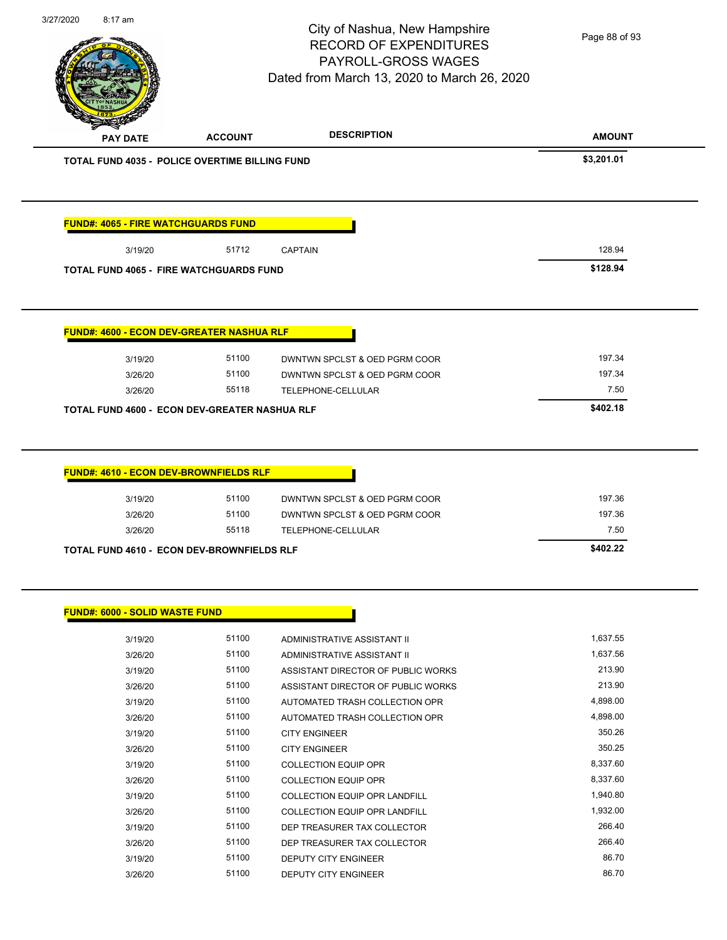|                                                   |                | City of Nashua, New Hampshire<br><b>RECORD OF EXPENDITURES</b> | Page 88 of 93    |
|---------------------------------------------------|----------------|----------------------------------------------------------------|------------------|
|                                                   |                | PAYROLL-GROSS WAGES                                            |                  |
|                                                   |                | Dated from March 13, 2020 to March 26, 2020                    |                  |
|                                                   |                |                                                                |                  |
|                                                   |                |                                                                |                  |
| <b>PAY DATE</b>                                   | <b>ACCOUNT</b> | <b>DESCRIPTION</b>                                             | <b>AMOUNT</b>    |
| TOTAL FUND 4035 - POLICE OVERTIME BILLING FUND    |                |                                                                | \$3,201.01       |
| <b>FUND#: 4065 - FIRE WATCHGUARDS FUND</b>        |                |                                                                |                  |
|                                                   |                |                                                                | 128.94           |
| 3/19/20                                           | 51712          | <b>CAPTAIN</b>                                                 |                  |
| <b>TOTAL FUND 4065 - FIRE WATCHGUARDS FUND</b>    |                |                                                                | \$128.94         |
|                                                   |                |                                                                |                  |
| <b>FUND#: 4600 - ECON DEV-GREATER NASHUA RLF</b>  |                |                                                                |                  |
| 3/19/20                                           | 51100          | DWNTWN SPCLST & OED PGRM COOR                                  | 197.34           |
| 3/26/20                                           | 51100          | DWNTWN SPCLST & OED PGRM COOR                                  | 197.34           |
| 3/26/20                                           | 55118          | TELEPHONE-CELLULAR                                             | 7.50             |
| TOTAL FUND 4600 - ECON DEV-GREATER NASHUA RLF     |                |                                                                | \$402.18         |
| <b>FUND#: 4610 - ECON DEV-BROWNFIELDS RLF</b>     |                |                                                                |                  |
|                                                   |                |                                                                |                  |
| 3/19/20<br>3/26/20                                | 51100<br>51100 | DWNTWN SPCLST & OED PGRM COOR<br>DWNTWN SPCLST & OED PGRM COOR | 197.36<br>197.36 |
| 3/26/20                                           | 55118          | TELEPHONE-CELLULAR                                             | 7.50             |
| <b>TOTAL FUND 4610 - ECON DEV-BROWNFIELDS RLF</b> |                |                                                                | \$402.22         |
|                                                   |                |                                                                |                  |
| <b>FUND#: 6000 - SOLID WASTE FUND</b>             |                |                                                                |                  |
| 3/19/20                                           | 51100          | ADMINISTRATIVE ASSISTANT II                                    | 1,637.55         |
| 3/26/20                                           | 51100          | ADMINISTRATIVE ASSISTANT II                                    | 1,637.56         |
| 3/19/20                                           | 51100          | ASSISTANT DIRECTOR OF PUBLIC WORKS                             | 213.90           |
| 3/26/20                                           | 51100          | ASSISTANT DIRECTOR OF PUBLIC WORKS                             | 213.90           |
| 3/19/20                                           | 51100          | AUTOMATED TRASH COLLECTION OPR                                 | 4,898.00         |
| 3/26/20                                           | 51100          | AUTOMATED TRASH COLLECTION OPR                                 | 4,898.00         |
| 3/19/20                                           | 51100          | <b>CITY ENGINEER</b>                                           | 350.26           |
| 3/26/20                                           | 51100          | <b>CITY ENGINEER</b>                                           | 350.25           |
| 3/19/20                                           | 51100          | <b>COLLECTION EQUIP OPR</b>                                    | 8,337.60         |
| 3/26/20                                           | 51100          | <b>COLLECTION EQUIP OPR</b>                                    | 8,337.60         |
| 3/19/20                                           | 51100          | <b>COLLECTION EQUIP OPR LANDFILL</b>                           | 1,940.80         |
| 3/26/20                                           | 51100          | COLLECTION EQUIP OPR LANDFILL                                  | 1,932.00         |
| 3/19/20                                           | 51100          | DEP TREASURER TAX COLLECTOR                                    | 266.40           |
| 3/26/20                                           | 51100          | DEP TREASURER TAX COLLECTOR                                    | 266.40           |
| 3/19/20                                           | 51100          | DEPUTY CITY ENGINEER                                           | 86.70            |
| 3/26/20                                           | 51100          | DEPUTY CITY ENGINEER                                           | 86.70            |

3/27/2020 8:17 am

 $\overline{\phantom{0}}$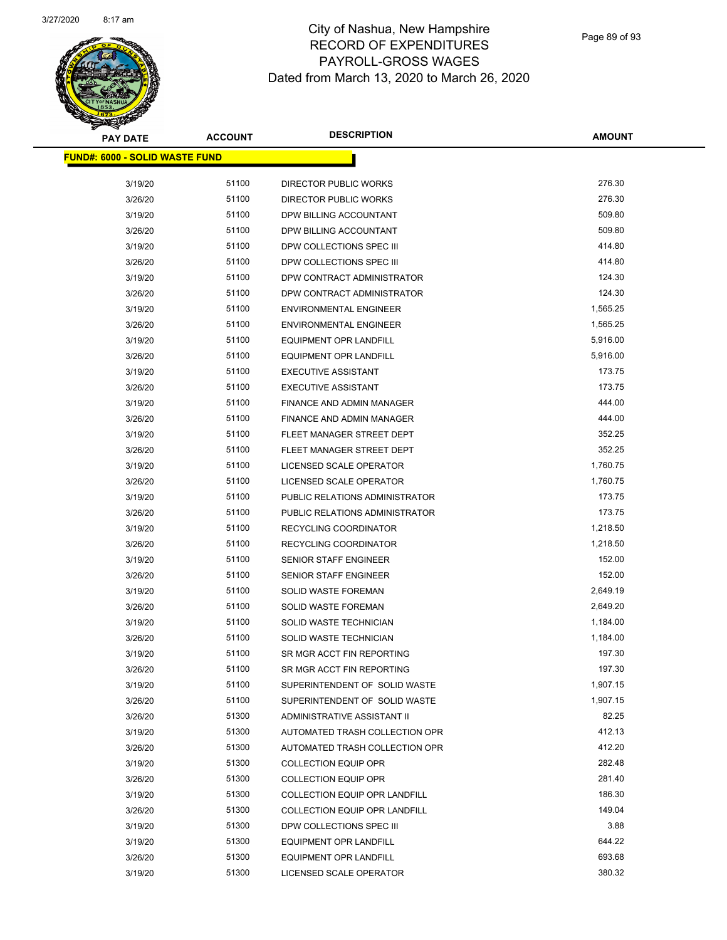

Page 89 of 93

| <b>PAY DATE</b>                       | <b>ACCOUNT</b> | <b>DESCRIPTION</b>                   | <b>AMOUNT</b>        |
|---------------------------------------|----------------|--------------------------------------|----------------------|
| <b>FUND#: 6000 - SOLID WASTE FUND</b> |                |                                      |                      |
|                                       |                |                                      |                      |
| 3/19/20                               | 51100          | DIRECTOR PUBLIC WORKS                | 276.30<br>276.30     |
| 3/26/20                               | 51100          | <b>DIRECTOR PUBLIC WORKS</b>         | 509.80               |
| 3/19/20                               | 51100          | DPW BILLING ACCOUNTANT               |                      |
| 3/26/20                               | 51100          | DPW BILLING ACCOUNTANT               | 509.80               |
| 3/19/20                               | 51100          | DPW COLLECTIONS SPEC III             | 414.80               |
| 3/26/20                               | 51100          | DPW COLLECTIONS SPEC III             | 414.80               |
| 3/19/20                               | 51100          | DPW CONTRACT ADMINISTRATOR           | 124.30               |
| 3/26/20                               | 51100          | DPW CONTRACT ADMINISTRATOR           | 124.30               |
| 3/19/20                               | 51100          | <b>ENVIRONMENTAL ENGINEER</b>        | 1,565.25             |
| 3/26/20                               | 51100          | <b>ENVIRONMENTAL ENGINEER</b>        | 1,565.25             |
| 3/19/20                               | 51100          | <b>EQUIPMENT OPR LANDFILL</b>        | 5,916.00             |
| 3/26/20                               | 51100          | <b>EQUIPMENT OPR LANDFILL</b>        | 5,916.00             |
| 3/19/20                               | 51100          | <b>EXECUTIVE ASSISTANT</b>           | 173.75               |
| 3/26/20                               | 51100          | <b>EXECUTIVE ASSISTANT</b>           | 173.75               |
| 3/19/20                               | 51100          | FINANCE AND ADMIN MANAGER            | 444.00               |
| 3/26/20                               | 51100          | FINANCE AND ADMIN MANAGER            | 444.00               |
| 3/19/20                               | 51100          | FLEET MANAGER STREET DEPT            | 352.25               |
| 3/26/20                               | 51100          | FLEET MANAGER STREET DEPT            | 352.25               |
| 3/19/20                               | 51100          | <b>LICENSED SCALE OPERATOR</b>       | 1,760.75             |
| 3/26/20                               | 51100          | LICENSED SCALE OPERATOR              | 1,760.75             |
| 3/19/20                               | 51100          | PUBLIC RELATIONS ADMINISTRATOR       | 173.75               |
| 3/26/20                               | 51100          | PUBLIC RELATIONS ADMINISTRATOR       | 173.75               |
| 3/19/20                               | 51100          | RECYCLING COORDINATOR                | 1,218.50             |
| 3/26/20                               | 51100          | RECYCLING COORDINATOR                | 1,218.50             |
| 3/19/20                               | 51100          | SENIOR STAFF ENGINEER                | 152.00               |
| 3/26/20                               | 51100          | <b>SENIOR STAFF ENGINEER</b>         | 152.00               |
| 3/19/20                               | 51100          | <b>SOLID WASTE FOREMAN</b>           | 2,649.19<br>2,649.20 |
| 3/26/20                               | 51100          | <b>SOLID WASTE FOREMAN</b>           |                      |
| 3/19/20                               | 51100          | SOLID WASTE TECHNICIAN               | 1,184.00             |
| 3/26/20                               | 51100          | SOLID WASTE TECHNICIAN               | 1,184.00             |
| 3/19/20                               | 51100          | SR MGR ACCT FIN REPORTING            | 197.30               |
| 3/26/20                               | 51100          | SR MGR ACCT FIN REPORTING            | 197.30               |
| 3/19/20                               | 51100          | SUPERINTENDENT OF SOLID WASTE        | 1,907.15             |
| 3/26/20                               | 51100          | SUPERINTENDENT OF SOLID WASTE        | 1,907.15             |
| 3/26/20                               | 51300          | ADMINISTRATIVE ASSISTANT II          | 82.25                |
| 3/19/20                               | 51300          | AUTOMATED TRASH COLLECTION OPR       | 412.13               |
| 3/26/20                               | 51300          | AUTOMATED TRASH COLLECTION OPR       | 412.20               |
| 3/19/20                               | 51300          | <b>COLLECTION EQUIP OPR</b>          | 282.48               |
| 3/26/20                               | 51300          | <b>COLLECTION EQUIP OPR</b>          | 281.40               |
| 3/19/20                               | 51300          | <b>COLLECTION EQUIP OPR LANDFILL</b> | 186.30               |
| 3/26/20                               | 51300          | COLLECTION EQUIP OPR LANDFILL        | 149.04               |
| 3/19/20                               | 51300          | DPW COLLECTIONS SPEC III             | 3.88                 |
| 3/19/20                               | 51300          | <b>EQUIPMENT OPR LANDFILL</b>        | 644.22               |
| 3/26/20                               | 51300          | <b>EQUIPMENT OPR LANDFILL</b>        | 693.68               |
| 3/19/20                               | 51300          | LICENSED SCALE OPERATOR              | 380.32               |
|                                       |                |                                      |                      |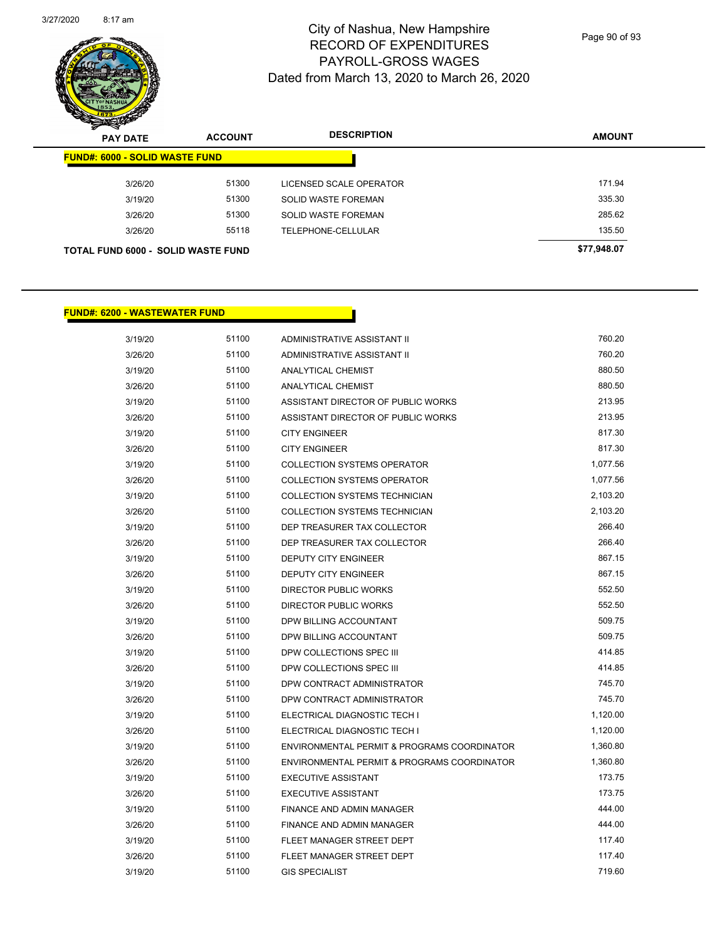

Page 90 of 93

| $\boldsymbol{z}$<br>∼<br><b>PAY DATE</b>  | <b>ACCOUNT</b> | <b>DESCRIPTION</b>         | <b>AMOUNT</b> |
|-------------------------------------------|----------------|----------------------------|---------------|
| <b>FUND#: 6000 - SOLID WASTE FUND</b>     |                |                            |               |
| 3/26/20                                   | 51300          | LICENSED SCALE OPERATOR    | 171.94        |
| 3/19/20                                   | 51300          | SOLID WASTE FOREMAN        | 335.30        |
| 3/26/20                                   | 51300          | <b>SOLID WASTE FOREMAN</b> | 285.62        |
| 3/26/20                                   | 55118          | TELEPHONE-CELLULAR         | 135.50        |
| <b>TOTAL FUND 6000 - SOLID WASTE FUND</b> |                |                            | \$77,948.07   |

#### **FUND#: 6200 - WASTEWATER FUND**

| 3/19/20 | 51100 | <b>ADMINISTRATIVE ASSISTANT II</b>          | 760.20   |
|---------|-------|---------------------------------------------|----------|
| 3/26/20 | 51100 | <b>ADMINISTRATIVE ASSISTANT II</b>          | 760.20   |
| 3/19/20 | 51100 | <b>ANALYTICAL CHEMIST</b>                   | 880.50   |
| 3/26/20 | 51100 | <b>ANALYTICAL CHEMIST</b>                   | 880.50   |
| 3/19/20 | 51100 | ASSISTANT DIRECTOR OF PUBLIC WORKS          | 213.95   |
| 3/26/20 | 51100 | ASSISTANT DIRECTOR OF PUBLIC WORKS          | 213.95   |
| 3/19/20 | 51100 | <b>CITY ENGINEER</b>                        | 817.30   |
| 3/26/20 | 51100 | <b>CITY ENGINEER</b>                        | 817.30   |
| 3/19/20 | 51100 | <b>COLLECTION SYSTEMS OPERATOR</b>          | 1,077.56 |
| 3/26/20 | 51100 | <b>COLLECTION SYSTEMS OPERATOR</b>          | 1,077.56 |
| 3/19/20 | 51100 | COLLECTION SYSTEMS TECHNICIAN               | 2,103.20 |
| 3/26/20 | 51100 | COLLECTION SYSTEMS TECHNICIAN               | 2,103.20 |
| 3/19/20 | 51100 | DEP TREASURER TAX COLLECTOR                 | 266.40   |
| 3/26/20 | 51100 | DEP TREASURER TAX COLLECTOR                 | 266.40   |
| 3/19/20 | 51100 | DEPUTY CITY ENGINEER                        | 867.15   |
| 3/26/20 | 51100 | <b>DEPUTY CITY ENGINEER</b>                 | 867.15   |
| 3/19/20 | 51100 | <b>DIRECTOR PUBLIC WORKS</b>                | 552.50   |
| 3/26/20 | 51100 | <b>DIRECTOR PUBLIC WORKS</b>                | 552.50   |
| 3/19/20 | 51100 | DPW BILLING ACCOUNTANT                      | 509.75   |
| 3/26/20 | 51100 | DPW BILLING ACCOUNTANT                      | 509.75   |
| 3/19/20 | 51100 | DPW COLLECTIONS SPEC III                    | 414.85   |
| 3/26/20 | 51100 | DPW COLLECTIONS SPEC III                    | 414.85   |
| 3/19/20 | 51100 | DPW CONTRACT ADMINISTRATOR                  | 745.70   |
| 3/26/20 | 51100 | DPW CONTRACT ADMINISTRATOR                  | 745.70   |
| 3/19/20 | 51100 | ELECTRICAL DIAGNOSTIC TECH I                | 1,120.00 |
| 3/26/20 | 51100 | ELECTRICAL DIAGNOSTIC TECH I                | 1,120.00 |
| 3/19/20 | 51100 | ENVIRONMENTAL PERMIT & PROGRAMS COORDINATOR | 1,360.80 |
| 3/26/20 | 51100 | ENVIRONMENTAL PERMIT & PROGRAMS COORDINATOR | 1,360.80 |
| 3/19/20 | 51100 | <b>EXECUTIVE ASSISTANT</b>                  | 173.75   |
| 3/26/20 | 51100 | <b>EXECUTIVE ASSISTANT</b>                  | 173.75   |
| 3/19/20 | 51100 | <b>FINANCE AND ADMIN MANAGER</b>            | 444.00   |
| 3/26/20 | 51100 | <b>FINANCE AND ADMIN MANAGER</b>            | 444.00   |
| 3/19/20 | 51100 | FLEET MANAGER STREET DEPT                   | 117.40   |
| 3/26/20 | 51100 | FLEET MANAGER STREET DEPT                   | 117.40   |
| 3/19/20 | 51100 | <b>GIS SPECIALIST</b>                       | 719.60   |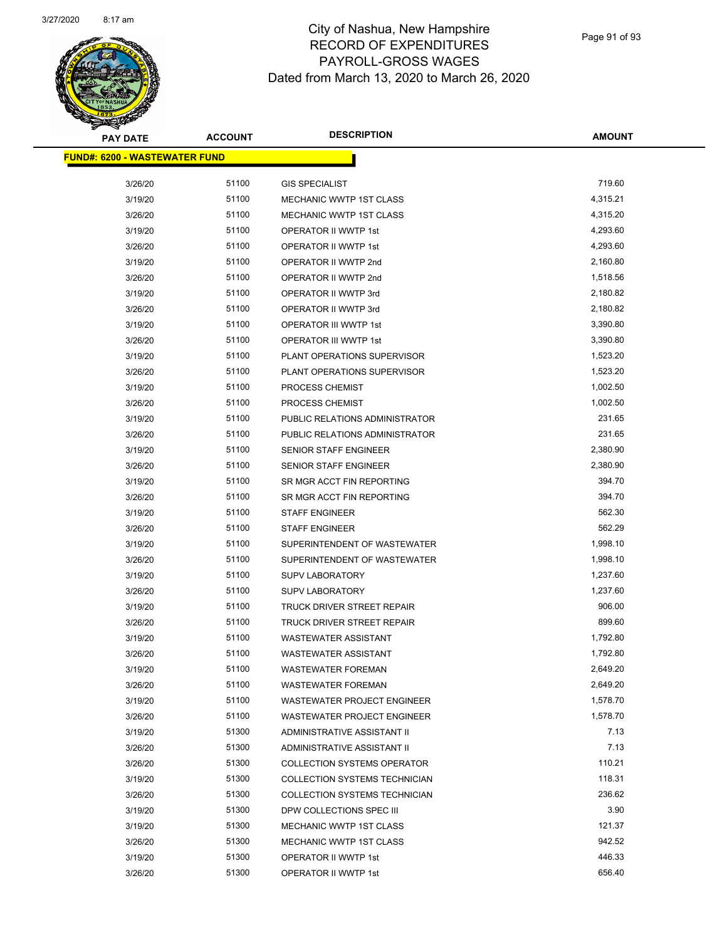

| <b>PAY DATE</b>                       | <b>ACCOUNT</b> | <b>DESCRIPTION</b>                 | <b>AMOUNT</b> |
|---------------------------------------|----------------|------------------------------------|---------------|
| <u> FUND#: 6200 - WASTEWATER FUND</u> |                |                                    |               |
|                                       |                |                                    |               |
| 3/26/20                               | 51100          | <b>GIS SPECIALIST</b>              | 719.60        |
| 3/19/20                               | 51100          | <b>MECHANIC WWTP 1ST CLASS</b>     | 4,315.21      |
| 3/26/20                               | 51100          | <b>MECHANIC WWTP 1ST CLASS</b>     | 4,315.20      |
| 3/19/20                               | 51100          | OPERATOR II WWTP 1st               | 4,293.60      |
| 3/26/20                               | 51100          | OPERATOR II WWTP 1st               | 4,293.60      |
| 3/19/20                               | 51100          | OPERATOR II WWTP 2nd               | 2,160.80      |
| 3/26/20                               | 51100          | OPERATOR II WWTP 2nd               | 1,518.56      |
| 3/19/20                               | 51100          | OPERATOR II WWTP 3rd               | 2,180.82      |
| 3/26/20                               | 51100          | OPERATOR II WWTP 3rd               | 2,180.82      |
| 3/19/20                               | 51100          | OPERATOR III WWTP 1st              | 3,390.80      |
| 3/26/20                               | 51100          | OPERATOR III WWTP 1st              | 3,390.80      |
| 3/19/20                               | 51100          | PLANT OPERATIONS SUPERVISOR        | 1,523.20      |
| 3/26/20                               | 51100          | PLANT OPERATIONS SUPERVISOR        | 1,523.20      |
| 3/19/20                               | 51100          | PROCESS CHEMIST                    | 1,002.50      |
| 3/26/20                               | 51100          | PROCESS CHEMIST                    | 1,002.50      |
| 3/19/20                               | 51100          | PUBLIC RELATIONS ADMINISTRATOR     | 231.65        |
| 3/26/20                               | 51100          | PUBLIC RELATIONS ADMINISTRATOR     | 231.65        |
| 3/19/20                               | 51100          | SENIOR STAFF ENGINEER              | 2,380.90      |
| 3/26/20                               | 51100          | <b>SENIOR STAFF ENGINEER</b>       | 2,380.90      |
| 3/19/20                               | 51100          | SR MGR ACCT FIN REPORTING          | 394.70        |
| 3/26/20                               | 51100          | SR MGR ACCT FIN REPORTING          | 394.70        |
| 3/19/20                               | 51100          | <b>STAFF ENGINEER</b>              | 562.30        |
| 3/26/20                               | 51100          | <b>STAFF ENGINEER</b>              | 562.29        |
| 3/19/20                               | 51100          | SUPERINTENDENT OF WASTEWATER       | 1,998.10      |
| 3/26/20                               | 51100          | SUPERINTENDENT OF WASTEWATER       | 1,998.10      |
| 3/19/20                               | 51100          | <b>SUPV LABORATORY</b>             | 1,237.60      |
| 3/26/20                               | 51100          | <b>SUPV LABORATORY</b>             | 1,237.60      |
| 3/19/20                               | 51100          | TRUCK DRIVER STREET REPAIR         | 906.00        |
| 3/26/20                               | 51100          | TRUCK DRIVER STREET REPAIR         | 899.60        |
| 3/19/20                               | 51100          | <b>WASTEWATER ASSISTANT</b>        | 1,792.80      |
| 3/26/20                               | 51100          | <b>WASTEWATER ASSISTANT</b>        | 1,792.80      |
| 3/19/20                               | 51100          | <b>WASTEWATER FOREMAN</b>          | 2,649.20      |
| 3/26/20                               | 51100          | <b>WASTEWATER FOREMAN</b>          | 2,649.20      |
| 3/19/20                               | 51100          | <b>WASTEWATER PROJECT ENGINEER</b> | 1,578.70      |
| 3/26/20                               | 51100          | <b>WASTEWATER PROJECT ENGINEER</b> | 1,578.70      |
| 3/19/20                               | 51300          | ADMINISTRATIVE ASSISTANT II        | 7.13          |
| 3/26/20                               | 51300          | ADMINISTRATIVE ASSISTANT II        | 7.13          |
| 3/26/20                               | 51300          | <b>COLLECTION SYSTEMS OPERATOR</b> | 110.21        |
| 3/19/20                               | 51300          | COLLECTION SYSTEMS TECHNICIAN      | 118.31        |
| 3/26/20                               | 51300          | COLLECTION SYSTEMS TECHNICIAN      | 236.62        |
| 3/19/20                               | 51300          | DPW COLLECTIONS SPEC III           | 3.90          |
| 3/19/20                               | 51300          | <b>MECHANIC WWTP 1ST CLASS</b>     | 121.37        |
| 3/26/20                               | 51300          | MECHANIC WWTP 1ST CLASS            | 942.52        |
| 3/19/20                               | 51300          | OPERATOR II WWTP 1st               | 446.33        |
| 3/26/20                               | 51300          | OPERATOR II WWTP 1st               | 656.40        |
|                                       |                |                                    |               |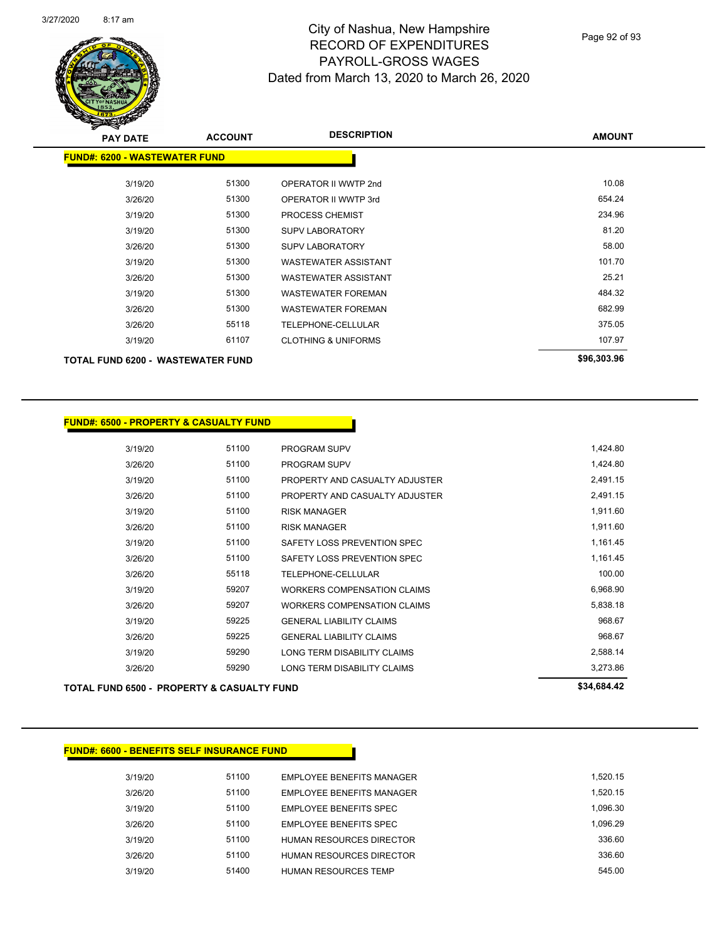

Page 92 of 93

| <b>PAY DATE</b>                          | <b>ACCOUNT</b> | <b>DESCRIPTION</b>             | <b>AMOUNT</b> |
|------------------------------------------|----------------|--------------------------------|---------------|
| <b>FUND#: 6200 - WASTEWATER FUND</b>     |                |                                |               |
| 3/19/20                                  | 51300          | OPERATOR II WWTP 2nd           | 10.08         |
| 3/26/20                                  | 51300          | OPERATOR II WWTP 3rd           | 654.24        |
| 3/19/20                                  | 51300          | <b>PROCESS CHEMIST</b>         | 234.96        |
| 3/19/20                                  | 51300          | <b>SUPV LABORATORY</b>         | 81.20         |
| 3/26/20                                  | 51300          | <b>SUPV LABORATORY</b>         | 58.00         |
| 3/19/20                                  | 51300          | <b>WASTEWATER ASSISTANT</b>    | 101.70        |
| 3/26/20                                  | 51300          | <b>WASTEWATER ASSISTANT</b>    | 25.21         |
| 3/19/20                                  | 51300          | WASTEWATER FOREMAN             | 484.32        |
| 3/26/20                                  | 51300          | <b>WASTEWATER FOREMAN</b>      | 682.99        |
| 3/26/20                                  | 55118          | TELEPHONE-CELLULAR             | 375.05        |
| 3/19/20                                  | 61107          | <b>CLOTHING &amp; UNIFORMS</b> | 107.97        |
| <b>TOTAL FUND 6200 - WASTEWATER FUND</b> |                |                                | \$96,303.96   |

| <b>FUND#: 6500 - PROPERTY &amp; CASUALTY FUND</b> |       |                                    |             |
|---------------------------------------------------|-------|------------------------------------|-------------|
| 3/19/20                                           | 51100 | <b>PROGRAM SUPV</b>                | 1,424.80    |
| 3/26/20                                           | 51100 | <b>PROGRAM SUPV</b>                | 1,424.80    |
| 3/19/20                                           | 51100 | PROPERTY AND CASUALTY ADJUSTER     | 2,491.15    |
| 3/26/20                                           | 51100 | PROPERTY AND CASUALTY ADJUSTER     | 2,491.15    |
| 3/19/20                                           | 51100 | <b>RISK MANAGER</b>                | 1,911.60    |
| 3/26/20                                           | 51100 | <b>RISK MANAGER</b>                | 1,911.60    |
| 3/19/20                                           | 51100 | SAFETY LOSS PREVENTION SPEC        | 1,161.45    |
| 3/26/20                                           | 51100 | SAFETY LOSS PREVENTION SPEC        | 1,161.45    |
| 3/26/20                                           | 55118 | <b>TELEPHONE-CELLULAR</b>          | 100.00      |
| 3/19/20                                           | 59207 | <b>WORKERS COMPENSATION CLAIMS</b> | 6,968.90    |
| 3/26/20                                           | 59207 | <b>WORKERS COMPENSATION CLAIMS</b> | 5,838.18    |
| 3/19/20                                           | 59225 | <b>GENERAL LIABILITY CLAIMS</b>    | 968.67      |
| 3/26/20                                           | 59225 | <b>GENERAL LIABILITY CLAIMS</b>    | 968.67      |
| 3/19/20                                           | 59290 | LONG TERM DISABILITY CLAIMS        | 2,588.14    |
| 3/26/20                                           | 59290 | LONG TERM DISABILITY CLAIMS        | 3,273.86    |
| TOTAL FUND 6500 - PROPERTY & CASUALTY FUND        |       |                                    | \$34,684.42 |

#### **FUND#: 6600 - BENEFITS SELF INSURANCE FUND**

| 3/19/20 | 51100 | EMPLOYEE BENEFITS MANAGER       | 1.520.15 |
|---------|-------|---------------------------------|----------|
| 3/26/20 | 51100 | EMPLOYEE BENEFITS MANAGER       | 1.520.15 |
| 3/19/20 | 51100 | EMPLOYEE BENEFITS SPEC          | 1.096.30 |
| 3/26/20 | 51100 | <b>EMPLOYEE BENEFITS SPEC</b>   | 1.096.29 |
| 3/19/20 | 51100 | HUMAN RESOURCES DIRECTOR        | 336.60   |
| 3/26/20 | 51100 | <b>HUMAN RESOURCES DIRECTOR</b> | 336.60   |
| 3/19/20 | 51400 | <b>HUMAN RESOURCES TEMP</b>     | 545.00   |
|         |       |                                 |          |